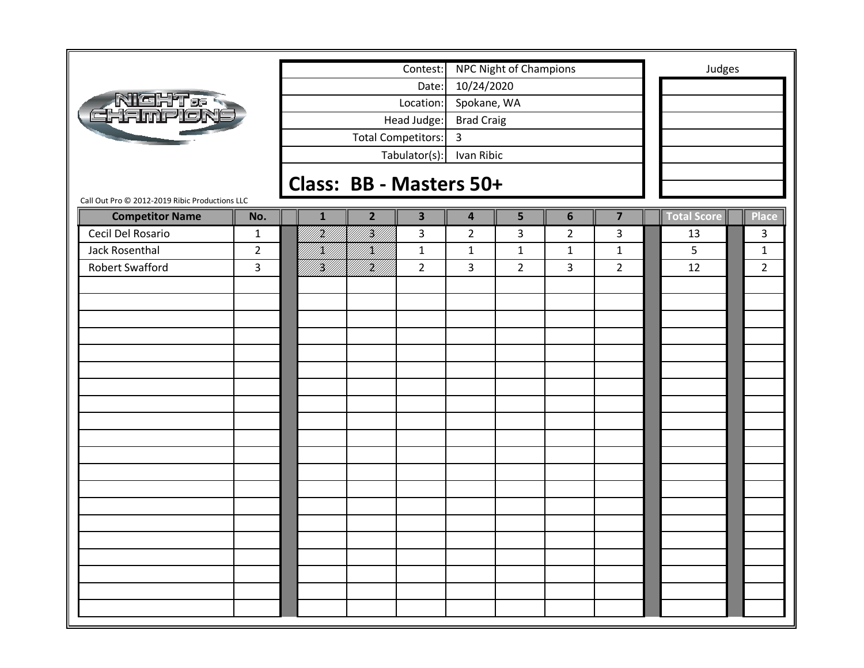|                                                |                |                         |                   | Contest:                |                         | NPC Night of Champions |                |                         |  | Judges             |                |  |
|------------------------------------------------|----------------|-------------------------|-------------------|-------------------------|-------------------------|------------------------|----------------|-------------------------|--|--------------------|----------------|--|
|                                                |                |                         |                   | Date:                   | 10/24/2020              |                        |                |                         |  |                    |                |  |
|                                                |                |                         |                   | Location:               | Spokane, WA             |                        |                |                         |  |                    |                |  |
| <b>NIGHT &amp; R</b><br>EHEIMPIONE             |                |                         |                   | Head Judge:             | <b>Brad Craig</b>       |                        |                |                         |  |                    |                |  |
|                                                |                |                         |                   | Total Competitors:      | $\overline{3}$          |                        |                |                         |  |                    |                |  |
|                                                |                |                         |                   | Tabulator(s):           | Ivan Ribic              |                        |                |                         |  |                    |                |  |
|                                                |                |                         |                   |                         |                         |                        |                |                         |  |                    |                |  |
|                                                |                | Class: BB - Masters 50+ |                   |                         |                         |                        |                |                         |  |                    |                |  |
| Call Out Pro © 2012-2019 Ribic Productions LLC |                |                         |                   |                         |                         |                        |                |                         |  |                    |                |  |
| <b>Competitor Name</b>                         | No.            | $\mathbf{1}$            | $\overline{2}$    | $\overline{\mathbf{3}}$ | $\overline{\mathbf{4}}$ | 5                      | $6\phantom{1}$ | $\overline{\mathbf{z}}$ |  | <b>Total Score</b> | Place          |  |
| Cecil Del Rosario                              | $\mathbf{1}$   | H)<br>Mi                | H)                | 3                       | $\overline{2}$          | 3                      | $\overline{2}$ | 3                       |  | 13                 | 3              |  |
| <b>Jack Rosenthal</b>                          | $\overline{2}$ | IĶI                     | <br> }<br> <br> } | $\mathbf{1}$            | $\mathbf 1$             | $\mathbf 1$            | $\mathbf{1}$   | $\mathbf{1}$            |  | 5                  | $\mathbf 1$    |  |
| <b>Robert Swafford</b>                         | $\overline{3}$ | Y)<br> Y)               |                   | $\overline{2}$          | 3                       | $\overline{2}$         | $\overline{3}$ | $\overline{2}$          |  | 12                 | $\overline{2}$ |  |
|                                                |                |                         |                   |                         |                         |                        |                |                         |  |                    |                |  |
|                                                |                |                         |                   |                         |                         |                        |                |                         |  |                    |                |  |
|                                                |                |                         |                   |                         |                         |                        |                |                         |  |                    |                |  |
|                                                |                |                         |                   |                         |                         |                        |                |                         |  |                    |                |  |
|                                                |                |                         |                   |                         |                         |                        |                |                         |  |                    |                |  |
|                                                |                |                         |                   |                         |                         |                        |                |                         |  |                    |                |  |
|                                                |                |                         |                   |                         |                         |                        |                |                         |  |                    |                |  |
|                                                |                |                         |                   |                         |                         |                        |                |                         |  |                    |                |  |
|                                                |                |                         |                   |                         |                         |                        |                |                         |  |                    |                |  |
|                                                |                |                         |                   |                         |                         |                        |                |                         |  |                    |                |  |
|                                                |                |                         |                   |                         |                         |                        |                |                         |  |                    |                |  |
|                                                |                |                         |                   |                         |                         |                        |                |                         |  |                    |                |  |
|                                                |                |                         |                   |                         |                         |                        |                |                         |  |                    |                |  |
|                                                |                |                         |                   |                         |                         |                        |                |                         |  |                    |                |  |
|                                                |                |                         |                   |                         |                         |                        |                |                         |  |                    |                |  |
|                                                |                |                         |                   |                         |                         |                        |                |                         |  |                    |                |  |
|                                                |                |                         |                   |                         |                         |                        |                |                         |  |                    |                |  |
|                                                |                |                         |                   |                         |                         |                        |                |                         |  |                    |                |  |
|                                                |                |                         |                   |                         |                         |                        |                |                         |  |                    |                |  |
|                                                |                |                         |                   |                         |                         |                        |                |                         |  |                    |                |  |
|                                                |                |                         |                   |                         |                         |                        |                |                         |  |                    |                |  |

÷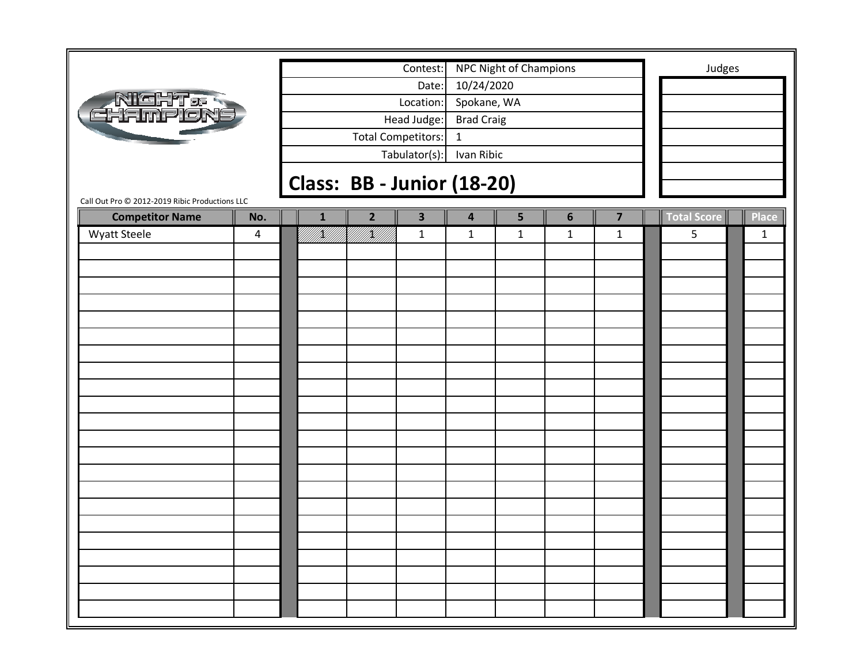|                                                                          |                |              |                | Contest:                          |                           | NPC Night of Champions |                |                         | Judges             |              |
|--------------------------------------------------------------------------|----------------|--------------|----------------|-----------------------------------|---------------------------|------------------------|----------------|-------------------------|--------------------|--------------|
|                                                                          |                |              |                | Date:<br>Location:                | 10/24/2020<br>Spokane, WA |                        |                |                         |                    |              |
| Night & S<br>Hampiong                                                    |                |              |                | Head Judge:                       | <b>Brad Craig</b>         |                        |                |                         |                    |              |
|                                                                          |                |              |                | Total Competitors:                | $\mathbf{1}$              |                        |                |                         |                    |              |
|                                                                          |                |              |                | Tabulator(s):                     | Ivan Ribic                |                        |                |                         |                    |              |
|                                                                          |                |              |                |                                   |                           |                        |                |                         |                    |              |
|                                                                          |                |              |                | <b>Class: BB - Junior (18-20)</b> |                           |                        |                |                         |                    |              |
| Call Out Pro © 2012-2019 Ribic Productions LLC<br><b>Competitor Name</b> | No.            | $\mathbf{1}$ | $\overline{2}$ | $\overline{\mathbf{3}}$           | $\overline{\mathbf{4}}$   | 5                      | $6\phantom{1}$ | $\overline{\mathbf{z}}$ | <b>Total Score</b> | <b>Place</b> |
| Wyatt Steele                                                             | $\overline{4}$ | VKU 1        | ITANI<br>PANDI | $\mathbf{1}$                      | $\mathbf 1$               | $\mathbf 1$            | $\mathbf{1}$   | $\mathbf{1}$            | 5                  | $\mathbf{1}$ |
|                                                                          |                |              |                |                                   |                           |                        |                |                         |                    |              |
|                                                                          |                |              |                |                                   |                           |                        |                |                         |                    |              |
|                                                                          |                |              |                |                                   |                           |                        |                |                         |                    |              |
|                                                                          |                |              |                |                                   |                           |                        |                |                         |                    |              |
|                                                                          |                |              |                |                                   |                           |                        |                |                         |                    |              |
|                                                                          |                |              |                |                                   |                           |                        |                |                         |                    |              |
|                                                                          |                |              |                |                                   |                           |                        |                |                         |                    |              |
|                                                                          |                |              |                |                                   |                           |                        |                |                         |                    |              |
|                                                                          |                |              |                |                                   |                           |                        |                |                         |                    |              |
|                                                                          |                |              |                |                                   |                           |                        |                |                         |                    |              |
|                                                                          |                |              |                |                                   |                           |                        |                |                         |                    |              |
|                                                                          |                |              |                |                                   |                           |                        |                |                         |                    |              |
|                                                                          |                |              |                |                                   |                           |                        |                |                         |                    |              |
|                                                                          |                |              |                |                                   |                           |                        |                |                         |                    |              |
|                                                                          |                |              |                |                                   |                           |                        |                |                         |                    |              |
|                                                                          |                |              |                |                                   |                           |                        |                |                         |                    |              |
|                                                                          |                |              |                |                                   |                           |                        |                |                         |                    |              |
|                                                                          |                |              |                |                                   |                           |                        |                |                         |                    |              |
|                                                                          |                |              |                |                                   |                           |                        |                |                         |                    |              |
|                                                                          |                |              |                |                                   |                           |                        |                |                         |                    |              |
|                                                                          |                |              |                |                                   |                           |                        |                |                         |                    |              |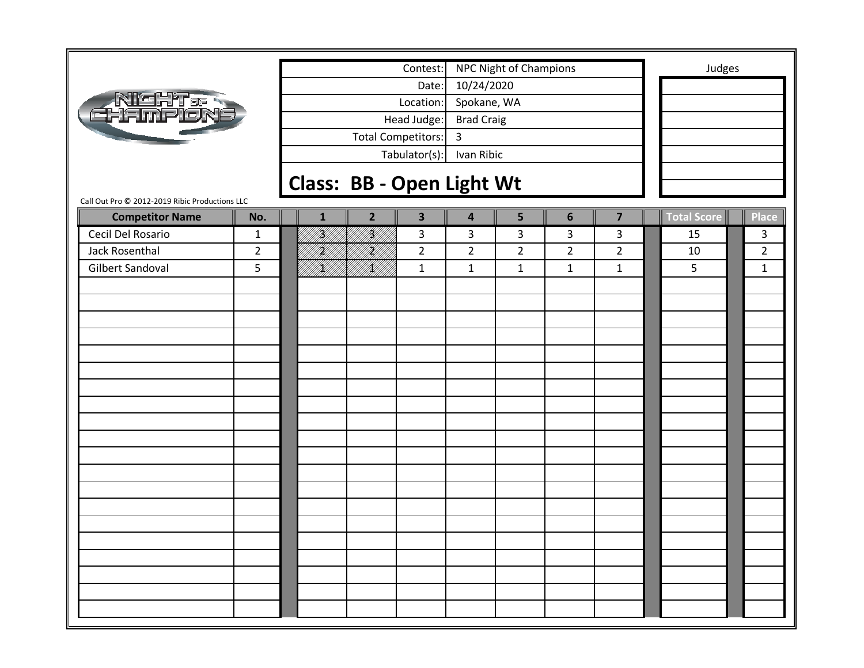|                                                                          |                |              |                                  | Contest:                |                   | <b>NPC Night of Champions</b> |                |                         | Judges      |                |
|--------------------------------------------------------------------------|----------------|--------------|----------------------------------|-------------------------|-------------------|-------------------------------|----------------|-------------------------|-------------|----------------|
|                                                                          |                |              |                                  | Date:                   | 10/24/2020        |                               |                |                         |             |                |
|                                                                          |                |              |                                  | Location:               | Spokane, WA       |                               |                |                         |             |                |
| <b>NGHT.<br/>THAMPLON</b>                                                |                |              |                                  | Head Judge:             | <b>Brad Craig</b> |                               |                |                         |             |                |
|                                                                          |                |              |                                  | Total Competitors:      | 3                 |                               |                |                         |             |                |
|                                                                          |                |              |                                  | Tabulator(s):           | Ivan Ribic        |                               |                |                         |             |                |
|                                                                          |                |              |                                  |                         |                   |                               |                |                         |             |                |
|                                                                          |                |              | <b>Class: BB - Open Light Wt</b> |                         |                   |                               |                |                         |             |                |
| Call Out Pro @ 2012-2019 Ribic Productions LLC<br><b>Competitor Name</b> | No.            | $\mathbf{1}$ | $\overline{2}$                   | $\overline{\mathbf{3}}$ | 4                 | 5                             | $6\phantom{1}$ | $\overline{\mathbf{z}}$ | Total Score | Place          |
| Cecil Del Rosario                                                        | $\mathbf{1}$   | <br> }<br> } | <br> }<br> }                     | 3                       | 3                 | 3                             | 3              | 3                       | 15          | 3              |
| Jack Rosenthal                                                           | $\overline{2}$ | H)           | HM)                              | $\overline{2}$          | $\overline{2}$    | $\overline{2}$                | $\overline{2}$ | $\overline{2}$          | 10          | $\overline{2}$ |
| <b>Gilbert Sandoval</b>                                                  | 5              | K)<br>H1     | HM)                              | $\mathbf{1}$            | $\mathbf{1}$      | $\mathbf{1}$                  | $\mathbf{1}$   | $\mathbf{1}$            | 5           | $\mathbf{1}$   |
|                                                                          |                |              |                                  |                         |                   |                               |                |                         |             |                |
|                                                                          |                |              |                                  |                         |                   |                               |                |                         |             |                |
|                                                                          |                |              |                                  |                         |                   |                               |                |                         |             |                |
|                                                                          |                |              |                                  |                         |                   |                               |                |                         |             |                |
|                                                                          |                |              |                                  |                         |                   |                               |                |                         |             |                |
|                                                                          |                |              |                                  |                         |                   |                               |                |                         |             |                |
|                                                                          |                |              |                                  |                         |                   |                               |                |                         |             |                |
|                                                                          |                |              |                                  |                         |                   |                               |                |                         |             |                |
|                                                                          |                |              |                                  |                         |                   |                               |                |                         |             |                |
|                                                                          |                |              |                                  |                         |                   |                               |                |                         |             |                |
|                                                                          |                |              |                                  |                         |                   |                               |                |                         |             |                |
|                                                                          |                |              |                                  |                         |                   |                               |                |                         |             |                |
|                                                                          |                |              |                                  |                         |                   |                               |                |                         |             |                |
|                                                                          |                |              |                                  |                         |                   |                               |                |                         |             |                |
|                                                                          |                |              |                                  |                         |                   |                               |                |                         |             |                |
|                                                                          |                |              |                                  |                         |                   |                               |                |                         |             |                |
|                                                                          |                |              |                                  |                         |                   |                               |                |                         |             |                |
|                                                                          |                |              |                                  |                         |                   |                               |                |                         |             |                |
|                                                                          |                |              |                                  |                         |                   |                               |                |                         |             |                |
|                                                                          |                |              |                                  |                         |                   |                               |                |                         |             |                |
|                                                                          |                |              |                                  |                         |                   |                               |                |                         |             |                |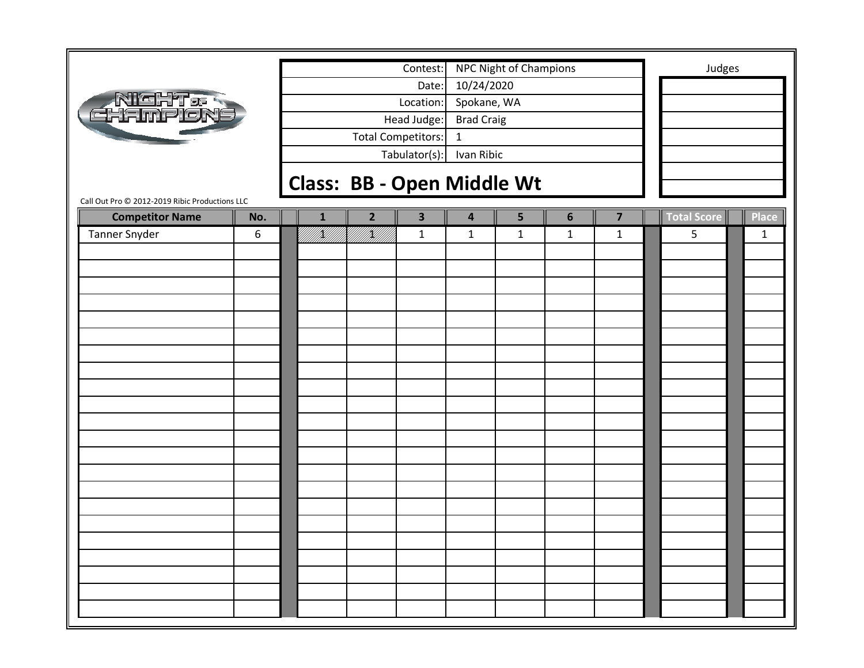|                                                                          |     |              |                | Contest:                  |                   | NPC Night of Champions            |                |                |                    | Judges       |
|--------------------------------------------------------------------------|-----|--------------|----------------|---------------------------|-------------------|-----------------------------------|----------------|----------------|--------------------|--------------|
|                                                                          |     |              |                | Date:                     | 10/24/2020        |                                   |                |                |                    |              |
|                                                                          |     |              |                | Location:                 | Spokane, WA       |                                   |                |                |                    |              |
| NICHT & S<br>HEIMPIENE                                                   |     |              |                | Head Judge:               | <b>Brad Craig</b> |                                   |                |                |                    |              |
|                                                                          |     |              |                | <b>Total Competitors:</b> | $\mathbf{1}$      |                                   |                |                |                    |              |
|                                                                          |     |              |                | Tabulator(s):             | Ivan Ribic        |                                   |                |                |                    |              |
|                                                                          |     |              |                |                           |                   |                                   |                |                |                    |              |
|                                                                          |     |              |                |                           |                   | <b>Class: BB - Open Middle Wt</b> |                |                |                    |              |
| Call Out Pro @ 2012-2019 Ribic Productions LLC<br><b>Competitor Name</b> | No. | $\mathbf{1}$ | $\overline{2}$ | $\overline{\mathbf{3}}$   | 4                 | 5                                 | $6\phantom{1}$ | $\overline{7}$ | <b>Total Score</b> | <b>Place</b> |
| Tanner Snyder                                                            | 6   | UKUU INTUN   | UKUUT          | $\mathbf{1}$              | $\mathbf{1}$      | $\mathbf{1}$                      | $\mathbf 1$    | $\mathbf{1}$   | 5                  | $\mathbf{1}$ |
|                                                                          |     |              |                |                           |                   |                                   |                |                |                    |              |
|                                                                          |     |              |                |                           |                   |                                   |                |                |                    |              |
|                                                                          |     |              |                |                           |                   |                                   |                |                |                    |              |
|                                                                          |     |              |                |                           |                   |                                   |                |                |                    |              |
|                                                                          |     |              |                |                           |                   |                                   |                |                |                    |              |
|                                                                          |     |              |                |                           |                   |                                   |                |                |                    |              |
|                                                                          |     |              |                |                           |                   |                                   |                |                |                    |              |
|                                                                          |     |              |                |                           |                   |                                   |                |                |                    |              |
|                                                                          |     |              |                |                           |                   |                                   |                |                |                    |              |
|                                                                          |     |              |                |                           |                   |                                   |                |                |                    |              |
|                                                                          |     |              |                |                           |                   |                                   |                |                |                    |              |
|                                                                          |     |              |                |                           |                   |                                   |                |                |                    |              |
|                                                                          |     |              |                |                           |                   |                                   |                |                |                    |              |
|                                                                          |     |              |                |                           |                   |                                   |                |                |                    |              |
|                                                                          |     |              |                |                           |                   |                                   |                |                |                    |              |
|                                                                          |     |              |                |                           |                   |                                   |                |                |                    |              |
|                                                                          |     |              |                |                           |                   |                                   |                |                |                    |              |
|                                                                          |     |              |                |                           |                   |                                   |                |                |                    |              |
|                                                                          |     |              |                |                           |                   |                                   |                |                |                    |              |
|                                                                          |     |              |                |                           |                   |                                   |                |                |                    |              |
|                                                                          |     |              |                |                           |                   |                                   |                |                |                    |              |
|                                                                          |     |              |                |                           |                   |                                   |                |                |                    |              |
|                                                                          |     |              |                |                           |                   |                                   |                |                |                    |              |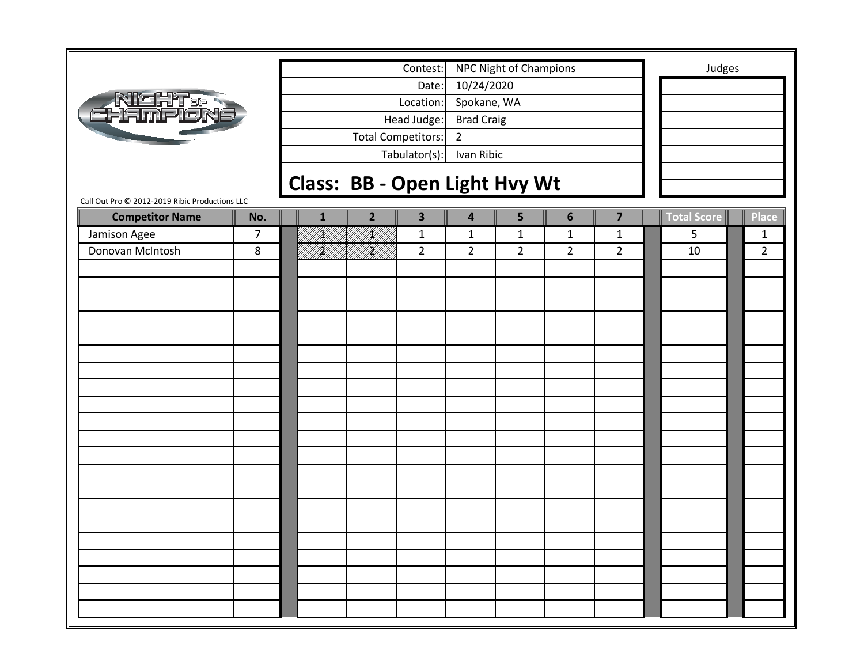|                                                                          |                |                                      |                     | Contest:                  |                   | NPC Night of Champions |                |                         | Judges      |                |
|--------------------------------------------------------------------------|----------------|--------------------------------------|---------------------|---------------------------|-------------------|------------------------|----------------|-------------------------|-------------|----------------|
|                                                                          |                |                                      |                     | Date:                     | 10/24/2020        |                        |                |                         |             |                |
| <b>NIGHT &amp; S</b><br>EHAMPLON                                         |                |                                      |                     | Location:                 | Spokane, WA       |                        |                |                         |             |                |
|                                                                          |                |                                      |                     | Head Judge:               | <b>Brad Craig</b> |                        |                |                         |             |                |
|                                                                          |                |                                      |                     | <b>Total Competitors:</b> | $\overline{2}$    |                        |                |                         |             |                |
|                                                                          |                |                                      |                     | Tabulator(s):             | Ivan Ribic        |                        |                |                         |             |                |
|                                                                          |                |                                      |                     |                           |                   |                        |                |                         |             |                |
|                                                                          |                | <b>Class: BB - Open Light Hvy Wt</b> |                     |                           |                   |                        |                |                         |             |                |
| Call Out Pro © 2012-2019 Ribic Productions LLC<br><b>Competitor Name</b> | No.            | $\mathbf{1}$                         | $\overline{2}$      | $\overline{\mathbf{3}}$   | 4                 | 5                      | $6\phantom{1}$ | $\overline{\mathbf{z}}$ | Total Score | <b>Place</b>   |
| Jamison Agee                                                             | $\overline{7}$ | <br> <br> }                          | K   <br>   <b> </b> | $\mathbf{1}$              | $\mathbf{1}$      | $\mathbf 1$            | $\mathbf{1}$   | $\mathbf{1}$            | 5           | $\mathbf{1}$   |
| Donovan McIntosh                                                         | 8              | <u>H</u> U                           | <br> }              | $\overline{2}$            | $\overline{2}$    | $\overline{2}$         | $\overline{2}$ | $\overline{2}$          | 10          | $\overline{2}$ |
|                                                                          |                |                                      |                     |                           |                   |                        |                |                         |             |                |
|                                                                          |                |                                      |                     |                           |                   |                        |                |                         |             |                |
|                                                                          |                |                                      |                     |                           |                   |                        |                |                         |             |                |
|                                                                          |                |                                      |                     |                           |                   |                        |                |                         |             |                |
|                                                                          |                |                                      |                     |                           |                   |                        |                |                         |             |                |
|                                                                          |                |                                      |                     |                           |                   |                        |                |                         |             |                |
|                                                                          |                |                                      |                     |                           |                   |                        |                |                         |             |                |
|                                                                          |                |                                      |                     |                           |                   |                        |                |                         |             |                |
|                                                                          |                |                                      |                     |                           |                   |                        |                |                         |             |                |
|                                                                          |                |                                      |                     |                           |                   |                        |                |                         |             |                |
|                                                                          |                |                                      |                     |                           |                   |                        |                |                         |             |                |
|                                                                          |                |                                      |                     |                           |                   |                        |                |                         |             |                |
|                                                                          |                |                                      |                     |                           |                   |                        |                |                         |             |                |
|                                                                          |                |                                      |                     |                           |                   |                        |                |                         |             |                |
|                                                                          |                |                                      |                     |                           |                   |                        |                |                         |             |                |
|                                                                          |                |                                      |                     |                           |                   |                        |                |                         |             |                |
|                                                                          |                |                                      |                     |                           |                   |                        |                |                         |             |                |
|                                                                          |                |                                      |                     |                           |                   |                        |                |                         |             |                |
|                                                                          |                |                                      |                     |                           |                   |                        |                |                         |             |                |
|                                                                          |                |                                      |                     |                           |                   |                        |                |                         |             |                |
|                                                                          |                |                                      |                     |                           |                   |                        |                |                         |             |                |
|                                                                          |                |                                      |                     |                           |                   |                        |                |                         |             |                |
|                                                                          |                |                                      |                     |                           |                   |                        |                |                         |             |                |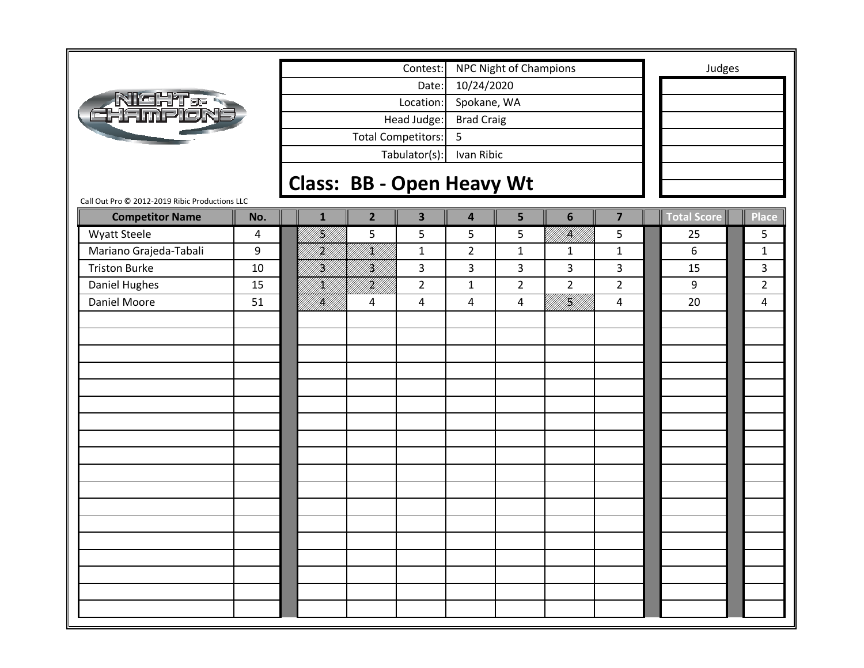|                                                |     |                                  |                           | Contest:                |                         | NPC Night of Champions |                                                                                                                                                                                                                                 |                         | Judges             |                |
|------------------------------------------------|-----|----------------------------------|---------------------------|-------------------------|-------------------------|------------------------|---------------------------------------------------------------------------------------------------------------------------------------------------------------------------------------------------------------------------------|-------------------------|--------------------|----------------|
|                                                |     |                                  |                           | Date:                   | 10/24/2020              |                        |                                                                                                                                                                                                                                 |                         |                    |                |
|                                                |     |                                  |                           | Location:               | Spokane, WA             |                        |                                                                                                                                                                                                                                 |                         |                    |                |
| <b>NIGHT &amp; R</b><br>EHAMPION               |     |                                  |                           | Head Judge:             | <b>Brad Craig</b>       |                        |                                                                                                                                                                                                                                 |                         |                    |                |
|                                                |     |                                  | <b>Total Competitors:</b> |                         | 5                       |                        |                                                                                                                                                                                                                                 |                         |                    |                |
|                                                |     |                                  |                           | Tabulator(s):           | Ivan Ribic              |                        |                                                                                                                                                                                                                                 |                         |                    |                |
|                                                |     |                                  |                           |                         |                         |                        |                                                                                                                                                                                                                                 |                         |                    |                |
| Call Out Pro © 2012-2019 Ribic Productions LLC |     | <b>Class: BB - Open Heavy Wt</b> |                           |                         |                         |                        |                                                                                                                                                                                                                                 |                         |                    |                |
| <b>Competitor Name</b>                         | No. | $\mathbf{1}$                     | $\overline{2}$            | $\overline{\mathbf{3}}$ | $\overline{\mathbf{4}}$ | 5                      | $6\phantom{1}$                                                                                                                                                                                                                  | $\overline{\mathbf{z}}$ | <b>Total Score</b> | <b>Place</b>   |
| <b>Wyatt Steele</b>                            | 4   | H<br>M                           | 5                         | 5                       | 5                       | 5                      | <b>  </b><br> }                                                                                                                                                                                                                 | 5                       | 25                 | 5              |
| Mariano Grajeda-Tabali                         | 9   | H)<br>Ul                         | /K//                      | $\mathbf{1}$            | $\overline{2}$          | $\mathbf{1}$           | $\mathbf{1}$                                                                                                                                                                                                                    | $\mathbf{1}$            | 6                  | $\mathbf{1}$   |
| <b>Triston Burke</b>                           | 10  | H)<br>M                          | HI<br>M                   | 3                       | 3                       | 3                      | 3                                                                                                                                                                                                                               | 3                       | 15                 | 3              |
| Daniel Hughes                                  | 15  | K)                               | irild<br>Mille            | $\overline{2}$          | $\mathbf 1$             | $\overline{2}$         | $\overline{2}$                                                                                                                                                                                                                  | $\overline{2}$          | 9                  | $\overline{2}$ |
| Daniel Moore                                   | 51  | fikild<br>1987                   | 4                         | 4                       | $\overline{4}$          | $\overline{a}$         | an dheegaal iyo dhaqaalka Isaacaa iyo dhacaa iyo dhacaa iyo dhacaa iyo dhacaa iyo dhacaa iyo dhacaa iyo dhacaa<br>Markaalada iyo dhacaa iyo dhacaa iyo dhacaa iyo dhacaa iyo dhacaa iyo dhacaa iyo dhacaa iyo dhacaa iyo dhacaa | $\overline{4}$          | 20                 | 4              |
|                                                |     |                                  |                           |                         |                         |                        |                                                                                                                                                                                                                                 |                         |                    |                |
|                                                |     |                                  |                           |                         |                         |                        |                                                                                                                                                                                                                                 |                         |                    |                |
|                                                |     |                                  |                           |                         |                         |                        |                                                                                                                                                                                                                                 |                         |                    |                |
|                                                |     |                                  |                           |                         |                         |                        |                                                                                                                                                                                                                                 |                         |                    |                |
|                                                |     |                                  |                           |                         |                         |                        |                                                                                                                                                                                                                                 |                         |                    |                |
|                                                |     |                                  |                           |                         |                         |                        |                                                                                                                                                                                                                                 |                         |                    |                |
|                                                |     |                                  |                           |                         |                         |                        |                                                                                                                                                                                                                                 |                         |                    |                |
|                                                |     |                                  |                           |                         |                         |                        |                                                                                                                                                                                                                                 |                         |                    |                |
|                                                |     |                                  |                           |                         |                         |                        |                                                                                                                                                                                                                                 |                         |                    |                |
|                                                |     |                                  |                           |                         |                         |                        |                                                                                                                                                                                                                                 |                         |                    |                |
|                                                |     |                                  |                           |                         |                         |                        |                                                                                                                                                                                                                                 |                         |                    |                |
|                                                |     |                                  |                           |                         |                         |                        |                                                                                                                                                                                                                                 |                         |                    |                |
|                                                |     |                                  |                           |                         |                         |                        |                                                                                                                                                                                                                                 |                         |                    |                |
|                                                |     |                                  |                           |                         |                         |                        |                                                                                                                                                                                                                                 |                         |                    |                |
|                                                |     |                                  |                           |                         |                         |                        |                                                                                                                                                                                                                                 |                         |                    |                |
|                                                |     |                                  |                           |                         |                         |                        |                                                                                                                                                                                                                                 |                         |                    |                |
|                                                |     |                                  |                           |                         |                         |                        |                                                                                                                                                                                                                                 |                         |                    |                |
|                                                |     |                                  |                           |                         |                         |                        |                                                                                                                                                                                                                                 |                         |                    |                |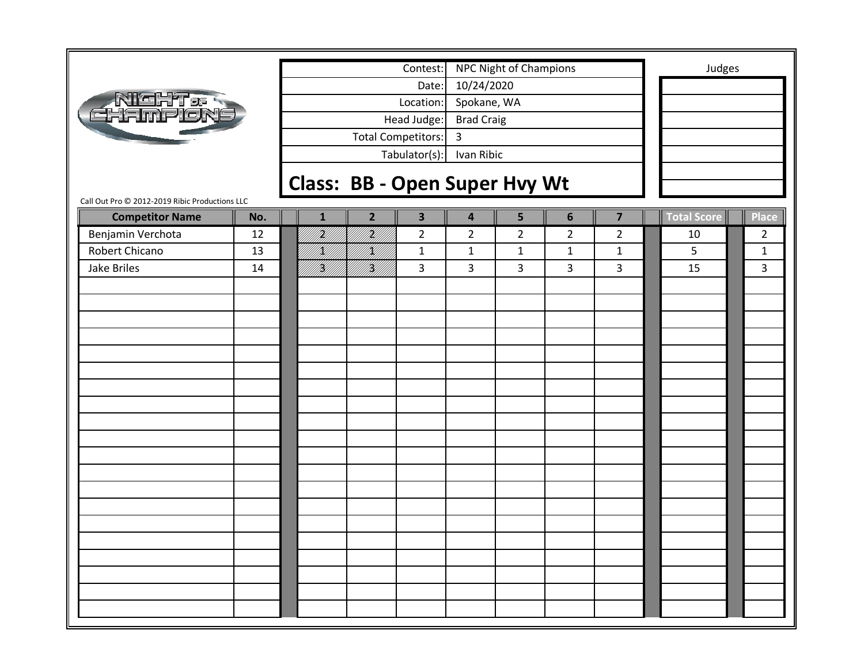|                                                |     |              |                                      | Contest:                  |                         | NPC Night of Champions |                |                         | Judges      |                |
|------------------------------------------------|-----|--------------|--------------------------------------|---------------------------|-------------------------|------------------------|----------------|-------------------------|-------------|----------------|
|                                                |     |              |                                      | Date:                     | 10/24/2020              |                        |                |                         |             |                |
| Night.<br>Thampion                             |     |              |                                      | Location:                 | Spokane, WA             |                        |                |                         |             |                |
|                                                |     |              |                                      | Head Judge:               | <b>Brad Craig</b>       |                        |                |                         |             |                |
|                                                |     |              |                                      | <b>Total Competitors:</b> | 3                       |                        |                |                         |             |                |
|                                                |     |              |                                      | Tabulator(s):             | Ivan Ribic              |                        |                |                         |             |                |
|                                                |     |              |                                      |                           |                         |                        |                |                         |             |                |
|                                                |     |              | <b>Class: BB - Open Super Hvy Wt</b> |                           |                         |                        |                |                         |             |                |
| Call Out Pro © 2012-2019 Ribic Productions LLC | No. | $\mathbf{1}$ | $\overline{2}$                       | $\overline{\mathbf{3}}$   | $\overline{\mathbf{4}}$ | 5                      | $6\phantom{1}$ | $\overline{\mathbf{z}}$ | Total Score | <b>Place</b>   |
| <b>Competitor Name</b>                         | 12  | iri<br>Mil   | N.                                   | $\overline{2}$            | $\overline{2}$          |                        | $\overline{2}$ |                         |             | $\overline{2}$ |
| Benjamin Verchota<br>Robert Chicano            | 13  | H)           | /K//                                 |                           |                         | $\overline{2}$         |                | $\overline{2}$          | 10<br>5     |                |
|                                                |     |              |                                      | $\mathbf{1}$              | $\mathbf{1}$            | $\mathbf{1}$           | $\mathbf{1}$   | $\mathbf{1}$            |             | $\mathbf{1}$   |
| Jake Briles                                    | 14  | Hf<br> }     | <br> W                               | 3                         | 3                       | 3                      | 3              | 3                       | 15          | 3              |
|                                                |     |              |                                      |                           |                         |                        |                |                         |             |                |
|                                                |     |              |                                      |                           |                         |                        |                |                         |             |                |
|                                                |     |              |                                      |                           |                         |                        |                |                         |             |                |
|                                                |     |              |                                      |                           |                         |                        |                |                         |             |                |
|                                                |     |              |                                      |                           |                         |                        |                |                         |             |                |
|                                                |     |              |                                      |                           |                         |                        |                |                         |             |                |
|                                                |     |              |                                      |                           |                         |                        |                |                         |             |                |
|                                                |     |              |                                      |                           |                         |                        |                |                         |             |                |
|                                                |     |              |                                      |                           |                         |                        |                |                         |             |                |
|                                                |     |              |                                      |                           |                         |                        |                |                         |             |                |
|                                                |     |              |                                      |                           |                         |                        |                |                         |             |                |
|                                                |     |              |                                      |                           |                         |                        |                |                         |             |                |
|                                                |     |              |                                      |                           |                         |                        |                |                         |             |                |
|                                                |     |              |                                      |                           |                         |                        |                |                         |             |                |
|                                                |     |              |                                      |                           |                         |                        |                |                         |             |                |
|                                                |     |              |                                      |                           |                         |                        |                |                         |             |                |
|                                                |     |              |                                      |                           |                         |                        |                |                         |             |                |
|                                                |     |              |                                      |                           |                         |                        |                |                         |             |                |
|                                                |     |              |                                      |                           |                         |                        |                |                         |             |                |
|                                                |     |              |                                      |                           |                         |                        |                |                         |             |                |
|                                                |     |              |                                      |                           |                         |                        |                |                         |             |                |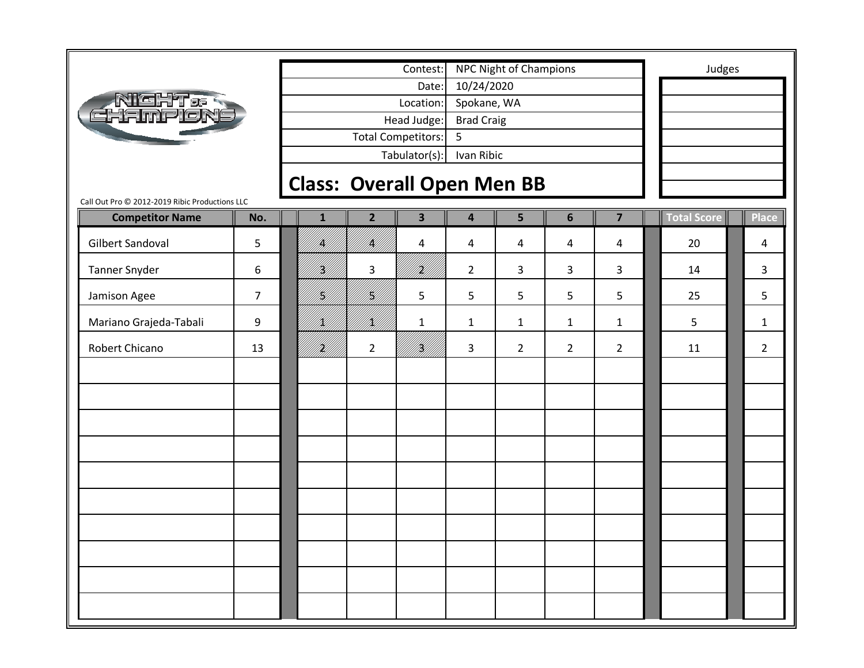|                                                |                |                                   |                | Contest:                  |                   | <b>NPC Night of Champions</b> |                |                | Judges      |                |
|------------------------------------------------|----------------|-----------------------------------|----------------|---------------------------|-------------------|-------------------------------|----------------|----------------|-------------|----------------|
|                                                |                |                                   |                | Date:                     | 10/24/2020        |                               |                |                |             |                |
| <b>NIGHT &amp; S<br/>CHAMPION:</b>             |                |                                   |                | Location:                 | Spokane, WA       |                               |                |                |             |                |
|                                                |                |                                   |                | Head Judge:               | <b>Brad Craig</b> |                               |                |                |             |                |
|                                                |                |                                   |                | <b>Total Competitors:</b> | 5                 |                               |                |                |             |                |
|                                                |                |                                   |                | Tabulator(s):             | Ivan Ribic        |                               |                |                |             |                |
|                                                |                | <b>Class: Overall Open Men BB</b> |                |                           |                   |                               |                |                |             |                |
| Call Out Pro @ 2012-2019 Ribic Productions LLC |                |                                   |                |                           |                   |                               |                |                |             |                |
| <b>Competitor Name</b>                         | No.            | $\mathbf{1}$                      | $\overline{2}$ | $\overline{\mathbf{3}}$   | 4                 | 5                             | $6\phantom{1}$ | $\overline{7}$ | Total Score | <b>Place</b>   |
| <b>Gilbert Sandoval</b>                        | 5              | IĶ)                               | IĶI            | 4                         | 4                 | 4                             | 4              | 4              | 20          | 4              |
| <b>Tanner Snyder</b>                           | 6              | H)<br>M                           | 3              |                           | $\overline{2}$    | 3                             | 3              | 3              | 14          | 3              |
| Jamison Agee                                   | $\overline{7}$ | H)<br>M                           | H)<br>M        | 5                         | 5                 | 5                             | 5              | 5              | 25          | 5              |
| Mariano Grajeda-Tabali                         | 9              | K)                                | <br> X         | $\mathbf{1}$              | $\mathbf{1}$      | $\mathbf{1}$                  | 1              | $\mathbf{1}$   | 5           | 1              |
| Robert Chicano                                 | 13             | <br> }<br> }                      | $\overline{2}$ | }<br> }                   | 3                 | $\overline{2}$                | $\overline{2}$ | $\overline{2}$ | 11          | $\overline{2}$ |
|                                                |                |                                   |                |                           |                   |                               |                |                |             |                |
|                                                |                |                                   |                |                           |                   |                               |                |                |             |                |
|                                                |                |                                   |                |                           |                   |                               |                |                |             |                |
|                                                |                |                                   |                |                           |                   |                               |                |                |             |                |
|                                                |                |                                   |                |                           |                   |                               |                |                |             |                |
|                                                |                |                                   |                |                           |                   |                               |                |                |             |                |
|                                                |                |                                   |                |                           |                   |                               |                |                |             |                |
|                                                |                |                                   |                |                           |                   |                               |                |                |             |                |
|                                                |                |                                   |                |                           |                   |                               |                |                |             |                |
|                                                |                |                                   |                |                           |                   |                               |                |                |             |                |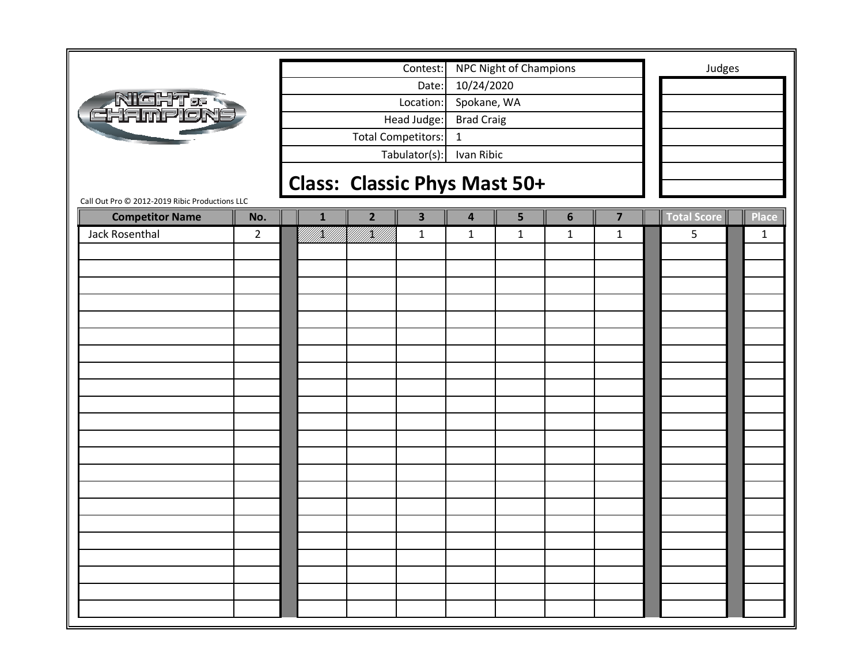|                                                                          |                |              |                 | Contest:                            |                   | NPC Night of Champions |                |                |                    | Judges       |
|--------------------------------------------------------------------------|----------------|--------------|-----------------|-------------------------------------|-------------------|------------------------|----------------|----------------|--------------------|--------------|
|                                                                          |                |              |                 | Date:                               | 10/24/2020        |                        |                |                |                    |              |
| <b>NIGHT &amp; R</b><br>EHAMPION                                         |                |              |                 | Location:                           | Spokane, WA       |                        |                |                |                    |              |
|                                                                          |                |              |                 | Head Judge:                         | <b>Brad Craig</b> |                        |                |                |                    |              |
|                                                                          |                |              |                 | <b>Total Competitors:</b>           | $\mathbf{1}$      |                        |                |                |                    |              |
|                                                                          |                |              |                 | Tabulator(s):                       | Ivan Ribic        |                        |                |                |                    |              |
|                                                                          |                |              |                 |                                     |                   |                        |                |                |                    |              |
|                                                                          |                |              |                 | <b>Class: Classic Phys Mast 50+</b> |                   |                        |                |                |                    |              |
| Call Out Pro @ 2012-2019 Ribic Productions LLC<br><b>Competitor Name</b> | No.            | $\mathbf{1}$ | $\overline{2}$  | $\overline{\mathbf{3}}$             | 4                 | 5                      | $6\phantom{1}$ | $\overline{7}$ | <b>Total Score</b> | <b>Place</b> |
| Jack Rosenthal                                                           | $\overline{2}$ |              | TIKUUTIKUUTKUUT | $\mathbf{1}$                        | $\mathbf{1}$      | $\mathbf{1}$           | $\mathbf{1}$   | $\mathbf{1}$   | 5                  | $\mathbf{1}$ |
|                                                                          |                |              |                 |                                     |                   |                        |                |                |                    |              |
|                                                                          |                |              |                 |                                     |                   |                        |                |                |                    |              |
|                                                                          |                |              |                 |                                     |                   |                        |                |                |                    |              |
|                                                                          |                |              |                 |                                     |                   |                        |                |                |                    |              |
|                                                                          |                |              |                 |                                     |                   |                        |                |                |                    |              |
|                                                                          |                |              |                 |                                     |                   |                        |                |                |                    |              |
|                                                                          |                |              |                 |                                     |                   |                        |                |                |                    |              |
|                                                                          |                |              |                 |                                     |                   |                        |                |                |                    |              |
|                                                                          |                |              |                 |                                     |                   |                        |                |                |                    |              |
|                                                                          |                |              |                 |                                     |                   |                        |                |                |                    |              |
|                                                                          |                |              |                 |                                     |                   |                        |                |                |                    |              |
|                                                                          |                |              |                 |                                     |                   |                        |                |                |                    |              |
|                                                                          |                |              |                 |                                     |                   |                        |                |                |                    |              |
|                                                                          |                |              |                 |                                     |                   |                        |                |                |                    |              |
|                                                                          |                |              |                 |                                     |                   |                        |                |                |                    |              |
|                                                                          |                |              |                 |                                     |                   |                        |                |                |                    |              |
|                                                                          |                |              |                 |                                     |                   |                        |                |                |                    |              |
|                                                                          |                |              |                 |                                     |                   |                        |                |                |                    |              |
|                                                                          |                |              |                 |                                     |                   |                        |                |                |                    |              |
|                                                                          |                |              |                 |                                     |                   |                        |                |                |                    |              |
|                                                                          |                |              |                 |                                     |                   |                        |                |                |                    |              |
|                                                                          |                |              |                 |                                     |                   |                        |                |                |                    |              |
|                                                                          |                |              |                 |                                     |                   |                        |                |                |                    |              |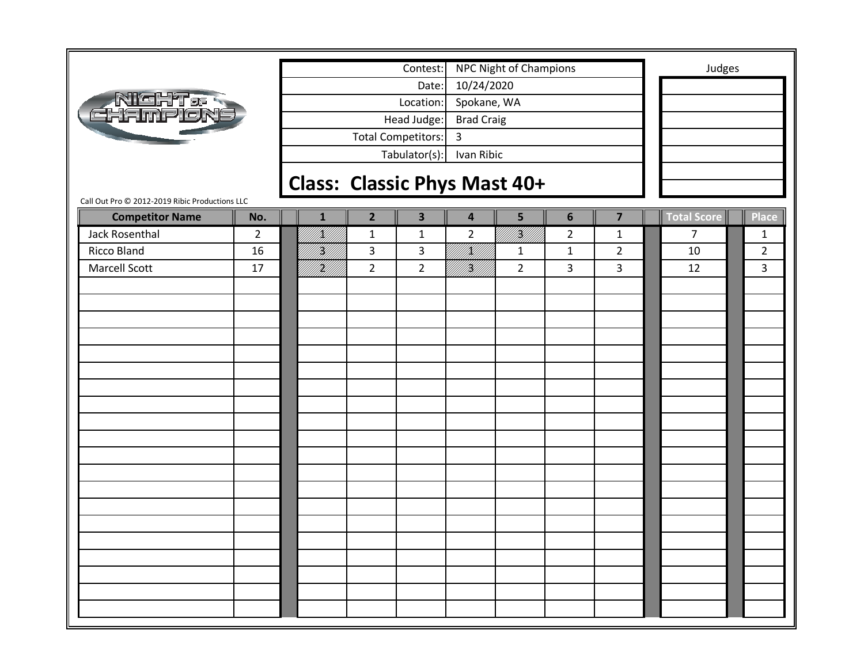|                                                |                |                              |                | Contest:                  |                   | NPC Night of Champions |                |                | Judges             |                |
|------------------------------------------------|----------------|------------------------------|----------------|---------------------------|-------------------|------------------------|----------------|----------------|--------------------|----------------|
|                                                |                |                              |                | Date:                     | 10/24/2020        |                        |                |                |                    |                |
| <b>NICHT&amp;R</b><br>EHAMPLON                 |                |                              |                | Location:                 | Spokane, WA       |                        |                |                |                    |                |
|                                                |                |                              |                | Head Judge:               | <b>Brad Craig</b> |                        |                |                |                    |                |
|                                                |                |                              |                | <b>Total Competitors:</b> | 3                 |                        |                |                |                    |                |
|                                                |                |                              |                | Tabulator(s):             | Ivan Ribic        |                        |                |                |                    |                |
|                                                |                | Class: Classic Phys Mast 40+ |                |                           |                   |                        |                |                |                    |                |
| Call Out Pro © 2012-2019 Ribic Productions LLC |                |                              |                |                           |                   |                        |                |                |                    |                |
| <b>Competitor Name</b>                         | No.            | $\mathbf{1}$                 | $\overline{2}$ | $\overline{\mathbf{3}}$   | 4                 | 5                      | $6\phantom{1}$ | $\overline{7}$ | <b>Total Score</b> | <b>Place</b>   |
| Jack Rosenthal                                 | $\overline{2}$ | f Killi                      | $\mathbf{1}$   | $\mathbf{1}$              | $\overline{2}$    | INI)<br>Mili           | $\overline{2}$ | $\mathbf{1}$   | 7                  | 1              |
| Ricco Bland                                    | 16             | <br> W                       | 3              | $\overline{3}$            | <br> }<br> }      | $\mathbf{1}$           | $\mathbf{1}$   | $\overline{2}$ | 10                 | $\overline{2}$ |
| <b>Marcell Scott</b>                           | 17             | <br> }                       | $2^{\circ}$    | $\overline{2}$            | <br> W            | $\overline{2}$         | 3              | 3              | 12                 | 3              |
|                                                |                |                              |                |                           |                   |                        |                |                |                    |                |
|                                                |                |                              |                |                           |                   |                        |                |                |                    |                |
|                                                |                |                              |                |                           |                   |                        |                |                |                    |                |
|                                                |                |                              |                |                           |                   |                        |                |                |                    |                |
|                                                |                |                              |                |                           |                   |                        |                |                |                    |                |
|                                                |                |                              |                |                           |                   |                        |                |                |                    |                |
|                                                |                |                              |                |                           |                   |                        |                |                |                    |                |
|                                                |                |                              |                |                           |                   |                        |                |                |                    |                |
|                                                |                |                              |                |                           |                   |                        |                |                |                    |                |
|                                                |                |                              |                |                           |                   |                        |                |                |                    |                |
|                                                |                |                              |                |                           |                   |                        |                |                |                    |                |
|                                                |                |                              |                |                           |                   |                        |                |                |                    |                |
|                                                |                |                              |                |                           |                   |                        |                |                |                    |                |
|                                                |                |                              |                |                           |                   |                        |                |                |                    |                |
|                                                |                |                              |                |                           |                   |                        |                |                |                    |                |
|                                                |                |                              |                |                           |                   |                        |                |                |                    |                |
|                                                |                |                              |                |                           |                   |                        |                |                |                    |                |
|                                                |                |                              |                |                           |                   |                        |                |                |                    |                |
|                                                |                |                              |                |                           |                   |                        |                |                |                    |                |
|                                                |                |                              |                |                           |                   |                        |                |                |                    |                |
|                                                |                |                              |                |                           |                   |                        |                |                |                    |                |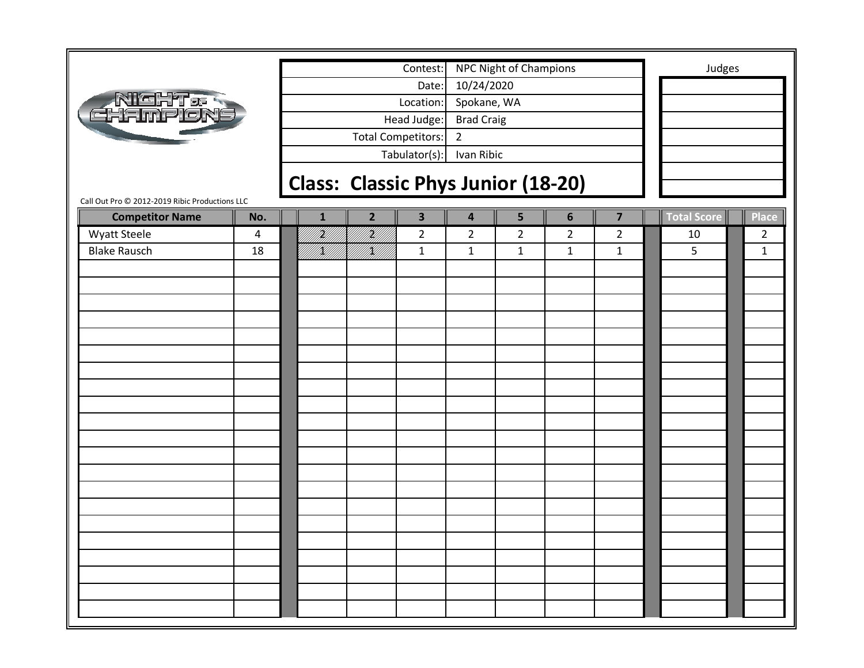|                                                |     |              |                | Contest:                                  |                         | NPC Night of Champions |                |                         | Judges      |                |
|------------------------------------------------|-----|--------------|----------------|-------------------------------------------|-------------------------|------------------------|----------------|-------------------------|-------------|----------------|
|                                                |     |              |                | Date:                                     | 10/24/2020              |                        |                |                         |             |                |
|                                                |     |              |                | Location:                                 | Spokane, WA             |                        |                |                         |             |                |
| <b>NICHT</b><br>CHAMPION                       |     |              |                | Head Judge:                               | <b>Brad Craig</b>       |                        |                |                         |             |                |
|                                                |     |              |                | <b>Total Competitors:</b>                 | $\overline{2}$          |                        |                |                         |             |                |
|                                                |     |              |                | Tabulator(s):                             | Ivan Ribic              |                        |                |                         |             |                |
|                                                |     |              |                |                                           |                         |                        |                |                         |             |                |
|                                                |     |              |                | <b>Class: Classic Phys Junior (18-20)</b> |                         |                        |                |                         |             |                |
| Call Out Pro © 2012-2019 Ribic Productions LLC |     |              |                |                                           |                         |                        |                |                         |             |                |
| <b>Competitor Name</b>                         | No. | $\mathbf{1}$ | $\overline{2}$ | $\overline{\mathbf{3}}$                   | $\overline{\mathbf{4}}$ | 5                      | 6              | $\overline{\mathbf{z}}$ | Total Score | <b>Place</b>   |
| <b>Wyatt Steele</b>                            | 4   | H)           | III<br>Mil     | $\overline{2}$                            | $\overline{2}$          | $\overline{2}$         | $\overline{2}$ | $\overline{2}$          | 10          | $\overline{2}$ |
| <b>Blake Rausch</b>                            | 18  | VKU 1        | VKU 1          | $\mathbf{1}$                              | $\mathbf{1}$            | $\mathbf{1}$           | $\mathbf{1}$   | $\mathbf{1}$            | 5           | $\mathbf{1}$   |
|                                                |     |              |                |                                           |                         |                        |                |                         |             |                |
|                                                |     |              |                |                                           |                         |                        |                |                         |             |                |
|                                                |     |              |                |                                           |                         |                        |                |                         |             |                |
|                                                |     |              |                |                                           |                         |                        |                |                         |             |                |
|                                                |     |              |                |                                           |                         |                        |                |                         |             |                |
|                                                |     |              |                |                                           |                         |                        |                |                         |             |                |
|                                                |     |              |                |                                           |                         |                        |                |                         |             |                |
|                                                |     |              |                |                                           |                         |                        |                |                         |             |                |
|                                                |     |              |                |                                           |                         |                        |                |                         |             |                |
|                                                |     |              |                |                                           |                         |                        |                |                         |             |                |
|                                                |     |              |                |                                           |                         |                        |                |                         |             |                |
|                                                |     |              |                |                                           |                         |                        |                |                         |             |                |
|                                                |     |              |                |                                           |                         |                        |                |                         |             |                |
|                                                |     |              |                |                                           |                         |                        |                |                         |             |                |
|                                                |     |              |                |                                           |                         |                        |                |                         |             |                |
|                                                |     |              |                |                                           |                         |                        |                |                         |             |                |
|                                                |     |              |                |                                           |                         |                        |                |                         |             |                |
|                                                |     |              |                |                                           |                         |                        |                |                         |             |                |
|                                                |     |              |                |                                           |                         |                        |                |                         |             |                |
|                                                |     |              |                |                                           |                         |                        |                |                         |             |                |
|                                                |     |              |                |                                           |                         |                        |                |                         |             |                |
|                                                |     |              |                |                                           |                         |                        |                |                         |             |                |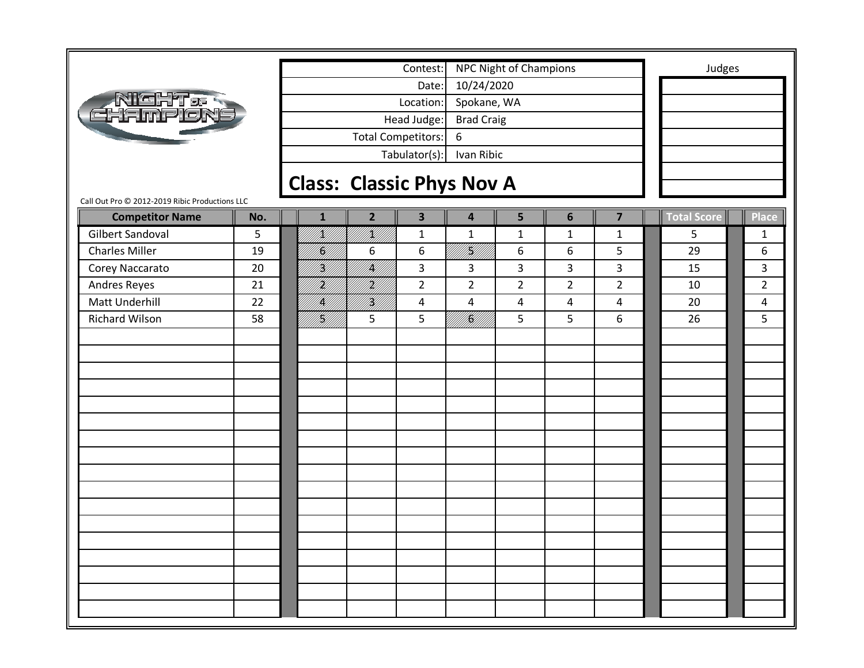|                                                |     |              |                                  | Contest:                  |                         | <b>NPC Night of Champions</b> |                |                         | Judges             |                |
|------------------------------------------------|-----|--------------|----------------------------------|---------------------------|-------------------------|-------------------------------|----------------|-------------------------|--------------------|----------------|
|                                                |     |              |                                  | Date:                     | 10/24/2020              |                               |                |                         |                    |                |
| <b>NIGHT&amp;R</b><br>GHAMPION                 |     |              |                                  | Location:                 | Spokane, WA             |                               |                |                         |                    |                |
|                                                |     |              |                                  | Head Judge:               | <b>Brad Craig</b>       |                               |                |                         |                    |                |
|                                                |     |              |                                  | <b>Total Competitors:</b> | 6                       |                               |                |                         |                    |                |
|                                                |     |              |                                  | Tabulator(s):             | Ivan Ribic              |                               |                |                         |                    |                |
|                                                |     |              |                                  |                           |                         |                               |                |                         |                    |                |
| Call Out Pro © 2012-2019 Ribic Productions LLC |     |              | <b>Class: Classic Phys Nov A</b> |                           |                         |                               |                |                         |                    |                |
| <b>Competitor Name</b>                         | No. | $\mathbf{1}$ | $\overline{2}$                   | $\overline{\mathbf{3}}$   | $\overline{\mathbf{4}}$ | 5                             | 6              | $\overline{\mathbf{z}}$ | <b>Total Score</b> | <b>Place</b>   |
| <b>Gilbert Sandoval</b>                        | 5   | /K//         | UKU T                            | $\mathbf{1}$              | $\mathbf 1$             | $\mathbf{1}$                  | $\mathbf{1}$   | $\mathbf{1}$            | 5                  | $\mathbf{1}$   |
| <b>Charles Miller</b>                          | 19  | K)           | 6                                | 6                         | Y<br> }                 | 6                             | 6              | 5                       | 29                 | 6              |
| Corey Naccarato                                | 20  | H)<br>M      | fikli                            | 3                         | 3                       | 3                             | 3              | $\mathbf{3}$            | 15                 | $\overline{3}$ |
| Andres Reyes                                   | 21  | H)<br>M      | <br> }<br> }                     | $\overline{2}$            | $\overline{2}$          | $\overline{2}$                | $\overline{2}$ | $\overline{2}$          | 10                 | $\overline{2}$ |
| Matt Underhill                                 | 22  | K            | <br> W                           | $\overline{a}$            | 4                       | 4                             | 4              | $\overline{4}$          | 20                 | $\overline{4}$ |
| Richard Wilson                                 | 58  | H]<br> H]    | 5                                | 5                         | <br> } <b>\$</b>        | 5                             | 5              | 6                       | 26                 | 5              |
|                                                |     |              |                                  |                           |                         |                               |                |                         |                    |                |
|                                                |     |              |                                  |                           |                         |                               |                |                         |                    |                |
|                                                |     |              |                                  |                           |                         |                               |                |                         |                    |                |
|                                                |     |              |                                  |                           |                         |                               |                |                         |                    |                |
|                                                |     |              |                                  |                           |                         |                               |                |                         |                    |                |
|                                                |     |              |                                  |                           |                         |                               |                |                         |                    |                |
|                                                |     |              |                                  |                           |                         |                               |                |                         |                    |                |
|                                                |     |              |                                  |                           |                         |                               |                |                         |                    |                |
|                                                |     |              |                                  |                           |                         |                               |                |                         |                    |                |
|                                                |     |              |                                  |                           |                         |                               |                |                         |                    |                |
|                                                |     |              |                                  |                           |                         |                               |                |                         |                    |                |
|                                                |     |              |                                  |                           |                         |                               |                |                         |                    |                |
|                                                |     |              |                                  |                           |                         |                               |                |                         |                    |                |
|                                                |     |              |                                  |                           |                         |                               |                |                         |                    |                |
|                                                |     |              |                                  |                           |                         |                               |                |                         |                    |                |
|                                                |     |              |                                  |                           |                         |                               |                |                         |                    |                |
|                                                |     |              |                                  |                           |                         |                               |                |                         |                    |                |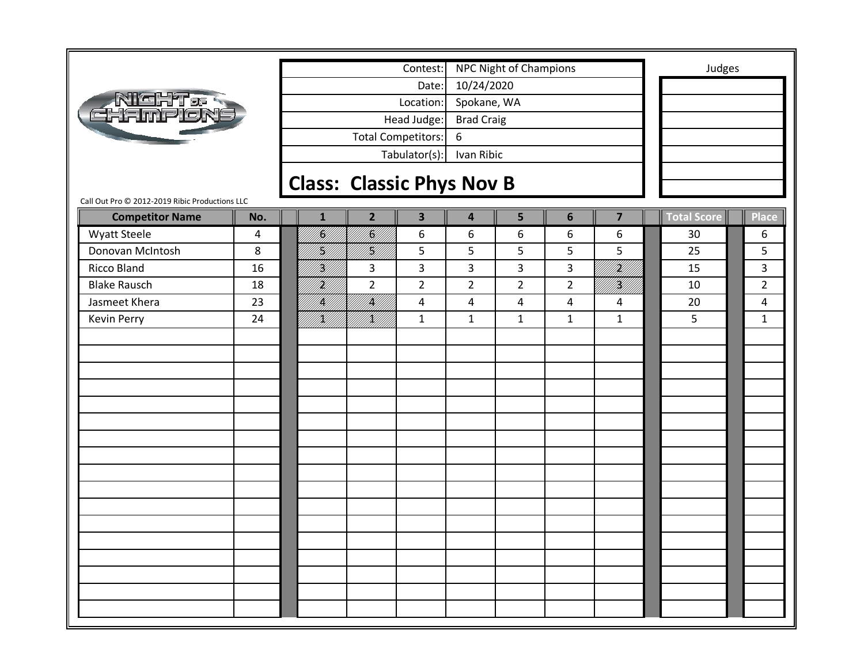| 10/24/2020<br>Date:<br>NIGHT & R<br>EHAMPLON<br>Location:<br>Spokane, WA<br>Head Judge:<br><b>Brad Craig</b><br><b>Total Competitors:</b><br>6<br>Tabulator(s):<br>Ivan Ribic<br><b>Class: Classic Phys Nov B</b><br>Call Out Pro @ 2012-2019 Ribic Productions LLC<br><b>Total Score</b><br>$\overline{2}$<br>$\overline{\mathbf{3}}$<br>5<br>6<br>$\overline{\mathbf{z}}$<br><b>Competitor Name</b><br>No.<br>Place<br>$\overline{\mathbf{4}}$<br>$\mathbf{1}$<br> <br> K <br> }<br> }}<br><b>Wyatt Steele</b><br>6<br>6<br>6<br>6<br>6<br>30<br>6<br>4<br>H)<br>filip<br>19<br>5<br>5<br>Donovan McIntosh<br>8<br>5<br>5<br>5<br>25<br>5<br>  <br> }<br><b>Ricco Bland</b><br>3<br>3<br>3<br>3<br>$\overline{3}$<br>16<br>H)<br>M<br>3<br>15<br>H)<br>M/I<br><b>Blake Rausch</b><br>$\overline{2}$<br>$\overline{2}$<br>$\overline{2}$<br>$\overline{2}$<br>$\overline{2}$<br> }<br> }<br>$\overline{2}$<br>18<br>10<br>  <br> }<br> }<br>Jasmeet Khera<br>/K/<br>23<br>$\overline{4}$<br>4<br>4<br>$\overline{4}$<br>20<br>4<br>4<br><b>Kevin Perry</b><br>24<br>IKU)<br>$\mathbf{1}$<br>5<br>IĶI<br>$\mathbf{1}$<br>$\mathbf{1}$<br>$\mathbf{1}$<br>$\mathbf{1}$<br>$\mathbf{1}$ |  |  | Contest: | NPC Night of Champions |  | Judges |  |
|---------------------------------------------------------------------------------------------------------------------------------------------------------------------------------------------------------------------------------------------------------------------------------------------------------------------------------------------------------------------------------------------------------------------------------------------------------------------------------------------------------------------------------------------------------------------------------------------------------------------------------------------------------------------------------------------------------------------------------------------------------------------------------------------------------------------------------------------------------------------------------------------------------------------------------------------------------------------------------------------------------------------------------------------------------------------------------------------------------------------------------------------------------------------------------------|--|--|----------|------------------------|--|--------|--|
|                                                                                                                                                                                                                                                                                                                                                                                                                                                                                                                                                                                                                                                                                                                                                                                                                                                                                                                                                                                                                                                                                                                                                                                       |  |  |          |                        |  |        |  |
|                                                                                                                                                                                                                                                                                                                                                                                                                                                                                                                                                                                                                                                                                                                                                                                                                                                                                                                                                                                                                                                                                                                                                                                       |  |  |          |                        |  |        |  |
|                                                                                                                                                                                                                                                                                                                                                                                                                                                                                                                                                                                                                                                                                                                                                                                                                                                                                                                                                                                                                                                                                                                                                                                       |  |  |          |                        |  |        |  |
|                                                                                                                                                                                                                                                                                                                                                                                                                                                                                                                                                                                                                                                                                                                                                                                                                                                                                                                                                                                                                                                                                                                                                                                       |  |  |          |                        |  |        |  |
|                                                                                                                                                                                                                                                                                                                                                                                                                                                                                                                                                                                                                                                                                                                                                                                                                                                                                                                                                                                                                                                                                                                                                                                       |  |  |          |                        |  |        |  |
|                                                                                                                                                                                                                                                                                                                                                                                                                                                                                                                                                                                                                                                                                                                                                                                                                                                                                                                                                                                                                                                                                                                                                                                       |  |  |          |                        |  |        |  |
|                                                                                                                                                                                                                                                                                                                                                                                                                                                                                                                                                                                                                                                                                                                                                                                                                                                                                                                                                                                                                                                                                                                                                                                       |  |  |          |                        |  |        |  |
|                                                                                                                                                                                                                                                                                                                                                                                                                                                                                                                                                                                                                                                                                                                                                                                                                                                                                                                                                                                                                                                                                                                                                                                       |  |  |          |                        |  |        |  |
|                                                                                                                                                                                                                                                                                                                                                                                                                                                                                                                                                                                                                                                                                                                                                                                                                                                                                                                                                                                                                                                                                                                                                                                       |  |  |          |                        |  |        |  |
|                                                                                                                                                                                                                                                                                                                                                                                                                                                                                                                                                                                                                                                                                                                                                                                                                                                                                                                                                                                                                                                                                                                                                                                       |  |  |          |                        |  |        |  |
|                                                                                                                                                                                                                                                                                                                                                                                                                                                                                                                                                                                                                                                                                                                                                                                                                                                                                                                                                                                                                                                                                                                                                                                       |  |  |          |                        |  |        |  |
|                                                                                                                                                                                                                                                                                                                                                                                                                                                                                                                                                                                                                                                                                                                                                                                                                                                                                                                                                                                                                                                                                                                                                                                       |  |  |          |                        |  |        |  |
|                                                                                                                                                                                                                                                                                                                                                                                                                                                                                                                                                                                                                                                                                                                                                                                                                                                                                                                                                                                                                                                                                                                                                                                       |  |  |          |                        |  |        |  |
|                                                                                                                                                                                                                                                                                                                                                                                                                                                                                                                                                                                                                                                                                                                                                                                                                                                                                                                                                                                                                                                                                                                                                                                       |  |  |          |                        |  |        |  |
|                                                                                                                                                                                                                                                                                                                                                                                                                                                                                                                                                                                                                                                                                                                                                                                                                                                                                                                                                                                                                                                                                                                                                                                       |  |  |          |                        |  |        |  |
|                                                                                                                                                                                                                                                                                                                                                                                                                                                                                                                                                                                                                                                                                                                                                                                                                                                                                                                                                                                                                                                                                                                                                                                       |  |  |          |                        |  |        |  |
|                                                                                                                                                                                                                                                                                                                                                                                                                                                                                                                                                                                                                                                                                                                                                                                                                                                                                                                                                                                                                                                                                                                                                                                       |  |  |          |                        |  |        |  |
|                                                                                                                                                                                                                                                                                                                                                                                                                                                                                                                                                                                                                                                                                                                                                                                                                                                                                                                                                                                                                                                                                                                                                                                       |  |  |          |                        |  |        |  |
|                                                                                                                                                                                                                                                                                                                                                                                                                                                                                                                                                                                                                                                                                                                                                                                                                                                                                                                                                                                                                                                                                                                                                                                       |  |  |          |                        |  |        |  |
|                                                                                                                                                                                                                                                                                                                                                                                                                                                                                                                                                                                                                                                                                                                                                                                                                                                                                                                                                                                                                                                                                                                                                                                       |  |  |          |                        |  |        |  |
|                                                                                                                                                                                                                                                                                                                                                                                                                                                                                                                                                                                                                                                                                                                                                                                                                                                                                                                                                                                                                                                                                                                                                                                       |  |  |          |                        |  |        |  |
|                                                                                                                                                                                                                                                                                                                                                                                                                                                                                                                                                                                                                                                                                                                                                                                                                                                                                                                                                                                                                                                                                                                                                                                       |  |  |          |                        |  |        |  |
|                                                                                                                                                                                                                                                                                                                                                                                                                                                                                                                                                                                                                                                                                                                                                                                                                                                                                                                                                                                                                                                                                                                                                                                       |  |  |          |                        |  |        |  |
|                                                                                                                                                                                                                                                                                                                                                                                                                                                                                                                                                                                                                                                                                                                                                                                                                                                                                                                                                                                                                                                                                                                                                                                       |  |  |          |                        |  |        |  |
|                                                                                                                                                                                                                                                                                                                                                                                                                                                                                                                                                                                                                                                                                                                                                                                                                                                                                                                                                                                                                                                                                                                                                                                       |  |  |          |                        |  |        |  |
|                                                                                                                                                                                                                                                                                                                                                                                                                                                                                                                                                                                                                                                                                                                                                                                                                                                                                                                                                                                                                                                                                                                                                                                       |  |  |          |                        |  |        |  |
|                                                                                                                                                                                                                                                                                                                                                                                                                                                                                                                                                                                                                                                                                                                                                                                                                                                                                                                                                                                                                                                                                                                                                                                       |  |  |          |                        |  |        |  |
|                                                                                                                                                                                                                                                                                                                                                                                                                                                                                                                                                                                                                                                                                                                                                                                                                                                                                                                                                                                                                                                                                                                                                                                       |  |  |          |                        |  |        |  |
|                                                                                                                                                                                                                                                                                                                                                                                                                                                                                                                                                                                                                                                                                                                                                                                                                                                                                                                                                                                                                                                                                                                                                                                       |  |  |          |                        |  |        |  |
|                                                                                                                                                                                                                                                                                                                                                                                                                                                                                                                                                                                                                                                                                                                                                                                                                                                                                                                                                                                                                                                                                                                                                                                       |  |  |          |                        |  |        |  |
|                                                                                                                                                                                                                                                                                                                                                                                                                                                                                                                                                                                                                                                                                                                                                                                                                                                                                                                                                                                                                                                                                                                                                                                       |  |  |          |                        |  |        |  |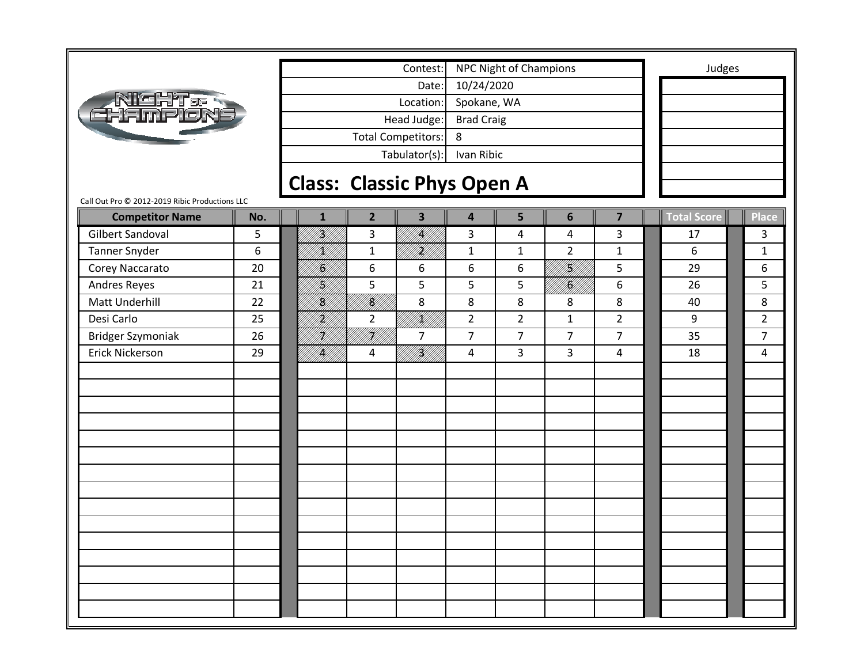|                                                |     |                                   |                | Contest:                  |                         | NPC Night of Champions |                        |                | Judges             |                |
|------------------------------------------------|-----|-----------------------------------|----------------|---------------------------|-------------------------|------------------------|------------------------|----------------|--------------------|----------------|
|                                                |     |                                   |                | Date:                     | 10/24/2020              |                        |                        |                |                    |                |
|                                                |     |                                   |                | Location:                 | Spokane, WA             |                        |                        |                |                    |                |
| <b>Nicht</b> er<br>Chrimpion                   |     |                                   |                | Head Judge:               | <b>Brad Craig</b>       |                        |                        |                |                    |                |
|                                                |     |                                   |                | <b>Total Competitors:</b> | 8                       |                        |                        |                |                    |                |
|                                                |     |                                   |                | Tabulator(s):             | Ivan Ribic              |                        |                        |                |                    |                |
|                                                |     |                                   |                |                           |                         |                        |                        |                |                    |                |
| Call Out Pro @ 2012-2019 Ribic Productions LLC |     | <b>Class: Classic Phys Open A</b> |                |                           |                         |                        |                        |                |                    |                |
| <b>Competitor Name</b>                         | No. | $\mathbf{1}$                      | $\overline{2}$ | $\overline{\mathbf{3}}$   | $\overline{\mathbf{4}}$ | 5                      | 6                      | $\overline{7}$ | <b>Total Score</b> | <b>Place</b>   |
| <b>Gilbert Sandoval</b>                        | 5   | <br> }<br> }                      | 3              | <b>  </b><br> }           | 3                       | 4                      | 4                      | 3              | 17                 | 3              |
| <b>Tanner Snyder</b>                           | 6   | K)                                | $\mathbf{1}$   | HM)                       | $\mathbf{1}$            | $\mathbf{1}$           | $\overline{2}$         | $\mathbf{1}$   | 6                  | $\mathbf{1}$   |
| Corey Naccarato                                | 20  | K)                                | 6              | 6                         | 6                       | 6                      | H] <br> }H]            | 5              | 29                 | 6              |
| Andres Reyes                                   | 21  | H]<br> K                          | 5              | 5                         | 5                       | 5                      | <br>   <b>  </b><br> } | 6              | 26                 | 5              |
| <b>Matt Underhill</b>                          | 22  | <br> <br> }                       | <br> <br> }    | 8                         | 8                       | 8                      | 8                      | 8              | 40                 | 8              |
| Desi Carlo                                     | 25  | H)<br>U                           | $\overline{2}$ | IKU)<br>PHIT              | $\overline{2}$          | $\overline{2}$         | $\mathbf{1}$           | $\overline{2}$ | 9                  | $\overline{2}$ |
| <b>Bridger Szymoniak</b>                       | 26  | H)<br>V                           | H              | $\overline{7}$            | $\overline{7}$          | $\overline{7}$         | $\overline{7}$         | $\overline{7}$ | 35                 | $\overline{7}$ |
| Erick Nickerson                                | 29  | <br> }                            | 4              | <br> }<br> }              | 4                       | 3                      | 3                      | $\overline{4}$ | 18                 | 4              |
|                                                |     |                                   |                |                           |                         |                        |                        |                |                    |                |
|                                                |     |                                   |                |                           |                         |                        |                        |                |                    |                |
|                                                |     |                                   |                |                           |                         |                        |                        |                |                    |                |
|                                                |     |                                   |                |                           |                         |                        |                        |                |                    |                |
|                                                |     |                                   |                |                           |                         |                        |                        |                |                    |                |
|                                                |     |                                   |                |                           |                         |                        |                        |                |                    |                |
|                                                |     |                                   |                |                           |                         |                        |                        |                |                    |                |
|                                                |     |                                   |                |                           |                         |                        |                        |                |                    |                |
|                                                |     |                                   |                |                           |                         |                        |                        |                |                    |                |
|                                                |     |                                   |                |                           |                         |                        |                        |                |                    |                |
|                                                |     |                                   |                |                           |                         |                        |                        |                |                    |                |
|                                                |     |                                   |                |                           |                         |                        |                        |                |                    |                |
|                                                |     |                                   |                |                           |                         |                        |                        |                |                    |                |
|                                                |     |                                   |                |                           |                         |                        |                        |                |                    |                |
|                                                |     |                                   |                |                           |                         |                        |                        |                |                    |                |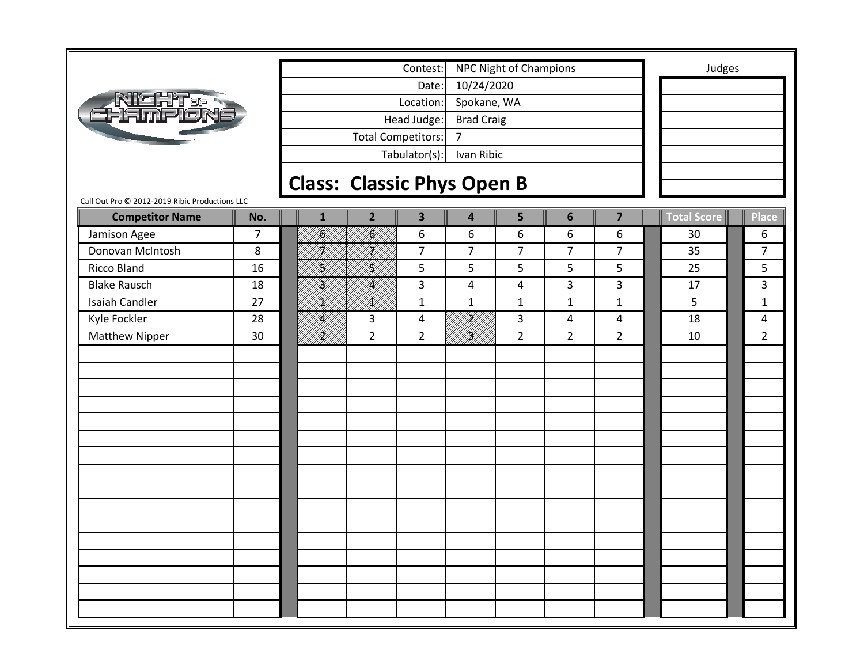|                                                |                |                                   |                | Contest:                  |                             | NPC Night of Champions |                |                         | Judges             |                |
|------------------------------------------------|----------------|-----------------------------------|----------------|---------------------------|-----------------------------|------------------------|----------------|-------------------------|--------------------|----------------|
|                                                |                |                                   |                | Date:                     | 10/24/2020                  |                        |                |                         |                    |                |
| <u>Night a</u>                                 |                |                                   |                | Location:                 | Spokane, WA                 |                        |                |                         |                    |                |
| thmploni                                       |                |                                   |                | Head Judge:               | <b>Brad Craig</b>           |                        |                |                         |                    |                |
|                                                |                |                                   |                | <b>Total Competitors:</b> | $\overline{7}$              |                        |                |                         |                    |                |
|                                                |                |                                   |                | Tabulator(s):             | Ivan Ribic                  |                        |                |                         |                    |                |
|                                                |                |                                   |                |                           |                             |                        |                |                         |                    |                |
| Call Out Pro @ 2012-2019 Ribic Productions LLC |                | <b>Class: Classic Phys Open B</b> |                |                           |                             |                        |                |                         |                    |                |
| <b>Competitor Name</b>                         | No.            | $\mathbf{1}$                      | $\overline{2}$ | $\overline{\mathbf{3}}$   | $\overline{\mathbf{4}}$     | 5                      | $6\phantom{1}$ | $\overline{\mathbf{z}}$ | <b>Total Score</b> | Place          |
| Jamison Agee                                   | $\overline{7}$ | <br> K/                           | fili           | 6                         | 6                           | 6                      | 6              | 6                       | 30                 | 6              |
| Donovan McIntosh                               | 8              | H)<br>V/I                         | HM 1.          | $\overline{7}$            | $\overline{7}$              | $\overline{7}$         | $\overline{7}$ | $\overline{7}$          | 35                 | $\overline{7}$ |
| <b>Ricco Bland</b>                             | 16             | H]<br> K                          | <br> }<br> }   | 5                         | 5                           | 5                      | 5              | 5                       | 25                 | 5              |
| <b>Blake Rausch</b>                            | 18             | H)<br>M                           | IĶ)            | 3                         | 4                           | 4                      | 3              | 3                       | 17                 | 3              |
| <b>Isaiah Candler</b>                          | 27             | H)                                | /K//           | $\mathbf{1}$              | $\mathbf{1}$                | $\mathbf{1}$           | $\mathbf{1}$   | $\mathbf{1}$            | 5                  | $\mathbf{1}$   |
| Kyle Fockler                                   | 28             | /K/                               | 3              | 4                         | H)<br>M                     | 3                      | 4              | $\overline{4}$          | 18                 | 4              |
| <b>Matthew Nipper</b>                          | 30             | <br>   <b>  </b>                  | $\overline{2}$ | $\overline{2}$            | <b>   </b><br>   <b>   </b> | $\overline{2}$         | $\overline{2}$ | $\overline{2}$          | 10                 | $\overline{2}$ |
|                                                |                |                                   |                |                           |                             |                        |                |                         |                    |                |
|                                                |                |                                   |                |                           |                             |                        |                |                         |                    |                |
|                                                |                |                                   |                |                           |                             |                        |                |                         |                    |                |
|                                                |                |                                   |                |                           |                             |                        |                |                         |                    |                |
|                                                |                |                                   |                |                           |                             |                        |                |                         |                    |                |
|                                                |                |                                   |                |                           |                             |                        |                |                         |                    |                |
|                                                |                |                                   |                |                           |                             |                        |                |                         |                    |                |
|                                                |                |                                   |                |                           |                             |                        |                |                         |                    |                |
|                                                |                |                                   |                |                           |                             |                        |                |                         |                    |                |
|                                                |                |                                   |                |                           |                             |                        |                |                         |                    |                |
|                                                |                |                                   |                |                           |                             |                        |                |                         |                    |                |
|                                                |                |                                   |                |                           |                             |                        |                |                         |                    |                |
|                                                |                |                                   |                |                           |                             |                        |                |                         |                    |                |
|                                                |                |                                   |                |                           |                             |                        |                |                         |                    |                |
|                                                |                |                                   |                |                           |                             |                        |                |                         |                    |                |
|                                                |                |                                   |                |                           |                             |                        |                |                         |                    |                |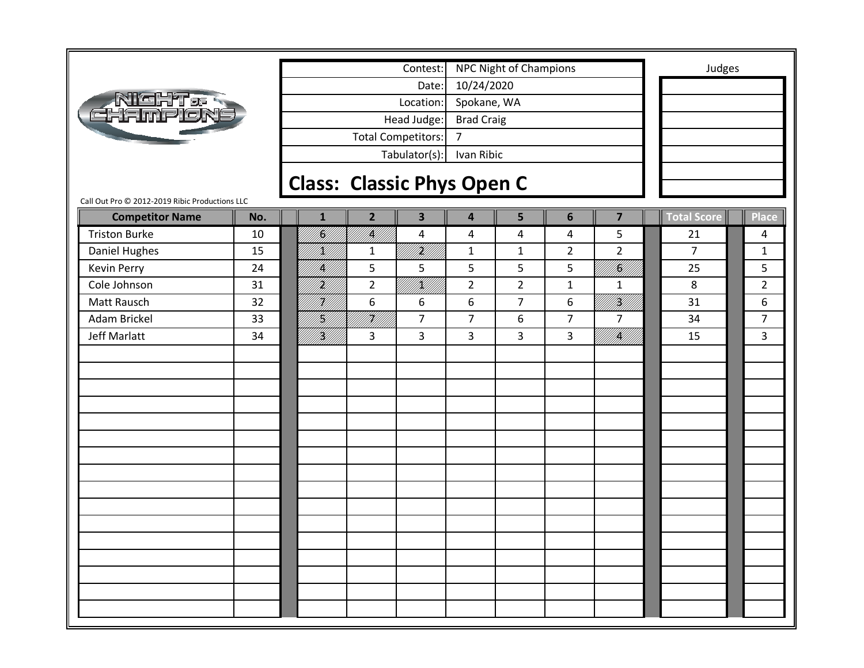|                                                |     |                                   |                | Contest:                  |                         | <b>NPC Night of Champions</b> |                |                | Judges             |                |
|------------------------------------------------|-----|-----------------------------------|----------------|---------------------------|-------------------------|-------------------------------|----------------|----------------|--------------------|----------------|
|                                                |     |                                   |                | Date:                     | 10/24/2020              |                               |                |                |                    |                |
| <b>AIGHT&amp;R</b><br>CHAMPION                 |     |                                   |                | Location:                 | Spokane, WA             |                               |                |                |                    |                |
|                                                |     |                                   |                | Head Judge:               | <b>Brad Craig</b>       |                               |                |                |                    |                |
|                                                |     |                                   |                | <b>Total Competitors:</b> | $\overline{7}$          |                               |                |                |                    |                |
|                                                |     |                                   |                | Tabulator(s):             | Ivan Ribic              |                               |                |                |                    |                |
|                                                |     |                                   |                |                           |                         |                               |                |                |                    |                |
| Call Out Pro © 2012-2019 Ribic Productions LLC |     | <b>Class: Classic Phys Open C</b> |                |                           |                         |                               |                |                |                    |                |
| <b>Competitor Name</b>                         | No. | $\mathbf{1}$                      | $\overline{2}$ | $\overline{\mathbf{3}}$   | $\overline{\mathbf{4}}$ | 5                             | 6              | $\overline{7}$ | <b>Total Score</b> | <b>Place</b>   |
| <b>Triston Burke</b>                           | 10  | III<br>M                          | fikli<br>Mil   | $\overline{4}$            | $\overline{\mathbf{4}}$ | 4                             | 4              | $5\phantom{.}$ | 21                 | 4              |
| Daniel Hughes                                  | 15  | K)                                | $\mathbf{1}$   | i<br>Mil                  | $\mathbf{1}$            | $\mathbf{1}$                  | $\overline{2}$ | $\overline{2}$ | $\overline{7}$     | $\mathbf{1}$   |
| Kevin Perry                                    | 24  | K                                 | 5              | 5                         | 5                       | 5                             | 5              | filip          | 25                 | 5              |
| Cole Johnson                                   | 31  | H)<br>Mil                         | $\overline{2}$ | UKU T                     | $\overline{2}$          | $\overline{2}$                | $\mathbf{1}$   | $\mathbf{1}$   | 8                  | $\overline{2}$ |
| Matt Rausch                                    | 32  | H)]<br>M]]                        | 6              | 6                         | 6                       | $\overline{7}$                | 6              | i Killi        | 31                 | 6              |
| Adam Brickel                                   | 33  | H)                                | HU   <br>M     | $\overline{7}$            | $\overline{7}$          | 6                             | $\overline{7}$ | $\overline{7}$ | 34                 | $\overline{7}$ |
| <b>Jeff Marlatt</b>                            | 34  | <b>  </b><br> }                   | 3              | 3                         | 3                       | 3                             | 3              | MKU 1          | 15                 | $\overline{3}$ |
|                                                |     |                                   |                |                           |                         |                               |                |                |                    |                |
|                                                |     |                                   |                |                           |                         |                               |                |                |                    |                |
|                                                |     |                                   |                |                           |                         |                               |                |                |                    |                |
|                                                |     |                                   |                |                           |                         |                               |                |                |                    |                |
|                                                |     |                                   |                |                           |                         |                               |                |                |                    |                |
|                                                |     |                                   |                |                           |                         |                               |                |                |                    |                |
|                                                |     |                                   |                |                           |                         |                               |                |                |                    |                |
|                                                |     |                                   |                |                           |                         |                               |                |                |                    |                |
|                                                |     |                                   |                |                           |                         |                               |                |                |                    |                |
|                                                |     |                                   |                |                           |                         |                               |                |                |                    |                |
|                                                |     |                                   |                |                           |                         |                               |                |                |                    |                |
|                                                |     |                                   |                |                           |                         |                               |                |                |                    |                |
|                                                |     |                                   |                |                           |                         |                               |                |                |                    |                |
|                                                |     |                                   |                |                           |                         |                               |                |                |                    |                |
|                                                |     |                                   |                |                           |                         |                               |                |                |                    |                |
|                                                |     |                                   |                |                           |                         |                               |                |                |                    |                |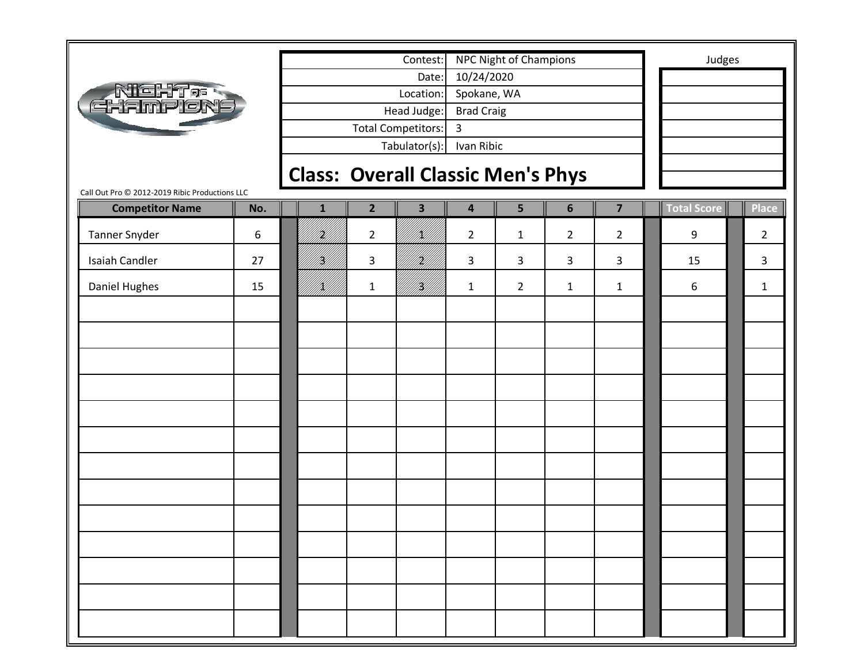|                                                |     |              |                                          | Contest:                |                         | <b>NPC Night of Champions</b> |                |                | Judges             |                |
|------------------------------------------------|-----|--------------|------------------------------------------|-------------------------|-------------------------|-------------------------------|----------------|----------------|--------------------|----------------|
|                                                |     |              |                                          | Date:                   | 10/24/2020              |                               |                |                |                    |                |
| <b>AIGHT&amp;R</b><br>EHAMPION                 |     |              |                                          | Location:               | Spokane, WA             |                               |                |                |                    |                |
|                                                |     |              |                                          | Head Judge:             | <b>Brad Craig</b>       |                               |                |                |                    |                |
|                                                |     |              |                                          | Total Competitors:      | $\mathbf{3}$            |                               |                |                |                    |                |
|                                                |     |              |                                          | Tabulator(s):           | Ivan Ribic              |                               |                |                |                    |                |
|                                                |     |              | <b>Class: Overall Classic Men's Phys</b> |                         |                         |                               |                |                |                    |                |
| Call Out Pro © 2012-2019 Ribic Productions LLC |     |              |                                          |                         |                         |                               |                |                |                    |                |
| <b>Competitor Name</b>                         | No. | $\mathbf{1}$ | $\overline{2}$                           | $\overline{\mathbf{3}}$ | $\overline{\mathbf{4}}$ | 5                             | $6\phantom{1}$ | $\overline{7}$ | <b>Total Score</b> | <b>Place</b>   |
| Tanner Snyder                                  | 6   | <u>H</u>     | $\overline{2}$                           | K)                      | $\overline{2}$          | $\mathbf{1}$                  | $\overline{2}$ | $\overline{2}$ | 9                  | $\overline{2}$ |
| <b>Isaiah Candler</b>                          | 27  | H)           | 3                                        | H)<br>M                 | 3                       | 3                             | 3              | $\mathbf{3}$   | 15                 | $\mathbf{3}$   |
| Daniel Hughes                                  | 15  | K)           | $\mathbf{1}$                             | }<br> }}                | $\mathbf{1}$            | $\overline{2}$                | $\mathbf{1}$   | $\mathbf{1}$   | 6                  | $\mathbf{1}$   |
|                                                |     |              |                                          |                         |                         |                               |                |                |                    |                |
|                                                |     |              |                                          |                         |                         |                               |                |                |                    |                |
|                                                |     |              |                                          |                         |                         |                               |                |                |                    |                |
|                                                |     |              |                                          |                         |                         |                               |                |                |                    |                |
|                                                |     |              |                                          |                         |                         |                               |                |                |                    |                |
|                                                |     |              |                                          |                         |                         |                               |                |                |                    |                |
|                                                |     |              |                                          |                         |                         |                               |                |                |                    |                |
|                                                |     |              |                                          |                         |                         |                               |                |                |                    |                |
|                                                |     |              |                                          |                         |                         |                               |                |                |                    |                |
|                                                |     |              |                                          |                         |                         |                               |                |                |                    |                |
|                                                |     |              |                                          |                         |                         |                               |                |                |                    |                |
|                                                |     |              |                                          |                         |                         |                               |                |                |                    |                |
|                                                |     |              |                                          |                         |                         |                               |                |                |                    |                |
|                                                |     |              |                                          |                         |                         |                               |                |                |                    |                |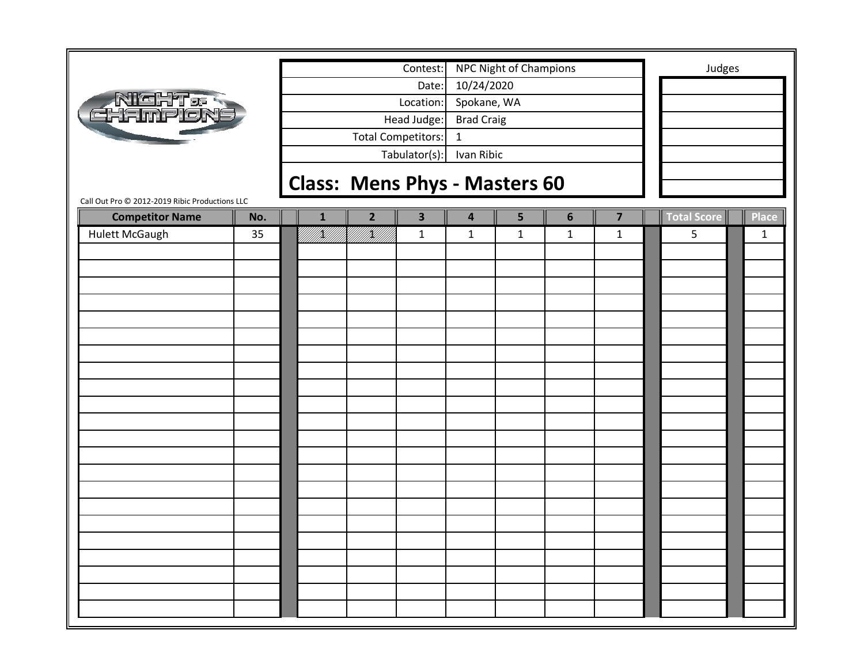|                                                                          |     |              |                | Contest:           |                         | <b>NPC Night of Champions</b>        |                |                         |                    | Judges |              |
|--------------------------------------------------------------------------|-----|--------------|----------------|--------------------|-------------------------|--------------------------------------|----------------|-------------------------|--------------------|--------|--------------|
|                                                                          |     |              |                | Date:              | 10/24/2020              |                                      |                |                         |                    |        |              |
| <b>NIGHT &amp; R</b><br>EHAMPION                                         |     |              |                | Location:          | Spokane, WA             |                                      |                |                         |                    |        |              |
|                                                                          |     |              |                | Head Judge:        | <b>Brad Craig</b>       |                                      |                |                         |                    |        |              |
|                                                                          |     |              |                | Total Competitors: | $\mathbf{1}$            |                                      |                |                         |                    |        |              |
|                                                                          |     |              |                | Tabulator(s):      | Ivan Ribic              |                                      |                |                         |                    |        |              |
|                                                                          |     |              |                |                    |                         |                                      |                |                         |                    |        |              |
|                                                                          |     |              |                |                    |                         | <b>Class: Mens Phys - Masters 60</b> |                |                         |                    |        |              |
| Call Out Pro @ 2012-2019 Ribic Productions LLC<br><b>Competitor Name</b> | No. | $\mathbf{1}$ | $\overline{2}$ | 3                  | $\overline{\mathbf{4}}$ | 5                                    | $6\phantom{1}$ | $\overline{\mathbf{z}}$ | <b>Total Score</b> |        | <b>Place</b> |
| <b>Hulett McGaugh</b>                                                    | 35  |              |                | $\mathbf 1$        | $\mathbf{1}$            | $\mathbf{1}$                         | $\mathbf{1}$   | $\mathbf{1}$            | 5                  |        | $\mathbf{1}$ |
|                                                                          |     |              |                |                    |                         |                                      |                |                         |                    |        |              |
|                                                                          |     |              |                |                    |                         |                                      |                |                         |                    |        |              |
|                                                                          |     |              |                |                    |                         |                                      |                |                         |                    |        |              |
|                                                                          |     |              |                |                    |                         |                                      |                |                         |                    |        |              |
|                                                                          |     |              |                |                    |                         |                                      |                |                         |                    |        |              |
|                                                                          |     |              |                |                    |                         |                                      |                |                         |                    |        |              |
|                                                                          |     |              |                |                    |                         |                                      |                |                         |                    |        |              |
|                                                                          |     |              |                |                    |                         |                                      |                |                         |                    |        |              |
|                                                                          |     |              |                |                    |                         |                                      |                |                         |                    |        |              |
|                                                                          |     |              |                |                    |                         |                                      |                |                         |                    |        |              |
|                                                                          |     |              |                |                    |                         |                                      |                |                         |                    |        |              |
|                                                                          |     |              |                |                    |                         |                                      |                |                         |                    |        |              |
|                                                                          |     |              |                |                    |                         |                                      |                |                         |                    |        |              |
|                                                                          |     |              |                |                    |                         |                                      |                |                         |                    |        |              |
|                                                                          |     |              |                |                    |                         |                                      |                |                         |                    |        |              |
|                                                                          |     |              |                |                    |                         |                                      |                |                         |                    |        |              |
|                                                                          |     |              |                |                    |                         |                                      |                |                         |                    |        |              |
|                                                                          |     |              |                |                    |                         |                                      |                |                         |                    |        |              |
|                                                                          |     |              |                |                    |                         |                                      |                |                         |                    |        |              |
|                                                                          |     |              |                |                    |                         |                                      |                |                         |                    |        |              |
|                                                                          |     |              |                |                    |                         |                                      |                |                         |                    |        |              |
|                                                                          |     |              |                |                    |                         |                                      |                |                         |                    |        |              |
|                                                                          |     |              |                |                    |                         |                                      |                |                         |                    |        |              |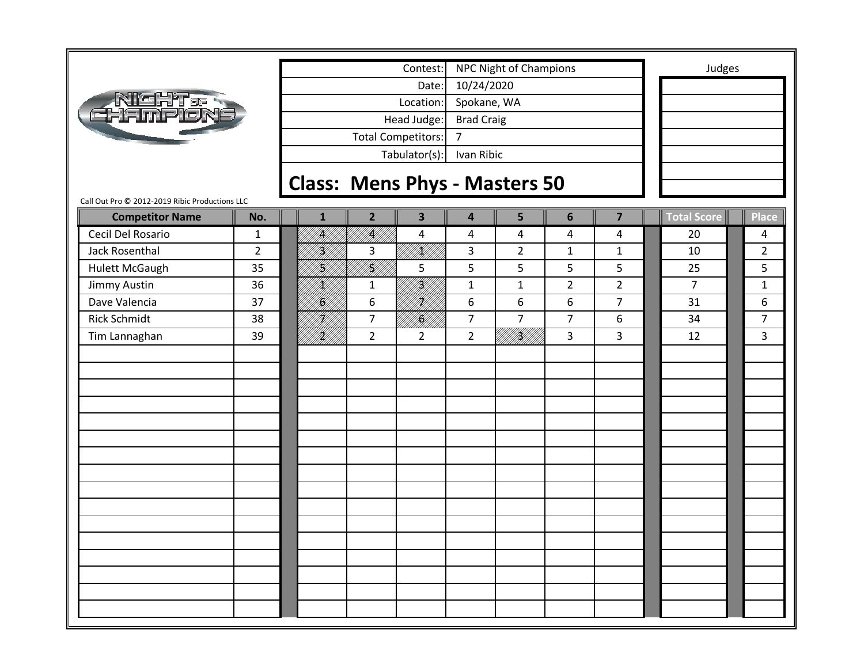|                                                                          |                |                                      |                | Contest:                  |                         | <b>NPC Night of Champions</b> |                |                |                    | Judges         |
|--------------------------------------------------------------------------|----------------|--------------------------------------|----------------|---------------------------|-------------------------|-------------------------------|----------------|----------------|--------------------|----------------|
|                                                                          |                |                                      |                | Date:                     | 10/24/2020              |                               |                |                |                    |                |
| RICHT.<br>Hampion                                                        |                |                                      |                | Location:                 | Spokane, WA             |                               |                |                |                    |                |
|                                                                          |                |                                      |                | Head Judge:               | <b>Brad Craig</b>       |                               |                |                |                    |                |
|                                                                          |                |                                      |                | <b>Total Competitors:</b> | $\overline{7}$          |                               |                |                |                    |                |
|                                                                          |                |                                      |                | Tabulator(s):             | Ivan Ribic              |                               |                |                |                    |                |
|                                                                          |                |                                      |                |                           |                         |                               |                |                |                    |                |
|                                                                          |                | <b>Class: Mens Phys - Masters 50</b> |                |                           |                         |                               |                |                |                    |                |
| Call Out Pro @ 2012-2019 Ribic Productions LLC<br><b>Competitor Name</b> | No.            | $\mathbf{1}$                         | $\overline{2}$ | $\overline{\mathbf{3}}$   | $\overline{\mathbf{4}}$ | 5                             | 6              | $\overline{7}$ | <b>Total Score</b> | <b>Place</b>   |
| Cecil Del Rosario                                                        | $\mathbf{1}$   | k  <br> }}                           | William        | $\overline{4}$            | 4                       | 4                             | 4              | 4              | 20                 | 4              |
| Jack Rosenthal                                                           | $\overline{2}$ | Hf<br> }                             | 3              | /K//                      | 3                       | $\overline{2}$                | $\mathbf{1}$   | $\mathbf{1}$   | 10                 | $\overline{2}$ |
| <b>Hulett McGaugh</b>                                                    | 35             | H)<br>M)                             | <br> }<br> }   | 5                         | 5                       | 5                             | 5              | 5              | 25                 | 5              |
| Jimmy Austin                                                             | 36             | /K//                                 | $\mathbf{1}$   | <br> }<br> }              | $\mathbf{1}$            | $\mathbf{1}$                  | $\overline{2}$ | $\overline{2}$ | $\overline{7}$     | $\mathbf{1}$   |
| Dave Valencia                                                            | 37             | <br> <br> }                          | 6              | H)                        | 6                       | $\boldsymbol{6}$              | 6              | $\overline{7}$ | 31                 | 6              |
| <b>Rick Schmidt</b>                                                      | 38             | HM.<br>M                             | $\overline{7}$ | <br> K                    | $\overline{7}$          | $\overline{7}$                | $\overline{7}$ | 6              | 34                 | $\overline{7}$ |
| Tim Lannaghan                                                            | 39             | }<br> }                              | $\overline{2}$ | $\overline{2}$            | $\overline{2}$          | UKU)                          | 3              | $\overline{3}$ | 12                 | $\overline{3}$ |
|                                                                          |                |                                      |                |                           |                         |                               |                |                |                    |                |
|                                                                          |                |                                      |                |                           |                         |                               |                |                |                    |                |
|                                                                          |                |                                      |                |                           |                         |                               |                |                |                    |                |
|                                                                          |                |                                      |                |                           |                         |                               |                |                |                    |                |
|                                                                          |                |                                      |                |                           |                         |                               |                |                |                    |                |
|                                                                          |                |                                      |                |                           |                         |                               |                |                |                    |                |
|                                                                          |                |                                      |                |                           |                         |                               |                |                |                    |                |
|                                                                          |                |                                      |                |                           |                         |                               |                |                |                    |                |
|                                                                          |                |                                      |                |                           |                         |                               |                |                |                    |                |
|                                                                          |                |                                      |                |                           |                         |                               |                |                |                    |                |
|                                                                          |                |                                      |                |                           |                         |                               |                |                |                    |                |
|                                                                          |                |                                      |                |                           |                         |                               |                |                |                    |                |
|                                                                          |                |                                      |                |                           |                         |                               |                |                |                    |                |
|                                                                          |                |                                      |                |                           |                         |                               |                |                |                    |                |
|                                                                          |                |                                      |                |                           |                         |                               |                |                |                    |                |
|                                                                          |                |                                      |                |                           |                         |                               |                |                |                    |                |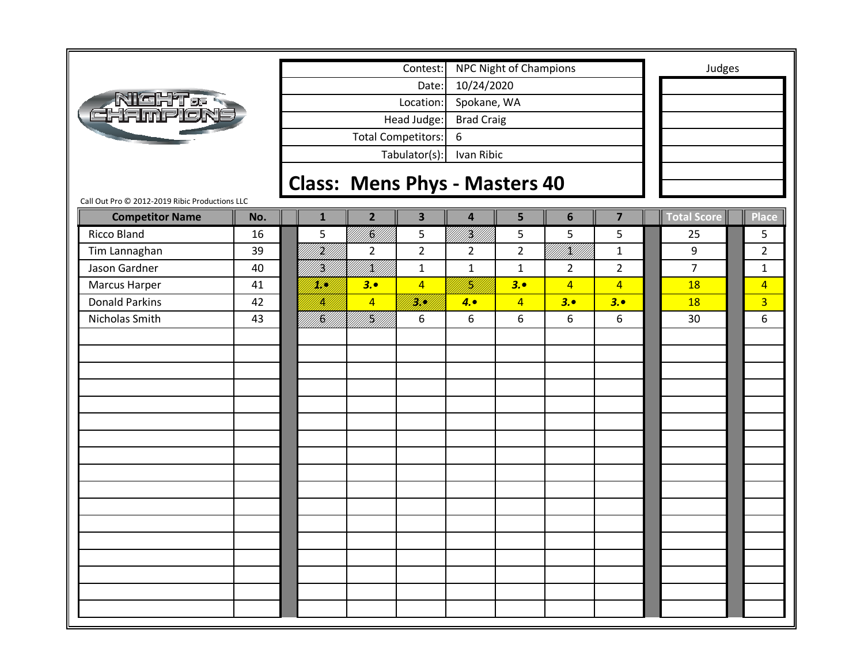| #GHT of<br>EHAMPIO |
|--------------------|
|--------------------|

Tabulator(s): Ivan Ribic Head Judge: Brad Craig Total Competitors: 6 Date: 10/24/2020 Location: Spokane, WA Contest: NPC Night of Champions **Judges** 

## **Class: Mens Phys ‐ Masters 40**

| <b>Competitor Name</b> | No. | $\mathbf{1}$             | 2 <sup>1</sup> | $\overline{\mathbf{3}}$ | $\overline{4}$ | 5              | $6\phantom{1}$           | $\overline{\mathbf{z}}$ | Total Score     | Place          |
|------------------------|-----|--------------------------|----------------|-------------------------|----------------|----------------|--------------------------|-------------------------|-----------------|----------------|
| Ricco Bland            | 16  | 5                        | <br> }<br> }   | 5                       | 1K)            | 5              | 5                        | 5                       | 25              | 5              |
| Tim Lannaghan          | 39  | <br> }<br> }             | $\overline{2}$ | $\overline{2}$          | $\overline{2}$ | $\overline{2}$ | ililikilik<br>Ulitikilik | $\mathbf{1}$            | 9               | $\overline{2}$ |
| Jason Gardner          | 40  | Hff)                     | IKU)<br>IKU)   | $\mathbf 1$             | $\mathbf 1$    | $\mathbf 1$    | $\overline{2}$           | $\overline{2}$          | $\overline{7}$  | $\mathbf 1$    |
| Marcus Harper          | 41  | <u>M</u> UN              | 3.0            | $\overline{4}$          | H)<br>131      | 3.0            | $\overline{4}$           | $\overline{4}$          | <b>18</b>       | $\overline{4}$ |
| <b>Donald Parkins</b>  | 42  | IH)                      | $\overline{4}$ | i Kildi<br>Mala         | 4.0            | $\overline{4}$ | 3.                       | 3.0                     | <b>18</b>       | $\overline{3}$ |
| Nicholas Smith         | 43  | <b>  </b><br> } <b> </b> | <br> K         | 6                       | 6              | 6              | 6                        | 6                       | 30 <sub>o</sub> | 6              |
|                        |     |                          |                |                         |                |                |                          |                         |                 |                |
|                        |     |                          |                |                         |                |                |                          |                         |                 |                |
|                        |     |                          |                |                         |                |                |                          |                         |                 |                |
|                        |     |                          |                |                         |                |                |                          |                         |                 |                |
|                        |     |                          |                |                         |                |                |                          |                         |                 |                |
|                        |     |                          |                |                         |                |                |                          |                         |                 |                |
|                        |     |                          |                |                         |                |                |                          |                         |                 |                |
|                        |     |                          |                |                         |                |                |                          |                         |                 |                |
|                        |     |                          |                |                         |                |                |                          |                         |                 |                |
|                        |     |                          |                |                         |                |                |                          |                         |                 |                |
|                        |     |                          |                |                         |                |                |                          |                         |                 |                |
|                        |     |                          |                |                         |                |                |                          |                         |                 |                |
|                        |     |                          |                |                         |                |                |                          |                         |                 |                |
|                        |     |                          |                |                         |                |                |                          |                         |                 |                |
|                        |     |                          |                |                         |                |                |                          |                         |                 |                |
|                        |     |                          |                |                         |                |                |                          |                         |                 |                |
|                        |     |                          |                |                         |                |                |                          |                         |                 |                |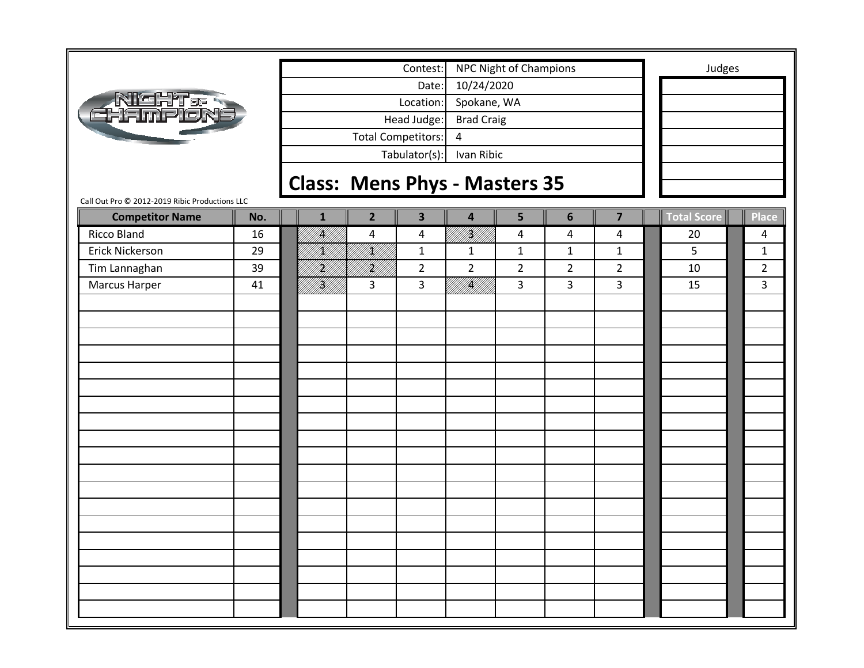|                                                |     |                                      |                         | Contest:                  |                                        | NPC Night of Champions |                |                | Judges             |                |
|------------------------------------------------|-----|--------------------------------------|-------------------------|---------------------------|----------------------------------------|------------------------|----------------|----------------|--------------------|----------------|
|                                                |     |                                      |                         | Date:                     | 10/24/2020                             |                        |                |                |                    |                |
| <b>NIGHT &amp; R</b><br>CHAMPLON               |     |                                      |                         | Location:                 | Spokane, WA                            |                        |                |                |                    |                |
|                                                |     |                                      |                         | Head Judge:               | <b>Brad Craig</b>                      |                        |                |                |                    |                |
|                                                |     |                                      |                         | <b>Total Competitors:</b> | 4                                      |                        |                |                |                    |                |
|                                                |     |                                      |                         | Tabulator(s):             | Ivan Ribic                             |                        |                |                |                    |                |
|                                                |     |                                      |                         |                           |                                        |                        |                |                |                    |                |
| Call Out Pro © 2012-2019 Ribic Productions LLC |     | <b>Class: Mens Phys - Masters 35</b> |                         |                           |                                        |                        |                |                |                    |                |
| <b>Competitor Name</b>                         | No. | $\mathbf{1}$                         | $\overline{2}$          | $\overline{\mathbf{3}}$   | $\overline{\mathbf{4}}$                | 5                      | 6              | $\overline{7}$ | <b>Total Score</b> | <b>Place</b>   |
| Ricco Bland                                    | 16  | IĶI                                  | $\overline{\mathbf{4}}$ | $\overline{a}$            | i Kil                                  | 4                      | 4              | 4              | 20                 | 4              |
| Erick Nickerson                                | 29  | K)                                   | !!<br>!N/!              | $\mathbf{1}$              | $\mathbf{1}$                           | $\mathbf{1}$           | $\mathbf{1}$   | $\mathbf{1}$   | 5                  | $\mathbf{1}$   |
| Tim Lannaghan                                  | 39  | H)<br>M                              | irid<br>Mill            | $\overline{2}$            | $\overline{2}$                         | $\overline{2}$         | $\overline{2}$ | $\overline{2}$ | 10                 | $\overline{2}$ |
| Marcus Harper                                  | 41  | iri<br>Mill                          | 3                       | 3                         | en statistikke kontroller<br>Etterfall | 3                      | 3              | 3              | 15                 | 3              |
|                                                |     |                                      |                         |                           |                                        |                        |                |                |                    |                |
|                                                |     |                                      |                         |                           |                                        |                        |                |                |                    |                |
|                                                |     |                                      |                         |                           |                                        |                        |                |                |                    |                |
|                                                |     |                                      |                         |                           |                                        |                        |                |                |                    |                |
|                                                |     |                                      |                         |                           |                                        |                        |                |                |                    |                |
|                                                |     |                                      |                         |                           |                                        |                        |                |                |                    |                |
|                                                |     |                                      |                         |                           |                                        |                        |                |                |                    |                |
|                                                |     |                                      |                         |                           |                                        |                        |                |                |                    |                |
|                                                |     |                                      |                         |                           |                                        |                        |                |                |                    |                |
|                                                |     |                                      |                         |                           |                                        |                        |                |                |                    |                |
|                                                |     |                                      |                         |                           |                                        |                        |                |                |                    |                |
|                                                |     |                                      |                         |                           |                                        |                        |                |                |                    |                |
|                                                |     |                                      |                         |                           |                                        |                        |                |                |                    |                |
|                                                |     |                                      |                         |                           |                                        |                        |                |                |                    |                |
|                                                |     |                                      |                         |                           |                                        |                        |                |                |                    |                |
|                                                |     |                                      |                         |                           |                                        |                        |                |                |                    |                |
|                                                |     |                                      |                         |                           |                                        |                        |                |                |                    |                |
|                                                |     |                                      |                         |                           |                                        |                        |                |                |                    |                |
|                                                |     |                                      |                         |                           |                                        |                        |                |                |                    |                |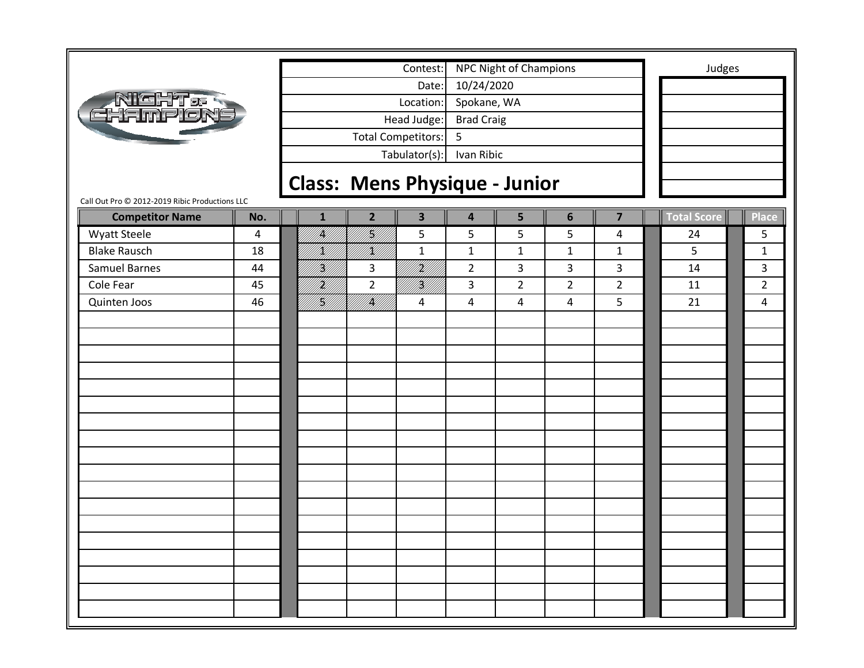|                                                |     |                                      |                           | Contest:                |                         | NPC Night of Champions |                |                         | Judges             |                |
|------------------------------------------------|-----|--------------------------------------|---------------------------|-------------------------|-------------------------|------------------------|----------------|-------------------------|--------------------|----------------|
|                                                |     |                                      |                           | Date:                   | 10/24/2020              |                        |                |                         |                    |                |
|                                                |     |                                      |                           | Location:               | Spokane, WA             |                        |                |                         |                    |                |
| <b>NICHT.</b><br>CHAMPION                      |     |                                      |                           | Head Judge:             | <b>Brad Craig</b>       |                        |                |                         |                    |                |
|                                                |     |                                      | <b>Total Competitors:</b> |                         | 5                       |                        |                |                         |                    |                |
|                                                |     |                                      |                           | Tabulator(s):           | Ivan Ribic              |                        |                |                         |                    |                |
|                                                |     |                                      |                           |                         |                         |                        |                |                         |                    |                |
| Call Out Pro @ 2012-2019 Ribic Productions LLC |     | <b>Class: Mens Physique - Junior</b> |                           |                         |                         |                        |                |                         |                    |                |
| <b>Competitor Name</b>                         | No. | $\mathbf{1}$                         | $\overline{2}$            | $\overline{\mathbf{3}}$ | $\overline{\mathbf{4}}$ | 5                      | $6\phantom{1}$ | $\overline{\mathbf{z}}$ | <b>Total Score</b> | <b>Place</b>   |
| <b>Wyatt Steele</b>                            | 4   | <br> }                               | <br> }<br> }              | 5                       | 5                       | 5                      | 5              | 4                       | 24                 | 5              |
| <b>Blake Rausch</b>                            | 18  | K)                                   | ! <br>!N#!!               | $\mathbf{1}$            | $\mathbf{1}$            | $\mathbf{1}$           | $\mathbf{1}$   | $\mathbf{1}$            | 5                  | $\mathbf{1}$   |
| Samuel Barnes                                  | 44  | H)<br>M                              | 3                         | iri<br>Mil              | $\overline{2}$          | 3                      | 3              | 3                       | 14                 | 3              |
| Cole Fear                                      | 45  | H)<br>M/I                            | $\overline{2}$            | <br> W                  | 3                       | $\overline{2}$         | $\overline{2}$ | $\overline{2}$          | 11                 | $\overline{2}$ |
| Quinten Joos                                   | 46  | fi Kili                              | <br> }                    | 4                       | 4                       | 4                      | 4              | 5                       | 21                 | 4              |
|                                                |     |                                      |                           |                         |                         |                        |                |                         |                    |                |
|                                                |     |                                      |                           |                         |                         |                        |                |                         |                    |                |
|                                                |     |                                      |                           |                         |                         |                        |                |                         |                    |                |
|                                                |     |                                      |                           |                         |                         |                        |                |                         |                    |                |
|                                                |     |                                      |                           |                         |                         |                        |                |                         |                    |                |
|                                                |     |                                      |                           |                         |                         |                        |                |                         |                    |                |
|                                                |     |                                      |                           |                         |                         |                        |                |                         |                    |                |
|                                                |     |                                      |                           |                         |                         |                        |                |                         |                    |                |
|                                                |     |                                      |                           |                         |                         |                        |                |                         |                    |                |
|                                                |     |                                      |                           |                         |                         |                        |                |                         |                    |                |
|                                                |     |                                      |                           |                         |                         |                        |                |                         |                    |                |
|                                                |     |                                      |                           |                         |                         |                        |                |                         |                    |                |
|                                                |     |                                      |                           |                         |                         |                        |                |                         |                    |                |
|                                                |     |                                      |                           |                         |                         |                        |                |                         |                    |                |
|                                                |     |                                      |                           |                         |                         |                        |                |                         |                    |                |
|                                                |     |                                      |                           |                         |                         |                        |                |                         |                    |                |
|                                                |     |                                      |                           |                         |                         |                        |                |                         |                    |                |
|                                                |     |                                      |                           |                         |                         |                        |                |                         |                    |                |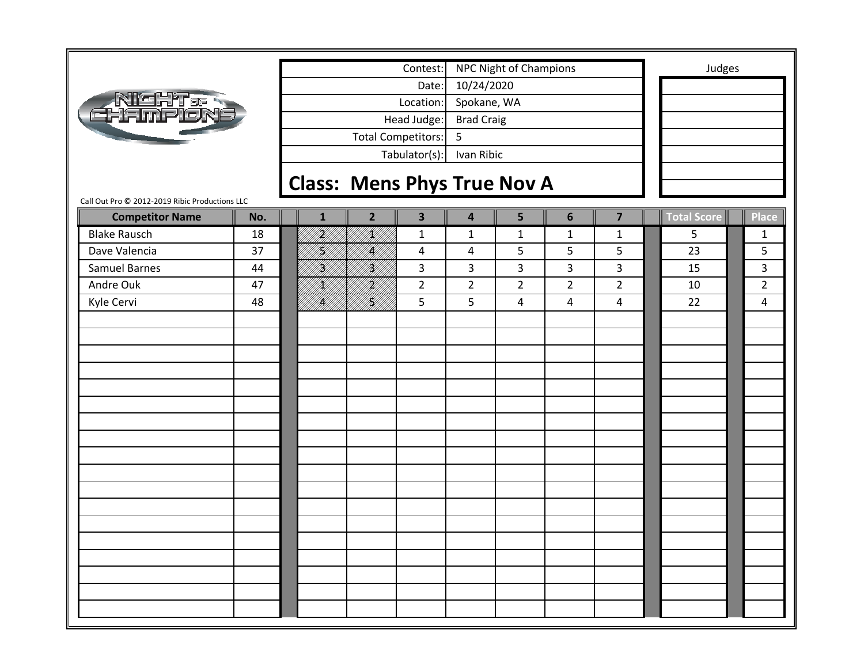|                                                |     |                                    |                           | Contest:                |                   | NPC Night of Champions |                |                         | Judges             |                |
|------------------------------------------------|-----|------------------------------------|---------------------------|-------------------------|-------------------|------------------------|----------------|-------------------------|--------------------|----------------|
|                                                |     |                                    |                           | Date:                   | 10/24/2020        |                        |                |                         |                    |                |
| Richt <del>.</del><br>Hampion                  |     |                                    |                           | Location:               | Spokane, WA       |                        |                |                         |                    |                |
|                                                |     |                                    |                           | Head Judge:             | <b>Brad Craig</b> |                        |                |                         |                    |                |
|                                                |     |                                    | <b>Total Competitors:</b> |                         | 5                 |                        |                |                         |                    |                |
|                                                |     |                                    |                           | Tabulator(s):           | Ivan Ribic        |                        |                |                         |                    |                |
|                                                |     |                                    |                           |                         |                   |                        |                |                         |                    |                |
| Call Out Pro @ 2012-2019 Ribic Productions LLC |     | <b>Class: Mens Phys True Nov A</b> |                           |                         |                   |                        |                |                         |                    |                |
| <b>Competitor Name</b>                         | No. | $\mathbf{1}$                       | $\overline{2}$            | $\overline{\mathbf{3}}$ | 4                 | 5                      | $6\phantom{1}$ | $\overline{\mathbf{z}}$ | <b>Total Score</b> | <b>Place</b>   |
| <b>Blake Rausch</b>                            | 18  | <br> }                             | <br> X                    | $\mathbf{1}$            | $\mathbf{1}$      | $\mathbf{1}$           | $\mathbf{1}$   | $\mathbf{1}$            | 5                  | $\mathbf{1}$   |
| Dave Valencia                                  | 37  | H)                                 | IĶ)                       | 4                       | 4                 | 5                      | 5              | 5                       | 23                 | 5              |
| Samuel Barnes                                  | 44  | H)<br>M                            | Hf                        | 3                       | 3                 | 3                      | 3              | 3                       | 15                 | 3              |
| Andre Ouk                                      | 47  | K)                                 | H)<br>Mil                 | $\overline{2}$          | $\overline{2}$    | $\overline{2}$         | $\overline{2}$ | $\overline{2}$          | 10                 | $\overline{2}$ |
| Kyle Cervi                                     | 48  | UKT.                               | <br> W                    | 5                       | 5                 | 4                      | 4              | $\overline{4}$          | 22                 | 4              |
|                                                |     |                                    |                           |                         |                   |                        |                |                         |                    |                |
|                                                |     |                                    |                           |                         |                   |                        |                |                         |                    |                |
|                                                |     |                                    |                           |                         |                   |                        |                |                         |                    |                |
|                                                |     |                                    |                           |                         |                   |                        |                |                         |                    |                |
|                                                |     |                                    |                           |                         |                   |                        |                |                         |                    |                |
|                                                |     |                                    |                           |                         |                   |                        |                |                         |                    |                |
|                                                |     |                                    |                           |                         |                   |                        |                |                         |                    |                |
|                                                |     |                                    |                           |                         |                   |                        |                |                         |                    |                |
|                                                |     |                                    |                           |                         |                   |                        |                |                         |                    |                |
|                                                |     |                                    |                           |                         |                   |                        |                |                         |                    |                |
|                                                |     |                                    |                           |                         |                   |                        |                |                         |                    |                |
|                                                |     |                                    |                           |                         |                   |                        |                |                         |                    |                |
|                                                |     |                                    |                           |                         |                   |                        |                |                         |                    |                |
|                                                |     |                                    |                           |                         |                   |                        |                |                         |                    |                |
|                                                |     |                                    |                           |                         |                   |                        |                |                         |                    |                |
|                                                |     |                                    |                           |                         |                   |                        |                |                         |                    |                |
|                                                |     |                                    |                           |                         |                   |                        |                |                         |                    |                |
|                                                |     |                                    |                           |                         |                   |                        |                |                         |                    |                |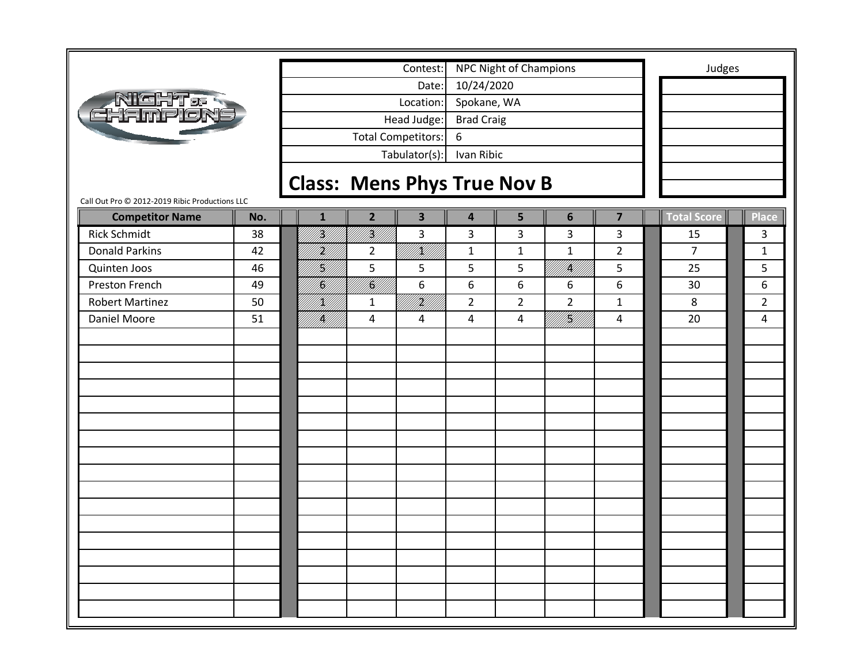|                                                                          |     |              |                                    | Contest:                  |                   | <b>NPC Night of Champions</b> |                |                         | Judges             |                |
|--------------------------------------------------------------------------|-----|--------------|------------------------------------|---------------------------|-------------------|-------------------------------|----------------|-------------------------|--------------------|----------------|
|                                                                          |     |              |                                    | Date:                     | 10/24/2020        |                               |                |                         |                    |                |
| <b>NIGHT &amp; R</b><br>CHAMPION                                         |     |              |                                    | Location:                 | Spokane, WA       |                               |                |                         |                    |                |
|                                                                          |     |              |                                    | Head Judge:               | <b>Brad Craig</b> |                               |                |                         |                    |                |
|                                                                          |     |              |                                    | <b>Total Competitors:</b> | 6                 |                               |                |                         |                    |                |
|                                                                          |     |              |                                    | Tabulator(s):             | Ivan Ribic        |                               |                |                         |                    |                |
|                                                                          |     |              |                                    |                           |                   |                               |                |                         |                    |                |
|                                                                          |     |              | <b>Class: Mens Phys True Nov B</b> |                           |                   |                               |                |                         |                    |                |
| Call Out Pro @ 2012-2019 Ribic Productions LLC<br><b>Competitor Name</b> | No. | 1            | $\overline{2}$                     | $\overline{\mathbf{3}}$   | 4                 | 5                             | $6\phantom{1}$ | $\overline{\mathbf{z}}$ | <b>Total Score</b> | Place          |
| <b>Rick Schmidt</b>                                                      | 38  | <br> }       | H)<br>M                            | 3                         | 3                 | 3                             | 3              | 3                       | 15                 | 3              |
| <b>Donald Parkins</b>                                                    | 42  | Hf<br> }     | $\overline{a}$                     | UKU U                     | $\mathbf{1}$      | $1\,$                         | $\mathbf{1}$   | $\overline{2}$          | $\overline{7}$     | $\mathbf{1}$   |
| Quinten Joos                                                             | 46  | H]<br> W]    | 5                                  | 5                         | 5                 | 5                             | <br> }<br> }   | 5                       | 25                 | 5              |
| Preston French                                                           | 49  | HA<br>1947   | fil<br>M                           | 6                         | 6                 | 6                             | 6              | 6                       | 30                 | 6              |
| <b>Robert Martinez</b>                                                   | 50  | <br>  <br> } |                                    | HM)                       | $\overline{2}$    | $\overline{2}$                | $\overline{2}$ |                         | 8                  | $\overline{2}$ |
|                                                                          |     |              | $\mathbf{1}$                       |                           |                   |                               |                | $\mathbf{1}$            |                    |                |
| Daniel Moore                                                             | 51  | <br> }<br> } | 4                                  | 4                         | 4                 | 4                             | ITAH<br>PAHLI  | $\overline{4}$          | 20                 | 4              |
|                                                                          |     |              |                                    |                           |                   |                               |                |                         |                    |                |
|                                                                          |     |              |                                    |                           |                   |                               |                |                         |                    |                |
|                                                                          |     |              |                                    |                           |                   |                               |                |                         |                    |                |
|                                                                          |     |              |                                    |                           |                   |                               |                |                         |                    |                |
|                                                                          |     |              |                                    |                           |                   |                               |                |                         |                    |                |
|                                                                          |     |              |                                    |                           |                   |                               |                |                         |                    |                |
|                                                                          |     |              |                                    |                           |                   |                               |                |                         |                    |                |
|                                                                          |     |              |                                    |                           |                   |                               |                |                         |                    |                |
|                                                                          |     |              |                                    |                           |                   |                               |                |                         |                    |                |
|                                                                          |     |              |                                    |                           |                   |                               |                |                         |                    |                |
|                                                                          |     |              |                                    |                           |                   |                               |                |                         |                    |                |
|                                                                          |     |              |                                    |                           |                   |                               |                |                         |                    |                |
|                                                                          |     |              |                                    |                           |                   |                               |                |                         |                    |                |
|                                                                          |     |              |                                    |                           |                   |                               |                |                         |                    |                |
|                                                                          |     |              |                                    |                           |                   |                               |                |                         |                    |                |
|                                                                          |     |              |                                    |                           |                   |                               |                |                         |                    |                |
|                                                                          |     |              |                                    |                           |                   |                               |                |                         |                    |                |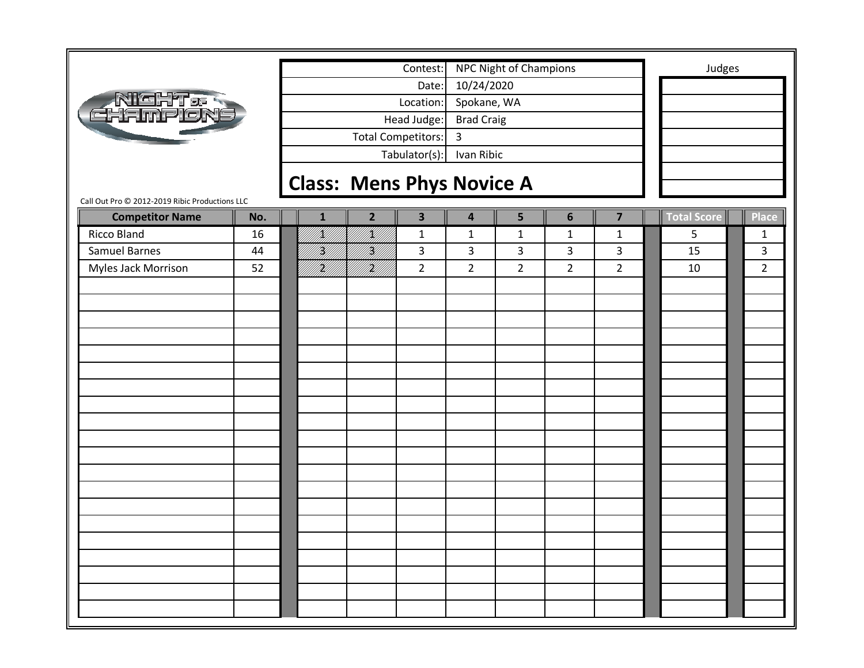|                                                |     |              |                                  | Contest:                  |                   | <b>NPC Night of Champions</b> |                |                | Judges             |                |
|------------------------------------------------|-----|--------------|----------------------------------|---------------------------|-------------------|-------------------------------|----------------|----------------|--------------------|----------------|
|                                                |     |              |                                  | Date:                     | 10/24/2020        |                               |                |                |                    |                |
|                                                |     |              |                                  | Location:                 | Spokane, WA       |                               |                |                |                    |                |
| <b>NIGHT&amp;</b><br>CHAMPLON                  |     |              |                                  | Head Judge:               | <b>Brad Craig</b> |                               |                |                |                    |                |
|                                                |     |              |                                  | <b>Total Competitors:</b> | $\overline{3}$    |                               |                |                |                    |                |
|                                                |     |              |                                  |                           |                   |                               |                |                |                    |                |
|                                                |     |              |                                  | Tabulator(s):             | Ivan Ribic        |                               |                |                |                    |                |
|                                                |     |              | <b>Class: Mens Phys Novice A</b> |                           |                   |                               |                |                |                    |                |
| Call Out Pro @ 2012-2019 Ribic Productions LLC |     |              |                                  |                           |                   |                               |                |                |                    |                |
| <b>Competitor Name</b>                         | No. | $\mathbf{1}$ | $\overline{2}$                   | $\overline{\mathbf{3}}$   | 4                 | 5                             | 6              | $\overline{7}$ | <b>Total Score</b> | <b>Place</b>   |
| Ricco Bland                                    | 16  | <br> <br> }  | VK                               | $\mathbf{1}$              | $\mathbf{1}$      | $1\,$                         | $\mathbf{1}$   | $\mathbf{1}$   | 5                  | 1              |
| <b>Samuel Barnes</b>                           | 44  | H)<br>M      | <br> }<br> }                     | 3                         | 3                 | 3                             | 3              | $\overline{3}$ | 15                 | 3              |
| Myles Jack Morrison                            | 52  | it.<br>Mil   | irildi<br>Milli                  | $\overline{2}$            | $\overline{2}$    | $\overline{2}$                | $\overline{2}$ | $\overline{2}$ | 10                 | $\overline{2}$ |
|                                                |     |              |                                  |                           |                   |                               |                |                |                    |                |
|                                                |     |              |                                  |                           |                   |                               |                |                |                    |                |
|                                                |     |              |                                  |                           |                   |                               |                |                |                    |                |
|                                                |     |              |                                  |                           |                   |                               |                |                |                    |                |
|                                                |     |              |                                  |                           |                   |                               |                |                |                    |                |
|                                                |     |              |                                  |                           |                   |                               |                |                |                    |                |
|                                                |     |              |                                  |                           |                   |                               |                |                |                    |                |
|                                                |     |              |                                  |                           |                   |                               |                |                |                    |                |
|                                                |     |              |                                  |                           |                   |                               |                |                |                    |                |
|                                                |     |              |                                  |                           |                   |                               |                |                |                    |                |
|                                                |     |              |                                  |                           |                   |                               |                |                |                    |                |
|                                                |     |              |                                  |                           |                   |                               |                |                |                    |                |
|                                                |     |              |                                  |                           |                   |                               |                |                |                    |                |
|                                                |     |              |                                  |                           |                   |                               |                |                |                    |                |
|                                                |     |              |                                  |                           |                   |                               |                |                |                    |                |
|                                                |     |              |                                  |                           |                   |                               |                |                |                    |                |
|                                                |     |              |                                  |                           |                   |                               |                |                |                    |                |
|                                                |     |              |                                  |                           |                   |                               |                |                |                    |                |
|                                                |     |              |                                  |                           |                   |                               |                |                |                    |                |
|                                                |     |              |                                  |                           |                   |                               |                |                |                    |                |
|                                                |     |              |                                  |                           |                   |                               |                |                |                    |                |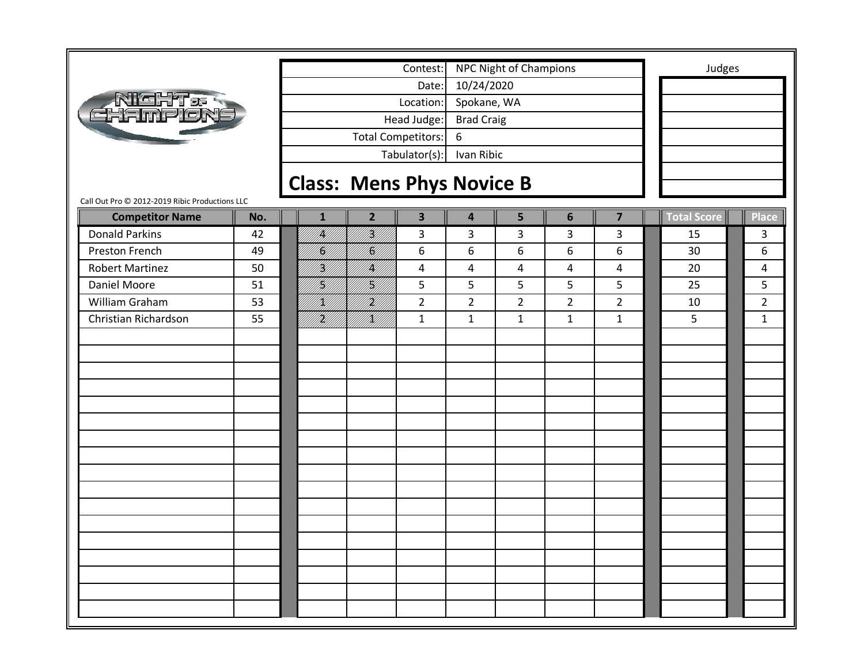|                                                |     |              | Contest:                                  |                         | NPC Night of Champions |                |                         | Judges             |                |
|------------------------------------------------|-----|--------------|-------------------------------------------|-------------------------|------------------------|----------------|-------------------------|--------------------|----------------|
|                                                |     |              |                                           | 10/24/2020<br>Date:     |                        |                |                         |                    |                |
| <u>NIGHT a t</u>                               |     |              | Location:                                 | Spokane, WA             |                        |                |                         |                    |                |
| :Hmplon                                        |     |              | Head Judge:                               | <b>Brad Craig</b>       |                        |                |                         |                    |                |
|                                                |     |              | <b>Total Competitors:</b>                 | 6                       |                        |                |                         |                    |                |
|                                                |     |              | Tabulator(s):                             | Ivan Ribic              |                        |                |                         |                    |                |
|                                                |     |              |                                           |                         |                        |                |                         |                    |                |
| Call Out Pro @ 2012-2019 Ribic Productions LLC |     |              | <b>Class: Mens Phys Novice B</b>          |                         |                        |                |                         |                    |                |
| <b>Competitor Name</b>                         | No. | $\mathbf{1}$ | $\overline{2}$<br>$\overline{\mathbf{3}}$ | $\overline{\mathbf{4}}$ | 5                      | 6              | $\overline{\mathbf{z}}$ | <b>Total Score</b> | Place          |
| <b>Donald Parkins</b>                          | 42  | <br> }       | fill f<br>3                               | 3                       | 3                      | 3              | 3                       | 15                 | 3              |
| Preston French                                 | 49  | }<br> }}     | III.<br>6                                 | 6                       | 6                      | 6              | 6                       | 30                 | 6              |
| <b>Robert Martinez</b>                         | 50  | H)<br>M      | <br> }<br>$\overline{4}$                  | 4                       | 4                      | 4              | $\overline{4}$          | 20                 | 4              |
| Daniel Moore                                   | 51  | H),          | <br> }<br> }<br>5                         | 5                       | 5                      | 5              | 5                       | 25                 | 5              |
| William Graham                                 | 53  | K)           | HM)<br>$\overline{2}$                     | $\overline{2}$          | $\overline{2}$         | $\overline{2}$ | $\overline{2}$          | 10                 | $\overline{2}$ |
| Christian Richardson                           | 55  | K)<br>M      | <br> }<br>$\mathbf{1}$                    | $\mathbf{1}$            | $\mathbf{1}$           | $\mathbf{1}$   | $\mathbf{1}$            | 5                  | $\mathbf{1}$   |
|                                                |     |              |                                           |                         |                        |                |                         |                    |                |
|                                                |     |              |                                           |                         |                        |                |                         |                    |                |
|                                                |     |              |                                           |                         |                        |                |                         |                    |                |
|                                                |     |              |                                           |                         |                        |                |                         |                    |                |
|                                                |     |              |                                           |                         |                        |                |                         |                    |                |
|                                                |     |              |                                           |                         |                        |                |                         |                    |                |
|                                                |     |              |                                           |                         |                        |                |                         |                    |                |
|                                                |     |              |                                           |                         |                        |                |                         |                    |                |
|                                                |     |              |                                           |                         |                        |                |                         |                    |                |
|                                                |     |              |                                           |                         |                        |                |                         |                    |                |
|                                                |     |              |                                           |                         |                        |                |                         |                    |                |
|                                                |     |              |                                           |                         |                        |                |                         |                    |                |
|                                                |     |              |                                           |                         |                        |                |                         |                    |                |
|                                                |     |              |                                           |                         |                        |                |                         |                    |                |
|                                                |     |              |                                           |                         |                        |                |                         |                    |                |
|                                                |     |              |                                           |                         |                        |                |                         |                    |                |
|                                                |     |              |                                           |                         |                        |                |                         |                    |                |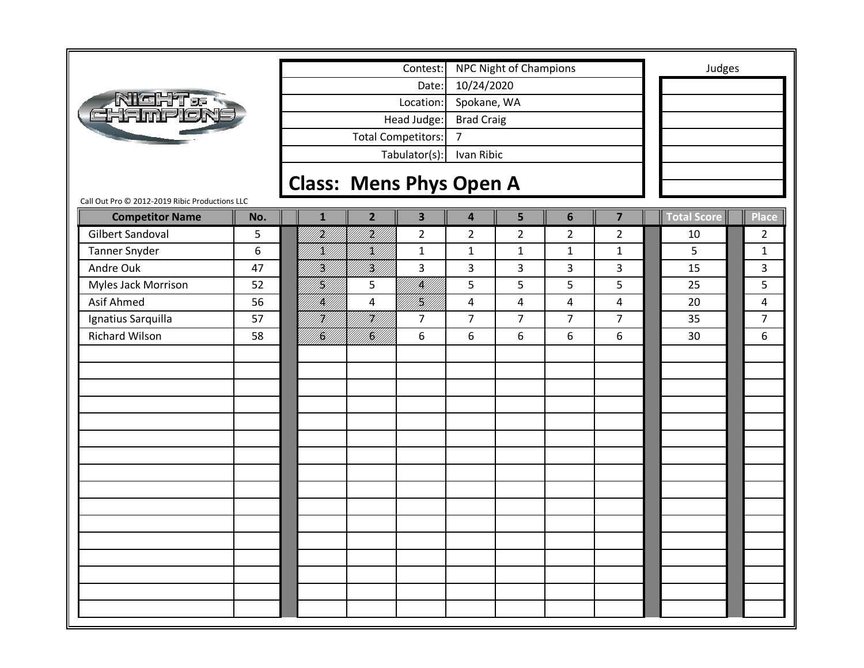|                                                |     |                                |                           | Contest:                |                         | NPC Night of Champions |                |                         | Judges      |                |
|------------------------------------------------|-----|--------------------------------|---------------------------|-------------------------|-------------------------|------------------------|----------------|-------------------------|-------------|----------------|
|                                                |     |                                |                           | Date:                   | 10/24/2020              |                        |                |                         |             |                |
| <b>AIGHT&amp;</b><br>CHAMPLON                  |     |                                |                           | Location:               | Spokane, WA             |                        |                |                         |             |                |
|                                                |     |                                |                           | Head Judge:             | <b>Brad Craig</b>       |                        |                |                         |             |                |
|                                                |     |                                | <b>Total Competitors:</b> |                         | $\overline{7}$          |                        |                |                         |             |                |
|                                                |     |                                |                           | Tabulator(s):           | Ivan Ribic              |                        |                |                         |             |                |
|                                                |     |                                |                           |                         |                         |                        |                |                         |             |                |
| Call Out Pro @ 2012-2019 Ribic Productions LLC |     | <b>Class: Mens Phys Open A</b> |                           |                         |                         |                        |                |                         |             |                |
| <b>Competitor Name</b>                         | No. | $\mathbf{1}$                   | $\overline{2}$            | $\overline{\mathbf{3}}$ | $\overline{\mathbf{4}}$ | 5                      | 6              | $\overline{\mathbf{z}}$ | Total Score | <b>Place</b>   |
| <b>Gilbert Sandoval</b>                        | 5   | Uff)                           | H)<br>H]                  | $\overline{2}$          | $\overline{2}$          | $\overline{2}$         | $\overline{2}$ | $\overline{2}$          | 10          | $\overline{2}$ |
| <b>Tanner Snyder</b>                           | 6   | K)                             | /K//                      | $\mathbf{1}$            | $\mathbf{1}$            | $\mathbf{1}$           | $\mathbf{1}$   | $\mathbf{1}$            | 5           | $\mathbf{1}$   |
| Andre Ouk                                      | 47  | H)                             | <br> }<br> }              | 3                       | 3                       | 3                      | 3              | 3                       | 15          | 3              |
| Myles Jack Morrison                            | 52  | H<br> H                        | 5                         | <br> }}                 | 5                       | 5                      | 5              | 5                       | 25          | 5              |
| <b>Asif Ahmed</b>                              | 56  | /K/                            | 4                         | H<br> }                 | $\overline{\mathbf{4}}$ | 4                      | $\overline{4}$ | 4                       | 20          | 4              |
| Ignatius Sarquilla                             | 57  | H)<br>V//                      | H)]                       | $\overline{7}$          | $\overline{7}$          | $\overline{7}$         | 7              | $\overline{7}$          | 35          | $\overline{7}$ |
| Richard Wilson                                 | 58  | C                              | <b>  </b><br> } <b> </b>  | 6                       | 6                       | 6                      | 6              | 6                       | 30          | 6              |
|                                                |     |                                |                           |                         |                         |                        |                |                         |             |                |
|                                                |     |                                |                           |                         |                         |                        |                |                         |             |                |
|                                                |     |                                |                           |                         |                         |                        |                |                         |             |                |
|                                                |     |                                |                           |                         |                         |                        |                |                         |             |                |
|                                                |     |                                |                           |                         |                         |                        |                |                         |             |                |
|                                                |     |                                |                           |                         |                         |                        |                |                         |             |                |
|                                                |     |                                |                           |                         |                         |                        |                |                         |             |                |
|                                                |     |                                |                           |                         |                         |                        |                |                         |             |                |
|                                                |     |                                |                           |                         |                         |                        |                |                         |             |                |
|                                                |     |                                |                           |                         |                         |                        |                |                         |             |                |
|                                                |     |                                |                           |                         |                         |                        |                |                         |             |                |
|                                                |     |                                |                           |                         |                         |                        |                |                         |             |                |
|                                                |     |                                |                           |                         |                         |                        |                |                         |             |                |
|                                                |     |                                |                           |                         |                         |                        |                |                         |             |                |
|                                                |     |                                |                           |                         |                         |                        |                |                         |             |                |
|                                                |     |                                |                           |                         |                         |                        |                |                         |             |                |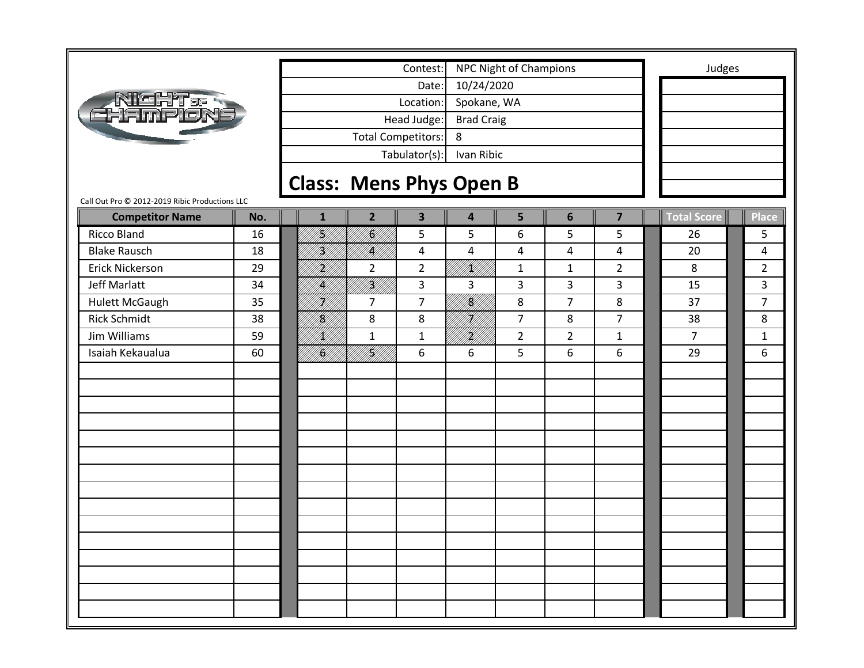|                                                |     |                                |                           | Contest:                |                   | NPC Night of Champions |                |                         | Judges         |                |
|------------------------------------------------|-----|--------------------------------|---------------------------|-------------------------|-------------------|------------------------|----------------|-------------------------|----------------|----------------|
|                                                |     |                                |                           | Date:                   | 10/24/2020        |                        |                |                         |                |                |
| <u>Night &amp; t</u>                           |     |                                |                           | Location:               | Spokane, WA       |                        |                |                         |                |                |
| : Fine'o N                                     |     |                                |                           | Head Judge:             | <b>Brad Craig</b> |                        |                |                         |                |                |
|                                                |     |                                | <b>Total Competitors:</b> |                         | 8                 |                        |                |                         |                |                |
|                                                |     |                                |                           | Tabulator(s):           | Ivan Ribic        |                        |                |                         |                |                |
|                                                |     |                                |                           |                         |                   |                        |                |                         |                |                |
| Call Out Pro @ 2012-2019 Ribic Productions LLC |     | <b>Class: Mens Phys Open B</b> |                           |                         |                   |                        |                |                         |                |                |
| <b>Competitor Name</b>                         | No. | $\mathbf{1}$                   | $\overline{2}$            | $\overline{\mathbf{3}}$ | 4                 | 5                      | 6              | $\overline{\mathbf{z}}$ | Total Score    | <b>Place</b>   |
| <b>Ricco Bland</b>                             | 16  | H)                             | /K/                       | 5                       | 5                 | 6                      | 5              | 5                       | 26             | 5              |
| <b>Blake Rausch</b>                            | 18  | H)<br>M                        | IĶ)                       | 4                       | 4                 | 4                      | 4              | $\overline{4}$          | 20             | 4              |
| <b>Erick Nickerson</b>                         | 29  | H)<br>M                        | $\overline{2}$            | $\overline{2}$          | !}}}}}            | $\mathbf{1}$           | $\mathbf{1}$   | $\overline{2}$          | 8              | $\overline{2}$ |
| Jeff Marlatt                                   | 34  | IĶĪ                            | iri<br>Mil                | 3                       | 3                 | 3                      | 3              | 3                       | 15             | 3              |
| <b>Hulett McGaugh</b>                          | 35  | H)<br>V/I                      | $\overline{7}$            | $\overline{7}$          | VK)               | 8                      | $\overline{7}$ | 8                       | 37             | $\overline{7}$ |
| <b>Rick Schmidt</b>                            | 38  | I<br>H                         | 8                         | 8                       | H)<br>M}          | $\overline{7}$         | 8              | $\overline{7}$          | 38             | 8              |
| Jim Williams                                   | 59  | /K//                           | $\mathbf{1}$              | $\mathbf{1}$            | HM)               | $\overline{2}$         | $\overline{2}$ | $\mathbf{1}$            | $\overline{7}$ | $\mathbf{1}$   |
| Isaiah Kekaualua                               | 60  | <br>  <b> S </b><br> }         | NAN<br>PANG               | 6                       | 6                 | 5                      | 6              | 6                       | 29             | 6              |
|                                                |     |                                |                           |                         |                   |                        |                |                         |                |                |
|                                                |     |                                |                           |                         |                   |                        |                |                         |                |                |
|                                                |     |                                |                           |                         |                   |                        |                |                         |                |                |
|                                                |     |                                |                           |                         |                   |                        |                |                         |                |                |
|                                                |     |                                |                           |                         |                   |                        |                |                         |                |                |
|                                                |     |                                |                           |                         |                   |                        |                |                         |                |                |
|                                                |     |                                |                           |                         |                   |                        |                |                         |                |                |
|                                                |     |                                |                           |                         |                   |                        |                |                         |                |                |
|                                                |     |                                |                           |                         |                   |                        |                |                         |                |                |
|                                                |     |                                |                           |                         |                   |                        |                |                         |                |                |
|                                                |     |                                |                           |                         |                   |                        |                |                         |                |                |
|                                                |     |                                |                           |                         |                   |                        |                |                         |                |                |
|                                                |     |                                |                           |                         |                   |                        |                |                         |                |                |
|                                                |     |                                |                           |                         |                   |                        |                |                         |                |                |
|                                                |     |                                |                           |                         |                   |                        |                |                         |                |                |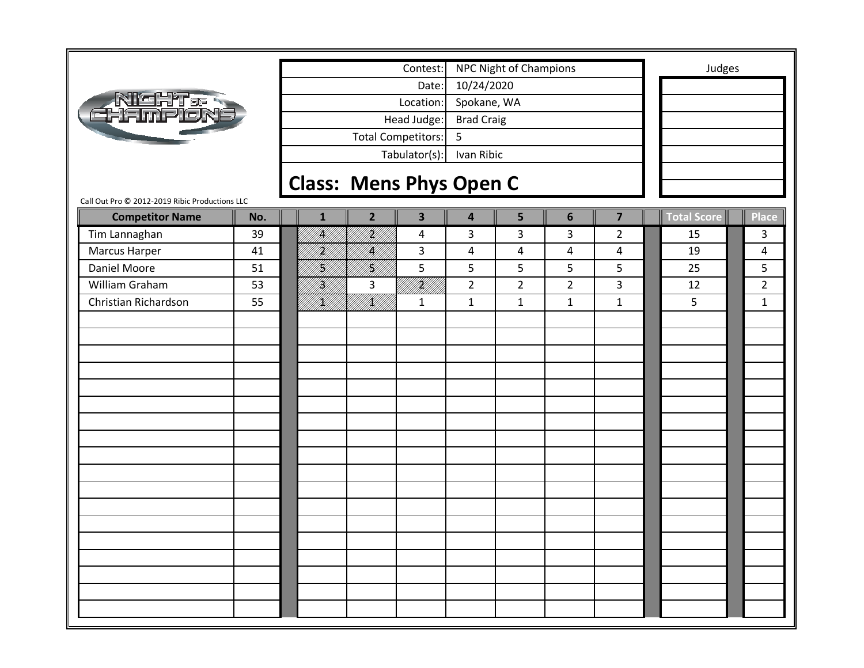|                                                |     |              |                                | Contest:                  |                   | <b>NPC Night of Champions</b> |                |                         | Judges             |                |
|------------------------------------------------|-----|--------------|--------------------------------|---------------------------|-------------------|-------------------------------|----------------|-------------------------|--------------------|----------------|
|                                                |     |              |                                | Date:                     | 10/24/2020        |                               |                |                         |                    |                |
| <b>AIGHT&amp;R</b><br>FHAMPION                 |     |              |                                | Location:                 | Spokane, WA       |                               |                |                         |                    |                |
|                                                |     |              |                                | Head Judge:               | <b>Brad Craig</b> |                               |                |                         |                    |                |
|                                                |     |              |                                | <b>Total Competitors:</b> | 5                 |                               |                |                         |                    |                |
|                                                |     |              |                                | Tabulator(s):             | Ivan Ribic        |                               |                |                         |                    |                |
|                                                |     |              |                                |                           |                   |                               |                |                         |                    |                |
| Call Out Pro @ 2012-2019 Ribic Productions LLC |     |              | <b>Class: Mens Phys Open C</b> |                           |                   |                               |                |                         |                    |                |
| <b>Competitor Name</b>                         | No. | $\mathbf{1}$ | $\overline{2}$                 | $\overline{\mathbf{3}}$   | 4                 | 5                             | $6\phantom{1}$ | $\overline{\mathbf{z}}$ | <b>Total Score</b> | <b>Place</b>   |
| Tim Lannaghan                                  | 39  | IĶĮ          | H<br> }                        | $\overline{a}$            | 3                 | 3                             | 3              | $\overline{2}$          | 15                 | 3              |
| Marcus Harper                                  | 41  | H)           | <br> }                         | 3                         | 4                 | 4                             | $\overline{4}$ | 4                       | 19                 | 4              |
| <b>Daniel Moore</b>                            | 51  | H)<br>M)     | <br> }<br> }                   | 5                         | 5                 | 5                             | 5              | 5                       | 25                 | 5              |
| William Graham                                 | 53  | H)<br>M      | 3                              | II<br>Mil                 | $\overline{2}$    | $\overline{2}$                | $\overline{2}$ | 3                       | 12                 | $\overline{2}$ |
| Christian Richardson                           | 55  | /K//         | <br>  <br> }                   | $\mathbf{1}$              | $\mathbf{1}$      | $\mathbf{1}$                  | $\mathbf{1}$   | $\mathbf{1}$            | 5                  | $\mathbf{1}$   |
|                                                |     |              |                                |                           |                   |                               |                |                         |                    |                |
|                                                |     |              |                                |                           |                   |                               |                |                         |                    |                |
|                                                |     |              |                                |                           |                   |                               |                |                         |                    |                |
|                                                |     |              |                                |                           |                   |                               |                |                         |                    |                |
|                                                |     |              |                                |                           |                   |                               |                |                         |                    |                |
|                                                |     |              |                                |                           |                   |                               |                |                         |                    |                |
|                                                |     |              |                                |                           |                   |                               |                |                         |                    |                |
|                                                |     |              |                                |                           |                   |                               |                |                         |                    |                |
|                                                |     |              |                                |                           |                   |                               |                |                         |                    |                |
|                                                |     |              |                                |                           |                   |                               |                |                         |                    |                |
|                                                |     |              |                                |                           |                   |                               |                |                         |                    |                |
|                                                |     |              |                                |                           |                   |                               |                |                         |                    |                |
|                                                |     |              |                                |                           |                   |                               |                |                         |                    |                |
|                                                |     |              |                                |                           |                   |                               |                |                         |                    |                |
|                                                |     |              |                                |                           |                   |                               |                |                         |                    |                |
|                                                |     |              |                                |                           |                   |                               |                |                         |                    |                |
|                                                |     |              |                                |                           |                   |                               |                |                         |                    |                |
|                                                |     |              |                                |                           |                   |                               |                |                         |                    |                |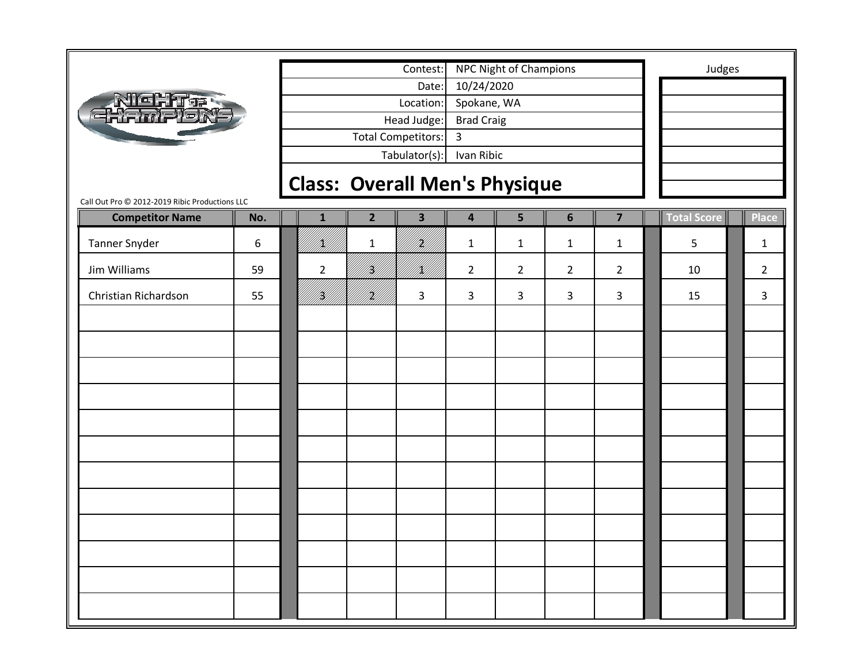|                                                |     |                |                | Contest:                             |                         | <b>NPC Night of Champions</b> |                |                | Judges      |                |
|------------------------------------------------|-----|----------------|----------------|--------------------------------------|-------------------------|-------------------------------|----------------|----------------|-------------|----------------|
|                                                |     |                |                | Date:                                | 10/24/2020              |                               |                |                |             |                |
| <b>NICHT &amp; RIGHT</b>                       |     |                |                | Location:                            | Spokane, WA             |                               |                |                |             |                |
|                                                |     |                |                | Head Judge:                          | <b>Brad Craig</b>       |                               |                |                |             |                |
|                                                |     |                |                | Total Competitors:                   | $\overline{3}$          |                               |                |                |             |                |
|                                                |     |                |                | Tabulator(s):                        | Ivan Ribic              |                               |                |                |             |                |
|                                                |     |                |                | <b>Class: Overall Men's Physique</b> |                         |                               |                |                |             |                |
| Call Out Pro @ 2012-2019 Ribic Productions LLC |     |                |                |                                      |                         |                               |                |                |             |                |
| <b>Competitor Name</b>                         | No. | $\mathbf{1}$   | $\overline{2}$ | 3                                    | $\overline{\mathbf{4}}$ | 5                             | $6\phantom{1}$ | $\overline{7}$ | Total Score | Place          |
| <b>Tanner Snyder</b>                           | 6   | K)             | $\mathbf{1}$   | H)<br>M/                             | $\mathbf{1}$            | $\mathbf{1}$                  | $\mathbf{1}$   | $\mathbf{1}$   | 5           | 1              |
| Jim Williams                                   | 59  | $\overline{2}$ | <br> }<br> }   | K)                                   | $\overline{2}$          | $\overline{2}$                | $\overline{2}$ | $\overline{2}$ | 10          | $\overline{2}$ |
| Christian Richardson                           | 55  | Y]             | HM)            | 3                                    | 3                       | 3                             | 3              | 3              | 15          | 3              |
|                                                |     |                |                |                                      |                         |                               |                |                |             |                |
|                                                |     |                |                |                                      |                         |                               |                |                |             |                |
|                                                |     |                |                |                                      |                         |                               |                |                |             |                |
|                                                |     |                |                |                                      |                         |                               |                |                |             |                |
|                                                |     |                |                |                                      |                         |                               |                |                |             |                |
|                                                |     |                |                |                                      |                         |                               |                |                |             |                |
|                                                |     |                |                |                                      |                         |                               |                |                |             |                |
|                                                |     |                |                |                                      |                         |                               |                |                |             |                |
|                                                |     |                |                |                                      |                         |                               |                |                |             |                |
|                                                |     |                |                |                                      |                         |                               |                |                |             |                |
|                                                |     |                |                |                                      |                         |                               |                |                |             |                |
|                                                |     |                |                |                                      |                         |                               |                |                |             |                |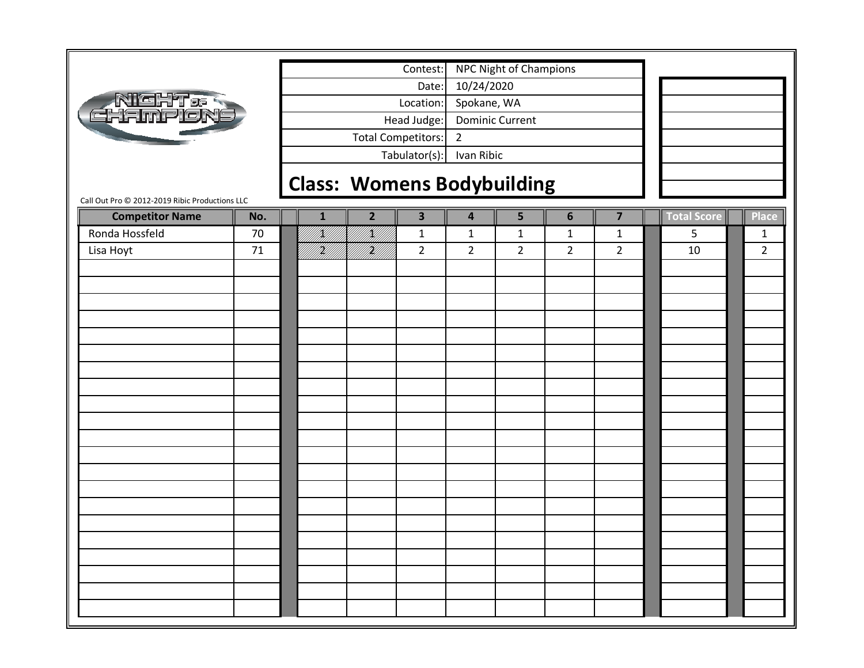|                                                |     |                                   |                | Contest:                |                         | <b>NPC Night of Champions</b> |                |                         |             |                |
|------------------------------------------------|-----|-----------------------------------|----------------|-------------------------|-------------------------|-------------------------------|----------------|-------------------------|-------------|----------------|
|                                                |     |                                   |                | Date:                   | 10/24/2020              |                               |                |                         |             |                |
| <b>NIGHT&amp;<br/>GHAMPIONE</b>                |     |                                   |                | Location:               | Spokane, WA             |                               |                |                         |             |                |
|                                                |     |                                   |                | Head Judge:             |                         | <b>Dominic Current</b>        |                |                         |             |                |
|                                                |     |                                   |                | Total Competitors:      | $\overline{2}$          |                               |                |                         |             |                |
|                                                |     |                                   |                | Tabulator(s):           | Ivan Ribic              |                               |                |                         |             |                |
|                                                |     | <b>Class: Womens Bodybuilding</b> |                |                         |                         |                               |                |                         |             |                |
| Call Out Pro @ 2012-2019 Ribic Productions LLC |     |                                   |                |                         |                         |                               |                |                         |             |                |
| <b>Competitor Name</b><br>Ronda Hossfeld       | No. | $\mathbf{1}$                      | $\overline{2}$ | $\overline{\mathbf{3}}$ | $\overline{\mathbf{4}}$ | 5                             | $6\phantom{1}$ | $\overline{\mathbf{z}}$ | Total Score | <b>Place</b>   |
|                                                | 70  | /K//                              | /K//           | $\mathbf{1}$            | $\mathbf 1$             | $\mathbf{1}$                  | $\mathbf 1$    | $\mathbf{1}$            | 5           | $\mathbf{1}$   |
| Lisa Hoyt                                      | 71  | }<br> }                           | f <b>fi</b> ll | $\overline{2}$          | $\overline{2}$          | $\overline{2}$                | $\overline{2}$ | $\overline{2}$          | 10          | $\overline{2}$ |
|                                                |     |                                   |                |                         |                         |                               |                |                         |             |                |
|                                                |     |                                   |                |                         |                         |                               |                |                         |             |                |
|                                                |     |                                   |                |                         |                         |                               |                |                         |             |                |
|                                                |     |                                   |                |                         |                         |                               |                |                         |             |                |
|                                                |     |                                   |                |                         |                         |                               |                |                         |             |                |
|                                                |     |                                   |                |                         |                         |                               |                |                         |             |                |
|                                                |     |                                   |                |                         |                         |                               |                |                         |             |                |
|                                                |     |                                   |                |                         |                         |                               |                |                         |             |                |
|                                                |     |                                   |                |                         |                         |                               |                |                         |             |                |
|                                                |     |                                   |                |                         |                         |                               |                |                         |             |                |
|                                                |     |                                   |                |                         |                         |                               |                |                         |             |                |
|                                                |     |                                   |                |                         |                         |                               |                |                         |             |                |
|                                                |     |                                   |                |                         |                         |                               |                |                         |             |                |
|                                                |     |                                   |                |                         |                         |                               |                |                         |             |                |
|                                                |     |                                   |                |                         |                         |                               |                |                         |             |                |
|                                                |     |                                   |                |                         |                         |                               |                |                         |             |                |
|                                                |     |                                   |                |                         |                         |                               |                |                         |             |                |
|                                                |     |                                   |                |                         |                         |                               |                |                         |             |                |
|                                                |     |                                   |                |                         |                         |                               |                |                         |             |                |
|                                                |     |                                   |                |                         |                         |                               |                |                         |             |                |
|                                                |     |                                   |                |                         |                         |                               |                |                         |             |                |
|                                                |     |                                   |                |                         |                         |                               |                |                         |             |                |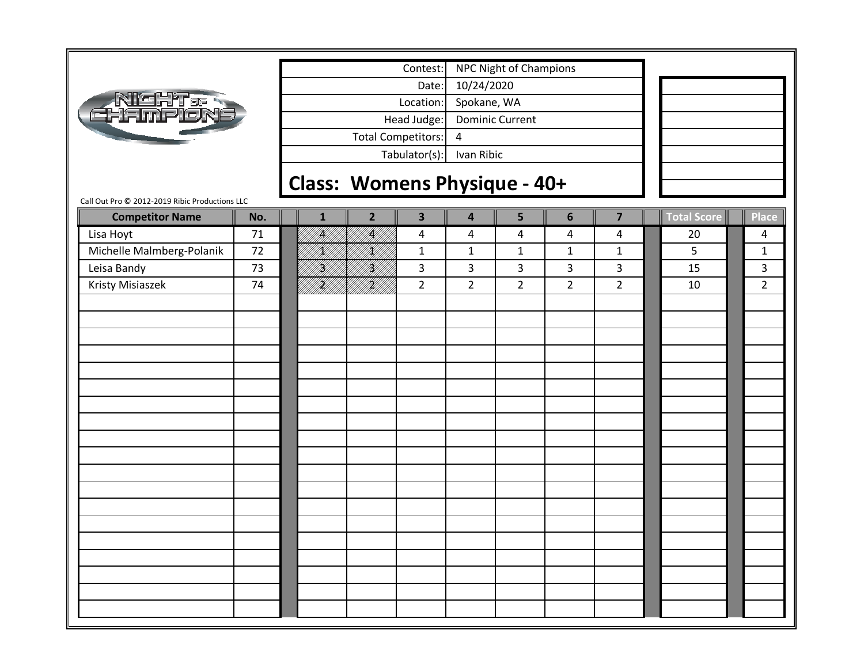| l'cH<br>'T ga<br>thampió |
|--------------------------|
|--------------------------|

Tabulator(s): Ivan Ribic Head Judge: Dominic Current Total Competitors: 4 Date: 10/24/2020 Location: Spokane, WA Contest: NPC Night of Champions

## **Class: Womens Physique ‐ 40+**

| <b>Competitor Name</b>    | No. | $\mathbf{1}$          | $\overline{2}$ | $\overline{\mathbf{3}}$ | $\overline{\mathbf{4}}$ | 5              | $\boldsymbol{6}$ | $\overline{\mathbf{z}}$ | Total Score | Place          |
|---------------------------|-----|-----------------------|----------------|-------------------------|-------------------------|----------------|------------------|-------------------------|-------------|----------------|
| Lisa Hoyt                 | 71  | <b>  </b><br> }<br> } | IN<br>Mil      | 4                       | $\overline{\mathbf{4}}$ | 4              | 4                | $\overline{a}$          | 20          | 4              |
| Michelle Malmberg-Polanik | 72  | <br> }<br> }          | <br> }<br> }   | $\mathbf 1$             | $\mathbf 1$             | $\mathbf 1$    | $\mathbf 1$      | $\mathbf{1}$            | 5           | $\mathbf{1}$   |
| Leisa Bandy               | 73  | <br> }<br> }          | H)<br>H)       | 3                       | $\overline{3}$          | $\mathbf{3}$   | 3                | $\mathbf{3}$            | 15          | 3              |
| Kristy Misiaszek          | 74  | iri<br>Mil            | iri<br>Mil     | $\overline{2}$          | $\overline{2}$          | $\overline{2}$ | $\overline{2}$   | $\overline{2}$          | 10          | $\overline{2}$ |
|                           |     |                       |                |                         |                         |                |                  |                         |             |                |
|                           |     |                       |                |                         |                         |                |                  |                         |             |                |
|                           |     |                       |                |                         |                         |                |                  |                         |             |                |
|                           |     |                       |                |                         |                         |                |                  |                         |             |                |
|                           |     |                       |                |                         |                         |                |                  |                         |             |                |
|                           |     |                       |                |                         |                         |                |                  |                         |             |                |
|                           |     |                       |                |                         |                         |                |                  |                         |             |                |
|                           |     |                       |                |                         |                         |                |                  |                         |             |                |
|                           |     |                       |                |                         |                         |                |                  |                         |             |                |
|                           |     |                       |                |                         |                         |                |                  |                         |             |                |
|                           |     |                       |                |                         |                         |                |                  |                         |             |                |
|                           |     |                       |                |                         |                         |                |                  |                         |             |                |
|                           |     |                       |                |                         |                         |                |                  |                         |             |                |
|                           |     |                       |                |                         |                         |                |                  |                         |             |                |
|                           |     |                       |                |                         |                         |                |                  |                         |             |                |
|                           |     |                       |                |                         |                         |                |                  |                         |             |                |
|                           |     |                       |                |                         |                         |                |                  |                         |             |                |
|                           |     |                       |                |                         |                         |                |                  |                         |             |                |
|                           |     |                       |                |                         |                         |                |                  |                         |             |                |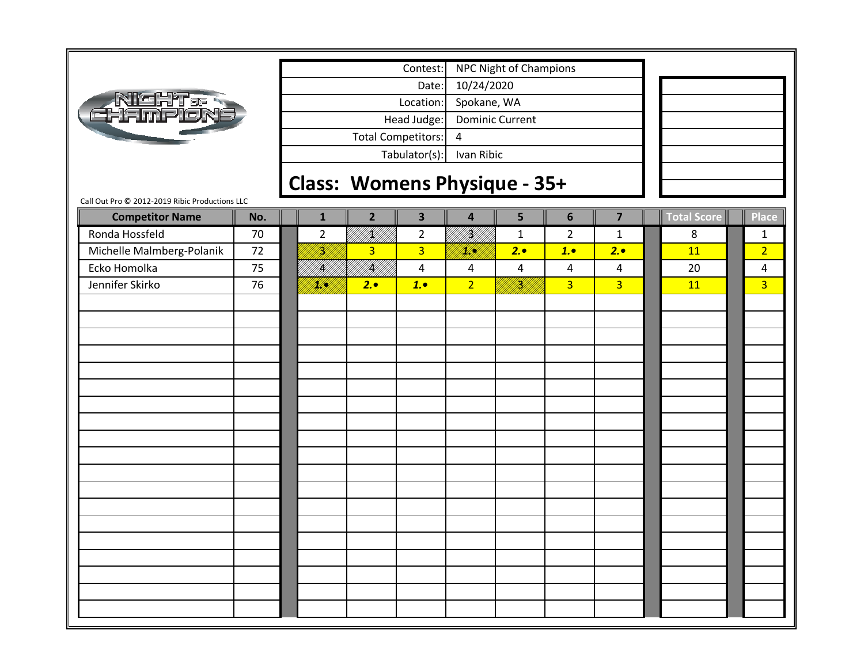| ickte:<br><u>Hampió</u> |
|-------------------------|
|-------------------------|

Tabulator(s): Ivan Ribic Head Judge: Dominic Current Total Competitors: 4 Date: 10/24/2020 Location: Spokane, WA Contest: NPC Night of Champions

## **Class: Womens Physique ‐ 35+**

| 70<br>72<br>75 | $\overline{2}$<br>.<br>M | IKU<br>PHI<br>$\overline{3}$       | $\overline{2}$<br>$\overline{3}$ | errik<br>Med            | $\mathbf{1}$   | $\overline{2}$          | $\mathbf{1}$   |    |                |
|----------------|--------------------------|------------------------------------|----------------------------------|-------------------------|----------------|-------------------------|----------------|----|----------------|
|                |                          |                                    |                                  |                         |                |                         |                | 8  | $\mathbf{1}$   |
|                |                          |                                    |                                  | <u>filipi</u>           | 2.             | 1.                      | 2.             | 11 | $\overline{2}$ |
|                |                          | <br> }<br> }<br>   <b>  </b><br> } | $\overline{4}$                   | $\overline{\mathbf{4}}$ | $\overline{4}$ | $\overline{\mathbf{4}}$ | $\overline{4}$ | 20 | 4              |
|                |                          | 2.                                 | 1.                               | $\overline{2}$          | ffeld<br>Fødd  | $\overline{3}$          | 3 <sup>1</sup> | 11 | $\overline{3}$ |
|                |                          |                                    |                                  |                         |                |                         |                |    |                |
|                |                          |                                    |                                  |                         |                |                         |                |    |                |
|                |                          |                                    |                                  |                         |                |                         |                |    |                |
|                |                          |                                    |                                  |                         |                |                         |                |    |                |
|                |                          |                                    |                                  |                         |                |                         |                |    |                |
|                |                          |                                    |                                  |                         |                |                         |                |    |                |
|                |                          |                                    |                                  |                         |                |                         |                |    |                |
|                |                          |                                    |                                  |                         |                |                         |                |    |                |
|                |                          |                                    |                                  |                         |                |                         |                |    |                |
|                |                          |                                    |                                  |                         |                |                         |                |    |                |
|                |                          |                                    |                                  |                         |                |                         |                |    |                |
|                |                          |                                    |                                  |                         |                |                         |                |    |                |
|                |                          |                                    |                                  |                         |                |                         |                |    |                |
|                |                          |                                    |                                  |                         |                |                         |                |    |                |
|                |                          |                                    |                                  |                         |                |                         |                |    |                |
|                |                          |                                    |                                  |                         |                |                         |                |    |                |
|                |                          |                                    |                                  |                         |                |                         |                |    |                |
|                |                          |                                    |                                  |                         |                |                         |                |    |                |
|                |                          |                                    |                                  |                         |                |                         |                |    |                |
|                | 76                       |                                    | William                          |                         |                |                         |                |    |                |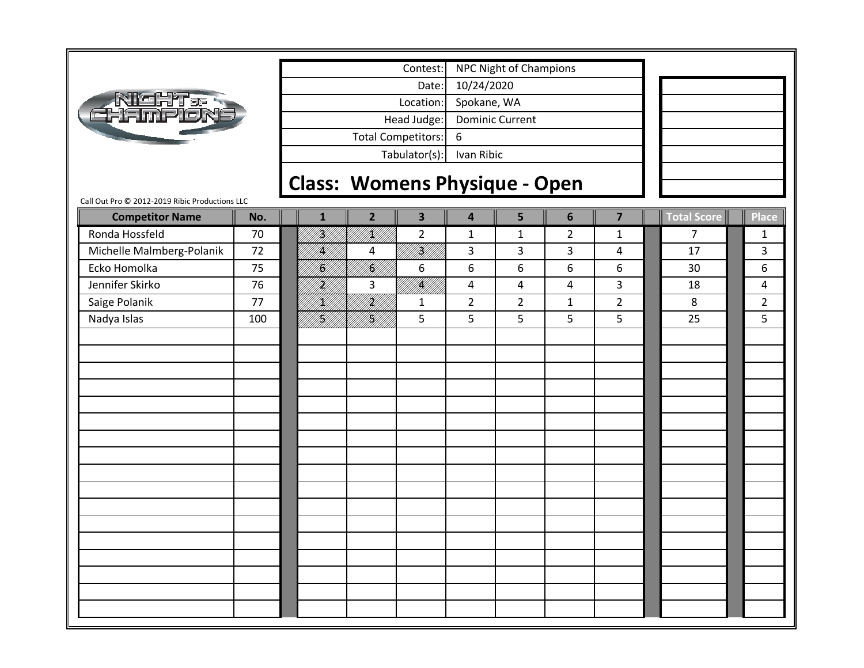

Tabulator(s): Ivan Ribic Head Judge: Dominic Current Total Competitors: 6 Date: 10/24/2020 Location: Spokane, WA Contest: NPC Night of Champions

## **Class: Womens Physique ‐ Open**

| <b>Competitor Name</b>    | No. | $\mathbf{1}$ | $\overline{2}$ | $\overline{\mathbf{3}}$ | $\overline{\mathbf{4}}$ | 5                | $\boldsymbol{6}$ | $\overline{\mathbf{z}}$ | <b>Total Score</b> | Place          |
|---------------------------|-----|--------------|----------------|-------------------------|-------------------------|------------------|------------------|-------------------------|--------------------|----------------|
| Ronda Hossfeld            | 70  | THT.         | IKU<br>MU      | $\overline{2}$          | $\mathbf 1$             | $\mathbf{1}$     | $\overline{2}$   | $\mathbf{1}$            | $\overline{7}$     | $\mathbf{1}$   |
| Michelle Malmberg-Polanik | 72  | K  <br> }}   | 4              | III<br>Mil              | 3                       | $\overline{3}$   | $\overline{3}$   | $\overline{4}$          | 17                 | 3              |
| Ecko Homolka              | 75  | H)<br>M/     | III<br>M       | $\boldsymbol{6}$        | 6                       | $\boldsymbol{6}$ | $\boldsymbol{6}$ | $\boldsymbol{6}$        | 30                 | 6              |
| Jennifer Skirko           | 76  | H).          | 3              | <br>  <br> }            | $\pmb{4}$               | $\overline{a}$   | $\pmb{4}$        | $\overline{3}$          | 18                 | 4              |
| Saige Polanik             | 77  | K)           | FA<br>Ma       | $\mathbf{1}$            | $\overline{2}$          | $\overline{2}$   | $\mathbf 1$      | $\overline{2}$          | 8                  | $\overline{2}$ |
| Nadya Islas               | 100 | <br> }<br> } | <br> }<br> }   | 5                       | 5                       | 5                | 5                | 5                       | 25                 | 5              |
|                           |     |              |                |                         |                         |                  |                  |                         |                    |                |
|                           |     |              |                |                         |                         |                  |                  |                         |                    |                |
|                           |     |              |                |                         |                         |                  |                  |                         |                    |                |
|                           |     |              |                |                         |                         |                  |                  |                         |                    |                |
|                           |     |              |                |                         |                         |                  |                  |                         |                    |                |
|                           |     |              |                |                         |                         |                  |                  |                         |                    |                |
|                           |     |              |                |                         |                         |                  |                  |                         |                    |                |
|                           |     |              |                |                         |                         |                  |                  |                         |                    |                |
|                           |     |              |                |                         |                         |                  |                  |                         |                    |                |
|                           |     |              |                |                         |                         |                  |                  |                         |                    |                |
|                           |     |              |                |                         |                         |                  |                  |                         |                    |                |
|                           |     |              |                |                         |                         |                  |                  |                         |                    |                |
|                           |     |              |                |                         |                         |                  |                  |                         |                    |                |
|                           |     |              |                |                         |                         |                  |                  |                         |                    |                |
|                           |     |              |                |                         |                         |                  |                  |                         |                    |                |
|                           |     |              |                |                         |                         |                  |                  |                         |                    |                |
|                           |     |              |                |                         |                         |                  |                  |                         |                    |                |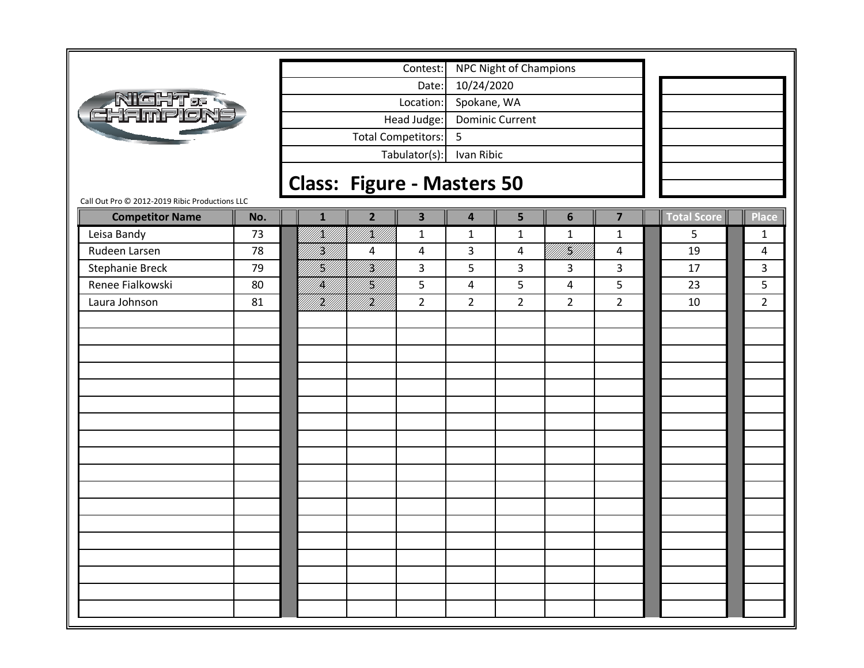|                                                                                 |              | Contest:                                  |                                             |                                  |                         |             |                |
|---------------------------------------------------------------------------------|--------------|-------------------------------------------|---------------------------------------------|----------------------------------|-------------------------|-------------|----------------|
|                                                                                 |              | Date:                                     | <b>NPC Night of Champions</b><br>10/24/2020 |                                  |                         |             |                |
|                                                                                 |              | Location:                                 | Spokane, WA                                 |                                  |                         |             |                |
| <b>NIGHT&amp;R</b><br>CHAMPLON                                                  |              | Head Judge:                               | <b>Dominic Current</b>                      |                                  |                         |             |                |
|                                                                                 |              | Total Competitors:                        | 5                                           |                                  |                         |             |                |
|                                                                                 |              | Tabulator(s):                             | Ivan Ribic                                  |                                  |                         |             |                |
|                                                                                 |              |                                           |                                             |                                  |                         |             |                |
|                                                                                 |              | <b>Class: Figure - Masters 50</b>         |                                             |                                  |                         |             |                |
| Call Out Pro @ 2012-2019 Ribic Productions LLC<br>No.<br><b>Competitor Name</b> | $\mathbf{1}$ | $\overline{\mathbf{3}}$<br>$\overline{2}$ | 4                                           | 5<br>$6\phantom{1}$              | $\overline{\mathbf{z}}$ | Total Score | $\ $ Place     |
| Leisa Bandy<br>73                                                               | !X///        | <br> K  <br>$\mathbf{1}$                  | $\mathbf{1}$                                | $\mathbf{1}$<br>$\mathbf{1}$     | $\mathbf{1}$            | 5           | $\mathbf{1}$   |
| Rudeen Larsen<br>78                                                             | H)<br>M      | 4<br>4                                    | 3                                           | i kildelle<br>Politika<br>4      | $\overline{4}$          | 19          | 4              |
| <b>Stephanie Breck</b><br>79                                                    | H)<br>M      | fikt f<br>3                               | 5                                           | 3<br>3                           | 3                       | 17          | 3              |
| Renee Fialkowski<br>80                                                          | IĶ)          | H)<br>5                                   | $\overline{\mathbf{4}}$                     | 5<br>4                           | $5\phantom{.}$          | 23          | 5              |
| Laura Johnson<br>81                                                             | H)]<br>UM    | .<br>Mil<br>$\overline{2}$                | $\overline{2}$                              | $\overline{2}$<br>$\overline{2}$ | $\overline{2}$          | 10          | $\overline{2}$ |
|                                                                                 |              |                                           |                                             |                                  |                         |             |                |
|                                                                                 |              |                                           |                                             |                                  |                         |             |                |
|                                                                                 |              |                                           |                                             |                                  |                         |             |                |
|                                                                                 |              |                                           |                                             |                                  |                         |             |                |
|                                                                                 |              |                                           |                                             |                                  |                         |             |                |
|                                                                                 |              |                                           |                                             |                                  |                         |             |                |
|                                                                                 |              |                                           |                                             |                                  |                         |             |                |
|                                                                                 |              |                                           |                                             |                                  |                         |             |                |
|                                                                                 |              |                                           |                                             |                                  |                         |             |                |
|                                                                                 |              |                                           |                                             |                                  |                         |             |                |
|                                                                                 |              |                                           |                                             |                                  |                         |             |                |
|                                                                                 |              |                                           |                                             |                                  |                         |             |                |
|                                                                                 |              |                                           |                                             |                                  |                         |             |                |
|                                                                                 |              |                                           |                                             |                                  |                         |             |                |
|                                                                                 |              |                                           |                                             |                                  |                         |             |                |
|                                                                                 |              |                                           |                                             |                                  |                         |             |                |
|                                                                                 |              |                                           |                                             |                                  |                         |             |                |
|                                                                                 |              |                                           |                                             |                                  |                         |             |                |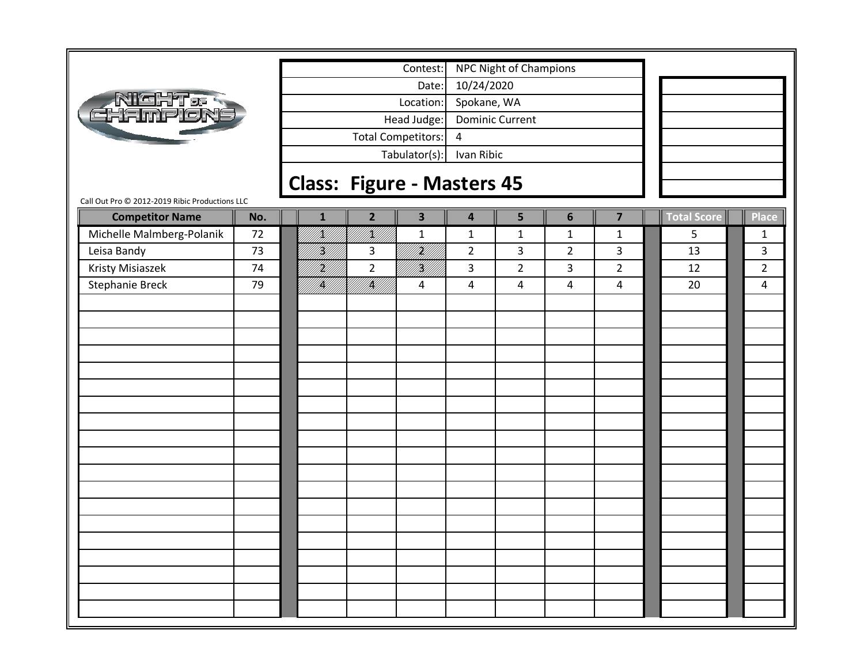|                                                | <b>NPC Night of Champions</b><br>Contest: |                           |                 |                         |                         |                |                |                         |             |                |
|------------------------------------------------|-------------------------------------------|---------------------------|-----------------|-------------------------|-------------------------|----------------|----------------|-------------------------|-------------|----------------|
|                                                |                                           |                           |                 | Date:                   | 10/24/2020              |                |                |                         |             |                |
|                                                |                                           |                           | Spokane, WA     |                         |                         |                |                |                         |             |                |
| <b>NEHT&amp;</b>                               | Location:<br>Head Judge:                  |                           |                 | <b>Dominic Current</b>  |                         |                |                |                         |             |                |
|                                                |                                           | <b>Total Competitors:</b> | 4               |                         |                         |                |                |                         |             |                |
|                                                |                                           |                           | Ivan Ribic      |                         |                         |                |                |                         |             |                |
|                                                | Tabulator(s):                             |                           |                 |                         |                         |                |                |                         |             |                |
| Call Out Pro @ 2012-2019 Ribic Productions LLC | <b>Class: Figure - Masters 45</b>         |                           |                 |                         |                         |                |                |                         |             |                |
| <b>Competitor Name</b>                         | No.                                       | 1                         | $\overline{2}$  | $\overline{\mathbf{3}}$ | 4                       | 5              | $6\phantom{1}$ | $\overline{\mathbf{z}}$ | Total Score | $\ $ Place     |
| Michelle Malmberg-Polanik                      | 72                                        | <u>K</u> UT               | K]]             | $\mathbf{1}$            | $\mathbf{1}$            | $\mathbf{1}$   | $\mathbf{1}$   | $\mathbf{1}$            | 5           | $\mathbf{1}$   |
| Leisa Bandy                                    | 73                                        | H)<br>M                   | 3               | irid<br>Ma              | $\overline{2}$          | 3              | $\overline{2}$ | $\overline{\mathbf{3}}$ | 13          | $\overline{3}$ |
| Kristy Misiaszek                               | 74                                        | H)<br>M/I                 | $\overline{2}$  | <br> W                  | 3                       | $\overline{2}$ | 3              | $2^{\circ}$             | 12          | $\overline{2}$ |
| <b>Stephanie Breck</b>                         | 79                                        | <b>  </b><br> }           | <b>  </b><br> } | 4                       | $\overline{\mathbf{4}}$ | $\overline{4}$ | 4              | $\overline{4}$          | 20          | 4              |
|                                                |                                           |                           |                 |                         |                         |                |                |                         |             |                |
|                                                |                                           |                           |                 |                         |                         |                |                |                         |             |                |
|                                                |                                           |                           |                 |                         |                         |                |                |                         |             |                |
|                                                |                                           |                           |                 |                         |                         |                |                |                         |             |                |
|                                                |                                           |                           |                 |                         |                         |                |                |                         |             |                |
|                                                |                                           |                           |                 |                         |                         |                |                |                         |             |                |
|                                                |                                           |                           |                 |                         |                         |                |                |                         |             |                |
|                                                |                                           |                           |                 |                         |                         |                |                |                         |             |                |
|                                                |                                           |                           |                 |                         |                         |                |                |                         |             |                |
|                                                |                                           |                           |                 |                         |                         |                |                |                         |             |                |
|                                                |                                           |                           |                 |                         |                         |                |                |                         |             |                |
|                                                |                                           |                           |                 |                         |                         |                |                |                         |             |                |
|                                                |                                           |                           |                 |                         |                         |                |                |                         |             |                |
|                                                |                                           |                           |                 |                         |                         |                |                |                         |             |                |
|                                                |                                           |                           |                 |                         |                         |                |                |                         |             |                |
|                                                |                                           |                           |                 |                         |                         |                |                |                         |             |                |
|                                                |                                           |                           |                 |                         |                         |                |                |                         |             |                |
|                                                |                                           |                           |                 |                         |                         |                |                |                         |             |                |
|                                                |                                           |                           |                 |                         |                         |                |                |                         |             |                |
|                                                |                                           |                           |                 |                         |                         |                |                |                         |             |                |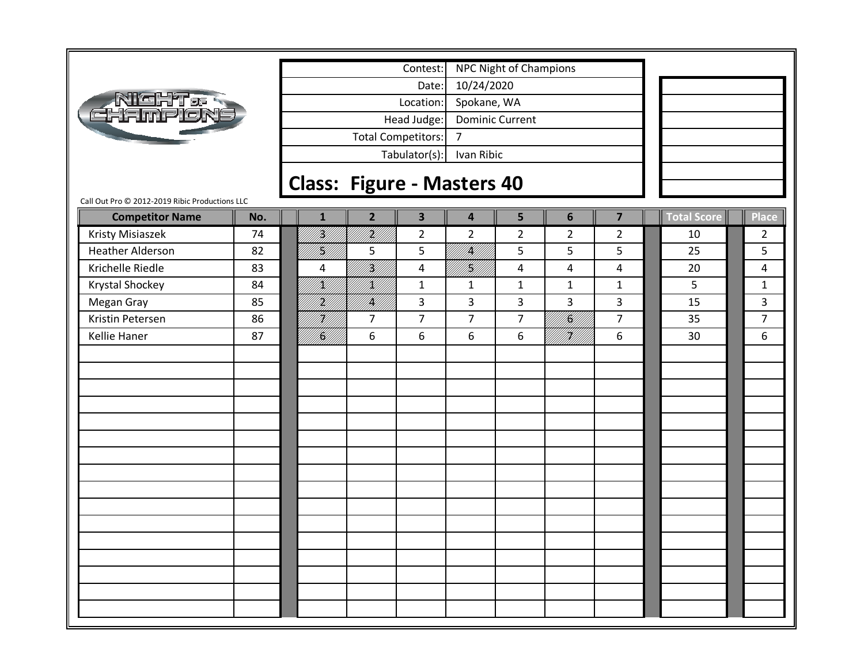| đ۴<br><b>Innie Ke</b> l                        |     |
|------------------------------------------------|-----|
|                                                | Cla |
| Call Out Pro @ 2012-2019 Ribic Productions LLC |     |

Г

Tabulator(s): Ivan Ribic Head Judge: Dominic Current Total Competitors: 7 Date: 10/24/2020 Location: Spokane, WA Contest: NPC Night of Champions

# **Class: Figure ‐ Masters 40**

| <b>Competitor Name</b>  | No. | ${\bf 1}$     | $\overline{2}$ | $\overline{\mathbf{3}}$ | $\overline{\mathbf{4}}$ | 5               | $\boldsymbol{6}$        | $\overline{\mathbf{z}}$ | Total Score | <b>Place</b>   |
|-------------------------|-----|---------------|----------------|-------------------------|-------------------------|-----------------|-------------------------|-------------------------|-------------|----------------|
| Kristy Misiaszek        | 74  | H)<br>H)      | I<br>Mil       | $\overline{2}$          | $\overline{2}$          | $\overline{2}$  | $\overline{2}$          | $\overline{2}$          | 10          | $\overline{2}$ |
| <b>Heather Alderson</b> | 82  | U<br>  <br> } | 5              | 5                       | UKU)<br>UML             | $5\phantom{.0}$ | 5                       | 5                       | 25          | 5              |
| Krichelle Riedle        | 83  | 4             | iri<br>Mil     | $\overline{\mathbf{4}}$ | fil<br>Mi               | $\overline{a}$  | $\overline{\mathbf{4}}$ | $\overline{4}$          | 20          | 4              |
| Krystal Shockey         | 84  | K)            | <br> <br> }    | $\mathbf 1$             | $\mathbf 1$             | $\mathbf 1$     | $\mathbf 1$             | $\mathbf{1}$            | 5           | $\mathbf{1}$   |
| Megan Gray              | 85  | H)<br>M       | /K//           | $\overline{\mathbf{3}}$ | $\overline{3}$          | $\overline{3}$  | 3                       | $\overline{3}$          | 15          | 3              |
| Kristin Petersen        | 86  | H)]<br>M]]    | $\overline{7}$ | $\overline{7}$          | $\overline{7}$          | $\overline{7}$  | NAN<br>Kanal            | $\overline{7}$          | 35          | $\overline{7}$ |
| Kellie Haner            | 87  | fi fill f     | 6              | 6                       | 6                       | $\,6\,$         | FK////<br>M//////       | 6                       | 30          | 6              |
|                         |     |               |                |                         |                         |                 |                         |                         |             |                |
|                         |     |               |                |                         |                         |                 |                         |                         |             |                |
|                         |     |               |                |                         |                         |                 |                         |                         |             |                |
|                         |     |               |                |                         |                         |                 |                         |                         |             |                |
|                         |     |               |                |                         |                         |                 |                         |                         |             |                |
|                         |     |               |                |                         |                         |                 |                         |                         |             |                |
|                         |     |               |                |                         |                         |                 |                         |                         |             |                |
|                         |     |               |                |                         |                         |                 |                         |                         |             |                |
|                         |     |               |                |                         |                         |                 |                         |                         |             |                |
|                         |     |               |                |                         |                         |                 |                         |                         |             |                |
|                         |     |               |                |                         |                         |                 |                         |                         |             |                |
|                         |     |               |                |                         |                         |                 |                         |                         |             |                |
|                         |     |               |                |                         |                         |                 |                         |                         |             |                |
|                         |     |               |                |                         |                         |                 |                         |                         |             |                |
|                         |     |               |                |                         |                         |                 |                         |                         |             |                |
|                         |     |               |                |                         |                         |                 |                         |                         |             |                |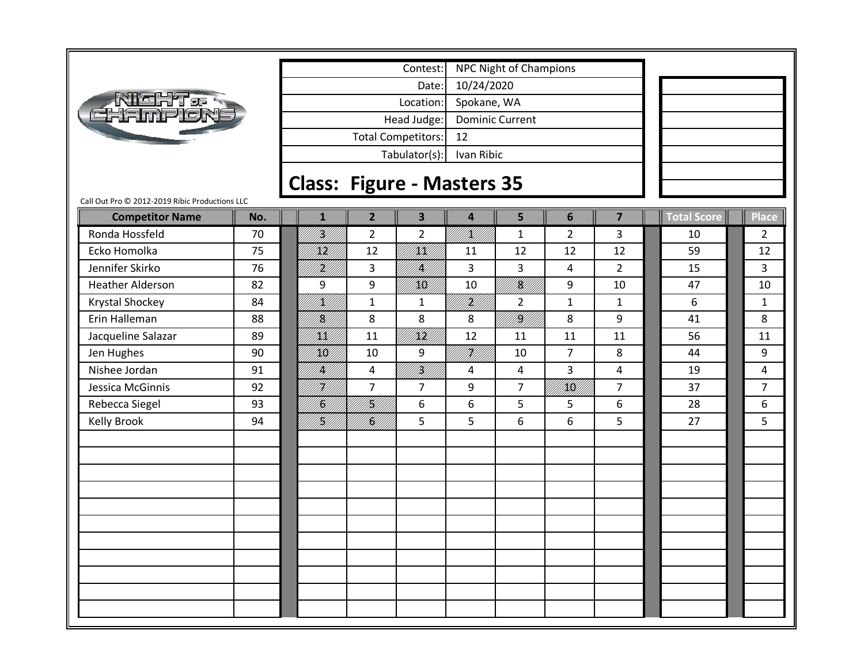

Tabulator(s): Ivan Ribic Head Judge: Dominic Current Total Competitors: 12 Date: 10/24/2020 Location: Spokane, WA Contest: NPC Night of Champions

# **Class: Figure ‐ Masters 35**

Call Out Pro © 2012‐2019 Ribic Productions LLC

| <b>Competitor Name</b> | No. | $\mathbf{1}$ | $\overline{2}$ | $\overline{\mathbf{3}}$ | 4            | 5              | $6\phantom{1}6$ | $\overline{\mathbf{z}}$ | <b>Total Score</b> | Place          |
|------------------------|-----|--------------|----------------|-------------------------|--------------|----------------|-----------------|-------------------------|--------------------|----------------|
| Ronda Hossfeld         | 70  | H)<br>M      | $\overline{2}$ | $\overline{2}$          | N.<br>M      | $\mathbf{1}$   | $\overline{2}$  | 3                       | 10                 | $\overline{2}$ |
| Ecko Homolka           | 75  | /KH)         | 12             |                         | 11           | 12             | 12              | 12                      | 59                 | 12             |
| Jennifer Skirko        | 76  | H)<br>M      | 3              | W.                      | 3            | 3              | 4               | $2^{\circ}$             | 15                 | 3              |
| Heather Alderson       | 82  | 9            | 9              | / <b>////</b>           | 10           | TKU)           | 9               | 10                      | 47                 | 10             |
| Krystal Shockey        | 84  | fill f       | $\mathbf{1}$   | $\mathbf{1}$            | }<br> }      | $\overline{2}$ | $\mathbf{1}$    | $\mathbf{1}$            | 6                  | $\mathbf{1}$   |
| Erin Halleman          | 88  | fil<br>Si    | 8              | 8                       | 8            | fikt f         | 8               | 9                       | 41                 | 8              |
| Jacqueline Salazar     | 89  | <br> XIX]    | 11             |                         | 12           | 11             | 11              | 11                      | 56                 | 11             |
| Jen Hughes             | 90  | KK/          | 10             | 9                       | U <b>K</b> U | 10             | $\overline{7}$  | 8                       | 44                 | 9              |
| Nishee Jordan          | 91  | IKU)         | 4              | <br> }<br> }            | 4            | 4              | 3               | 4                       | 19                 | 4              |
| Jessica McGinnis       | 92  | HI           | $\overline{7}$ | $\overline{7}$          | 9            | $\overline{7}$ | /KK//           | $\overline{7}$          | 37                 | $\overline{7}$ |
| Rebecca Siegel         | 93  | fill<br>Hist | <br> }         | 6                       | 6            | 5              | 5               | 6                       | 28                 | 6              |
| <b>Kelly Brook</b>     | 94  | <br> }<br> } | KH 1           | 5                       | 5            | 6              | 6               | 5                       | 27                 | 5              |
|                        |     |              |                |                         |              |                |                 |                         |                    |                |
|                        |     |              |                |                         |              |                |                 |                         |                    |                |
|                        |     |              |                |                         |              |                |                 |                         |                    |                |
|                        |     |              |                |                         |              |                |                 |                         |                    |                |
|                        |     |              |                |                         |              |                |                 |                         |                    |                |
|                        |     |              |                |                         |              |                |                 |                         |                    |                |
|                        |     |              |                |                         |              |                |                 |                         |                    |                |
|                        |     |              |                |                         |              |                |                 |                         |                    |                |
|                        |     |              |                |                         |              |                |                 |                         |                    |                |
|                        |     |              |                |                         |              |                |                 |                         |                    |                |
|                        |     |              |                |                         |              |                |                 |                         |                    |                |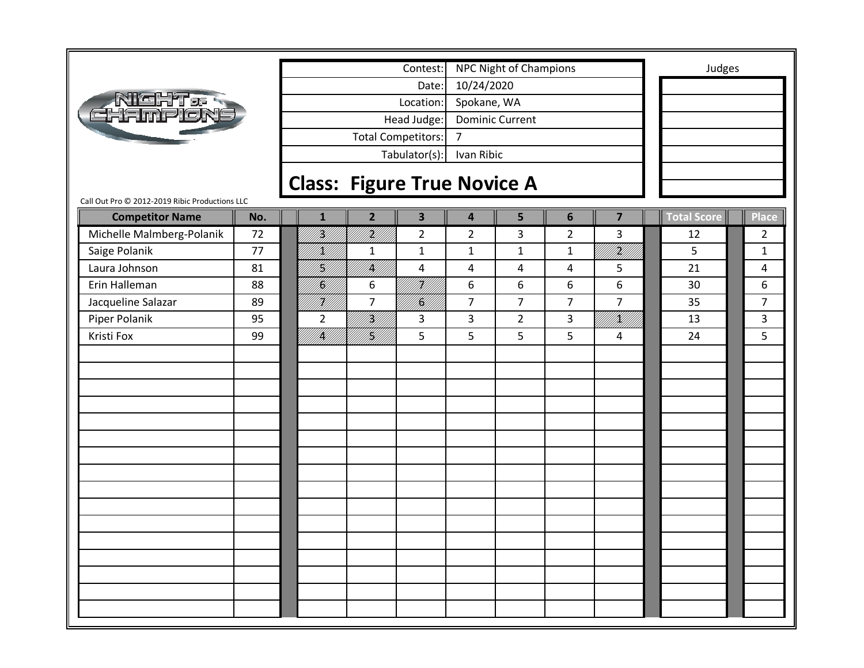|                                                |     |                                    |                | Contest:                  |                | <b>NPC Night of Champions</b> |                |                         | Judges      |                |
|------------------------------------------------|-----|------------------------------------|----------------|---------------------------|----------------|-------------------------------|----------------|-------------------------|-------------|----------------|
|                                                |     |                                    |                | Date:                     | 10/24/2020     |                               |                |                         |             |                |
| <b>AIGHT.<br/>CHAMPLON</b>                     |     |                                    |                | Location:                 | Spokane, WA    |                               |                |                         |             |                |
|                                                |     |                                    |                | Head Judge:               |                | <b>Dominic Current</b>        |                |                         |             |                |
|                                                |     |                                    |                | <b>Total Competitors:</b> | $\overline{7}$ |                               |                |                         |             |                |
|                                                |     |                                    |                | Tabulator(s):             | Ivan Ribic     |                               |                |                         |             |                |
|                                                |     | <b>Class: Figure True Novice A</b> |                |                           |                |                               |                |                         |             |                |
| Call Out Pro @ 2012-2019 Ribic Productions LLC |     |                                    |                |                           |                |                               |                |                         |             |                |
| <b>Competitor Name</b>                         | No. | $\mathbf{1}$                       | $\overline{2}$ | $\overline{\mathbf{3}}$   | 4              | 5                             | 6              | $\overline{\mathbf{z}}$ | Total Score | Place          |
| Michelle Malmberg-Polanik                      | 72  | H)<br>M                            | irid<br>Mill   | $\overline{2}$            | $\overline{2}$ | 3                             | $\overline{2}$ | 3                       | 12          | $\overline{2}$ |
| Saige Polanik                                  | 77  | HM).                               | $\mathbf{1}$   | $\mathbf{1}$              | $\mathbf{1}$   | $\mathbf{1}$                  | $\mathbf{1}$   | UKU U                   | 5           | $\mathbf{1}$   |
| Laura Johnson                                  | 81  | H)<br>M/I                          | <br> }         | 4                         | 4              | 4                             | 4              | 5                       | 21          | 4              |
| Erin Halleman                                  | 88  | K)                                 | 6              | iri<br>Mil                | 6              | 6                             | 6              | 6                       | 30          | 6              |
| Jacqueline Salazar                             | 89  | H)<br>M/                           | $\overline{7}$ | <br>  <b> S</b>           | $\overline{7}$ | $\overline{7}$                | $\overline{7}$ | $\overline{7}$          | 35          | $\overline{7}$ |
| Piper Polanik                                  | 95  | $\overline{2}$                     | <br> }<br> }   | 3                         | 3              | $\overline{2}$                | 3              | <br>  X                 | 13          | 3              |
| Kristi Fox                                     | 99  | <br> }<br> }                       | NKU)<br>PAUT   | 5                         | 5              | 5                             | 5              | 4                       | 24          | 5              |
|                                                |     |                                    |                |                           |                |                               |                |                         |             |                |
|                                                |     |                                    |                |                           |                |                               |                |                         |             |                |
|                                                |     |                                    |                |                           |                |                               |                |                         |             |                |
|                                                |     |                                    |                |                           |                |                               |                |                         |             |                |
|                                                |     |                                    |                |                           |                |                               |                |                         |             |                |
|                                                |     |                                    |                |                           |                |                               |                |                         |             |                |
|                                                |     |                                    |                |                           |                |                               |                |                         |             |                |
|                                                |     |                                    |                |                           |                |                               |                |                         |             |                |
|                                                |     |                                    |                |                           |                |                               |                |                         |             |                |
|                                                |     |                                    |                |                           |                |                               |                |                         |             |                |
|                                                |     |                                    |                |                           |                |                               |                |                         |             |                |
|                                                |     |                                    |                |                           |                |                               |                |                         |             |                |
|                                                |     |                                    |                |                           |                |                               |                |                         |             |                |
|                                                |     |                                    |                |                           |                |                               |                |                         |             |                |
|                                                |     |                                    |                |                           |                |                               |                |                         |             |                |
|                                                |     |                                    |                |                           |                |                               |                |                         |             |                |
|                                                |     |                                    |                |                           |                |                               |                |                         |             |                |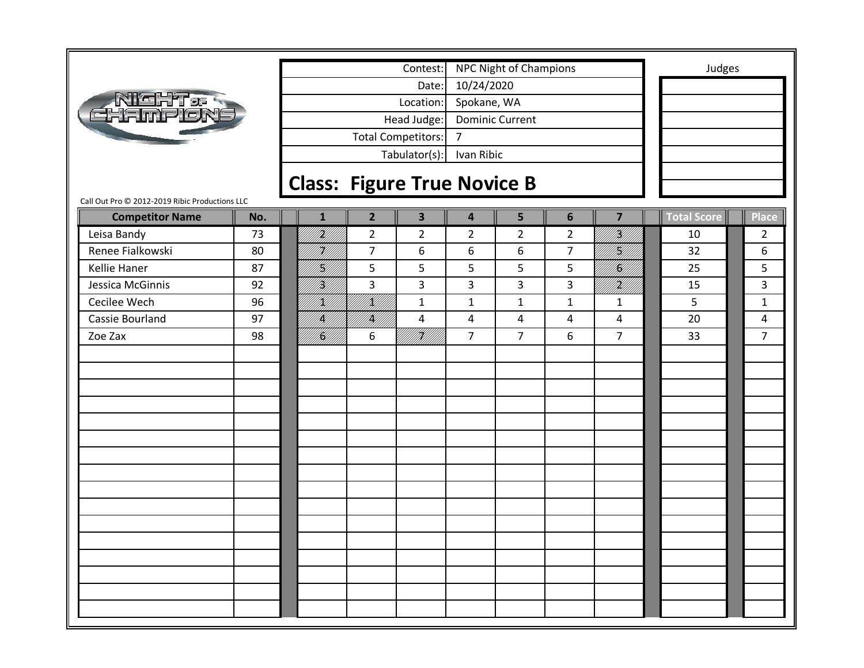|                                                |     |                 |                | Contest:                           |                         | <b>NPC Night of Champions</b> |                 |                         | Judges             |                |
|------------------------------------------------|-----|-----------------|----------------|------------------------------------|-------------------------|-------------------------------|-----------------|-------------------------|--------------------|----------------|
|                                                |     |                 |                | Date:                              | 10/24/2020              |                               |                 |                         |                    |                |
| NIGHT 06                                       |     |                 |                | Location:                          | Spokane, WA             |                               |                 |                         |                    |                |
|                                                |     |                 |                | Head Judge:                        |                         | <b>Dominic Current</b>        |                 |                         |                    |                |
|                                                |     |                 |                | <b>Total Competitors:</b>          | $\overline{7}$          |                               |                 |                         |                    |                |
|                                                |     |                 |                | Tabulator(s):                      | Ivan Ribic              |                               |                 |                         |                    |                |
|                                                |     |                 |                | <b>Class: Figure True Novice B</b> |                         |                               |                 |                         |                    |                |
| Call Out Pro © 2012-2019 Ribic Productions LLC |     |                 |                |                                    |                         |                               |                 |                         |                    |                |
| <b>Competitor Name</b>                         | No. | $\mathbf{1}$    | $\overline{2}$ | $\overline{\mathbf{3}}$            | $\overline{\mathbf{4}}$ | 5                             | $6\phantom{1}6$ | $\overline{\mathbf{z}}$ | <b>Total Score</b> | Place          |
| Leisa Bandy                                    | 73  | iri<br>Milli    | $\overline{2}$ | $\overline{2}$                     | $\overline{2}$          | $\overline{2}$                | $\overline{2}$  | <br> }                  | 10                 | $\overline{2}$ |
| Renee Fialkowski                               | 80  | H)<br>M/l       | $\overline{7}$ | 6                                  | 6                       | 6                             | $\overline{7}$  | engel<br>Paliti         | 32                 | 6              |
| Kellie Haner                                   | 87  | K               | 5              | 5                                  | 5                       | 5                             | 5               | <br>  <b> S</b>         | 25                 | 5              |
| Jessica McGinnis                               | 92  | <br> W          | 3              | 3                                  | 3                       | 3                             | 3               | }<br> }                 | 15                 | 3              |
| Cecilee Wech                                   | 96  | /K//            | /K//           | $\mathbf{1}$                       | $\mathbf{1}$            | $\mathbf{1}$                  | $\mathbf{1}$    | $\mathbf{1}$            | 5                  | $\mathbf{1}$   |
| Cassie Bourland                                | 97  | IĶI             | <br> }<br> }   | 4                                  | 4                       | 4                             | 4               | 4                       | 20                 | 4              |
| Zoe Zax                                        | 98  | NKU //<br>PALLI | 6              | TK///<br>M/////                    | $\overline{7}$          | $\overline{7}$                | 6               | $\overline{7}$          | 33                 | $\overline{7}$ |
|                                                |     |                 |                |                                    |                         |                               |                 |                         |                    |                |
|                                                |     |                 |                |                                    |                         |                               |                 |                         |                    |                |
|                                                |     |                 |                |                                    |                         |                               |                 |                         |                    |                |
|                                                |     |                 |                |                                    |                         |                               |                 |                         |                    |                |
|                                                |     |                 |                |                                    |                         |                               |                 |                         |                    |                |
|                                                |     |                 |                |                                    |                         |                               |                 |                         |                    |                |
|                                                |     |                 |                |                                    |                         |                               |                 |                         |                    |                |
|                                                |     |                 |                |                                    |                         |                               |                 |                         |                    |                |
|                                                |     |                 |                |                                    |                         |                               |                 |                         |                    |                |
|                                                |     |                 |                |                                    |                         |                               |                 |                         |                    |                |
|                                                |     |                 |                |                                    |                         |                               |                 |                         |                    |                |
|                                                |     |                 |                |                                    |                         |                               |                 |                         |                    |                |
|                                                |     |                 |                |                                    |                         |                               |                 |                         |                    |                |
|                                                |     |                 |                |                                    |                         |                               |                 |                         |                    |                |
|                                                |     |                 |                |                                    |                         |                               |                 |                         |                    |                |
|                                                |     |                 |                |                                    |                         |                               |                 |                         |                    |                |
|                                                |     |                 |                |                                    |                         |                               |                 |                         |                    |                |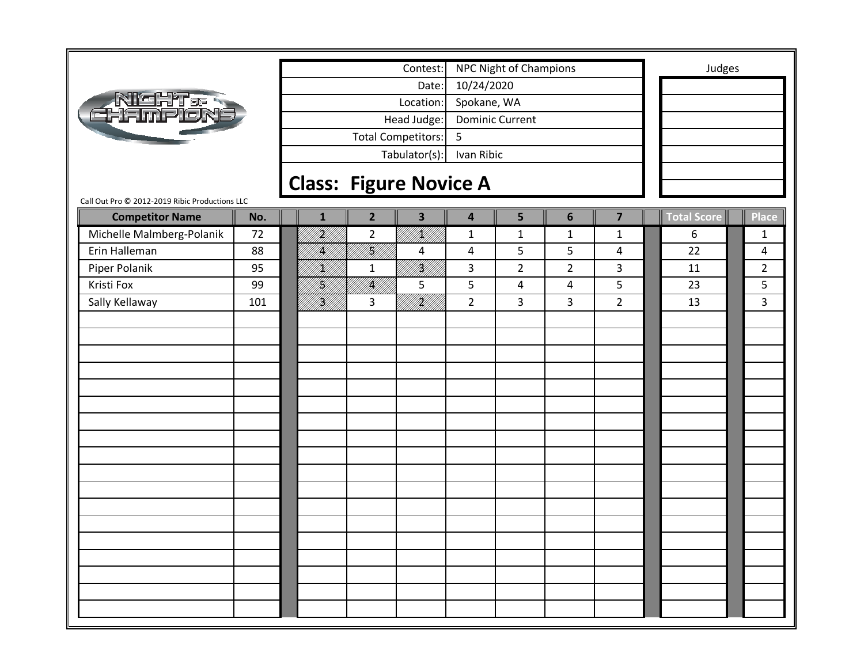|                                                |     |              |                   | Contest:                      |                         | <b>NPC Night of Champions</b> |                |                         | Judges             |                |
|------------------------------------------------|-----|--------------|-------------------|-------------------------------|-------------------------|-------------------------------|----------------|-------------------------|--------------------|----------------|
|                                                |     |              |                   | Date:                         | 10/24/2020              |                               |                |                         |                    |                |
|                                                |     |              |                   | Location:                     | Spokane, WA             |                               |                |                         |                    |                |
| Night <i>e</i><br>Hampion                      |     |              |                   | Head Judge:                   |                         | <b>Dominic Current</b>        |                |                         |                    |                |
|                                                |     |              |                   | <b>Total Competitors:</b>     | 5                       |                               |                |                         |                    |                |
|                                                |     |              |                   |                               | Ivan Ribic              |                               |                |                         |                    |                |
|                                                |     |              |                   | Tabulator(s):                 |                         |                               |                |                         |                    |                |
|                                                |     |              |                   | <b>Class: Figure Novice A</b> |                         |                               |                |                         |                    |                |
| Call Out Pro @ 2012-2019 Ribic Productions LLC |     |              |                   |                               |                         |                               |                |                         |                    |                |
| <b>Competitor Name</b>                         | No. | $\mathbf{1}$ | $\overline{2}$    | $\overline{\mathbf{3}}$       | $\overline{\mathbf{4}}$ | 5                             | 6              | $\overline{\mathbf{z}}$ | <b>Total Score</b> | <b>Place</b>   |
| Michelle Malmberg-Polanik                      | 72  | irid<br>Mill | $\overline{2}$    | VKU)                          | $\mathbf 1$             | $\mathbf{1}$                  | $\mathbf{1}$   | $\mathbf{1}$            | 6                  | 1              |
| Erin Halleman                                  | 88  | IĶ)          | 4 <br> } <b>}</b> | 4                             | $\overline{4}$          | 5                             | 5              | 4                       | 22                 | 4              |
| Piper Polanik                                  | 95  | /K//         | $\mathbf{1}$      | <br> }<br> }                  | 3                       | $\overline{2}$                | $\overline{2}$ | 3                       | 11                 | $\overline{2}$ |
| Kristi Fox                                     | 99  | H)<br>M/     | <br> }            | 5                             | 5                       | 4                             | 4              | 5                       | 23                 | 5              |
| Sally Kellaway                                 | 101 | <br> W       | 3                 | irildi<br>Milli               | $\overline{2}$          | 3                             | 3              | $\overline{2}$          | 13                 | 3              |
|                                                |     |              |                   |                               |                         |                               |                |                         |                    |                |
|                                                |     |              |                   |                               |                         |                               |                |                         |                    |                |
|                                                |     |              |                   |                               |                         |                               |                |                         |                    |                |
|                                                |     |              |                   |                               |                         |                               |                |                         |                    |                |
|                                                |     |              |                   |                               |                         |                               |                |                         |                    |                |
|                                                |     |              |                   |                               |                         |                               |                |                         |                    |                |
|                                                |     |              |                   |                               |                         |                               |                |                         |                    |                |
|                                                |     |              |                   |                               |                         |                               |                |                         |                    |                |
|                                                |     |              |                   |                               |                         |                               |                |                         |                    |                |
|                                                |     |              |                   |                               |                         |                               |                |                         |                    |                |
|                                                |     |              |                   |                               |                         |                               |                |                         |                    |                |
|                                                |     |              |                   |                               |                         |                               |                |                         |                    |                |
|                                                |     |              |                   |                               |                         |                               |                |                         |                    |                |
|                                                |     |              |                   |                               |                         |                               |                |                         |                    |                |
|                                                |     |              |                   |                               |                         |                               |                |                         |                    |                |
|                                                |     |              |                   |                               |                         |                               |                |                         |                    |                |
|                                                |     |              |                   |                               |                         |                               |                |                         |                    |                |
|                                                |     |              |                   |                               |                         |                               |                |                         |                    |                |
|                                                |     |              |                   |                               |                         |                               |                |                         |                    |                |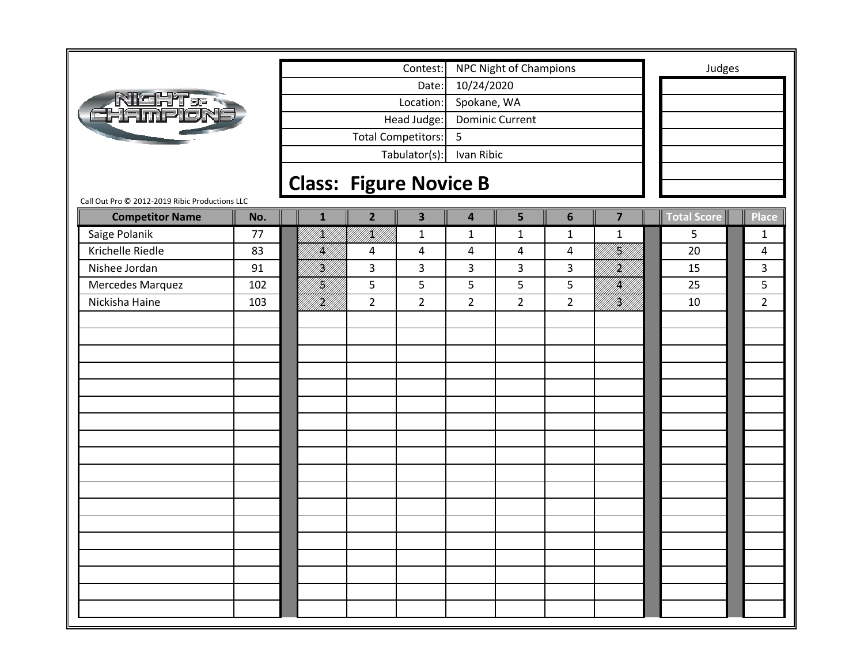|                                                |     |              |                | Contest:                      |                         | <b>NPC Night of Champions</b> |                |                              |             | Judges         |
|------------------------------------------------|-----|--------------|----------------|-------------------------------|-------------------------|-------------------------------|----------------|------------------------------|-------------|----------------|
|                                                |     |              |                | Date:                         | 10/24/2020              |                               |                |                              |             |                |
| NICHT & R<br>FL-IMPICN                         |     |              |                | Location:                     | Spokane, WA             |                               |                |                              |             |                |
|                                                |     |              |                | Head Judge:                   |                         | <b>Dominic Current</b>        |                |                              |             |                |
|                                                |     |              |                | Total Competitors:            | 5                       |                               |                |                              |             |                |
|                                                |     |              |                | Tabulator(s):                 | Ivan Ribic              |                               |                |                              |             |                |
|                                                |     |              |                |                               |                         |                               |                |                              |             |                |
| Call Out Pro @ 2012-2019 Ribic Productions LLC |     |              |                | <b>Class: Figure Novice B</b> |                         |                               |                |                              |             |                |
| <b>Competitor Name</b>                         | No. | $\mathbf{1}$ | $\overline{2}$ | $\overline{\mathbf{3}}$       | $\overline{\mathbf{4}}$ | 5                             | $6\phantom{1}$ | $\overline{\mathbf{z}}$      | Total Score | <b>Place</b>   |
| Saige Polanik                                  | 77  | /K//         | UKU)<br>PALLI  | $\mathbf{1}$                  | $\mathbf 1$             | $\mathbf{1}$                  | $\mathbf 1$    | $\mathbf{1}$                 | 5           | 1              |
| Krichelle Riedle                               | 83  | IĶ)          | 4              | 4                             | $\overline{4}$          | 4                             | 4              | erritt (f                    | 20          | 4              |
| Nishee Jordan                                  | 91  | H)<br>M      | 3              | 3                             | 3                       | 3                             | 3              | UKU)                         | 15          | 3              |
| Mercedes Marquez                               | 102 | H]<br> W     | 5              | 5                             | 5                       | 5                             | 5              | UM <b>BA</b><br>UM <b>BA</b> | 25          | 5              |
| Nickisha Haine                                 | 103 | HM)          | $\overline{2}$ | $\overline{2}$                | $\overline{2}$          | $\overline{2}$                | $\overline{2}$ | <b>   </b><br>   <b>  </b>   | 10          | $\overline{2}$ |
|                                                |     |              |                |                               |                         |                               |                |                              |             |                |
|                                                |     |              |                |                               |                         |                               |                |                              |             |                |
|                                                |     |              |                |                               |                         |                               |                |                              |             |                |
|                                                |     |              |                |                               |                         |                               |                |                              |             |                |
|                                                |     |              |                |                               |                         |                               |                |                              |             |                |
|                                                |     |              |                |                               |                         |                               |                |                              |             |                |
|                                                |     |              |                |                               |                         |                               |                |                              |             |                |
|                                                |     |              |                |                               |                         |                               |                |                              |             |                |
|                                                |     |              |                |                               |                         |                               |                |                              |             |                |
|                                                |     |              |                |                               |                         |                               |                |                              |             |                |
|                                                |     |              |                |                               |                         |                               |                |                              |             |                |
|                                                |     |              |                |                               |                         |                               |                |                              |             |                |
|                                                |     |              |                |                               |                         |                               |                |                              |             |                |
|                                                |     |              |                |                               |                         |                               |                |                              |             |                |
|                                                |     |              |                |                               |                         |                               |                |                              |             |                |
|                                                |     |              |                |                               |                         |                               |                |                              |             |                |
|                                                |     |              |                |                               |                         |                               |                |                              |             |                |
|                                                |     |              |                |                               |                         |                               |                |                              |             |                |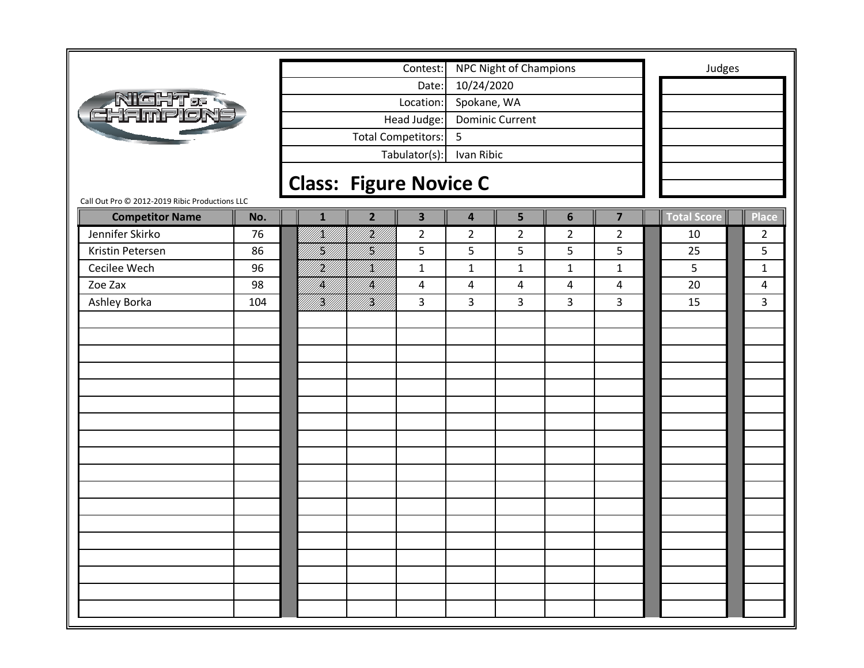|                                                |     |              |                               | Contest:                |                         | <b>NPC Night of Champions</b> |                |                         | Judges      |                |
|------------------------------------------------|-----|--------------|-------------------------------|-------------------------|-------------------------|-------------------------------|----------------|-------------------------|-------------|----------------|
|                                                |     |              |                               | Date:                   | 10/24/2020              |                               |                |                         |             |                |
|                                                |     |              |                               | Location:               | Spokane, WA             |                               |                |                         |             |                |
| Night & S<br>Ehampion                          |     |              |                               | Head Judge:             |                         | <b>Dominic Current</b>        |                |                         |             |                |
|                                                |     |              |                               | Total Competitors:      | 5                       |                               |                |                         |             |                |
|                                                |     |              |                               |                         |                         |                               |                |                         |             |                |
|                                                |     |              |                               | Tabulator(s):           | Ivan Ribic              |                               |                |                         |             |                |
|                                                |     |              | <b>Class: Figure Novice C</b> |                         |                         |                               |                |                         |             |                |
| Call Out Pro @ 2012-2019 Ribic Productions LLC |     |              |                               |                         |                         |                               |                |                         |             |                |
| <b>Competitor Name</b>                         | No. | $\mathbf{1}$ | $\overline{2}$                | $\overline{\mathbf{3}}$ | $\overline{\mathbf{4}}$ | 5                             | 6              | $\overline{\mathbf{z}}$ | Total Score | <b>Place</b>   |
| Jennifer Skirko                                | 76  | /K//         | H<br> }                       | $\overline{a}$          | $\overline{2}$          | $\overline{2}$                | $\overline{2}$ | $\overline{2}$          | 10          | $\overline{2}$ |
| Kristin Petersen                               | 86  | H)           | H<br> }                       | 5                       | 5                       | 5                             | 5              | 5                       | 25          | 5              |
| Cecilee Wech                                   | 96  | H)           | <br> <br> }                   | $\mathbf{1}$            | $\mathbf 1$             | $\mathbf 1$                   | $\mathbf{1}$   | $\mathbf{1}$            | 5           | $\mathbf{1}$   |
| Zoe Zax                                        | 98  | IĶI          | IĶ)                           | 4                       | 4                       | 4                             | 4              | 4                       | 20          | 4              |
| Ashley Borka                                   | 104 | <br> W       | <br> W                        | 3                       | 3                       | 3                             | 3              | 3                       | 15          | 3              |
|                                                |     |              |                               |                         |                         |                               |                |                         |             |                |
|                                                |     |              |                               |                         |                         |                               |                |                         |             |                |
|                                                |     |              |                               |                         |                         |                               |                |                         |             |                |
|                                                |     |              |                               |                         |                         |                               |                |                         |             |                |
|                                                |     |              |                               |                         |                         |                               |                |                         |             |                |
|                                                |     |              |                               |                         |                         |                               |                |                         |             |                |
|                                                |     |              |                               |                         |                         |                               |                |                         |             |                |
|                                                |     |              |                               |                         |                         |                               |                |                         |             |                |
|                                                |     |              |                               |                         |                         |                               |                |                         |             |                |
|                                                |     |              |                               |                         |                         |                               |                |                         |             |                |
|                                                |     |              |                               |                         |                         |                               |                |                         |             |                |
|                                                |     |              |                               |                         |                         |                               |                |                         |             |                |
|                                                |     |              |                               |                         |                         |                               |                |                         |             |                |
|                                                |     |              |                               |                         |                         |                               |                |                         |             |                |
|                                                |     |              |                               |                         |                         |                               |                |                         |             |                |
|                                                |     |              |                               |                         |                         |                               |                |                         |             |                |
|                                                |     |              |                               |                         |                         |                               |                |                         |             |                |
|                                                |     |              |                               |                         |                         |                               |                |                         |             |                |
|                                                |     |              |                               |                         |                         |                               |                |                         |             |                |
|                                                |     |              |                               |                         |                         |                               |                |                         |             |                |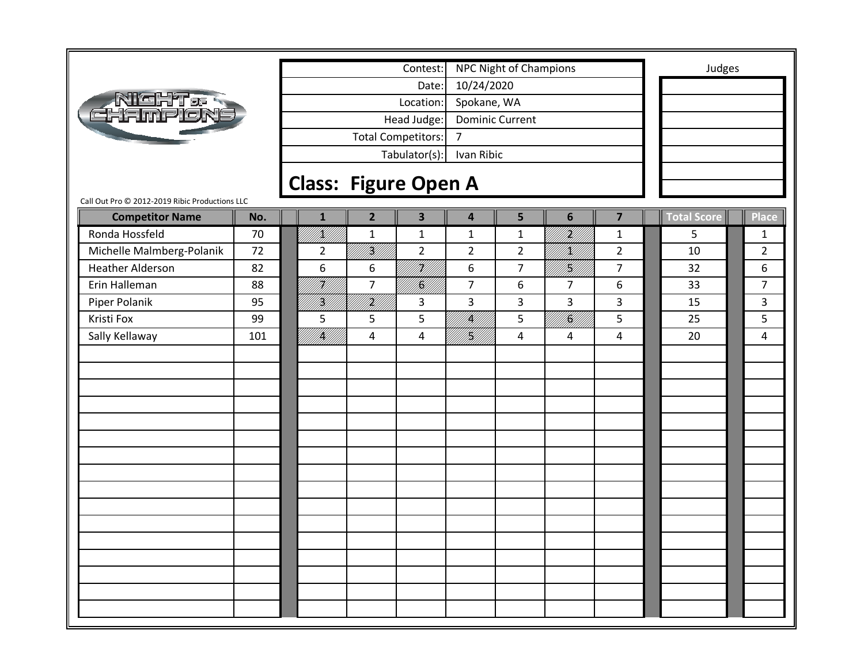|                                                |     |                             |                | Contest:                  |                        | <b>NPC Night of Champions</b> |                         |                         |             | Judges |                |
|------------------------------------------------|-----|-----------------------------|----------------|---------------------------|------------------------|-------------------------------|-------------------------|-------------------------|-------------|--------|----------------|
|                                                |     |                             |                | Date:                     | 10/24/2020             |                               |                         |                         |             |        |                |
| Night.<br>Hampion                              |     |                             |                | Location:                 | Spokane, WA            |                               |                         |                         |             |        |                |
|                                                |     |                             |                | Head Judge:               | <b>Dominic Current</b> |                               |                         |                         |             |        |                |
|                                                |     |                             |                | <b>Total Competitors:</b> | $\overline{7}$         |                               |                         |                         |             |        |                |
|                                                |     |                             |                | Tabulator(s):             | Ivan Ribic             |                               |                         |                         |             |        |                |
|                                                |     |                             |                |                           |                        |                               |                         |                         |             |        |                |
| Call Out Pro @ 2012-2019 Ribic Productions LLC |     | <b>Class: Figure Open A</b> |                |                           |                        |                               |                         |                         |             |        |                |
| <b>Competitor Name</b>                         | No. | $\mathbf{1}$                | $\overline{2}$ | $\overline{\mathbf{3}}$   | 4                      | 5                             | $6\phantom{1}$          | $\overline{\mathbf{z}}$ | Total Score |        | <b>Place</b>   |
| Ronda Hossfeld                                 | 70  | fikt f                      | $\mathbf 1$    | $\mathbf{1}$              | $\mathbf{1}$           | $\mathbf 1$                   | fttillf                 | $\mathbf{1}$            | 5           |        | 1              |
| Michelle Malmberg-Polanik                      | 72  | $\overline{2}$              | <br> }<br> }   | $\overline{2}$            | $\overline{2}$         | $\overline{2}$                | <br>  <br> }            | $\overline{2}$          | 10          |        | $\overline{2}$ |
| <b>Heather Alderson</b>                        | 82  | 6                           | 6              | U <b>K</b> U              | 6                      | $\overline{7}$                | <br> }<br> }            | $\overline{7}$          | 32          |        | 6              |
| Erin Halleman                                  | 88  | H<br> }                     | $\overline{7}$ | } <b>}</b><br> }}         | $\overline{7}$         | 6                             | $\overline{7}$          | 6                       | 33          |        | $\overline{7}$ |
| Piper Polanik                                  | 95  | Y]<br> W                    | itikli f       | 3                         | $\overline{3}$         | 3                             | 3                       | $\mathbf{3}$            | 15          |        | 3              |
| Kristi Fox                                     | 99  | 5                           | 5              | 5                         | K <br> }K              | 5                             | fi Killilli<br>Killilli | 5                       | 25          |        | 5              |
| Sally Kellaway                                 | 101 | <br>   <b>  </b><br> }      | $\overline{4}$ | 4                         | H<br> }<br> }          | $\overline{4}$                | 4                       | 4                       | 20          |        | 4              |
|                                                |     |                             |                |                           |                        |                               |                         |                         |             |        |                |
|                                                |     |                             |                |                           |                        |                               |                         |                         |             |        |                |
|                                                |     |                             |                |                           |                        |                               |                         |                         |             |        |                |
|                                                |     |                             |                |                           |                        |                               |                         |                         |             |        |                |
|                                                |     |                             |                |                           |                        |                               |                         |                         |             |        |                |
|                                                |     |                             |                |                           |                        |                               |                         |                         |             |        |                |
|                                                |     |                             |                |                           |                        |                               |                         |                         |             |        |                |
|                                                |     |                             |                |                           |                        |                               |                         |                         |             |        |                |
|                                                |     |                             |                |                           |                        |                               |                         |                         |             |        |                |
|                                                |     |                             |                |                           |                        |                               |                         |                         |             |        |                |
|                                                |     |                             |                |                           |                        |                               |                         |                         |             |        |                |
|                                                |     |                             |                |                           |                        |                               |                         |                         |             |        |                |
|                                                |     |                             |                |                           |                        |                               |                         |                         |             |        |                |
|                                                |     |                             |                |                           |                        |                               |                         |                         |             |        |                |
|                                                |     |                             |                |                           |                        |                               |                         |                         |             |        |                |
|                                                |     |                             |                |                           |                        |                               |                         |                         |             |        |                |
|                                                |     |                             |                |                           |                        |                               |                         |                         |             |        |                |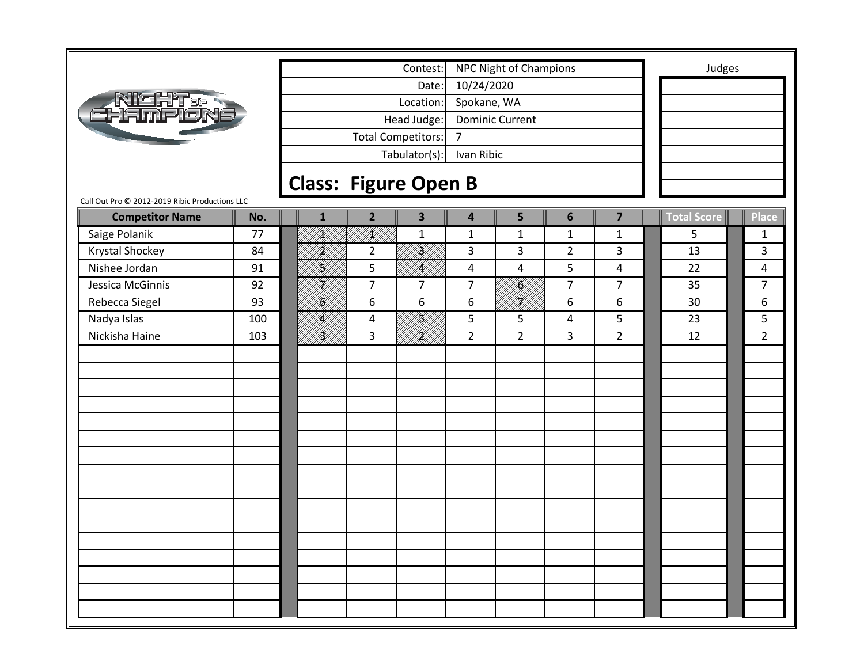|                                                |     |                             |                | Contest:                  |                  | <b>NPC Night of Champions</b> |                |                         | Judges      |                |
|------------------------------------------------|-----|-----------------------------|----------------|---------------------------|------------------|-------------------------------|----------------|-------------------------|-------------|----------------|
|                                                |     |                             |                | Date:                     | 10/24/2020       |                               |                |                         |             |                |
| _NIGHT&<br>Hampion                             |     |                             |                | Location:                 | Spokane, WA      |                               |                |                         |             |                |
|                                                |     |                             |                | Head Judge:               |                  | <b>Dominic Current</b>        |                |                         |             |                |
|                                                |     |                             |                | <b>Total Competitors:</b> | $\overline{7}$   |                               |                |                         |             |                |
|                                                |     |                             |                | Tabulator(s):             | Ivan Ribic       |                               |                |                         |             |                |
|                                                |     |                             |                |                           |                  |                               |                |                         |             |                |
| Call Out Pro @ 2012-2019 Ribic Productions LLC |     | <b>Class: Figure Open B</b> |                |                           |                  |                               |                |                         |             |                |
| <b>Competitor Name</b>                         | No. | $\mathbf{1}$                | $\overline{2}$ | 3                         | 4                | 5                             | $6\phantom{1}$ | $\overline{\mathbf{z}}$ | Total Score | <b>Place</b>   |
| Saige Polanik                                  | 77  | /K//                        | IKU)<br>PHIT   | $\mathbf{1}$              | $\mathbf{1}$     | $\mathbf{1}$                  | $\mathbf{1}$   | $\mathbf{1}$            | 5           | 1              |
| Krystal Shockey                                | 84  | H)<br>M                     | $\overline{2}$ | <br> }<br> }              | 3                | 3                             | $\overline{2}$ | $\mathbf{3}$            | 13          | 3              |
| Nishee Jordan                                  | 91  | H)                          | 5              | <b>  </b><br> }           | $\pmb{4}$        | $\overline{4}$                | 5              | $\overline{4}$          | 22          | 4              |
| Jessica McGinnis                               | 92  | HM)                         | $\overline{7}$ | 7                         | $\overline{7}$   | <b> L</b><br>   <b>  </b>     | $\overline{7}$ | $\overline{7}$          | 35          | $\overline{7}$ |
| Rebecca Siegel                                 | 93  | K)                          | 6              | 6                         | $\boldsymbol{6}$ | <b>  </b><br>   <b> </b>      | 6              | 6                       | 30          | 6              |
| Nadya Islas                                    | 100 | /K//                        | 4              | H<br>   <b>  </b><br>  H  | 5                | 5                             | $\overline{4}$ | 5                       | 23          | 5              |
| Nickisha Haine                                 | 103 | <b>  </b><br>   <b>  </b>   | 3              | UKU)                      | $\overline{2}$   | $\overline{2}$                | 3              | $\overline{2}$          | 12          | $\overline{2}$ |
|                                                |     |                             |                |                           |                  |                               |                |                         |             |                |
|                                                |     |                             |                |                           |                  |                               |                |                         |             |                |
|                                                |     |                             |                |                           |                  |                               |                |                         |             |                |
|                                                |     |                             |                |                           |                  |                               |                |                         |             |                |
|                                                |     |                             |                |                           |                  |                               |                |                         |             |                |
|                                                |     |                             |                |                           |                  |                               |                |                         |             |                |
|                                                |     |                             |                |                           |                  |                               |                |                         |             |                |
|                                                |     |                             |                |                           |                  |                               |                |                         |             |                |
|                                                |     |                             |                |                           |                  |                               |                |                         |             |                |
|                                                |     |                             |                |                           |                  |                               |                |                         |             |                |
|                                                |     |                             |                |                           |                  |                               |                |                         |             |                |
|                                                |     |                             |                |                           |                  |                               |                |                         |             |                |
|                                                |     |                             |                |                           |                  |                               |                |                         |             |                |
|                                                |     |                             |                |                           |                  |                               |                |                         |             |                |
|                                                |     |                             |                |                           |                  |                               |                |                         |             |                |
|                                                |     |                             |                |                           |                  |                               |                |                         |             |                |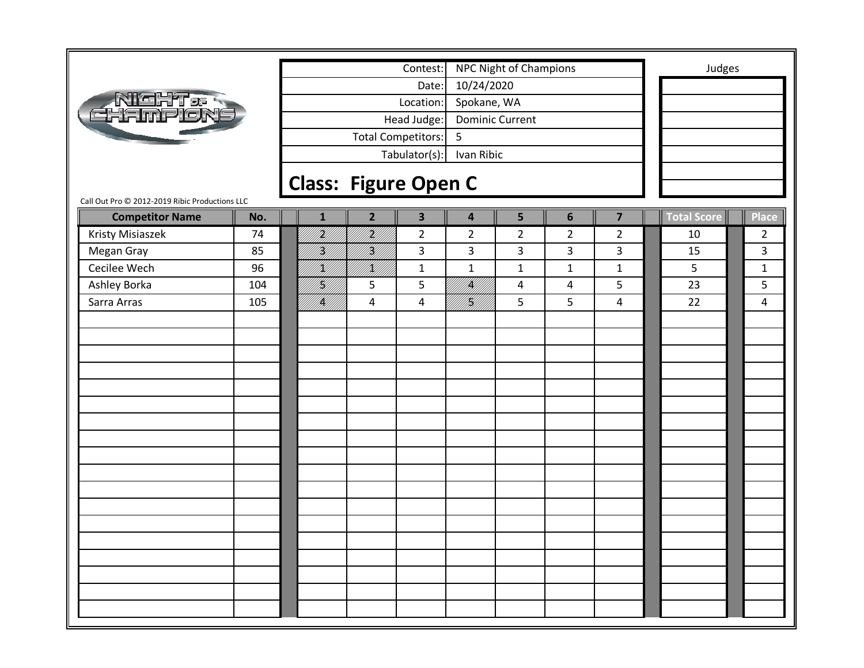|                                                |              | Contest:                                  |                         | <b>NPC Night of Champions</b>    |                                           | Judges             |                |
|------------------------------------------------|--------------|-------------------------------------------|-------------------------|----------------------------------|-------------------------------------------|--------------------|----------------|
|                                                |              | Date:                                     | 10/24/2020              |                                  |                                           |                    |                |
| <b>NIGHT &amp; R</b><br>EHAMPION               |              | Location:                                 | Spokane, WA             |                                  |                                           |                    |                |
|                                                |              | Head Judge:                               | <b>Dominic Current</b>  |                                  |                                           |                    |                |
|                                                |              | Total Competitors:                        | 5                       |                                  |                                           |                    |                |
|                                                |              | Tabulator(s):                             | Ivan Ribic              |                                  |                                           |                    |                |
|                                                |              |                                           |                         |                                  |                                           |                    |                |
| Call Out Pro @ 2012-2019 Ribic Productions LLC |              | <b>Class: Figure Open C</b>               |                         |                                  |                                           |                    |                |
| <b>Competitor Name</b><br>No.                  | $\mathbf{1}$ | $\overline{2}$<br>$\overline{\mathbf{3}}$ | $\overline{\mathbf{4}}$ | 5                                | $6\phantom{1}$<br>$\overline{\mathbf{z}}$ | <b>Total Score</b> | Place          |
| Kristy Misiaszek<br>74                         | <br> }<br> } | I<br>Mil<br>$\overline{2}$                | $\overline{2}$          | $\overline{2}$<br>$\overline{2}$ | $\overline{2}$                            | 10                 | $\overline{2}$ |
| Megan Gray<br>85                               | H)<br>M      | Hf <br>3                                  | 3                       | 3<br>3                           | $\overline{\mathbf{3}}$                   | 15                 | 3              |
| Cecilee Wech<br>96                             | K)           | fill f<br>$\mathbf{1}$                    | $\mathbf 1$             | $\mathbf{1}$<br>$\mathbf{1}$     | $\mathbf{1}$                              | 5                  | $\mathbf{1}$   |
| Ashley Borka<br>104                            | H]<br> W     | 5<br>5                                    | <br>   <b>  </b><br> }  | 4<br>4                           | 5                                         | 23                 | 5              |
| Sarra Arras<br>105                             | /K//         | $\overline{4}$<br>4                       | <br> }<br> }            | 5                                | 5<br>$\overline{4}$                       | 22                 | 4              |
|                                                |              |                                           |                         |                                  |                                           |                    |                |
|                                                |              |                                           |                         |                                  |                                           |                    |                |
|                                                |              |                                           |                         |                                  |                                           |                    |                |
|                                                |              |                                           |                         |                                  |                                           |                    |                |
|                                                |              |                                           |                         |                                  |                                           |                    |                |
|                                                |              |                                           |                         |                                  |                                           |                    |                |
|                                                |              |                                           |                         |                                  |                                           |                    |                |
|                                                |              |                                           |                         |                                  |                                           |                    |                |
|                                                |              |                                           |                         |                                  |                                           |                    |                |
|                                                |              |                                           |                         |                                  |                                           |                    |                |
|                                                |              |                                           |                         |                                  |                                           |                    |                |
|                                                |              |                                           |                         |                                  |                                           |                    |                |
|                                                |              |                                           |                         |                                  |                                           |                    |                |
|                                                |              |                                           |                         |                                  |                                           |                    |                |
|                                                |              |                                           |                         |                                  |                                           |                    |                |
|                                                |              |                                           |                         |                                  |                                           |                    |                |
|                                                |              |                                           |                         |                                  |                                           |                    |                |
|                                                |              |                                           |                         |                                  |                                           |                    |                |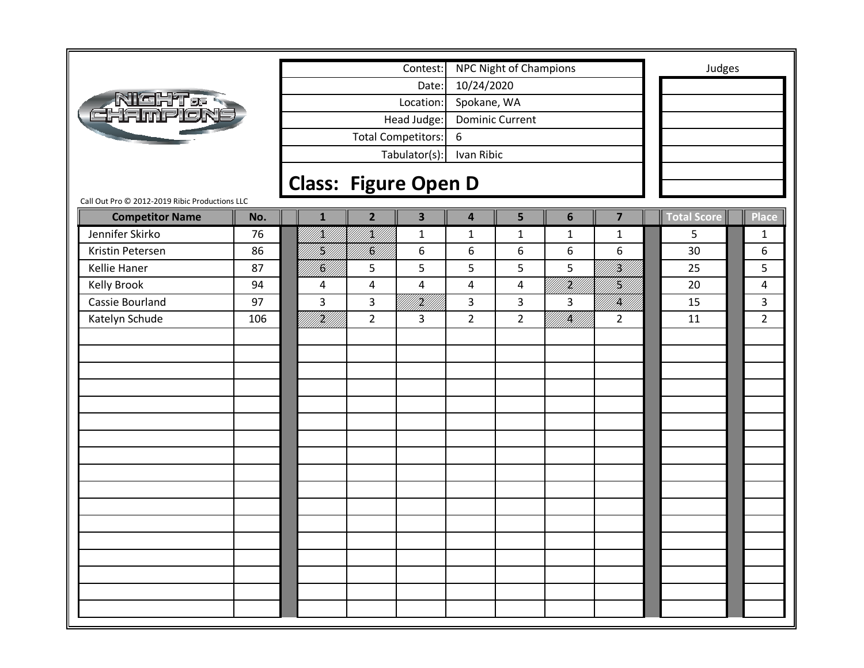|                                                |     |                             |                | Contest:                |                         | NPC Night of Champions |                |                         | Judges      |                |
|------------------------------------------------|-----|-----------------------------|----------------|-------------------------|-------------------------|------------------------|----------------|-------------------------|-------------|----------------|
|                                                |     |                             |                | Date:                   | 10/24/2020              |                        |                |                         |             |                |
| Night & R<br>Hamplon                           |     |                             |                | Location:               | Spokane, WA             |                        |                |                         |             |                |
|                                                |     |                             |                | Head Judge:             |                         | <b>Dominic Current</b> |                |                         |             |                |
|                                                |     |                             |                | Total Competitors:      | 6                       |                        |                |                         |             |                |
|                                                |     |                             |                | Tabulator(s):           | Ivan Ribic              |                        |                |                         |             |                |
|                                                |     |                             |                |                         |                         |                        |                |                         |             |                |
| Call Out Pro @ 2012-2019 Ribic Productions LLC |     | <b>Class: Figure Open D</b> |                |                         |                         |                        |                |                         |             |                |
| <b>Competitor Name</b>                         | No. | $\mathbf{1}$                | $\overline{2}$ | $\overline{\mathbf{3}}$ | $\overline{\mathbf{4}}$ | 5                      | $6\phantom{1}$ | $\overline{\mathbf{z}}$ | Total Score | <b>Place</b>   |
| Jennifer Skirko                                | 76  | fill<br>Pref f              | /K//           | $\mathbf{1}$            | $\mathbf{1}$            | $\mathbf{1}$           | $\mathbf{1}$   | $\mathbf{1}$            | 5           | 1              |
| Kristin Petersen                               | 86  | H)                          | K              | 6                       | 6                       | 6                      | 6              | 6                       | 30          | 6              |
| <b>Kellie Haner</b>                            | 87  | II.                         | 5              | 5                       | 5                       | 5                      | 5              | }<br> }                 | 25          | 5              |
| Kelly Brook                                    | 94  | 4                           | 4              | 4                       | $\overline{4}$          | 4                      | UKT)<br>UNIT   | U<br>  <br> }           | 20          | 4              |
| Cassie Bourland                                | 97  | 3                           | 3              | UKU 1                   | 3                       | 3                      | 3              | <b>  </b><br> }         | 15          | 3              |
| Katelyn Schude                                 | 106 | era<br>Mille                | $\overline{2}$ | 3                       | $\overline{2}$          | $\overline{2}$         | fi Kilili      | $\overline{2}$          | 11          | $\overline{2}$ |
|                                                |     |                             |                |                         |                         |                        |                |                         |             |                |
|                                                |     |                             |                |                         |                         |                        |                |                         |             |                |
|                                                |     |                             |                |                         |                         |                        |                |                         |             |                |
|                                                |     |                             |                |                         |                         |                        |                |                         |             |                |
|                                                |     |                             |                |                         |                         |                        |                |                         |             |                |
|                                                |     |                             |                |                         |                         |                        |                |                         |             |                |
|                                                |     |                             |                |                         |                         |                        |                |                         |             |                |
|                                                |     |                             |                |                         |                         |                        |                |                         |             |                |
|                                                |     |                             |                |                         |                         |                        |                |                         |             |                |
|                                                |     |                             |                |                         |                         |                        |                |                         |             |                |
|                                                |     |                             |                |                         |                         |                        |                |                         |             |                |
|                                                |     |                             |                |                         |                         |                        |                |                         |             |                |
|                                                |     |                             |                |                         |                         |                        |                |                         |             |                |
|                                                |     |                             |                |                         |                         |                        |                |                         |             |                |
|                                                |     |                             |                |                         |                         |                        |                |                         |             |                |
|                                                |     |                             |                |                         |                         |                        |                |                         |             |                |
|                                                |     |                             |                |                         |                         |                        |                |                         |             |                |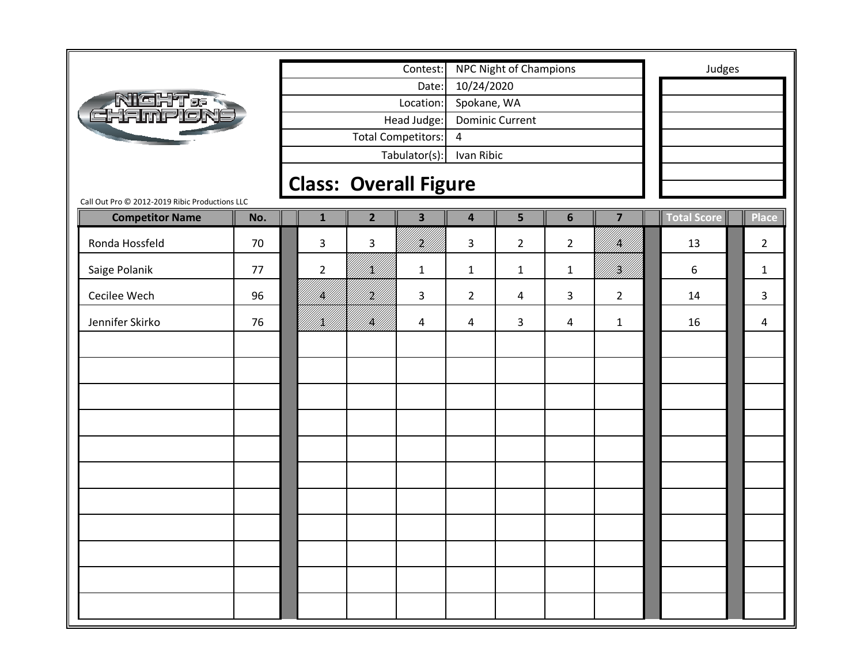|                                                                          |     |                                                                                                                                                                   |  |                          | Contest:                     |                         |                |                |                         |                    | Judges |                |
|--------------------------------------------------------------------------|-----|-------------------------------------------------------------------------------------------------------------------------------------------------------------------|--|--------------------------|------------------------------|-------------------------|----------------|----------------|-------------------------|--------------------|--------|----------------|
|                                                                          |     | <b>NPC Night of Champions</b><br>10/24/2020<br>Date:<br>Spokane, WA<br>Location:<br>Head Judge:<br><b>Dominic Current</b><br>Total Competitors:<br>$\overline{4}$ |  |                          |                              |                         |                |                |                         |                    |        |                |
| Night.<br>Hampion:                                                       |     |                                                                                                                                                                   |  |                          |                              |                         |                |                |                         |                    |        |                |
|                                                                          |     |                                                                                                                                                                   |  |                          |                              |                         |                |                |                         |                    |        |                |
|                                                                          |     |                                                                                                                                                                   |  |                          |                              |                         |                |                |                         |                    |        |                |
|                                                                          |     |                                                                                                                                                                   |  |                          | Tabulator(s):                | Ivan Ribic              |                |                |                         |                    |        |                |
|                                                                          |     |                                                                                                                                                                   |  |                          | <b>Class: Overall Figure</b> |                         |                |                |                         |                    |        |                |
| Call Out Pro @ 2012-2019 Ribic Productions LLC<br><b>Competitor Name</b> | No. | $\mathbf{1}$                                                                                                                                                      |  | $\overline{2}$           | $\overline{\mathbf{3}}$      | $\overline{\mathbf{4}}$ | 5              | $6\phantom{1}$ | $\overline{\mathbf{z}}$ | <b>Total Score</b> |        | <b>Place</b>   |
| Ronda Hossfeld                                                           | 70  | 3                                                                                                                                                                 |  | $\mathsf{3}$             | H)<br>H)                     | 3                       | $\overline{2}$ | $\overline{2}$ | IĶ,                     | 13                 |        | $\overline{2}$ |
| Saige Polanik                                                            | 77  | $\overline{2}$                                                                                                                                                    |  | k  <br>   <b> </b><br> } | $\mathbf{1}$                 | $\mathbf{1}$            | $\mathbf{1}$   | $\mathbf{1}$   | itsi<br>M               | 6                  |        | $\mathbf{1}$   |
| Cecilee Wech                                                             | 96  | IĶI                                                                                                                                                               |  | H)<br>H)                 | 3                            | $\overline{2}$          | 4              | 3              | $\overline{2}$          | 14                 |        | 3              |
| Jennifer Skirko                                                          | 76  | K)                                                                                                                                                                |  | /K//                     | 4                            | $\overline{a}$          | 3              | 4              | $\mathbf{1}$            | 16                 |        | 4              |
|                                                                          |     |                                                                                                                                                                   |  |                          |                              |                         |                |                |                         |                    |        |                |
|                                                                          |     |                                                                                                                                                                   |  |                          |                              |                         |                |                |                         |                    |        |                |
|                                                                          |     |                                                                                                                                                                   |  |                          |                              |                         |                |                |                         |                    |        |                |
|                                                                          |     |                                                                                                                                                                   |  |                          |                              |                         |                |                |                         |                    |        |                |
|                                                                          |     |                                                                                                                                                                   |  |                          |                              |                         |                |                |                         |                    |        |                |
|                                                                          |     |                                                                                                                                                                   |  |                          |                              |                         |                |                |                         |                    |        |                |
|                                                                          |     |                                                                                                                                                                   |  |                          |                              |                         |                |                |                         |                    |        |                |
|                                                                          |     |                                                                                                                                                                   |  |                          |                              |                         |                |                |                         |                    |        |                |
|                                                                          |     |                                                                                                                                                                   |  |                          |                              |                         |                |                |                         |                    |        |                |
|                                                                          |     |                                                                                                                                                                   |  |                          |                              |                         |                |                |                         |                    |        |                |
|                                                                          |     |                                                                                                                                                                   |  |                          |                              |                         |                |                |                         |                    |        |                |
|                                                                          |     |                                                                                                                                                                   |  |                          |                              |                         |                |                |                         |                    |        |                |
|                                                                          |     |                                                                                                                                                                   |  |                          |                              |                         |                |                |                         |                    |        |                |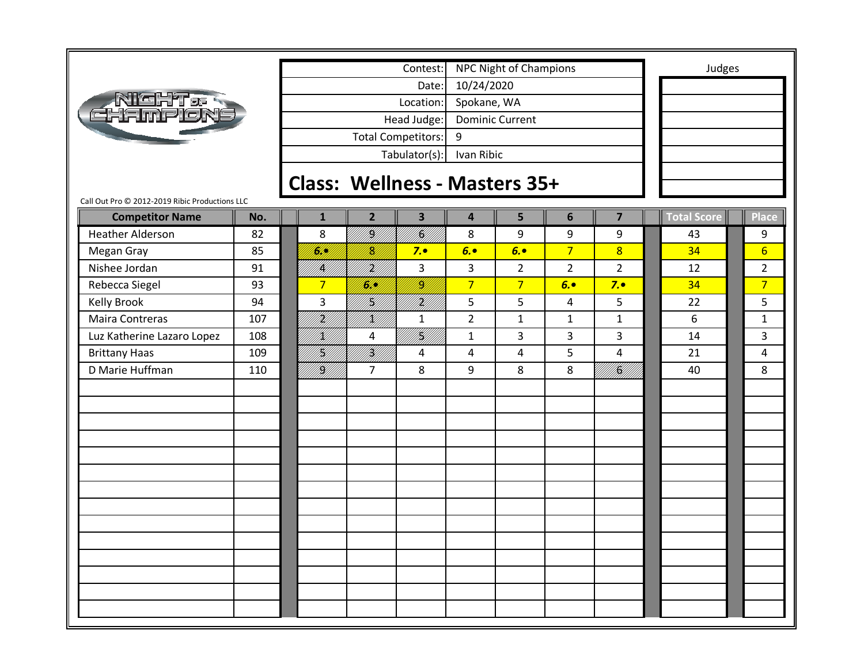

Tabulator(s): Ivan Ribic Head Judge: Dominic Current Total Competitors: 9 Date: 10/24/2020 Location: Spokane, WA Contest: NPC Night of Champions and Tudges

**Class: Wellness ‐ Masters 35+**

### Call Out Pro © 2012‐2019 Ribic Productions LLC

| <b>Competitor Name</b>     | No. | $\mathbf{1}$    | $\overline{2}$ | $\overline{\mathbf{3}}$ | $\overline{\mathbf{4}}$ | 5              | $6\phantom{1}6$ | $\overline{7}$             | Total Score | Place           |
|----------------------------|-----|-----------------|----------------|-------------------------|-------------------------|----------------|-----------------|----------------------------|-------------|-----------------|
| <b>Heather Alderson</b>    | 82  | 8               | I<br>Mili      | <br> <br> }             | 8                       | 9              | 9               | 9                          | 43          | 9               |
| Megan Gray                 | 85  | <u>fill</u> ly  | <u>N</u>       | 7.                      | 6.                      | 6.             | $\overline{7}$  | $\overline{8}$             | 34          | $6 \overline{}$ |
| Nishee Jordan              | 91  | <br> }<br> }    | iri<br>Mil     | 3                       | 3                       | $\overline{2}$ | $\overline{2}$  | $\overline{2}$             | 12          | $\overline{2}$  |
| Rebecca Siegel             | 93  | $\overline{7}$  | <u>I</u> SHA   | /K)                     | $\overline{7}$          | $\overline{7}$ | 6.              | 7.                         | 34          | $\overline{7}$  |
| <b>Kelly Brook</b>         | 94  | 3               | H]<br> W       | iri<br>Mill             | 5                       | 5              | $\overline{4}$  | 5                          | 22          | 5               |
| Maira Contreras            | 107 | irildi<br>Mille | <br> }<br> }   | $\mathbf 1$             | $\overline{2}$          | $\mathbf{1}$   | $\mathbf{1}$    | $\mathbf{1}$               | 6           | $\mathbf{1}$    |
| Luz Katherine Lazaro Lopez | 108 | <br> X          | 4              | ITAN<br>PANI            | $\mathbf{1}$            | 3              | $\overline{3}$  | 3                          | 14          | 3               |
| <b>Brittany Haas</b>       | 109 | H]<br> H]       | iri<br>Mil     | $\overline{\mathbf{4}}$ | $\overline{\mathbf{4}}$ | $\overline{4}$ | 5               | 4                          | 21          | $\overline{4}$  |
| D Marie Huffman            | 110 | filipi<br>Mili  | $\overline{7}$ | 8                       | 9                       | 8              | 8               | ali (filma)<br>Ali (filma) | 40          | 8               |
|                            |     |                 |                |                         |                         |                |                 |                            |             |                 |
|                            |     |                 |                |                         |                         |                |                 |                            |             |                 |
|                            |     |                 |                |                         |                         |                |                 |                            |             |                 |
|                            |     |                 |                |                         |                         |                |                 |                            |             |                 |
|                            |     |                 |                |                         |                         |                |                 |                            |             |                 |
|                            |     |                 |                |                         |                         |                |                 |                            |             |                 |
|                            |     |                 |                |                         |                         |                |                 |                            |             |                 |
|                            |     |                 |                |                         |                         |                |                 |                            |             |                 |
|                            |     |                 |                |                         |                         |                |                 |                            |             |                 |
|                            |     |                 |                |                         |                         |                |                 |                            |             |                 |
|                            |     |                 |                |                         |                         |                |                 |                            |             |                 |
|                            |     |                 |                |                         |                         |                |                 |                            |             |                 |
|                            |     |                 |                |                         |                         |                |                 |                            |             |                 |
|                            |     |                 |                |                         |                         |                |                 |                            |             |                 |
|                            |     |                 |                |                         |                         |                |                 |                            |             |                 |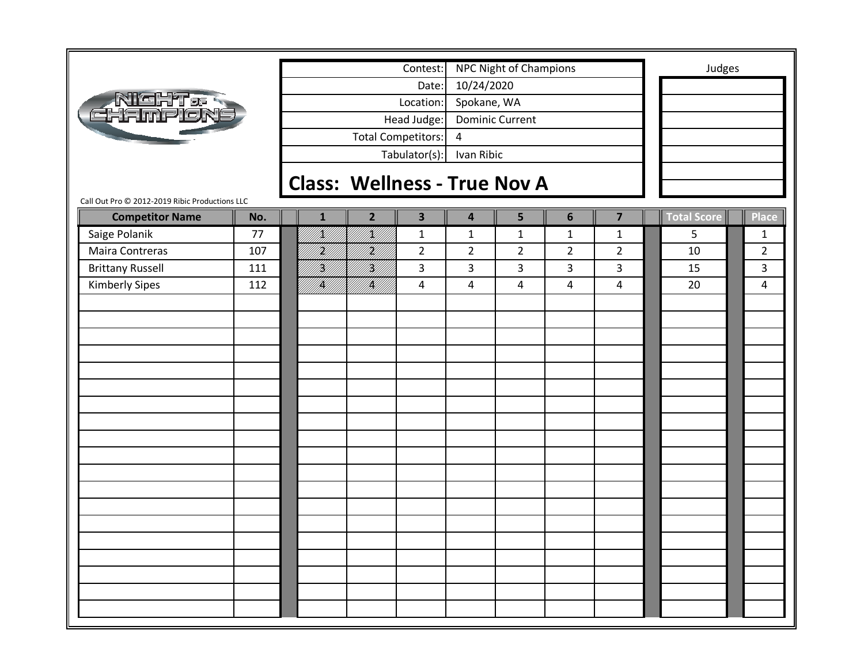|                                                |     |                                     |                | Contest:                  |                         | NPC Night of Champions |                |                         | Judges             |                |
|------------------------------------------------|-----|-------------------------------------|----------------|---------------------------|-------------------------|------------------------|----------------|-------------------------|--------------------|----------------|
|                                                |     |                                     |                | Date:                     | 10/24/2020              |                        |                |                         |                    |                |
| <b>NIGHT &amp; R</b><br>EHAMPION               |     |                                     |                | Location:                 | Spokane, WA             |                        |                |                         |                    |                |
|                                                |     |                                     |                | Head Judge:               |                         | <b>Dominic Current</b> |                |                         |                    |                |
|                                                |     |                                     |                | <b>Total Competitors:</b> | 4                       |                        |                |                         |                    |                |
|                                                |     |                                     |                | Tabulator(s):             | Ivan Ribic              |                        |                |                         |                    |                |
|                                                |     |                                     |                |                           |                         |                        |                |                         |                    |                |
|                                                |     | <b>Class: Wellness - True Nov A</b> |                |                           |                         |                        |                |                         |                    |                |
| Call Out Pro © 2012-2019 Ribic Productions LLC |     |                                     |                |                           |                         |                        |                |                         |                    |                |
| <b>Competitor Name</b>                         | No. | $\mathbf{1}$                        | $\overline{2}$ | $\overline{\mathbf{3}}$   | $\overline{\mathbf{4}}$ | 5                      | $6\phantom{1}$ | $\overline{\mathbf{z}}$ | <b>Total Score</b> | <b>Place</b>   |
| Saige Polanik                                  | 77  | <u>K</u> l                          | /K//           | $\mathbf{1}$              | $\mathbf 1$             | $\mathbf{1}$           | $\mathbf{1}$   | $\mathbf{1}$            | 5                  | $\mathbf{1}$   |
| Maira Contreras                                | 107 | Hf<br> }                            | irid<br>Mil    | $\overline{2}$            | $\overline{2}$          | $\overline{2}$         | $\overline{2}$ | $\overline{2}$          | 10                 | $\overline{2}$ |
| <b>Brittany Russell</b>                        | 111 | H)<br>M                             | HI<br>M        | 3                         | 3                       | 3                      | 3              | $\overline{3}$          | 15                 | 3              |
| <b>Kimberly Sipes</b>                          | 112 | /K//                                | IĶI            | 4                         | $\overline{4}$          | $\overline{a}$         | 4              | $\overline{4}$          | 20                 | 4              |
|                                                |     |                                     |                |                           |                         |                        |                |                         |                    |                |
|                                                |     |                                     |                |                           |                         |                        |                |                         |                    |                |
|                                                |     |                                     |                |                           |                         |                        |                |                         |                    |                |
|                                                |     |                                     |                |                           |                         |                        |                |                         |                    |                |
|                                                |     |                                     |                |                           |                         |                        |                |                         |                    |                |
|                                                |     |                                     |                |                           |                         |                        |                |                         |                    |                |
|                                                |     |                                     |                |                           |                         |                        |                |                         |                    |                |
|                                                |     |                                     |                |                           |                         |                        |                |                         |                    |                |
|                                                |     |                                     |                |                           |                         |                        |                |                         |                    |                |
|                                                |     |                                     |                |                           |                         |                        |                |                         |                    |                |
|                                                |     |                                     |                |                           |                         |                        |                |                         |                    |                |
|                                                |     |                                     |                |                           |                         |                        |                |                         |                    |                |
|                                                |     |                                     |                |                           |                         |                        |                |                         |                    |                |
|                                                |     |                                     |                |                           |                         |                        |                |                         |                    |                |
|                                                |     |                                     |                |                           |                         |                        |                |                         |                    |                |
|                                                |     |                                     |                |                           |                         |                        |                |                         |                    |                |
|                                                |     |                                     |                |                           |                         |                        |                |                         |                    |                |
|                                                |     |                                     |                |                           |                         |                        |                |                         |                    |                |
|                                                |     |                                     |                |                           |                         |                        |                |                         |                    |                |
|                                                |     |                                     |                |                           |                         |                        |                |                         |                    |                |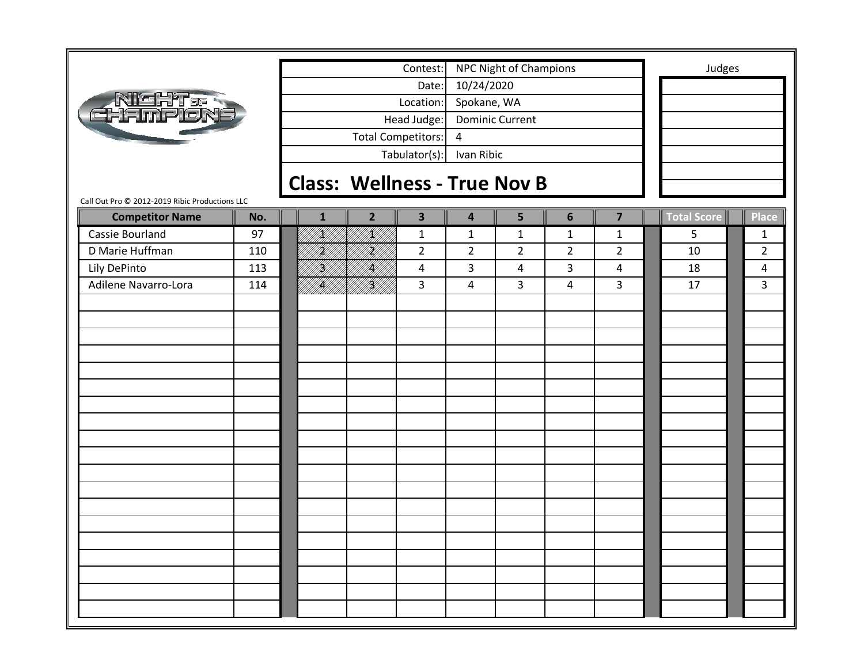|                                                                          |     |                                     |                | Contest:                  |                         | NPC Night of Champions |                |                         | Judges             |                |
|--------------------------------------------------------------------------|-----|-------------------------------------|----------------|---------------------------|-------------------------|------------------------|----------------|-------------------------|--------------------|----------------|
|                                                                          |     |                                     |                | Date:                     | 10/24/2020              |                        |                |                         |                    |                |
|                                                                          |     |                                     |                | Location:                 | Spokane, WA             |                        |                |                         |                    |                |
| <b>NIGHT &amp; R</b><br>EHAMPION                                         |     |                                     |                | Head Judge:               |                         | <b>Dominic Current</b> |                |                         |                    |                |
|                                                                          |     |                                     |                | <b>Total Competitors:</b> | 4                       |                        |                |                         |                    |                |
|                                                                          |     |                                     |                | Tabulator(s):             | Ivan Ribic              |                        |                |                         |                    |                |
|                                                                          |     |                                     |                |                           |                         |                        |                |                         |                    |                |
|                                                                          |     | <b>Class: Wellness - True Nov B</b> |                |                           |                         |                        |                |                         |                    |                |
| Call Out Pro © 2012-2019 Ribic Productions LLC<br><b>Competitor Name</b> | No. | $\mathbf{1}$                        | $\overline{2}$ | $\overline{\mathbf{3}}$   | $\overline{\mathbf{4}}$ | 5                      | $6\phantom{1}$ | $\overline{\mathbf{z}}$ | <b>Total Score</b> | <b>Place</b>   |
| Cassie Bourland                                                          | 97  | <u>K</u> l                          | /K//           | $\mathbf{1}$              | $\mathbf{1}$            | $\mathbf{1}$           | $\mathbf{1}$   | $\mathbf{1}$            | 5                  | $\mathbf{1}$   |
| D Marie Huffman                                                          | 110 | HM)                                 | irid<br>Mil    | $\overline{2}$            | $\overline{2}$          | $\overline{2}$         | $\overline{2}$ | $\overline{2}$          | 10                 | $\overline{2}$ |
| Lily DePinto                                                             | 113 | <br> W                              | fill)          | 4                         | 3                       | 4                      | 3              | $\overline{4}$          | 18                 | 4              |
| Adilene Navarro-Lora                                                     | 114 | /K//                                | <br> }<br> }   | 3                         | $\overline{4}$          | 3                      | 4              | 3                       | 17                 | 3              |
|                                                                          |     |                                     |                |                           |                         |                        |                |                         |                    |                |
|                                                                          |     |                                     |                |                           |                         |                        |                |                         |                    |                |
|                                                                          |     |                                     |                |                           |                         |                        |                |                         |                    |                |
|                                                                          |     |                                     |                |                           |                         |                        |                |                         |                    |                |
|                                                                          |     |                                     |                |                           |                         |                        |                |                         |                    |                |
|                                                                          |     |                                     |                |                           |                         |                        |                |                         |                    |                |
|                                                                          |     |                                     |                |                           |                         |                        |                |                         |                    |                |
|                                                                          |     |                                     |                |                           |                         |                        |                |                         |                    |                |
|                                                                          |     |                                     |                |                           |                         |                        |                |                         |                    |                |
|                                                                          |     |                                     |                |                           |                         |                        |                |                         |                    |                |
|                                                                          |     |                                     |                |                           |                         |                        |                |                         |                    |                |
|                                                                          |     |                                     |                |                           |                         |                        |                |                         |                    |                |
|                                                                          |     |                                     |                |                           |                         |                        |                |                         |                    |                |
|                                                                          |     |                                     |                |                           |                         |                        |                |                         |                    |                |
|                                                                          |     |                                     |                |                           |                         |                        |                |                         |                    |                |
|                                                                          |     |                                     |                |                           |                         |                        |                |                         |                    |                |
|                                                                          |     |                                     |                |                           |                         |                        |                |                         |                    |                |
|                                                                          |     |                                     |                |                           |                         |                        |                |                         |                    |                |
|                                                                          |     |                                     |                |                           |                         |                        |                |                         |                    |                |
|                                                                          |     |                                     |                |                           |                         |                        |                |                         |                    |                |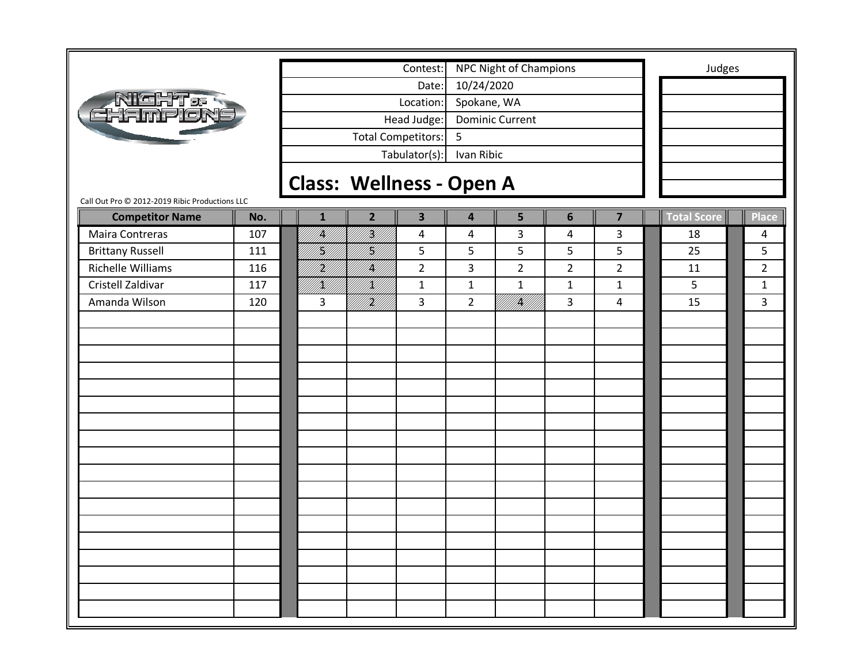|                                                |     |                                                                     |                                 | Contest:                |                         | <b>NPC Night of Champions</b> |                |                | Judges      |                |
|------------------------------------------------|-----|---------------------------------------------------------------------|---------------------------------|-------------------------|-------------------------|-------------------------------|----------------|----------------|-------------|----------------|
|                                                |     | Date:<br>Location:<br>Head Judge:<br><b>Total Competitors:</b><br>5 |                                 |                         |                         | 10/24/2020                    |                |                |             |                |
|                                                |     | Tabulator(s):                                                       |                                 |                         |                         | Spokane, WA                   |                |                |             |                |
| Night.<br>Thamplon                             |     |                                                                     |                                 |                         |                         | <b>Dominic Current</b>        |                |                |             |                |
|                                                |     |                                                                     |                                 |                         |                         |                               |                |                |             |                |
|                                                |     |                                                                     |                                 |                         | Ivan Ribic              |                               |                |                |             |                |
|                                                |     |                                                                     |                                 |                         |                         |                               |                |                |             |                |
|                                                |     |                                                                     | <b>Class: Wellness - Open A</b> |                         |                         |                               |                |                |             |                |
| Call Out Pro @ 2012-2019 Ribic Productions LLC |     |                                                                     |                                 |                         |                         |                               |                |                |             |                |
| <b>Competitor Name</b>                         | No. | $\mathbf{1}$                                                        | $\overline{2}$                  | $\overline{\mathbf{3}}$ | $\overline{\mathbf{4}}$ | 5                             | $6\phantom{1}$ | $\overline{7}$ | Total Score | <b>Place</b>   |
| Maira Contreras                                | 107 | IĶI                                                                 | fill<br>M                       | 4                       | 4                       | 3                             | 4              | 3              | 18          | 4              |
| <b>Brittany Russell</b>                        | 111 | H)                                                                  | H]<br> K                        | 5                       | 5                       | 5                             | 5              | 5              | 25          | 5              |
| <b>Richelle Williams</b>                       | 116 | H)                                                                  | <br> }<br> }                    | $\overline{2}$          | 3                       | $\overline{2}$                | $\overline{2}$ | $\overline{2}$ | 11          | $\overline{2}$ |
| Cristell Zaldivar                              | 117 | /K//                                                                | /K//                            | $\mathbf{1}$            | $\mathbf{1}$            | $\mathbf{1}$                  | $\mathbf{1}$   | $\mathbf{1}$   | 5           | $\mathbf{1}$   |
| Amanda Wilson                                  | 120 | 3                                                                   | <br> }                          | 3                       | $\overline{2}$          | <sup>1</sup> /////////        | 3              | $\overline{4}$ | 15          | 3              |
|                                                |     |                                                                     |                                 |                         |                         |                               |                |                |             |                |
|                                                |     |                                                                     |                                 |                         |                         |                               |                |                |             |                |
|                                                |     |                                                                     |                                 |                         |                         |                               |                |                |             |                |
|                                                |     |                                                                     |                                 |                         |                         |                               |                |                |             |                |
|                                                |     |                                                                     |                                 |                         |                         |                               |                |                |             |                |
|                                                |     |                                                                     |                                 |                         |                         |                               |                |                |             |                |
|                                                |     |                                                                     |                                 |                         |                         |                               |                |                |             |                |
|                                                |     |                                                                     |                                 |                         |                         |                               |                |                |             |                |
|                                                |     |                                                                     |                                 |                         |                         |                               |                |                |             |                |
|                                                |     |                                                                     |                                 |                         |                         |                               |                |                |             |                |
|                                                |     |                                                                     |                                 |                         |                         |                               |                |                |             |                |
|                                                |     |                                                                     |                                 |                         |                         |                               |                |                |             |                |
|                                                |     |                                                                     |                                 |                         |                         |                               |                |                |             |                |
|                                                |     |                                                                     |                                 |                         |                         |                               |                |                |             |                |
|                                                |     |                                                                     |                                 |                         |                         |                               |                |                |             |                |
|                                                |     |                                                                     |                                 |                         |                         |                               |                |                |             |                |
|                                                |     |                                                                     |                                 |                         |                         |                               |                |                |             |                |
|                                                |     |                                                                     |                                 |                         |                         |                               |                |                |             |                |
|                                                |     |                                                                     |                                 |                         |                         |                               |                |                |             |                |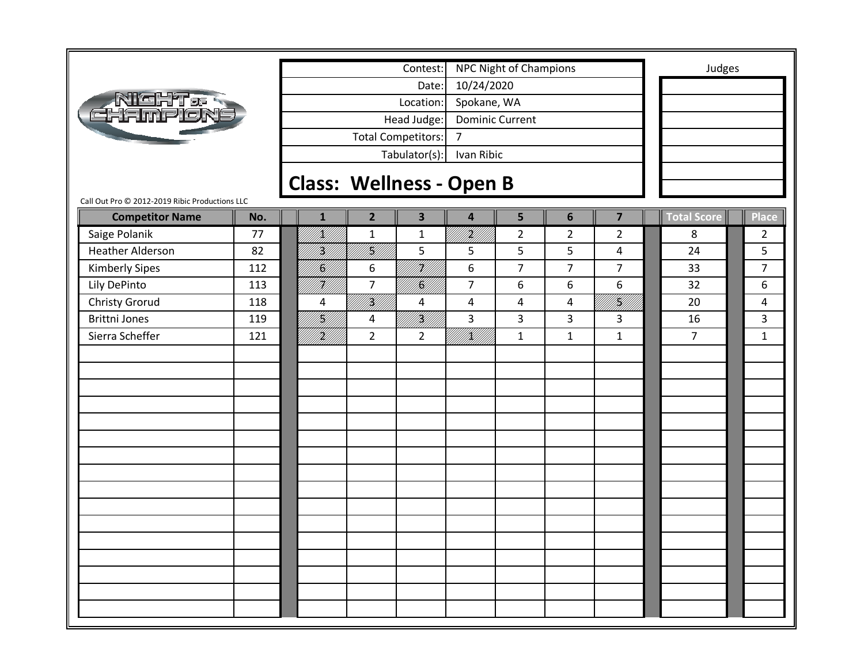|                                                |     |                                 |                | Contest:                  |                        | <b>NPC Night of Champions</b> |                |                | Judges         |                |
|------------------------------------------------|-----|---------------------------------|----------------|---------------------------|------------------------|-------------------------------|----------------|----------------|----------------|----------------|
|                                                |     |                                 |                | Date:                     | 10/24/2020             |                               |                |                |                |                |
| <b>NIGHT&amp;R</b><br>HAMPION                  |     |                                 |                | Location:                 | Spokane, WA            |                               |                |                |                |                |
|                                                |     |                                 |                | Head Judge:               | <b>Dominic Current</b> |                               |                |                |                |                |
|                                                |     |                                 |                | <b>Total Competitors:</b> | $\overline{7}$         |                               |                |                |                |                |
|                                                |     |                                 |                | Tabulator(s):             | Ivan Ribic             |                               |                |                |                |                |
|                                                |     |                                 |                |                           |                        |                               |                |                |                |                |
| Call Out Pro @ 2012-2019 Ribic Productions LLC |     | <b>Class: Wellness - Open B</b> |                |                           |                        |                               |                |                |                |                |
| <b>Competitor Name</b>                         | No. | $\mathbf{1}$                    | $\overline{2}$ | $\overline{\mathbf{3}}$   | 4                      | 5                             | 6              | $\overline{7}$ | Total Score    | <b>Place</b>   |
| Saige Polanik                                  | 77  | fill<br>Hel                     | $\mathbf 1$    | $\mathbf 1$               | it Kill                | $\overline{2}$                | $\overline{2}$ | $\overline{2}$ | 8              | $\overline{2}$ |
| <b>Heather Alderson</b>                        | 82  | }<br> }}                        | <br> }<br> }   | 5                         | 5                      | 5                             | 5              | $\overline{4}$ | 24             | 5              |
| <b>Kimberly Sipes</b>                          | 112 | I<br>Salli                      | 6              | FK///                     | 6                      | $\overline{7}$                | $\overline{7}$ | $\overline{7}$ | 33             | $\overline{7}$ |
| Lily DePinto                                   | 113 | HU)                             | $\overline{7}$ | U<br>  S                  | $\overline{7}$         | 6                             | 6              | 6              | 32             | 6              |
| <b>Christy Grorud</b>                          | 118 | 4                               | <br> }<br> }   | 4                         | 4                      | 4                             | 4              | UKU U          | 20             | 4              |
| <b>Brittni Jones</b>                           | 119 | <br> K                          | 4              | <br> }<br> }              | 3                      | 3                             | 3              | 3              | 16             | 3              |
| Sierra Scheffer                                | 121 | iri<br>Hill                     | $\overline{2}$ | $\overline{2}$            | UKU)                   | $\mathbf{1}$                  | $\mathbf{1}$   | $\mathbf{1}$   | $\overline{7}$ | $\mathbf{1}$   |
|                                                |     |                                 |                |                           |                        |                               |                |                |                |                |
|                                                |     |                                 |                |                           |                        |                               |                |                |                |                |
|                                                |     |                                 |                |                           |                        |                               |                |                |                |                |
|                                                |     |                                 |                |                           |                        |                               |                |                |                |                |
|                                                |     |                                 |                |                           |                        |                               |                |                |                |                |
|                                                |     |                                 |                |                           |                        |                               |                |                |                |                |
|                                                |     |                                 |                |                           |                        |                               |                |                |                |                |
|                                                |     |                                 |                |                           |                        |                               |                |                |                |                |
|                                                |     |                                 |                |                           |                        |                               |                |                |                |                |
|                                                |     |                                 |                |                           |                        |                               |                |                |                |                |
|                                                |     |                                 |                |                           |                        |                               |                |                |                |                |
|                                                |     |                                 |                |                           |                        |                               |                |                |                |                |
|                                                |     |                                 |                |                           |                        |                               |                |                |                |                |
|                                                |     |                                 |                |                           |                        |                               |                |                |                |                |
|                                                |     |                                 |                |                           |                        |                               |                |                |                |                |
|                                                |     |                                 |                |                           |                        |                               |                |                |                |                |
|                                                |     |                                 |                |                           |                        |                               |                |                |                |                |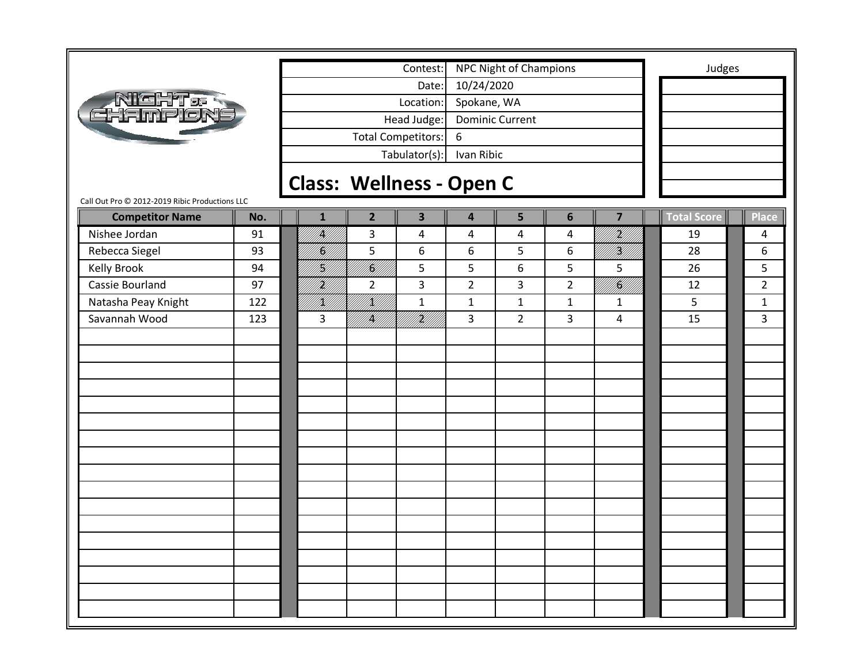|                                                |     |                                                                             |              |                                 | Contest:                |                | <b>NPC Night of Champions</b> |                |                | Judges             |                |
|------------------------------------------------|-----|-----------------------------------------------------------------------------|--------------|---------------------------------|-------------------------|----------------|-------------------------------|----------------|----------------|--------------------|----------------|
|                                                |     |                                                                             |              |                                 | Date:                   | 10/24/2020     |                               |                |                |                    |                |
| <b>NIGHT &amp;</b>                             |     | Location:<br>Head Judge:<br><b>Total Competitors:</b><br>6<br>Tabulator(s): |              |                                 |                         | Spokane, WA    |                               |                |                |                    |                |
| Hampion                                        |     |                                                                             |              |                                 |                         |                | <b>Dominic Current</b>        |                |                |                    |                |
|                                                |     |                                                                             |              |                                 |                         |                |                               |                |                |                    |                |
|                                                |     |                                                                             |              |                                 |                         | Ivan Ribic     |                               |                |                |                    |                |
|                                                |     |                                                                             |              |                                 |                         |                |                               |                |                |                    |                |
| Call Out Pro © 2012-2019 Ribic Productions LLC |     |                                                                             |              | <b>Class: Wellness - Open C</b> |                         |                |                               |                |                |                    |                |
| <b>Competitor Name</b>                         | No. |                                                                             | $\mathbf{1}$ | $\overline{2}$                  | $\overline{\mathbf{3}}$ | 4              | 5                             | $6\phantom{1}$ | $\overline{7}$ | <b>Total Score</b> | <b>Place</b>   |
| Nishee Jordan                                  | 91  |                                                                             | <br> }       | 3                               | 4                       | 4              | 4                             | 4              | UMA<br>U       | 19                 | 4              |
| Rebecca Siegel                                 | 93  |                                                                             | H)           | 5                               | 6                       | 6              | 5                             | 6              | UM <b>B</b> U  | 28                 | 6              |
| <b>Kelly Brook</b>                             | 94  |                                                                             | H)<br>M)     | <br> K                          | 5                       | 5              | 6                             | 5              | 5              | 26                 | 5              |
| Cassie Bourland                                | 97  |                                                                             | HM<br>Mil    | $\overline{2}$                  | 3                       | $\overline{2}$ | 3                             | $\overline{2}$ | WAN<br>PANIN   | 12                 | $\overline{2}$ |
| Natasha Peay Knight                            | 122 |                                                                             | /K//         | <br> }<br> }                    | $\mathbf 1$             | $\mathbf{1}$   | $\mathbf{1}$                  | $\mathbf{1}$   | $\mathbf{1}$   | 5                  | $\mathbf{1}$   |
| Savannah Wood                                  | 123 |                                                                             | 3            | MM <b>SA</b><br>MMM             | irildi<br>Mille         | 3              | $\overline{2}$                | 3              | 4              | 15                 | $\overline{3}$ |
|                                                |     |                                                                             |              |                                 |                         |                |                               |                |                |                    |                |
|                                                |     |                                                                             |              |                                 |                         |                |                               |                |                |                    |                |
|                                                |     |                                                                             |              |                                 |                         |                |                               |                |                |                    |                |
|                                                |     |                                                                             |              |                                 |                         |                |                               |                |                |                    |                |
|                                                |     |                                                                             |              |                                 |                         |                |                               |                |                |                    |                |
|                                                |     |                                                                             |              |                                 |                         |                |                               |                |                |                    |                |
|                                                |     |                                                                             |              |                                 |                         |                |                               |                |                |                    |                |
|                                                |     |                                                                             |              |                                 |                         |                |                               |                |                |                    |                |
|                                                |     |                                                                             |              |                                 |                         |                |                               |                |                |                    |                |
|                                                |     |                                                                             |              |                                 |                         |                |                               |                |                |                    |                |
|                                                |     |                                                                             |              |                                 |                         |                |                               |                |                |                    |                |
|                                                |     |                                                                             |              |                                 |                         |                |                               |                |                |                    |                |
|                                                |     |                                                                             |              |                                 |                         |                |                               |                |                |                    |                |
|                                                |     |                                                                             |              |                                 |                         |                |                               |                |                |                    |                |
|                                                |     |                                                                             |              |                                 |                         |                |                               |                |                |                    |                |
|                                                |     |                                                                             |              |                                 |                         |                |                               |                |                |                    |                |
|                                                |     |                                                                             |              |                                 |                         |                |                               |                |                |                    |                |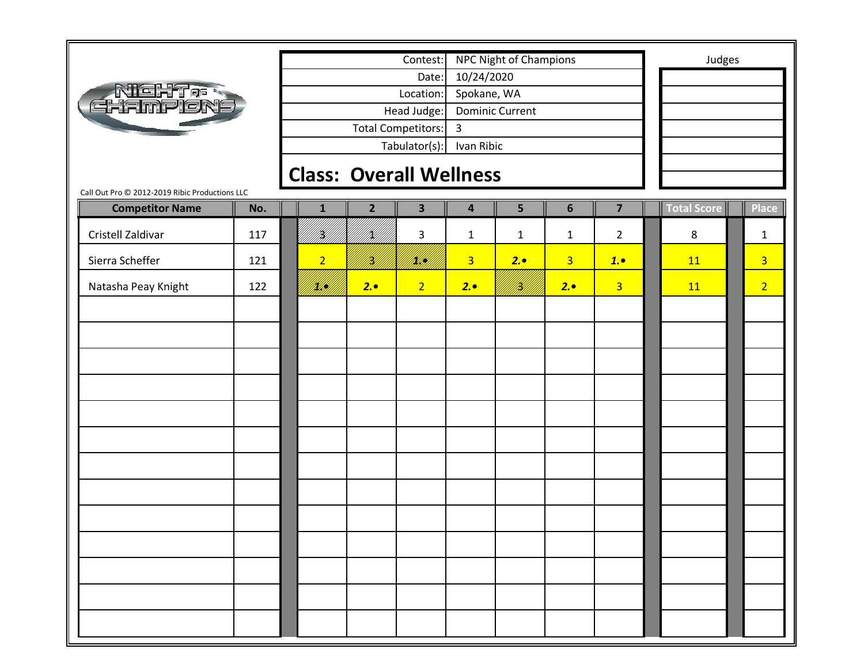|                                                |     | Contest:<br>Date:<br>Location: |                |                           |                         | NPC Night of Champions |                |                | Judges      |                |
|------------------------------------------------|-----|--------------------------------|----------------|---------------------------|-------------------------|------------------------|----------------|----------------|-------------|----------------|
|                                                |     |                                |                |                           | 10/24/2020              |                        |                |                |             |                |
|                                                |     |                                |                |                           | Spokane, WA             |                        |                |                |             |                |
| <b>NIGHT &amp; R</b><br>GHAMPION               |     |                                |                | Head Judge:               |                         | <b>Dominic Current</b> |                |                |             |                |
|                                                |     |                                |                | <b>Total Competitors:</b> | $\overline{3}$          |                        |                |                |             |                |
|                                                |     |                                |                | Tabulator(s):             | Ivan Ribic              |                        |                |                |             |                |
|                                                |     |                                |                |                           |                         |                        |                |                |             |                |
| Call Out Pro @ 2012-2019 Ribic Productions LLC |     | <b>Class: Overall Wellness</b> |                |                           |                         |                        |                |                |             |                |
| <b>Competitor Name</b>                         | No. | $\mathbf{1}$                   | $\overline{2}$ | $\overline{\mathbf{3}}$   | $\overline{\mathbf{4}}$ | 5                      | $6\phantom{1}$ | $\overline{7}$ | Total Score | <b>Place</b>   |
| Cristell Zaldivar                              | 117 | /K/                            | /K//           | 3                         | $\mathbf{1}$            | $\mathbf{1}$           | $\mathbf{1}$   | $\overline{2}$ | 8           | $\mathbf{1}$   |
| Sierra Scheffer                                | 121 | $\overline{2}$                 | H)<br>131      | <u>Mill</u>               | $\overline{3}$          | 2.0                    | $\overline{3}$ | 1.0            | 11          | $\overline{3}$ |
| Natasha Peay Knight                            | 122 | IKUN.                          | 2.0            | 2 <sup>1</sup>            | 2.0                     | .<br>Film              | 2.0            | 3 <sup>1</sup> | 11          | 2 <sup>1</sup> |
|                                                |     |                                |                |                           |                         |                        |                |                |             |                |
|                                                |     |                                |                |                           |                         |                        |                |                |             |                |
|                                                |     |                                |                |                           |                         |                        |                |                |             |                |
|                                                |     |                                |                |                           |                         |                        |                |                |             |                |
|                                                |     |                                |                |                           |                         |                        |                |                |             |                |
|                                                |     |                                |                |                           |                         |                        |                |                |             |                |
|                                                |     |                                |                |                           |                         |                        |                |                |             |                |
|                                                |     |                                |                |                           |                         |                        |                |                |             |                |
|                                                |     |                                |                |                           |                         |                        |                |                |             |                |
|                                                |     |                                |                |                           |                         |                        |                |                |             |                |
|                                                |     |                                |                |                           |                         |                        |                |                |             |                |
|                                                |     |                                |                |                           |                         |                        |                |                |             |                |
|                                                |     |                                |                |                           |                         |                        |                |                |             |                |
|                                                |     |                                |                |                           |                         |                        |                |                |             |                |
|                                                |     |                                |                |                           |                         |                        |                |                |             |                |
|                                                |     |                                |                |                           |                         |                        |                |                |             |                |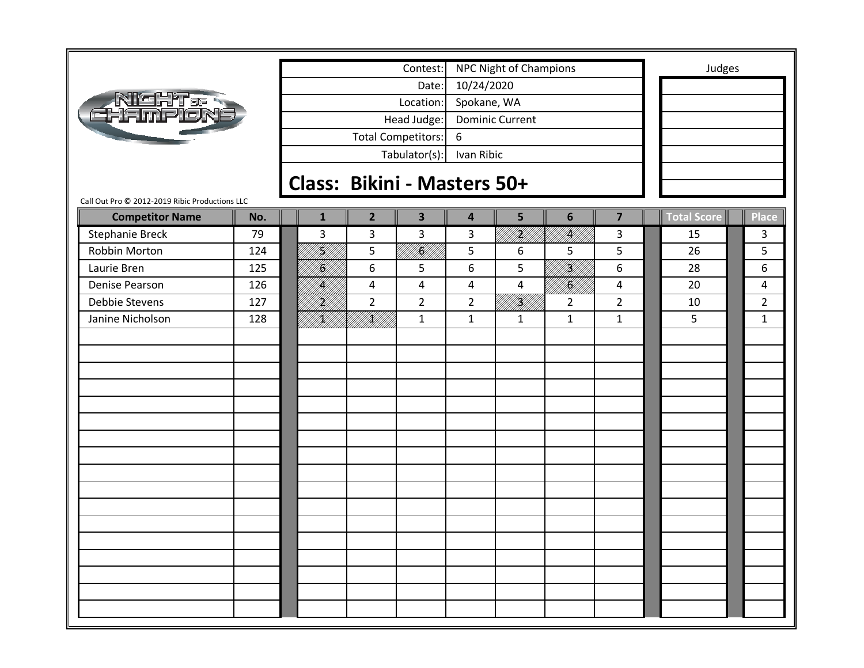|                                                |     |                                                                     |                             | Contest:                |                | <b>NPC Night of Champions</b> |                          |                | Judges             |                |
|------------------------------------------------|-----|---------------------------------------------------------------------|-----------------------------|-------------------------|----------------|-------------------------------|--------------------------|----------------|--------------------|----------------|
|                                                |     | Date:<br>Location:<br>Head Judge:<br><b>Total Competitors:</b><br>6 |                             |                         | 10/24/2020     |                               |                          |                |                    |                |
| <b>ATENT &amp; RIGHT &amp;</b>                 |     |                                                                     |                             |                         | Spokane, WA    |                               |                          |                |                    |                |
|                                                |     |                                                                     |                             |                         |                | <b>Dominic Current</b>        |                          |                |                    |                |
|                                                |     |                                                                     |                             |                         |                |                               |                          |                |                    |                |
|                                                |     |                                                                     |                             | Tabulator(s):           | Ivan Ribic     |                               |                          |                |                    |                |
|                                                |     |                                                                     |                             |                         |                |                               |                          |                |                    |                |
|                                                |     |                                                                     | Class: Bikini - Masters 50+ |                         |                |                               |                          |                |                    |                |
| Call Out Pro © 2012-2019 Ribic Productions LLC |     |                                                                     |                             |                         |                |                               |                          |                |                    |                |
| <b>Competitor Name</b>                         | No. | $\mathbf{1}$                                                        | $\overline{2}$              | $\overline{\mathbf{3}}$ | 4              | 5                             | 6                        | $\overline{7}$ | <b>Total Score</b> | <b>Place</b>   |
| <b>Stephanie Breck</b>                         | 79  | 3                                                                   | 3                           | 3                       | 3              | UKT)<br>UNIT                  | erik<br>Muhim            | 3              | 15                 | 3              |
| Robbin Morton                                  | 124 | fill<br>Fill                                                        | 5                           | <br> K                  | 5              | 6                             | 5                        | 5              | 26                 | 5              |
| Laurie Bren                                    | 125 | <br> Ka                                                             | 6                           | 5                       | 6              | 5                             | <br> W                   | 6              | 28                 | 6              |
| Denise Pearson                                 | 126 | <br> }                                                              | 4                           | 4                       | $\overline{4}$ | $\overline{\mathbf{4}}$       | <b>  </b><br> } <b> </b> | $\overline{4}$ | 20                 | 4              |
| Debbie Stevens                                 | 127 | H)<br>M                                                             | $\overline{2}$              | $\overline{2}$          | $\overline{2}$ | !!!#!!!!                      | $\overline{2}$           | $\overline{2}$ | 10                 | $\overline{2}$ |
| Janine Nicholson                               | 128 | K                                                                   | <br>  <br> }                | $\mathbf{1}$            | $\mathbf{1}$   | $\mathbf{1}$                  | $\mathbf{1}$             | $\mathbf{1}$   | 5                  | $\mathbf{1}$   |
|                                                |     |                                                                     |                             |                         |                |                               |                          |                |                    |                |
|                                                |     |                                                                     |                             |                         |                |                               |                          |                |                    |                |
|                                                |     |                                                                     |                             |                         |                |                               |                          |                |                    |                |
|                                                |     |                                                                     |                             |                         |                |                               |                          |                |                    |                |
|                                                |     |                                                                     |                             |                         |                |                               |                          |                |                    |                |
|                                                |     |                                                                     |                             |                         |                |                               |                          |                |                    |                |
|                                                |     |                                                                     |                             |                         |                |                               |                          |                |                    |                |
|                                                |     |                                                                     |                             |                         |                |                               |                          |                |                    |                |
|                                                |     |                                                                     |                             |                         |                |                               |                          |                |                    |                |
|                                                |     |                                                                     |                             |                         |                |                               |                          |                |                    |                |
|                                                |     |                                                                     |                             |                         |                |                               |                          |                |                    |                |
|                                                |     |                                                                     |                             |                         |                |                               |                          |                |                    |                |
|                                                |     |                                                                     |                             |                         |                |                               |                          |                |                    |                |
|                                                |     |                                                                     |                             |                         |                |                               |                          |                |                    |                |
|                                                |     |                                                                     |                             |                         |                |                               |                          |                |                    |                |
|                                                |     |                                                                     |                             |                         |                |                               |                          |                |                    |                |
|                                                |     |                                                                     |                             |                         |                |                               |                          |                |                    |                |
|                                                |     |                                                                     |                             |                         |                |                               |                          |                |                    |                |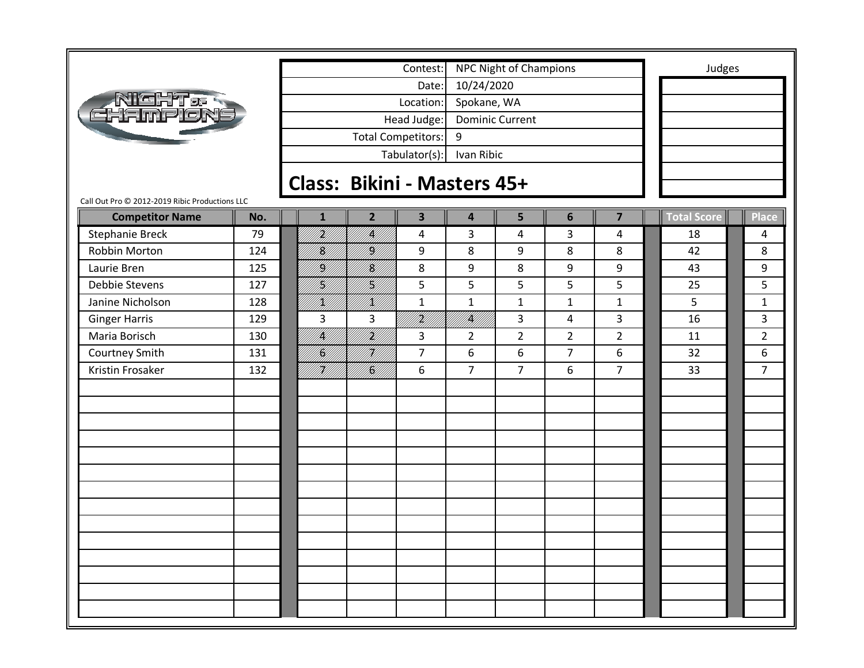|                                                |     |              |                             | Contest:                |                         | <b>NPC Night of Champions</b> |                |                         | Judges             |                |
|------------------------------------------------|-----|--------------|-----------------------------|-------------------------|-------------------------|-------------------------------|----------------|-------------------------|--------------------|----------------|
|                                                |     |              |                             | Date:                   | 10/24/2020              |                               |                |                         |                    |                |
| <u>richt e </u>                                |     |              |                             | Location:               | Spokane, WA             |                               |                |                         |                    |                |
|                                                |     |              |                             | Head Judge:             |                         | <b>Dominic Current</b>        |                |                         |                    |                |
|                                                |     |              | <b>Total Competitors:</b>   |                         | 9                       |                               |                |                         |                    |                |
|                                                |     |              |                             | Tabulator(s):           | Ivan Ribic              |                               |                |                         |                    |                |
|                                                |     |              |                             |                         |                         |                               |                |                         |                    |                |
| Call Out Pro © 2012-2019 Ribic Productions LLC |     |              | Class: Bikini - Masters 45+ |                         |                         |                               |                |                         |                    |                |
| <b>Competitor Name</b>                         | No. | $\mathbf{1}$ | $\overline{2}$              | $\overline{\mathbf{3}}$ | $\overline{\mathbf{4}}$ | 5                             | $6\phantom{1}$ | $\overline{\mathbf{z}}$ | <b>Total Score</b> | Place          |
| <b>Stephanie Breck</b>                         | 79  | H)<br>M)     | IĶ)                         | 4                       | 3                       | $\overline{a}$                | 3              | $\overline{4}$          | 18                 | 4              |
| Robbin Morton                                  | 124 | <br> K       | H)                          | 9                       | 8                       | 9                             | 8              | 8                       | 42                 | 8              |
| Laurie Bren                                    | 125 | /K//         | I<br>M                      | 8                       | 9                       | 8                             | 9              | 9                       | 43                 | 9              |
| Debbie Stevens                                 | 127 | <br> }<br> } | H)<br>M                     | 5                       | 5                       | 5                             | 5              | 5                       | 25                 | 5              |
| Janine Nicholson                               | 128 | /K//         | /K//                        | $\mathbf{1}$            | $\mathbf{1}$            | $\mathbf{1}$                  | $\mathbf{1}$   | $\mathbf{1}$            | 5                  | $\mathbf{1}$   |
| <b>Ginger Harris</b>                           | 129 | 3            | 3                           | irild<br>Mille          | IĶI                     | 3                             | 4              | $\overline{3}$          | 16                 | 3              |
| Maria Borisch                                  | 130 | <br> <br> }  | <br> }<br> }                | 3                       | $\overline{2}$          | $\overline{2}$                | $\overline{2}$ | $2^{\circ}$             | 11                 | $\overline{2}$ |
| Courtney Smith                                 | 131 | II.          | H)<br>M/I                   | $\overline{7}$          | 6                       | 6                             | $\overline{7}$ | 6                       | 32                 | 6              |
| Kristin Frosaker                               | 132 | HII<br>MII   | fil<br>H                    | 6                       | $\overline{7}$          | $\overline{7}$                | 6              | $\overline{7}$          | 33                 | $\overline{7}$ |
|                                                |     |              |                             |                         |                         |                               |                |                         |                    |                |
|                                                |     |              |                             |                         |                         |                               |                |                         |                    |                |
|                                                |     |              |                             |                         |                         |                               |                |                         |                    |                |
|                                                |     |              |                             |                         |                         |                               |                |                         |                    |                |
|                                                |     |              |                             |                         |                         |                               |                |                         |                    |                |
|                                                |     |              |                             |                         |                         |                               |                |                         |                    |                |
|                                                |     |              |                             |                         |                         |                               |                |                         |                    |                |
|                                                |     |              |                             |                         |                         |                               |                |                         |                    |                |
|                                                |     |              |                             |                         |                         |                               |                |                         |                    |                |
|                                                |     |              |                             |                         |                         |                               |                |                         |                    |                |
|                                                |     |              |                             |                         |                         |                               |                |                         |                    |                |
|                                                |     |              |                             |                         |                         |                               |                |                         |                    |                |
|                                                |     |              |                             |                         |                         |                               |                |                         |                    |                |
|                                                |     |              |                             |                         |                         |                               |                |                         |                    |                |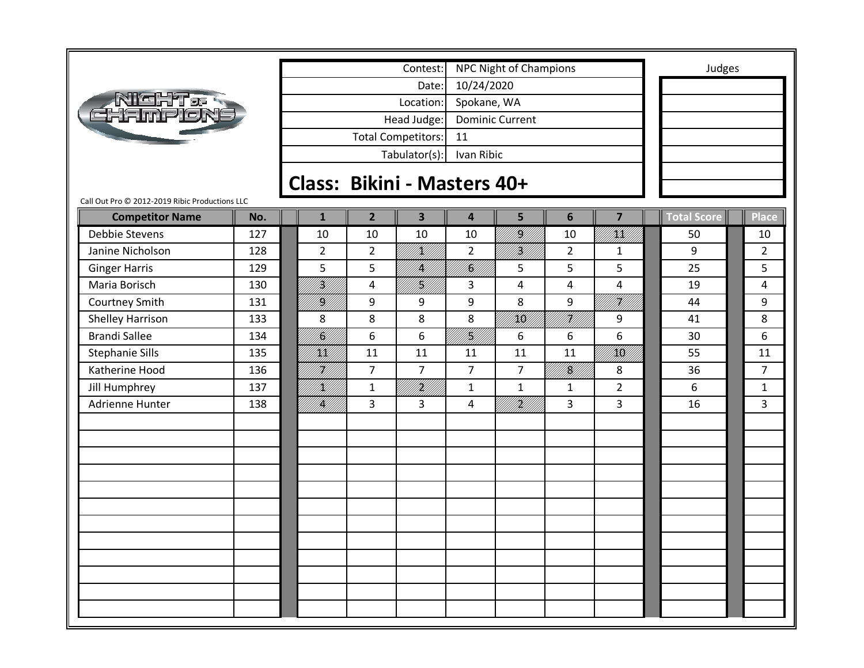|                                                |     |                 |                | Contest:                    |                         | <b>NPC Night of Champions</b> |                          |                           |                    | Judges |                |
|------------------------------------------------|-----|-----------------|----------------|-----------------------------|-------------------------|-------------------------------|--------------------------|---------------------------|--------------------|--------|----------------|
|                                                |     |                 |                | Date:                       | 10/24/2020              |                               |                          |                           |                    |        |                |
| <u>R IGHT os</u>                               |     |                 |                | Location:                   | Spokane, WA             |                               |                          |                           |                    |        |                |
|                                                |     |                 |                | Head Judge:                 |                         | <b>Dominic Current</b>        |                          |                           |                    |        |                |
|                                                |     |                 |                | <b>Total Competitors:</b>   | 11                      |                               |                          |                           |                    |        |                |
|                                                |     |                 |                | Tabulator(s):               | Ivan Ribic              |                               |                          |                           |                    |        |                |
|                                                |     |                 |                | Class: Bikini - Masters 40+ |                         |                               |                          |                           |                    |        |                |
| Call Out Pro © 2012-2019 Ribic Productions LLC |     |                 |                |                             |                         |                               |                          |                           |                    |        |                |
| <b>Competitor Name</b>                         | No. | $\mathbf{1}$    | $\overline{2}$ | $\overline{\mathbf{3}}$     | $\overline{\mathbf{4}}$ | 5                             | $6\phantom{1}$           | $\overline{\mathbf{z}}$   | <b>Total Score</b> |        | Place          |
| Debbie Stevens                                 | 127 | 10              | 10             | 10                          | 10                      | <b>  </b><br> } <b> </b>      | 10                       | UMKU<br>UM <del>K</del> U | 50                 |        | 10             |
| Janine Nicholson                               | 128 | $\overline{2}$  | $\overline{2}$ | <br>   <b> </b><br> }       | $\overline{2}$          | <b>  </b><br> }               | $\overline{2}$           | $\mathbf{1}$              | 9                  |        | $\overline{2}$ |
| <b>Ginger Harris</b>                           | 129 | 5               | 5              | K                           | U<br>  <br> }           | 5                             | 5                        | 5                         | 25                 |        | 5              |
| Maria Borisch                                  | 130 | irildi<br>Milli | 4              | H)<br>M                     | 3                       | 4                             | 4                        | 4                         | 19                 |        | 4              |
| Courtney Smith                                 | 131 | <br> }<br> }    | 9              | 9                           | 9                       | 8                             | 9                        | F <b>K</b> UN             | 44                 |        | 9              |
| <b>Shelley Harrison</b>                        | 133 | 8               | 8              | 8                           | 8                       | / <b>/////</b>                | Fill I                   | 9                         | 41                 |        | 8              |
| <b>Brandi Sallee</b>                           | 134 | /KU             | 6              | 6                           | Y<br> }                 | 6                             | 6                        | 6                         | 30                 |        | 6              |
| <b>Stephanie Sills</b>                         | 135 | /KK//           | 11             | 11                          | 11                      | 11                            | 11                       | /KK//                     | 55                 |        | 11             |
| Katherine Hood                                 | 136 | HM<br>M//       | $\overline{7}$ | $\overline{7}$              | $\overline{7}$          | $\overline{7}$                | <b>  </b><br> } <b> </b> | 8                         | 36                 |        | $\overline{7}$ |
| Jill Humphrey                                  | 137 | <u>K</u> U      | $\mathbf{1}$   | K                           | $\mathbf{1}$            | $\mathbf{1}$                  | $\mathbf{1}$             | $\overline{2}$            | 6                  |        | $\mathbf{1}$   |
| Adrienne Hunter                                | 138 | <b>  </b><br> } | 3              | 3                           | 4                       | fi Killi                      | 3                        | 3                         | 16                 |        | 3              |
|                                                |     |                 |                |                             |                         |                               |                          |                           |                    |        |                |
|                                                |     |                 |                |                             |                         |                               |                          |                           |                    |        |                |
|                                                |     |                 |                |                             |                         |                               |                          |                           |                    |        |                |
|                                                |     |                 |                |                             |                         |                               |                          |                           |                    |        |                |
|                                                |     |                 |                |                             |                         |                               |                          |                           |                    |        |                |
|                                                |     |                 |                |                             |                         |                               |                          |                           |                    |        |                |
|                                                |     |                 |                |                             |                         |                               |                          |                           |                    |        |                |
|                                                |     |                 |                |                             |                         |                               |                          |                           |                    |        |                |
|                                                |     |                 |                |                             |                         |                               |                          |                           |                    |        |                |
|                                                |     |                 |                |                             |                         |                               |                          |                           |                    |        |                |
|                                                |     |                 |                |                             |                         |                               |                          |                           |                    |        |                |
|                                                |     |                 |                |                             |                         |                               |                          |                           |                    |        |                |
|                                                |     |                 |                |                             |                         |                               |                          |                           |                    |        |                |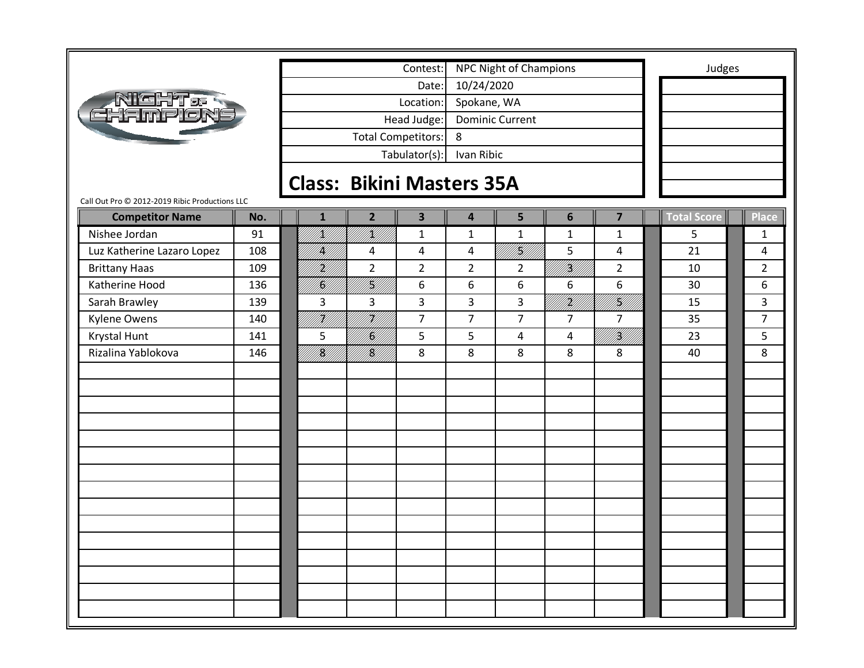|                                                |     |                                               |                                  |                         |                         | <b>NPC Night of Champions</b> |                            |                | Judges             |                |
|------------------------------------------------|-----|-----------------------------------------------|----------------------------------|-------------------------|-------------------------|-------------------------------|----------------------------|----------------|--------------------|----------------|
|                                                |     | Contest:<br>Date:<br>Location:<br>Head Judge: |                                  |                         |                         |                               |                            |                |                    |                |
|                                                |     |                                               |                                  |                         | 10/24/2020              |                               |                            |                |                    |                |
| <b>NIGHT&amp;R</b><br>EHAMPLON                 |     |                                               |                                  |                         | Spokane, WA             |                               |                            |                |                    |                |
|                                                |     |                                               |                                  |                         |                         | <b>Dominic Current</b>        |                            |                |                    |                |
|                                                |     |                                               | <b>Total Competitors:</b>        |                         | 8                       |                               |                            |                |                    |                |
|                                                |     |                                               |                                  | Tabulator(s):           | Ivan Ribic              |                               |                            |                |                    |                |
|                                                |     |                                               | <b>Class: Bikini Masters 35A</b> |                         |                         |                               |                            |                |                    |                |
| Call Out Pro © 2012-2019 Ribic Productions LLC |     |                                               |                                  |                         |                         |                               |                            |                |                    |                |
| <b>Competitor Name</b>                         | No. | $\mathbf{1}$                                  | $\overline{2}$                   | $\overline{\mathbf{3}}$ | $\overline{\mathbf{4}}$ | 5                             | 6                          | $\overline{7}$ | <b>Total Score</b> | <b>Place</b>   |
| Nishee Jordan                                  | 91  | <br> }<br> }                                  | /K//                             | $\mathbf{1}$            | $\mathbf 1$             | $\mathbf 1$                   | $\mathbf{1}$               | $\mathbf{1}$   | 5                  | 1              |
| Luz Katherine Lazaro Lopez                     | 108 | IĶ/                                           | 4                                | 4                       | 4                       | <br> }<br> }                  | 5                          | $\overline{4}$ | 21                 | $\overline{4}$ |
| <b>Brittany Haas</b>                           | 109 | <u>H</u><br>M                                 | $\overline{2}$                   | $\overline{2}$          | $\overline{2}$          | $\overline{2}$                | irildi<br>Milli            | $\overline{2}$ | 10                 | $\overline{2}$ |
| Katherine Hood                                 | 136 | fil<br>M                                      | <br> K                           | 6                       | 6                       | 6                             | 6                          | 6              | 30                 | 6              |
| Sarah Brawley                                  | 139 | 3                                             | 3                                | 3                       | 3                       | 3                             | <b>   </b><br>   <b>  </b> | NAN<br>FANNI   | 15                 | 3              |
| <b>Kylene Owens</b>                            | 140 | HU<br>MU                                      | H)<br>M}}                        | $\overline{7}$          | $\overline{7}$          | $\overline{7}$                | $\overline{7}$             | $\overline{7}$ | 35                 | $\overline{7}$ |
| Krystal Hunt                                   | 141 | 5                                             | /K/                              | 5                       | 5                       | 4                             | 4                          | <br> }<br> }   | 23                 | 5              |
| Rizalina Yablokova                             | 146 | <b>  </b><br> } <b> </b>                      | <br> <br> }                      | 8                       | 8                       | 8                             | 8                          | 8              | 40                 | 8              |
|                                                |     |                                               |                                  |                         |                         |                               |                            |                |                    |                |
|                                                |     |                                               |                                  |                         |                         |                               |                            |                |                    |                |
|                                                |     |                                               |                                  |                         |                         |                               |                            |                |                    |                |
|                                                |     |                                               |                                  |                         |                         |                               |                            |                |                    |                |
|                                                |     |                                               |                                  |                         |                         |                               |                            |                |                    |                |
|                                                |     |                                               |                                  |                         |                         |                               |                            |                |                    |                |
|                                                |     |                                               |                                  |                         |                         |                               |                            |                |                    |                |
|                                                |     |                                               |                                  |                         |                         |                               |                            |                |                    |                |
|                                                |     |                                               |                                  |                         |                         |                               |                            |                |                    |                |
|                                                |     |                                               |                                  |                         |                         |                               |                            |                |                    |                |
|                                                |     |                                               |                                  |                         |                         |                               |                            |                |                    |                |
|                                                |     |                                               |                                  |                         |                         |                               |                            |                |                    |                |
|                                                |     |                                               |                                  |                         |                         |                               |                            |                |                    |                |
|                                                |     |                                               |                                  |                         |                         |                               |                            |                |                    |                |
|                                                |     |                                               |                                  |                         |                         |                               |                            |                |                    |                |
|                                                |     |                                               |                                  |                         |                         |                               |                            |                |                    |                |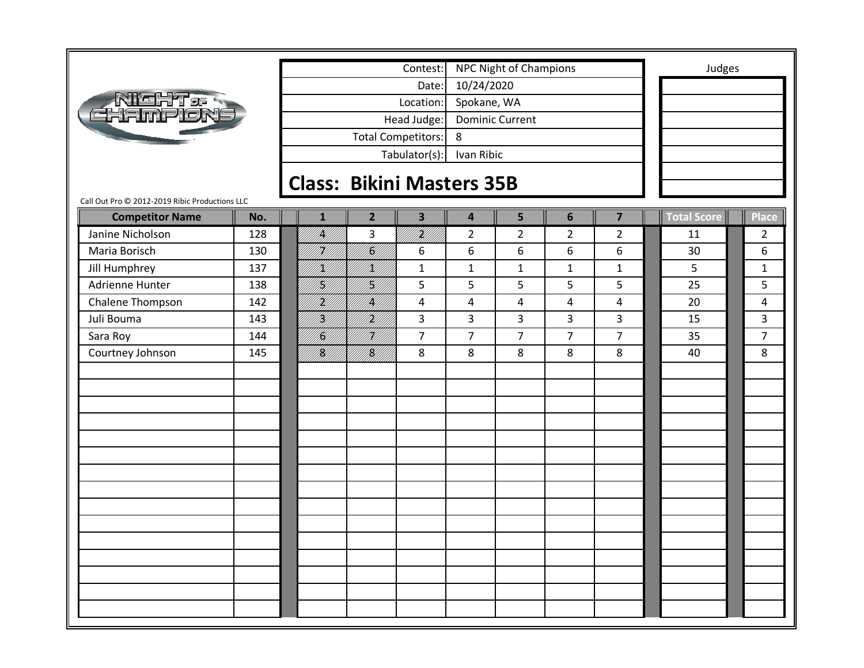| ľaHT os<br><u>Hampió</u> |
|--------------------------|
|--------------------------|

|                                                |     |                                  |                       | Contest:                  |                         | <b>NPC Night of Champions</b> |                 |                | Judges             |                |
|------------------------------------------------|-----|----------------------------------|-----------------------|---------------------------|-------------------------|-------------------------------|-----------------|----------------|--------------------|----------------|
|                                                |     |                                  |                       | Date:                     | 10/24/2020              |                               |                 |                |                    |                |
| <b>NIGHT &amp;</b>                             |     |                                  |                       | Location:                 | Spokane, WA             |                               |                 |                |                    |                |
| CHAMF                                          |     |                                  |                       | Head Judge:               |                         | <b>Dominic Current</b>        |                 |                |                    |                |
|                                                |     |                                  |                       | <b>Total Competitors:</b> | 8                       |                               |                 |                |                    |                |
|                                                |     |                                  |                       | Tabulator(s):             | Ivan Ribic              |                               |                 |                |                    |                |
|                                                |     |                                  |                       |                           |                         |                               |                 |                |                    |                |
|                                                |     | <b>Class: Bikini Masters 35B</b> |                       |                           |                         |                               |                 |                |                    |                |
| Call Out Pro © 2012-2019 Ribic Productions LLC |     |                                  |                       |                           |                         |                               |                 |                |                    |                |
| <b>Competitor Name</b>                         | No. | $\mathbf{1}$                     | $\overline{2}$        | $\overline{\mathbf{3}}$   | $\overline{\mathbf{4}}$ | 5                             | $6\phantom{1}6$ | $\overline{7}$ | <b>Total Score</b> | Place          |
| Janine Nicholson                               | 128 | <br> }                           | 3                     | irilli<br>Milli           | $\overline{2}$          | $\overline{2}$                | $\overline{2}$  | $\overline{2}$ | 11                 | $\overline{2}$ |
| Maria Borisch                                  | 130 | H<br> }                          | <br>  <b>  </b><br> } | 6                         | 6                       | 6                             | 6               | 6              | 30                 | 6              |
| Jill Humphrey                                  | 137 | H)<br>Kl                         | HM)                   | $\mathbf{1}$              | $\mathbf 1$             | $\mathbf{1}$                  | $\mathbf{1}$    | $\mathbf{1}$   | 5                  | $\mathbf{1}$   |
| Adrienne Hunter                                | 138 | H.                               | <br> }}               | 5                         | 5                       | 5                             | 5               | 5              | 25                 | 5              |
| Chalene Thompson                               | 142 | .<br>M                           | IĶ                    | 4                         | 4                       | 4                             | $\overline{4}$  | 4              | 20                 | 4              |
| Juli Bouma                                     | 143 | Y<br> Y                          | .<br>Mill             | 3                         | 3                       | 3                             | 3               | 3              | 15                 | 3              |
| Sara Roy                                       | 144 | H.                               | HM                    | $\overline{7}$            | $\overline{7}$          | $\overline{7}$                | $\overline{7}$  | $\overline{7}$ | 35                 | $\overline{7}$ |
| Courtney Johnson                               | 145 | <br> K                           | K                     | 8                         | 8                       | 8                             | 8               | 8              | 40                 | 8              |
|                                                |     |                                  |                       |                           |                         |                               |                 |                |                    |                |
|                                                |     |                                  |                       |                           |                         |                               |                 |                |                    |                |
|                                                |     |                                  |                       |                           |                         |                               |                 |                |                    |                |
|                                                |     |                                  |                       |                           |                         |                               |                 |                |                    |                |
|                                                |     |                                  |                       |                           |                         |                               |                 |                |                    |                |
|                                                |     |                                  |                       |                           |                         |                               |                 |                |                    |                |
|                                                |     |                                  |                       |                           |                         |                               |                 |                |                    |                |
|                                                |     |                                  |                       |                           |                         |                               |                 |                |                    |                |
|                                                |     |                                  |                       |                           |                         |                               |                 |                |                    |                |
|                                                |     |                                  |                       |                           |                         |                               |                 |                |                    |                |
|                                                |     |                                  |                       |                           |                         |                               |                 |                |                    |                |
|                                                |     |                                  |                       |                           |                         |                               |                 |                |                    |                |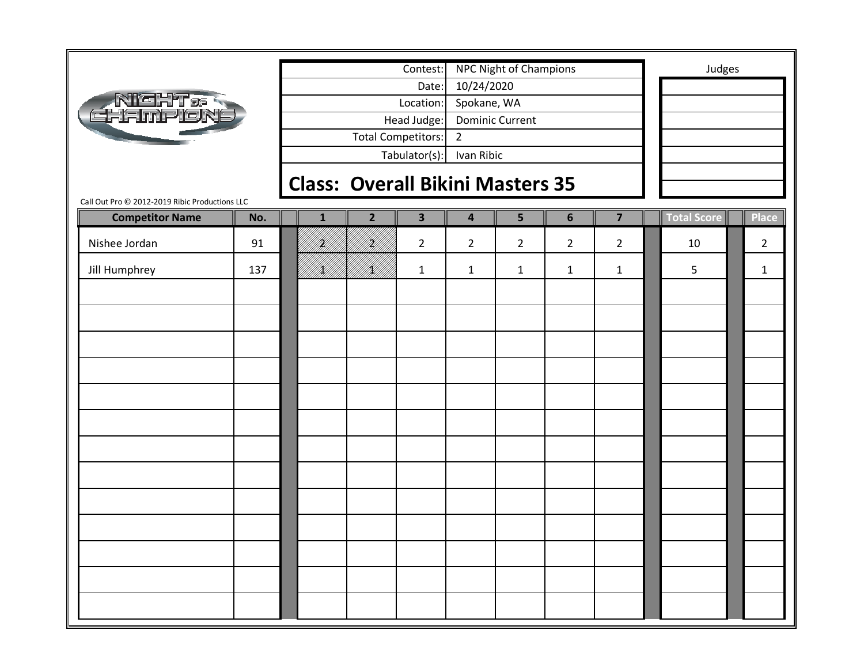|                                                |              |                | Contest:                |                         | NPC Night of Champions                  |                |                | Judges      |                |
|------------------------------------------------|--------------|----------------|-------------------------|-------------------------|-----------------------------------------|----------------|----------------|-------------|----------------|
|                                                |              |                | Date:                   | 10/24/2020              |                                         |                |                |             |                |
| <b>NIGHT &amp; S</b><br>GHAMPIONE              |              |                | Location:               | Spokane, WA             |                                         |                |                |             |                |
|                                                |              |                | Head Judge:             |                         | <b>Dominic Current</b>                  |                |                |             |                |
|                                                |              |                | Total Competitors:      | $\overline{2}$          |                                         |                |                |             |                |
|                                                |              |                | Tabulator(s):           | Ivan Ribic              |                                         |                |                |             |                |
|                                                |              |                |                         |                         | <b>Class: Overall Bikini Masters 35</b> |                |                |             |                |
| Call Out Pro @ 2012-2019 Ribic Productions LLC |              |                |                         |                         |                                         |                |                |             |                |
| <b>Competitor Name</b><br>No.                  | $\mathbf{1}$ | $\overline{2}$ | $\overline{\mathbf{3}}$ | $\overline{\mathbf{4}}$ | 5                                       | $6\phantom{1}$ | $\overline{7}$ | Total Score | <b>Place</b>   |
| Nishee Jordan<br>91                            | Hf           | H)<br>M        | $\overline{2}$          | $\overline{2}$          | $\overline{2}$                          | $\overline{2}$ | $\overline{2}$ | 10          | $\overline{2}$ |
| Jill Humphrey<br>137                           | IĶĮ,         | /K//           | 1                       | $\mathbf{1}$            | $\mathbf{1}$                            | $\mathbf{1}$   | $\mathbf{1}$   | 5           | $\mathbf{1}$   |
|                                                |              |                |                         |                         |                                         |                |                |             |                |
|                                                |              |                |                         |                         |                                         |                |                |             |                |
|                                                |              |                |                         |                         |                                         |                |                |             |                |
|                                                |              |                |                         |                         |                                         |                |                |             |                |
|                                                |              |                |                         |                         |                                         |                |                |             |                |
|                                                |              |                |                         |                         |                                         |                |                |             |                |
|                                                |              |                |                         |                         |                                         |                |                |             |                |
|                                                |              |                |                         |                         |                                         |                |                |             |                |
|                                                |              |                |                         |                         |                                         |                |                |             |                |
|                                                |              |                |                         |                         |                                         |                |                |             |                |
|                                                |              |                |                         |                         |                                         |                |                |             |                |
|                                                |              |                |                         |                         |                                         |                |                |             |                |
|                                                |              |                |                         |                         |                                         |                |                |             |                |
|                                                |              |                |                         |                         |                                         |                |                |             |                |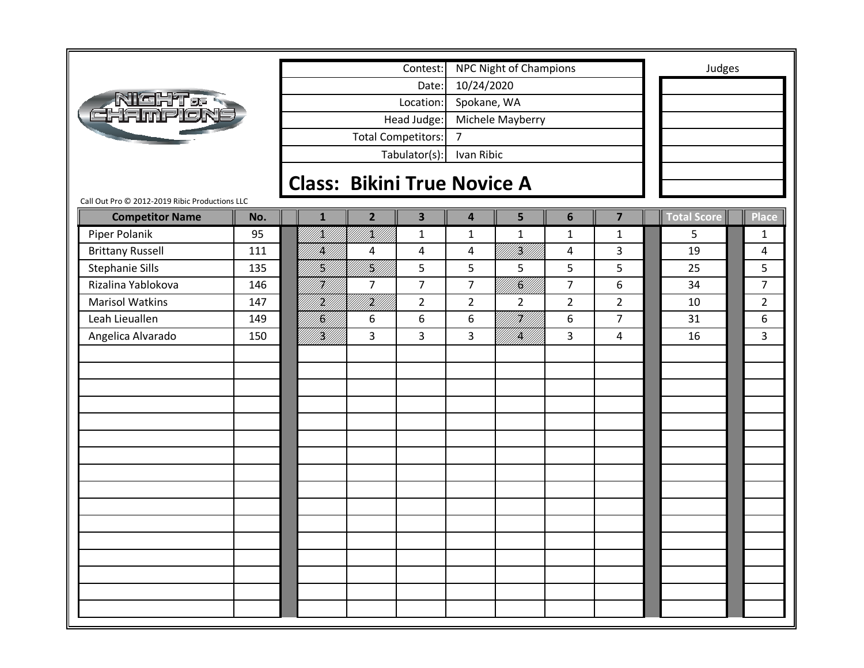|                                                |     |                     |                                    | Contest:                  |                         | NPC Night of Champions |                |                         |                    | Judges         |
|------------------------------------------------|-----|---------------------|------------------------------------|---------------------------|-------------------------|------------------------|----------------|-------------------------|--------------------|----------------|
|                                                |     |                     |                                    | Date:                     | 10/24/2020              |                        |                |                         |                    |                |
| <u>RICHTes</u>                                 |     |                     |                                    | Location:                 | Spokane, WA             |                        |                |                         |                    |                |
| CHAmr                                          |     |                     |                                    | Head Judge:               |                         | Michele Mayberry       |                |                         |                    |                |
|                                                |     |                     |                                    | <b>Total Competitors:</b> | $\overline{7}$          |                        |                |                         |                    |                |
|                                                |     |                     |                                    | Tabulator(s):             | Ivan Ribic              |                        |                |                         |                    |                |
|                                                |     |                     |                                    |                           |                         |                        |                |                         |                    |                |
| Call Out Pro @ 2012-2019 Ribic Productions LLC |     |                     | <b>Class: Bikini True Novice A</b> |                           |                         |                        |                |                         |                    |                |
| <b>Competitor Name</b>                         | No. | $\mathbf{1}$        | $\overline{2}$                     | $\overline{\mathbf{3}}$   | $\overline{\mathbf{4}}$ | 5                      | 6              | $\overline{\mathbf{z}}$ | <b>Total Score</b> | <b>Place</b>   |
| Piper Polanik                                  | 95  | HM   <br> }         | k   <br> }k                        | $\mathbf{1}$              | $\mathbf{1}$            | $\mathbf{1}$           | $\mathbf{1}$   | $\mathbf{1}$            | 5                  | $\mathbf{1}$   |
| <b>Brittany Russell</b>                        | 111 | <b>  </b><br> }     | 4                                  | $\overline{4}$            | 4                       | !!!#!!!!<br>////       | 4              | 3                       | 19                 | 4              |
| <b>Stephanie Sills</b>                         | 135 | HA<br>1 <b>3</b> 41 | <br> }<br> }                       | 5                         | 5                       | 5                      | 5              | 5                       | 25                 | 5              |
| Rizalina Yablokova                             | 146 | H)<br>V             | $\overline{7}$                     | $\overline{7}$            | $\overline{7}$          | <b>  </b><br> }<br> }  | $\overline{7}$ | 6                       | 34                 | $\overline{7}$ |
| <b>Marisol Watkins</b>                         | 147 | <br> }              | irildi<br>Mille                    | $\overline{2}$            | $\overline{2}$          | $\overline{2}$         | $\overline{2}$ | $\overline{2}$          | 10                 | $\overline{2}$ |
| Leah Lieuallen                                 | 149 | <br> <br> }         | 6                                  | 6                         | 6                       | <sup>4</sup> tt.ff///  | 6              | $\overline{7}$          | 31                 | 6              |
| Angelica Alvarado                              | 150 | <br> W              | 3                                  | 3                         | 3                       | <br>  <br> }           | 3              | $\overline{4}$          | 16                 | 3              |
|                                                |     |                     |                                    |                           |                         |                        |                |                         |                    |                |
|                                                |     |                     |                                    |                           |                         |                        |                |                         |                    |                |
|                                                |     |                     |                                    |                           |                         |                        |                |                         |                    |                |
|                                                |     |                     |                                    |                           |                         |                        |                |                         |                    |                |
|                                                |     |                     |                                    |                           |                         |                        |                |                         |                    |                |
|                                                |     |                     |                                    |                           |                         |                        |                |                         |                    |                |
|                                                |     |                     |                                    |                           |                         |                        |                |                         |                    |                |
|                                                |     |                     |                                    |                           |                         |                        |                |                         |                    |                |
|                                                |     |                     |                                    |                           |                         |                        |                |                         |                    |                |
|                                                |     |                     |                                    |                           |                         |                        |                |                         |                    |                |
|                                                |     |                     |                                    |                           |                         |                        |                |                         |                    |                |
|                                                |     |                     |                                    |                           |                         |                        |                |                         |                    |                |
|                                                |     |                     |                                    |                           |                         |                        |                |                         |                    |                |
|                                                |     |                     |                                    |                           |                         |                        |                |                         |                    |                |
|                                                |     |                     |                                    |                           |                         |                        |                |                         |                    |                |
|                                                |     |                     |                                    |                           |                         |                        |                |                         |                    |                |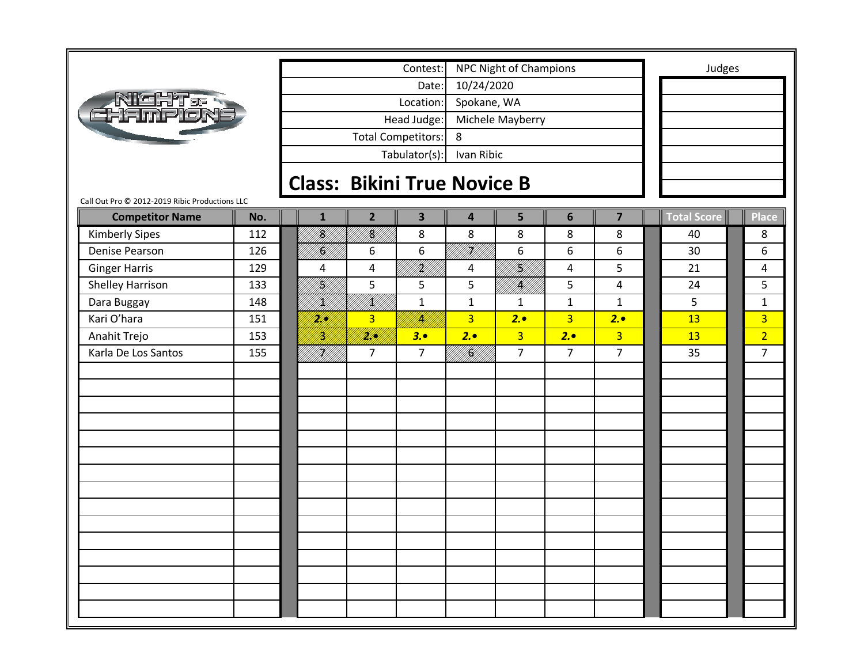| <b>dight of</b><br><b>EHAMPIÓ:</b> |
|------------------------------------|
|------------------------------------|

Tabulator(s): Ivan Ribic Head Judge: Michele Mayberry Total Competitors: 8 Date: 10/24/2020 Location: Spokane, WA Contest: NPC Night of Champions **Judges** 

### **Class: Bikini True Novice B**

Call Out Pro © 2012‐2019 Ribic Productions LLC

| <b>Competitor Name</b> | No. | $\mathbf{1}$     | $\overline{2}$ | $\overline{\mathbf{3}}$ | $\overline{\mathbf{4}}$ | 5                 | $6\phantom{1}6$ | $\overline{\mathbf{z}}$ | Total Score | Place          |
|------------------------|-----|------------------|----------------|-------------------------|-------------------------|-------------------|-----------------|-------------------------|-------------|----------------|
| <b>Kimberly Sipes</b>  | 112 | TK/<br>PH/       | <br> }<br> }   | 8                       | 8                       | $\,8\,$           | 8               | 8                       | 40          | 8              |
| Denise Pearson         | 126 | Hff.             | 6              | 6                       | <br> }<br> }            | $\boldsymbol{6}$  | 6               | 6                       | 30          | 6              |
| <b>Ginger Harris</b>   | 129 | 4                | 4              | <br> }<br> }            | 4                       | U<br>   <b>  </b> | $\pmb{4}$       | 5                       | 21          | 4              |
| Shelley Harrison       | 133 | <br> K           | 5              | 5                       | 5                       | <br> }<br> }      | 5               | 4                       | 24          | 5              |
| Dara Buggay            | 148 | <br> }<br> }     | III)<br>INN    | $\mathbf{1}$            | $\mathbf{1}$            | $\mathbf{1}$      | $\mathbf{1}$    | $\mathbf{1}$            | 5           | $\mathbf{1}$   |
| Kari O'hara            | 151 | <u>M</u> U       | $\overline{3}$ | IN.                     | $\overline{3}$          | 2.                | $\overline{3}$  | 2.                      | 13          | $\overline{3}$ |
| Anahit Trejo           | 153 | 16<br>19         | <u>Mill</u>    | 3.0                     | 2.                      | $\overline{3}$    | 2.              | 3 <sup>1</sup>          | 13          | $\overline{2}$ |
| Karla De Los Santos    | 155 | fi Hill<br>Mille | $\overline{7}$ | $\overline{7}$          | ITA<br>Kalif            | $\overline{7}$    | $\overline{7}$  | $\overline{7}$          | 35          | $\overline{7}$ |
|                        |     |                  |                |                         |                         |                   |                 |                         |             |                |
|                        |     |                  |                |                         |                         |                   |                 |                         |             |                |
|                        |     |                  |                |                         |                         |                   |                 |                         |             |                |
|                        |     |                  |                |                         |                         |                   |                 |                         |             |                |
|                        |     |                  |                |                         |                         |                   |                 |                         |             |                |
|                        |     |                  |                |                         |                         |                   |                 |                         |             |                |
|                        |     |                  |                |                         |                         |                   |                 |                         |             |                |
|                        |     |                  |                |                         |                         |                   |                 |                         |             |                |
|                        |     |                  |                |                         |                         |                   |                 |                         |             |                |
|                        |     |                  |                |                         |                         |                   |                 |                         |             |                |
|                        |     |                  |                |                         |                         |                   |                 |                         |             |                |
|                        |     |                  |                |                         |                         |                   |                 |                         |             |                |
|                        |     |                  |                |                         |                         |                   |                 |                         |             |                |
|                        |     |                  |                |                         |                         |                   |                 |                         |             |                |
|                        |     |                  |                |                         |                         |                   |                 |                         |             |                |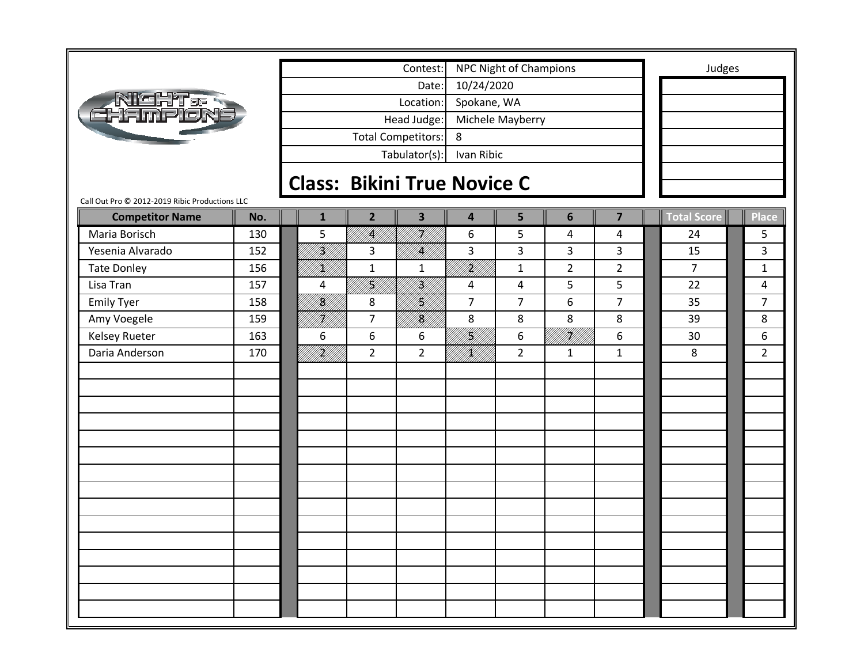|                                                |     |                                    |                | Contest:                  |                         | <b>NPC Night of Champions</b> |                |                         | Judges             |                |
|------------------------------------------------|-----|------------------------------------|----------------|---------------------------|-------------------------|-------------------------------|----------------|-------------------------|--------------------|----------------|
|                                                |     |                                    |                | Date:                     | 10/24/2020              |                               |                |                         |                    |                |
| Nicht <i>e</i><br>Hampion:                     |     |                                    |                | Location:                 | Spokane, WA             |                               |                |                         |                    |                |
|                                                |     |                                    |                | Head Judge:               |                         | Michele Mayberry              |                |                         |                    |                |
|                                                |     |                                    |                | <b>Total Competitors:</b> | 8                       |                               |                |                         |                    |                |
|                                                |     |                                    |                | Tabulator(s):             | Ivan Ribic              |                               |                |                         |                    |                |
|                                                |     | <b>Class: Bikini True Novice C</b> |                |                           |                         |                               |                |                         |                    |                |
| Call Out Pro @ 2012-2019 Ribic Productions LLC |     |                                    |                |                           |                         |                               |                |                         |                    |                |
| <b>Competitor Name</b>                         | No. | $\mathbf{1}$                       | $\overline{2}$ | $\overline{\mathbf{3}}$   | $\overline{\mathbf{4}}$ | 5                             | $6\phantom{1}$ | $\overline{\mathbf{z}}$ | <b>Total Score</b> | <b>Place</b>   |
| Maria Borisch                                  | 130 | 5                                  | <br> }<br> }   | HV/I                      | 6                       | 5                             | 4              | 4                       | 24                 | 5              |
| Yesenia Alvarado                               | 152 | fikt f                             | 3              | K  <br>  K                | 3                       | 3                             | 3              | $\overline{3}$          | 15                 | 3              |
| <b>Tate Donley</b>                             | 156 | <br> <br> }                        | $\mathbf{1}$   | $\mathbf{1}$              | iri<br>Mill             | $\mathbf{1}$                  | $\overline{2}$ | $\overline{2}$          | $\overline{7}$     | $\mathbf{1}$   |
| Lisa Tran                                      | 157 | 4                                  | U<br>  X       | <br> }<br> }              | 4                       | 4                             | 5              | 5 <sup>5</sup>          | 22                 | 4              |
| <b>Emily Tyer</b>                              | 158 | <b> S</b><br> }                    | 8              | Hf<br> }                  | $\overline{7}$          | $\overline{7}$                | 6              | $\overline{7}$          | 35                 | $\overline{7}$ |
| Amy Voegele                                    | 159 | HA<br>M                            | $\overline{7}$ | K<br> K                   | 8                       | 8                             | 8              | 8                       | 39                 | 8              |
| <b>Kelsey Rueter</b>                           | 163 | 6                                  | 6              | 6                         | }<br> }}                | 6                             | i Kilili       | 6                       | 30                 | 6              |
| Daria Anderson                                 | 170 | i Killi                            | $\overline{2}$ | $\overline{2}$            | UKU U                   | $\overline{2}$                | $\mathbf{1}$   | $\mathbf{1}$            | 8                  | $\overline{2}$ |
|                                                |     |                                    |                |                           |                         |                               |                |                         |                    |                |
|                                                |     |                                    |                |                           |                         |                               |                |                         |                    |                |
|                                                |     |                                    |                |                           |                         |                               |                |                         |                    |                |
|                                                |     |                                    |                |                           |                         |                               |                |                         |                    |                |
|                                                |     |                                    |                |                           |                         |                               |                |                         |                    |                |
|                                                |     |                                    |                |                           |                         |                               |                |                         |                    |                |
|                                                |     |                                    |                |                           |                         |                               |                |                         |                    |                |
|                                                |     |                                    |                |                           |                         |                               |                |                         |                    |                |
|                                                |     |                                    |                |                           |                         |                               |                |                         |                    |                |
|                                                |     |                                    |                |                           |                         |                               |                |                         |                    |                |
|                                                |     |                                    |                |                           |                         |                               |                |                         |                    |                |
|                                                |     |                                    |                |                           |                         |                               |                |                         |                    |                |
|                                                |     |                                    |                |                           |                         |                               |                |                         |                    |                |
|                                                |     |                                    |                |                           |                         |                               |                |                         |                    |                |
|                                                |     |                                    |                |                           |                         |                               |                |                         |                    |                |
|                                                |     |                                    |                |                           |                         |                               |                |                         |                    |                |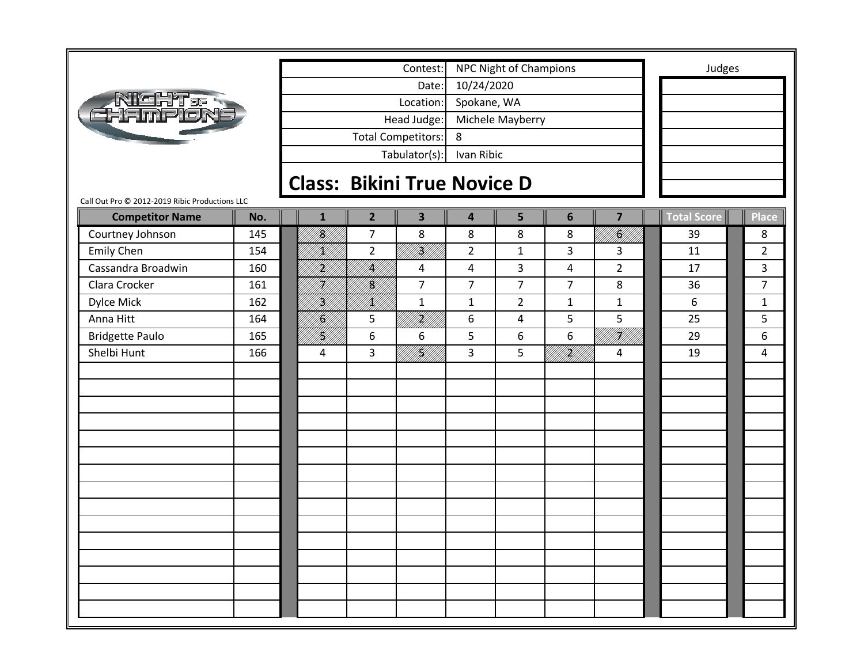|                                                |     |                                    |                | Contest:                  |                         | <b>NPC Night of Champions</b> |                     |                | Judges             |                |
|------------------------------------------------|-----|------------------------------------|----------------|---------------------------|-------------------------|-------------------------------|---------------------|----------------|--------------------|----------------|
|                                                |     |                                    |                | Date:                     | 10/24/2020              |                               |                     |                |                    |                |
|                                                |     |                                    |                | Location:                 | Spokane, WA             |                               |                     |                |                    |                |
| <b>AIGHT.<br/>CHAMPION</b>                     |     |                                    |                | Head Judge:               |                         | Michele Mayberry              |                     |                |                    |                |
|                                                |     |                                    |                |                           | 8                       |                               |                     |                |                    |                |
|                                                |     |                                    |                | <b>Total Competitors:</b> |                         |                               |                     |                |                    |                |
|                                                |     |                                    |                | Tabulator(s):             | Ivan Ribic              |                               |                     |                |                    |                |
|                                                |     | <b>Class: Bikini True Novice D</b> |                |                           |                         |                               |                     |                |                    |                |
| Call Out Pro @ 2012-2019 Ribic Productions LLC |     |                                    |                |                           |                         |                               |                     |                |                    |                |
| <b>Competitor Name</b>                         | No. | $\mathbf{1}$                       | $\overline{2}$ | $\overline{\mathbf{3}}$   | $\overline{\mathbf{4}}$ | 5                             | $6\phantom{1}6$     | $\overline{7}$ | <b>Total Score</b> | Place          |
| Courtney Johnson                               | 145 | /K/                                | $\overline{7}$ | 8                         | 8                       | 8                             | 8                   | I <b>Š</b> U   | 39                 | 8              |
| Emily Chen                                     | 154 | /K//                               | $\overline{2}$ | <br> }                    | $2^{\circ}$             | $\mathbf{1}$                  | $\overline{3}$      | 3              | 11                 | $\overline{2}$ |
| Cassandra Broadwin                             | 160 | .<br>M                             | K              | 4                         | 4                       | 3                             | $\overline{4}$      | $\overline{2}$ | 17                 | 3              |
| Clara Crocker                                  | 161 | H)                                 | K]             | $\overline{7}$            | $\overline{7}$          | $\overline{7}$                | $\overline{7}$      | 8              | 36                 | $\overline{7}$ |
| Dylce Mick                                     | 162 | 1K)                                | /K//           | $\mathbf{1}$              | $\mathbf{1}$            | $\overline{2}$                | $\mathbf{1}$        | $\mathbf{1}$   | 6                  | $\mathbf{1}$   |
| Anna Hitt                                      | 164 | n<br>M                             | 5              | <br> }<br> }              | 6                       | 4                             | 5                   | 5              | 25                 | 5              |
| <b>Bridgette Paulo</b>                         | 165 | Hf<br> Hf                          | 6              | 6                         | 5                       | 6                             | 6                   | HU<br>M//      | 29                 | 6              |
| Shelbi Hunt                                    | 166 | 4                                  | 3              | fiziklik<br>19            | 3                       | 5                             | irgildi.<br>Malalah | 4              | 19                 | 4              |
|                                                |     |                                    |                |                           |                         |                               |                     |                |                    |                |
|                                                |     |                                    |                |                           |                         |                               |                     |                |                    |                |
|                                                |     |                                    |                |                           |                         |                               |                     |                |                    |                |
|                                                |     |                                    |                |                           |                         |                               |                     |                |                    |                |
|                                                |     |                                    |                |                           |                         |                               |                     |                |                    |                |
|                                                |     |                                    |                |                           |                         |                               |                     |                |                    |                |
|                                                |     |                                    |                |                           |                         |                               |                     |                |                    |                |
|                                                |     |                                    |                |                           |                         |                               |                     |                |                    |                |
|                                                |     |                                    |                |                           |                         |                               |                     |                |                    |                |
|                                                |     |                                    |                |                           |                         |                               |                     |                |                    |                |
|                                                |     |                                    |                |                           |                         |                               |                     |                |                    |                |
|                                                |     |                                    |                |                           |                         |                               |                     |                |                    |                |
|                                                |     |                                    |                |                           |                         |                               |                     |                |                    |                |
|                                                |     |                                    |                |                           |                         |                               |                     |                |                    |                |
|                                                |     |                                    |                |                           |                         |                               |                     |                |                    |                |
|                                                |     |                                    |                |                           |                         |                               |                     |                |                    |                |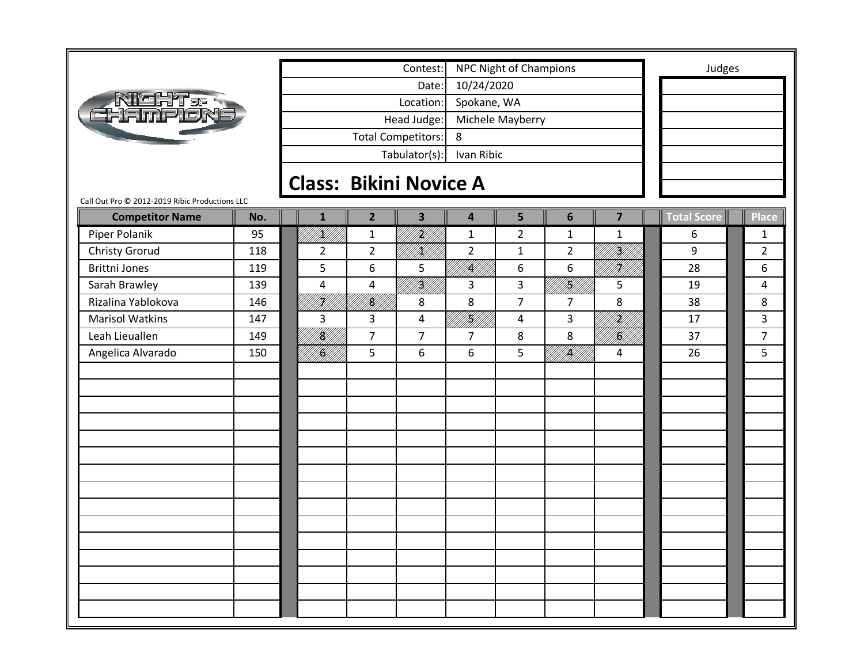|                                                                          |     |                               |                | Contest:                  |                         | <b>NPC Night of Champions</b> |                |                           | Judges      |                |
|--------------------------------------------------------------------------|-----|-------------------------------|----------------|---------------------------|-------------------------|-------------------------------|----------------|---------------------------|-------------|----------------|
|                                                                          |     |                               |                | Date:                     | 10/24/2020              |                               |                |                           |             |                |
|                                                                          |     |                               |                | Location:                 | Spokane, WA             |                               |                |                           |             |                |
| Nicht <del>.</del><br>Fhampion                                           |     |                               |                | Head Judge:               |                         | Michele Mayberry              |                |                           |             |                |
|                                                                          |     |                               |                | <b>Total Competitors:</b> | 8                       |                               |                |                           |             |                |
|                                                                          |     |                               |                | Tabulator(s):             | Ivan Ribic              |                               |                |                           |             |                |
|                                                                          |     |                               |                |                           |                         |                               |                |                           |             |                |
|                                                                          |     | <b>Class: Bikini Novice A</b> |                |                           |                         |                               |                |                           |             |                |
| Call Out Pro @ 2012-2019 Ribic Productions LLC<br><b>Competitor Name</b> | No. | $\mathbf{1}$                  | $\overline{2}$ | $\overline{\mathbf{3}}$   | $\overline{\mathbf{4}}$ | 5                             | 6              | $\overline{\mathbf{z}}$   | Total Score | <b>Place</b>   |
| Piper Polanik                                                            | 95  | UKU U                         | $\mathbf 1$    | <br> }<br> }              | $\mathbf 1$             | $\overline{2}$                | $\mathbf{1}$   | $\mathbf{1}$              | 6           | 1              |
| Christy Grorud                                                           | 118 | $\overline{2}$                | $\overline{2}$ | /K//                      | $\overline{2}$          | $\mathbf{1}$                  | $\overline{2}$ | <b>  </b><br>   <b>  </b> | 9           | $\overline{2}$ |
| <b>Brittni Jones</b>                                                     | 119 | 5                             | 6              | 5                         | IĶI                     | 6                             | 6              | FK//                      | 28          | 6              |
| Sarah Brawley                                                            | 139 | 4                             | 4              | K  <br>  K                | 3                       | $\overline{3}$                | UKU)<br>UKU    | 5                         | 19          | 4              |
| Rizalina Yablokova                                                       | 146 | <br> }<br> }                  | <br> <br> }    | 8                         | 8                       | $\overline{7}$                | $\overline{7}$ | 8                         | 38          | 8              |
| <b>Marisol Watkins</b>                                                   | 147 | 3                             | 3              | 4                         | H)<br>M)                | 4                             | 3              | ITKA<br>AHA               | 17          | 3              |
| Leah Lieuallen                                                           | 149 | <b>  </b><br> } <b>\</b>      | $\overline{7}$ | $\overline{7}$            | $\overline{7}$          | 8                             | 8              | !!!!!!!                   | 37          | $\overline{7}$ |
| Angelica Alvarado                                                        | 150 | <b> E</b><br> }               | 5              | 6                         | 6                       | 5                             | !!!!           | 4                         | 26          | 5              |
|                                                                          |     |                               |                |                           |                         |                               |                |                           |             |                |
|                                                                          |     |                               |                |                           |                         |                               |                |                           |             |                |
|                                                                          |     |                               |                |                           |                         |                               |                |                           |             |                |
|                                                                          |     |                               |                |                           |                         |                               |                |                           |             |                |
|                                                                          |     |                               |                |                           |                         |                               |                |                           |             |                |
|                                                                          |     |                               |                |                           |                         |                               |                |                           |             |                |
|                                                                          |     |                               |                |                           |                         |                               |                |                           |             |                |
|                                                                          |     |                               |                |                           |                         |                               |                |                           |             |                |
|                                                                          |     |                               |                |                           |                         |                               |                |                           |             |                |
|                                                                          |     |                               |                |                           |                         |                               |                |                           |             |                |
|                                                                          |     |                               |                |                           |                         |                               |                |                           |             |                |
|                                                                          |     |                               |                |                           |                         |                               |                |                           |             |                |
|                                                                          |     |                               |                |                           |                         |                               |                |                           |             |                |
|                                                                          |     |                               |                |                           |                         |                               |                |                           |             |                |
|                                                                          |     |                               |                |                           |                         |                               |                |                           |             |                |
|                                                                          |     |                               |                |                           |                         |                               |                |                           |             |                |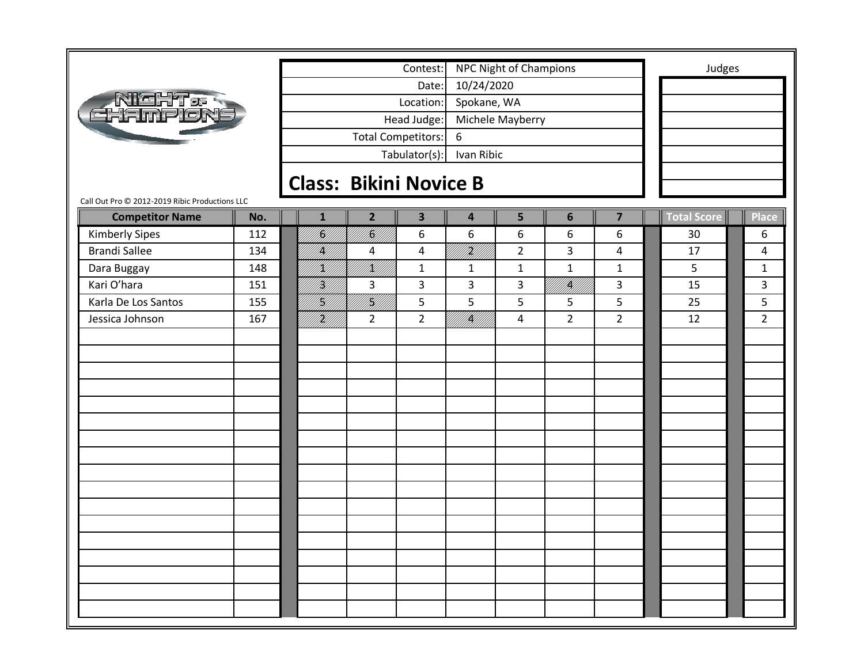|                                                |     |               |                               | Contest:                  |                             | <b>NPC Night of Champions</b> |                   |                         |             | Judges         |
|------------------------------------------------|-----|---------------|-------------------------------|---------------------------|-----------------------------|-------------------------------|-------------------|-------------------------|-------------|----------------|
|                                                |     |               |                               | Date:                     | 10/24/2020                  |                               |                   |                         |             |                |
| RIGHT & R<br>HAMPION                           |     |               |                               | Location:                 | Spokane, WA                 |                               |                   |                         |             |                |
|                                                |     |               |                               | Head Judge:               |                             | Michele Mayberry              |                   |                         |             |                |
|                                                |     |               |                               | <b>Total Competitors:</b> | 6                           |                               |                   |                         |             |                |
|                                                |     |               |                               | Tabulator(s):             | Ivan Ribic                  |                               |                   |                         |             |                |
|                                                |     |               |                               |                           |                             |                               |                   |                         |             |                |
| Call Out Pro © 2012-2019 Ribic Productions LLC |     |               | <b>Class: Bikini Novice B</b> |                           |                             |                               |                   |                         |             |                |
| <b>Competitor Name</b>                         | No. | $\mathbf{1}$  | $\overline{2}$                | $\overline{\mathbf{3}}$   | $\overline{\mathbf{4}}$     | 5                             | $6\phantom{1}$    | $\overline{\mathbf{z}}$ | Total Score | <b>Place</b>   |
| <b>Kimberly Sipes</b>                          | 112 | NG<br>M       | U<br>  <br> }                 | 6                         | 6                           | 6                             | 6                 | 6                       | 30          | 6              |
| <b>Brandi Sallee</b>                           | 134 | IĶ)           | 4                             | 4                         | TTHAT                       | $\overline{2}$                | 3                 | $\overline{4}$          | 17          | 4              |
| Dara Buggay                                    | 148 | KU)           | /K//                          | $\mathbf{1}$              | $\mathbf{1}$                | $\mathbf{1}$                  | $\mathbf{1}$      | $\mathbf{1}$            | 5           | $\mathbf{1}$   |
| Kari O'hara                                    | 151 | H]<br> W      | 3                             | 3                         | 3                           | 3                             | fi Kild<br>Martin | 3                       | 15          | 3              |
| Karla De Los Santos                            | 155 | frift<br>Født | NA)<br>PA//                   | 5                         | 5                           | 5                             | 5                 | 5                       | 25          | 5              |
| Jessica Johnson                                | 167 | HM<br>UM      | $\overline{2}$                | $\overline{2}$            | enggal<br>Paddiddi<br>///// | $\overline{a}$                | $\overline{2}$    | $\overline{2}$          | 12          | $\overline{2}$ |
|                                                |     |               |                               |                           |                             |                               |                   |                         |             |                |
|                                                |     |               |                               |                           |                             |                               |                   |                         |             |                |
|                                                |     |               |                               |                           |                             |                               |                   |                         |             |                |
|                                                |     |               |                               |                           |                             |                               |                   |                         |             |                |
|                                                |     |               |                               |                           |                             |                               |                   |                         |             |                |
|                                                |     |               |                               |                           |                             |                               |                   |                         |             |                |
|                                                |     |               |                               |                           |                             |                               |                   |                         |             |                |
|                                                |     |               |                               |                           |                             |                               |                   |                         |             |                |
|                                                |     |               |                               |                           |                             |                               |                   |                         |             |                |
|                                                |     |               |                               |                           |                             |                               |                   |                         |             |                |
|                                                |     |               |                               |                           |                             |                               |                   |                         |             |                |
|                                                |     |               |                               |                           |                             |                               |                   |                         |             |                |
|                                                |     |               |                               |                           |                             |                               |                   |                         |             |                |
|                                                |     |               |                               |                           |                             |                               |                   |                         |             |                |
|                                                |     |               |                               |                           |                             |                               |                   |                         |             |                |
|                                                |     |               |                               |                           |                             |                               |                   |                         |             |                |
|                                                |     |               |                               |                           |                             |                               |                   |                         |             |                |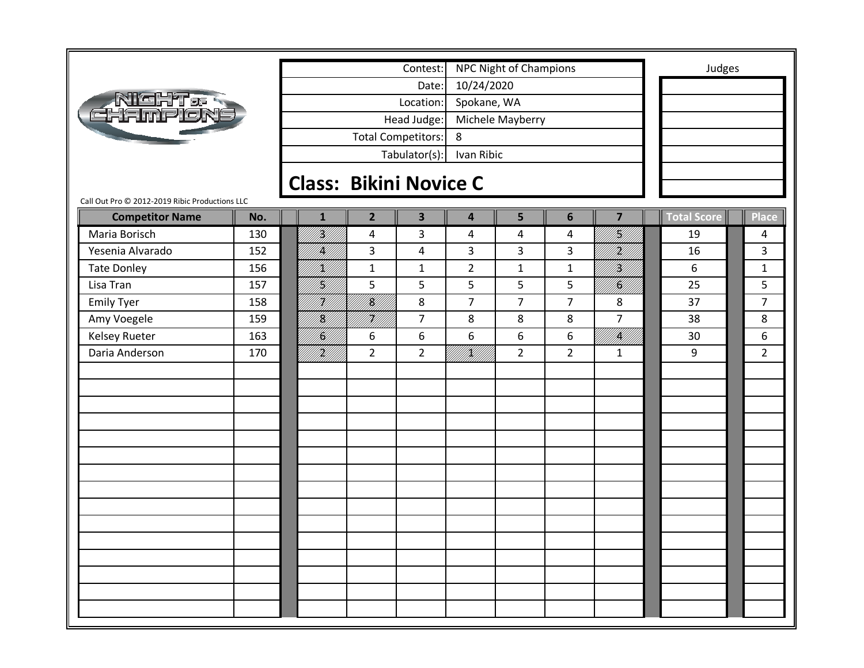|                                                                                 |     |                               |                           | Contest:                |                         | <b>NPC Night of Champions</b> |                |                 | Judges      |                |
|---------------------------------------------------------------------------------|-----|-------------------------------|---------------------------|-------------------------|-------------------------|-------------------------------|----------------|-----------------|-------------|----------------|
|                                                                                 |     |                               |                           | Date:                   | 10/24/2020              |                               |                |                 |             |                |
|                                                                                 |     |                               |                           | Location:               | Spokane, WA             |                               |                |                 |             |                |
| <b>Night.<br/>Thamplon</b>                                                      |     |                               |                           | Head Judge:             |                         | Michele Mayberry              |                |                 |             |                |
|                                                                                 |     |                               | <b>Total Competitors:</b> |                         | 8                       |                               |                |                 |             |                |
|                                                                                 |     |                               |                           | Tabulator(s):           | Ivan Ribic              |                               |                |                 |             |                |
|                                                                                 |     |                               |                           |                         |                         |                               |                |                 |             |                |
|                                                                                 |     | <b>Class: Bikini Novice C</b> |                           |                         |                         |                               |                |                 |             |                |
| Call Out Pro @ 2012-2019 Ribic Productions LLC<br><b>Competitor Name</b><br>No. |     | $\mathbf{1}$                  | $\overline{2}$            | $\overline{\mathbf{3}}$ | $\overline{\mathbf{4}}$ | 5                             | 6              | $\overline{7}$  | Total Score | <b>Place</b>   |
| Maria Borisch                                                                   | 130 | ng<br>Mil                     | 4                         | $\mathbf{3}$            | 4                       | 4                             | 4              | fil<br>Mil      | 19          | 4              |
| Yesenia Alvarado<br>152                                                         |     | IĶI                           | 3                         | 4                       | 3                       | 3                             | 3              | }<br> }         | 16          | 3              |
| <b>Tate Donley</b>                                                              | 156 | K//                           | $\mathbf{1}$              | $\mathbf{1}$            | $\overline{2}$          | $\mathbf{1}$                  | $\mathbf{1}$   | UT <b>A</b> L   | 6           | $\mathbf{1}$   |
| Lisa Tran<br>157                                                                |     | fill)                         | 5                         | 5                       | 5                       | 5                             | 5              | <b>  </b><br> } | 25          | 5              |
| <b>Emily Tyer</b>                                                               | 158 | H)]                           | <br> <br> }               | 8                       | $\overline{7}$          | $\overline{7}$                | $\overline{7}$ | 8               | 37          | $\overline{7}$ |
| Amy Voegele                                                                     | 159 | K)                            | H)                        | $\overline{7}$          | 8                       | 8                             | 8              | $\overline{7}$  | 38          | 8              |
| <b>Kelsey Rueter</b><br>163                                                     |     | .<br>Sal                      | 6                         | 6                       | 6                       | 6                             | 6              | UMMENT          | 30          | 6              |
| Daria Anderson                                                                  | 170 | iri<br>Mil                    | $\overline{2}$            | $\overline{2}$          | UTAW                    | $\overline{2}$                | $\overline{2}$ | $\mathbf{1}$    | 9           | $\overline{2}$ |
|                                                                                 |     |                               |                           |                         |                         |                               |                |                 |             |                |
|                                                                                 |     |                               |                           |                         |                         |                               |                |                 |             |                |
|                                                                                 |     |                               |                           |                         |                         |                               |                |                 |             |                |
|                                                                                 |     |                               |                           |                         |                         |                               |                |                 |             |                |
|                                                                                 |     |                               |                           |                         |                         |                               |                |                 |             |                |
|                                                                                 |     |                               |                           |                         |                         |                               |                |                 |             |                |
|                                                                                 |     |                               |                           |                         |                         |                               |                |                 |             |                |
|                                                                                 |     |                               |                           |                         |                         |                               |                |                 |             |                |
|                                                                                 |     |                               |                           |                         |                         |                               |                |                 |             |                |
|                                                                                 |     |                               |                           |                         |                         |                               |                |                 |             |                |
|                                                                                 |     |                               |                           |                         |                         |                               |                |                 |             |                |
|                                                                                 |     |                               |                           |                         |                         |                               |                |                 |             |                |
|                                                                                 |     |                               |                           |                         |                         |                               |                |                 |             |                |
|                                                                                 |     |                               |                           |                         |                         |                               |                |                 |             |                |
|                                                                                 |     |                               |                           |                         |                         |                               |                |                 |             |                |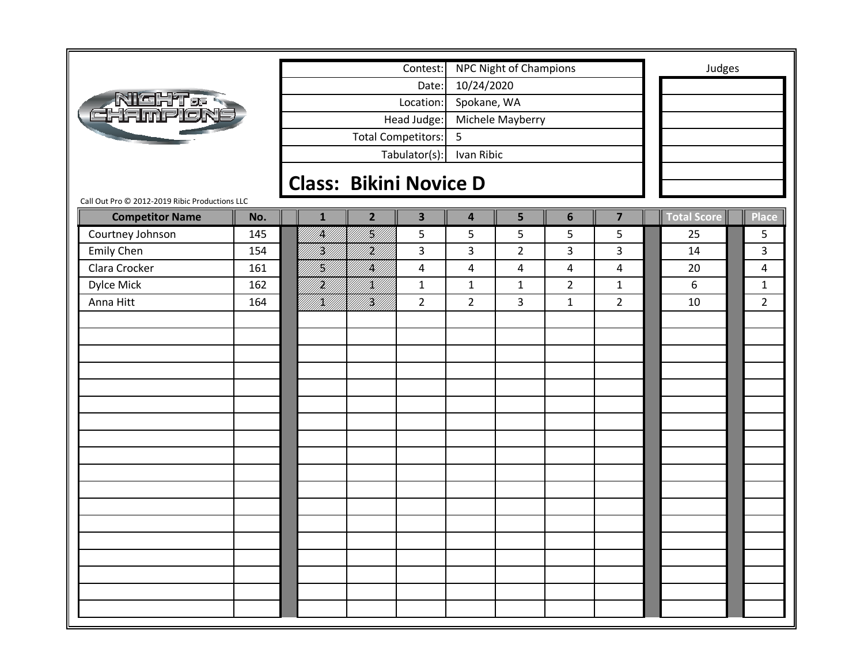|                                                |     |                |                               | Contest:                |                         | <b>NPC Night of Champions</b> |                |                         |             | Judges         |
|------------------------------------------------|-----|----------------|-------------------------------|-------------------------|-------------------------|-------------------------------|----------------|-------------------------|-------------|----------------|
|                                                |     |                |                               | Date:                   | 10/24/2020              |                               |                |                         |             |                |
| <b>ATGHT&amp;S</b><br>CHAMPION                 |     |                |                               | Location:               | Spokane, WA             |                               |                |                         |             |                |
|                                                |     |                |                               | Head Judge:             |                         | Michele Mayberry              |                |                         |             |                |
|                                                |     |                |                               | Total Competitors:      | 5                       |                               |                |                         |             |                |
|                                                |     |                |                               |                         |                         |                               |                |                         |             |                |
|                                                |     |                |                               | Tabulator(s):           | Ivan Ribic              |                               |                |                         |             |                |
|                                                |     |                | <b>Class: Bikini Novice D</b> |                         |                         |                               |                |                         |             |                |
| Call Out Pro @ 2012-2019 Ribic Productions LLC |     |                |                               |                         |                         |                               |                |                         |             |                |
| <b>Competitor Name</b>                         | No. | $\mathbf{1}$   | $\overline{2}$                | $\overline{\mathbf{3}}$ | $\overline{\mathbf{4}}$ | 5                             | 6              | $\overline{\mathbf{z}}$ | Total Score | <b>Place</b>   |
| Courtney Johnson                               | 145 | <br> K         | H<br>M                        | 5                       | 5                       | 5                             | 5              | 5                       | 25          | 5              |
| Emily Chen                                     | 154 | H)             | H<br> }                       | 3                       | 3                       | $\overline{2}$                | 3              | $\overline{\mathbf{3}}$ | 14          | 3              |
| Clara Crocker                                  | 161 | H]<br> W]      | fikli<br>Mill                 | 4                       | $\overline{\mathbf{4}}$ | $\pmb{4}$                     | 4              | $\overline{4}$          | 20          | 4              |
| Dylce Mick                                     | 162 | irild<br>Mille | /K//                          | $\mathbf{1}$            | $\mathbf{1}$            | $\mathbf{1}$                  | $\overline{2}$ | $\mathbf{1}$            | 6           | $\mathbf{1}$   |
| Anna Hitt                                      | 164 | <br> X         | <br> W                        | $\overline{2}$          | $\overline{2}$          | 3                             | $\mathbf{1}$   | $\overline{2}$          | 10          | $\overline{2}$ |
|                                                |     |                |                               |                         |                         |                               |                |                         |             |                |
|                                                |     |                |                               |                         |                         |                               |                |                         |             |                |
|                                                |     |                |                               |                         |                         |                               |                |                         |             |                |
|                                                |     |                |                               |                         |                         |                               |                |                         |             |                |
|                                                |     |                |                               |                         |                         |                               |                |                         |             |                |
|                                                |     |                |                               |                         |                         |                               |                |                         |             |                |
|                                                |     |                |                               |                         |                         |                               |                |                         |             |                |
|                                                |     |                |                               |                         |                         |                               |                |                         |             |                |
|                                                |     |                |                               |                         |                         |                               |                |                         |             |                |
|                                                |     |                |                               |                         |                         |                               |                |                         |             |                |
|                                                |     |                |                               |                         |                         |                               |                |                         |             |                |
|                                                |     |                |                               |                         |                         |                               |                |                         |             |                |
|                                                |     |                |                               |                         |                         |                               |                |                         |             |                |
|                                                |     |                |                               |                         |                         |                               |                |                         |             |                |
|                                                |     |                |                               |                         |                         |                               |                |                         |             |                |
|                                                |     |                |                               |                         |                         |                               |                |                         |             |                |
|                                                |     |                |                               |                         |                         |                               |                |                         |             |                |
|                                                |     |                |                               |                         |                         |                               |                |                         |             |                |
|                                                |     |                |                               |                         |                         |                               |                |                         |             |                |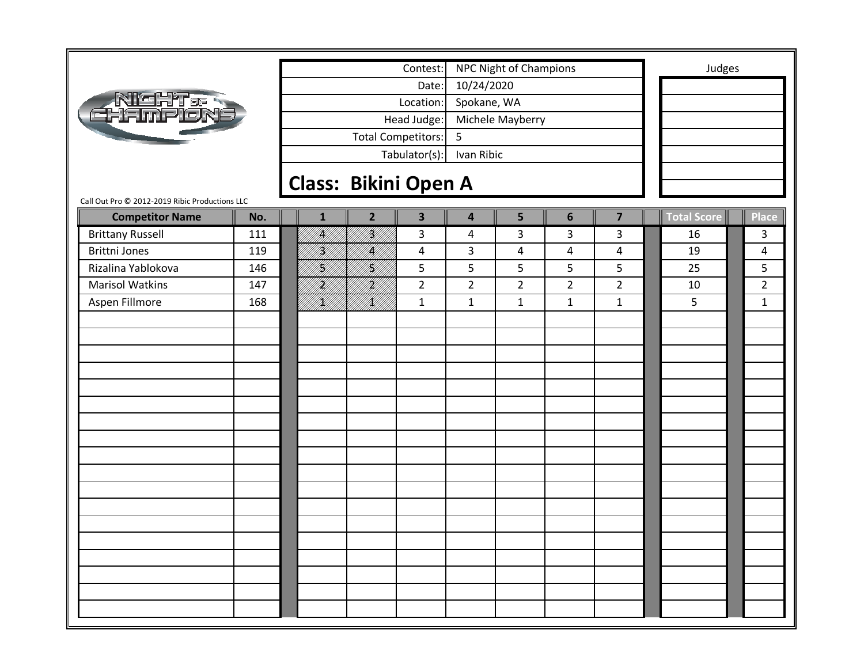|                                                | Contest: |                             |                             |                |                         | NPC Night of Champions  | Judges           |                |                         |  |             |  |                |
|------------------------------------------------|----------|-----------------------------|-----------------------------|----------------|-------------------------|-------------------------|------------------|----------------|-------------------------|--|-------------|--|----------------|
| <b>NIGHT&amp;R</b><br>EHAMPION                 |          | 10/24/2020<br>Date:         |                             |                |                         |                         |                  |                |                         |  |             |  |                |
|                                                |          |                             |                             |                | Location:               | Spokane, WA             |                  |                |                         |  |             |  |                |
|                                                |          |                             | Head Judge:                 |                |                         |                         | Michele Mayberry |                |                         |  |             |  |                |
|                                                |          |                             |                             |                | Total Competitors:      | 5                       |                  |                |                         |  |             |  |                |
|                                                |          |                             | Tabulator(s):<br>Ivan Ribic |                |                         |                         |                  |                |                         |  |             |  |                |
|                                                |          |                             |                             |                |                         |                         |                  |                |                         |  |             |  |                |
| Call Out Pro @ 2012-2019 Ribic Productions LLC |          | <b>Class: Bikini Open A</b> |                             |                |                         |                         |                  |                |                         |  |             |  |                |
| <b>Competitor Name</b>                         | No.      |                             | $\mathbf{1}$                | $\overline{2}$ | $\overline{\mathbf{3}}$ | $\overline{\mathbf{4}}$ | 5                | $6\phantom{1}$ | $\overline{\mathbf{z}}$ |  | Total Score |  | <b>Place</b>   |
| <b>Brittany Russell</b>                        | 111      |                             | k                           | <br> }<br> }   | 3                       | 4                       | 3                | 3              | 3                       |  | 16          |  | 3              |
| <b>Brittni Jones</b>                           | 119      |                             | H)                          | /K//           | 4                       | 3                       | $\overline{a}$   | 4              | 4                       |  | 19          |  | 4              |
| Rizalina Yablokova                             | 146      |                             | H)                          | HI<br>M        | 5                       | 5                       | 5                | 5              | 5                       |  | 25          |  | 5              |
| <b>Marisol Watkins</b>                         | 147      |                             | <br> }<br> }                | <br> }<br> }   | $\overline{2}$          | $\overline{2}$          | $\overline{2}$   | $\overline{2}$ | $\overline{2}$          |  | 10          |  | $\overline{2}$ |
| Aspen Fillmore                                 | 168      |                             | <br>  <br> }                | <br> X         | $\mathbf{1}$            | $\mathbf{1}$            | $\mathbf{1}$     | $\mathbf{1}$   | $\mathbf{1}$            |  | 5           |  | $\mathbf{1}$   |
|                                                |          |                             |                             |                |                         |                         |                  |                |                         |  |             |  |                |
|                                                |          |                             |                             |                |                         |                         |                  |                |                         |  |             |  |                |
|                                                |          |                             |                             |                |                         |                         |                  |                |                         |  |             |  |                |
|                                                |          |                             |                             |                |                         |                         |                  |                |                         |  |             |  |                |
|                                                |          |                             |                             |                |                         |                         |                  |                |                         |  |             |  |                |
|                                                |          |                             |                             |                |                         |                         |                  |                |                         |  |             |  |                |
|                                                |          |                             |                             |                |                         |                         |                  |                |                         |  |             |  |                |
|                                                |          |                             |                             |                |                         |                         |                  |                |                         |  |             |  |                |
|                                                |          |                             |                             |                |                         |                         |                  |                |                         |  |             |  |                |
|                                                |          |                             |                             |                |                         |                         |                  |                |                         |  |             |  |                |
|                                                |          |                             |                             |                |                         |                         |                  |                |                         |  |             |  |                |
|                                                |          |                             |                             |                |                         |                         |                  |                |                         |  |             |  |                |
|                                                |          |                             |                             |                |                         |                         |                  |                |                         |  |             |  |                |
|                                                |          |                             |                             |                |                         |                         |                  |                |                         |  |             |  |                |
|                                                |          |                             |                             |                |                         |                         |                  |                |                         |  |             |  |                |
|                                                |          |                             |                             |                |                         |                         |                  |                |                         |  |             |  |                |
|                                                |          |                             |                             |                |                         |                         |                  |                |                         |  |             |  |                |
|                                                |          |                             |                             |                |                         |                         |                  |                |                         |  |             |  |                |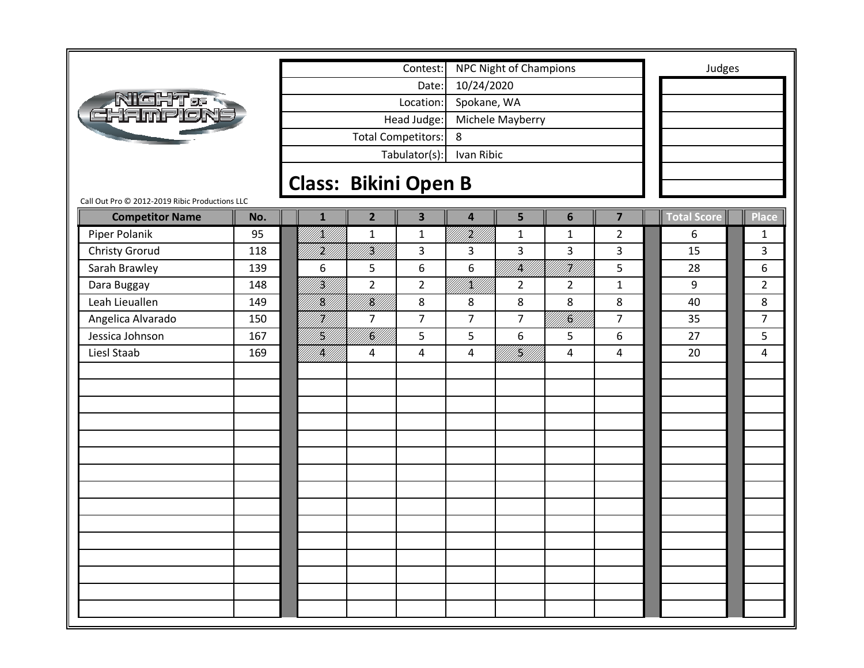|                                                |     |                             | Contest:         | <b>NPC Night of Champions</b> |                |                           |                | Judges                  |             |                |
|------------------------------------------------|-----|-----------------------------|------------------|-------------------------------|----------------|---------------------------|----------------|-------------------------|-------------|----------------|
|                                                |     | 10/24/2020                  |                  |                               |                |                           |                |                         |             |                |
| <b>AIGHT&amp;R</b><br>FIFIMPION                |     |                             |                  | Location:                     | Spokane, WA    |                           |                |                         |             |                |
|                                                |     |                             | Michele Mayberry |                               |                |                           |                |                         |             |                |
|                                                |     | <b>Total Competitors:</b>   | Head Judge:      | 8                             |                |                           |                |                         |             |                |
|                                                |     |                             | Tabulator(s):    | Ivan Ribic                    |                |                           |                |                         |             |                |
|                                                |     |                             |                  |                               |                |                           |                |                         |             |                |
| Call Out Pro @ 2012-2019 Ribic Productions LLC |     | <b>Class: Bikini Open B</b> |                  |                               |                |                           |                |                         |             |                |
| <b>Competitor Name</b>                         | No. | $\mathbf{1}$                | $\overline{2}$   | $\overline{\mathbf{3}}$       | 4              | 5                         | 6              | $\overline{\mathbf{z}}$ | Total Score | Place          |
| Piper Polanik                                  | 95  | fill<br>Killi               | $\mathbf 1$      | $\mathbf{1}$                  | ing<br>Milita  | $\mathbf{1}$              | $\mathbf 1$    | $\overline{2}$          | 6           | $\mathbf{1}$   |
| <b>Christy Grorud</b>                          | 118 | iri<br>Mil                  | <br> }<br> }     | $\overline{3}$                | 3              | 3                         | 3              | 3                       | 15          | 3              |
| Sarah Brawley                                  | 139 | 6                           | 5                | 6                             | 6              | fil<br>M                  | H<br> }        | 5                       | 28          | 6              |
| Dara Buggay                                    | 148 | H)<br>M                     | $\overline{2}$   | $\overline{2}$                | UKU)<br>UKU 1  | $\overline{2}$            | $\overline{2}$ | $\mathbf{1}$            | 9           | $\overline{2}$ |
| Leah Lieuallen                                 | 149 | <br> <br> }                 | fill<br>Mill     | 8                             | 8              | 8                         | 8              | 8                       | 40          | 8              |
| Angelica Alvarado                              | 150 | H)<br>M/I                   | 7                | $\overline{7}$                | $\overline{7}$ | $\overline{7}$            | <br> Ki        | $\overline{7}$          | 35          | $\overline{7}$ |
| Jessica Johnson                                | 167 | H)                          | ITAN<br>PAN      | 5                             | 5              | 6                         | 5              | 6                       | 27          | 5              |
| Liesl Staab                                    | 169 | <b>  </b><br> }             | 4                | 4                             | 4              | <b>  </b><br>   <b>  </b> | 4              | 4                       | 20          | 4              |
|                                                |     |                             |                  |                               |                |                           |                |                         |             |                |
|                                                |     |                             |                  |                               |                |                           |                |                         |             |                |
|                                                |     |                             |                  |                               |                |                           |                |                         |             |                |
|                                                |     |                             |                  |                               |                |                           |                |                         |             |                |
|                                                |     |                             |                  |                               |                |                           |                |                         |             |                |
|                                                |     |                             |                  |                               |                |                           |                |                         |             |                |
|                                                |     |                             |                  |                               |                |                           |                |                         |             |                |
|                                                |     |                             |                  |                               |                |                           |                |                         |             |                |
|                                                |     |                             |                  |                               |                |                           |                |                         |             |                |
|                                                |     |                             |                  |                               |                |                           |                |                         |             |                |
|                                                |     |                             |                  |                               |                |                           |                |                         |             |                |
|                                                |     |                             |                  |                               |                |                           |                |                         |             |                |
|                                                |     |                             |                  |                               |                |                           |                |                         |             |                |
|                                                |     |                             |                  |                               |                |                           |                |                         |             |                |
|                                                |     |                             |                  |                               |                |                           |                |                         |             |                |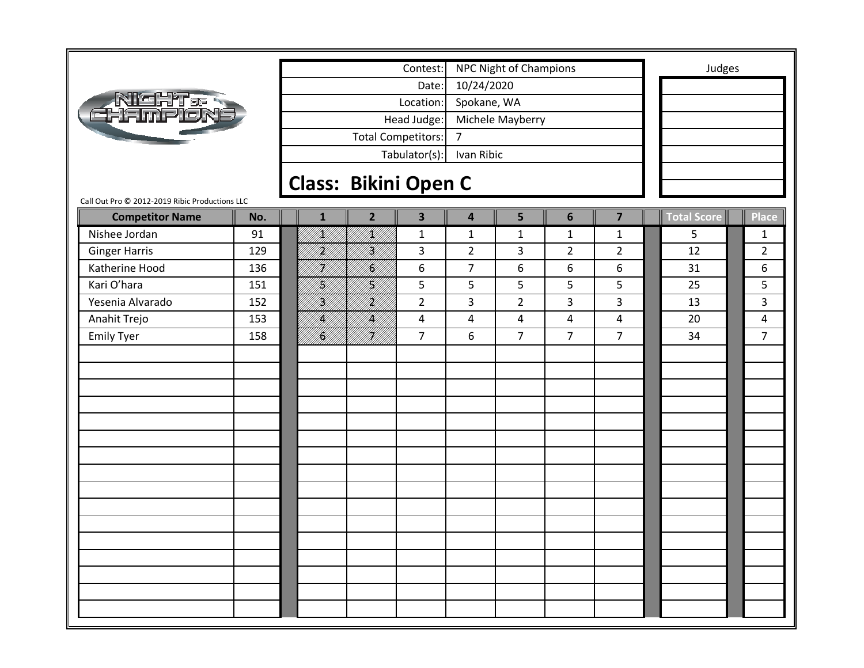|                                                                          |       |                             |              | Contest:                  | <b>NPC Night of Champions</b> |                |                |                | Judges          |                    |                |
|--------------------------------------------------------------------------|-------|-----------------------------|--------------|---------------------------|-------------------------------|----------------|----------------|----------------|-----------------|--------------------|----------------|
|                                                                          | Date: |                             |              |                           | 10/24/2020                    |                |                |                |                 |                    |                |
|                                                                          |       |                             |              | Location:                 | Spokane, WA                   |                |                |                |                 |                    |                |
| <b>Night:<br/>Thamplon</b>                                               |       |                             |              | Head Judge:               | Michele Mayberry              |                |                |                |                 |                    |                |
|                                                                          |       |                             |              | <b>Total Competitors:</b> | $\overline{7}$<br>Ivan Ribic  |                |                |                |                 |                    |                |
|                                                                          |       |                             |              | Tabulator(s):             |                               |                |                |                |                 |                    |                |
|                                                                          |       |                             |              |                           |                               |                |                |                |                 |                    |                |
|                                                                          |       | <b>Class: Bikini Open C</b> |              |                           |                               |                |                |                |                 |                    |                |
| Call Out Pro @ 2012-2019 Ribic Productions LLC<br><b>Competitor Name</b> | No.   |                             | $\mathbf{1}$ | $\overline{2}$            | $\overline{\mathbf{3}}$       | 4              | 5              | 6              | $\overline{7}$  | <b>Total Score</b> | <b>Place</b>   |
| Nishee Jordan                                                            | 91    |                             | VKU)<br>PHIT | ITT                       | $\mathbf{1}$                  | $\mathbf{1}$   | $\mathbf{1}$   | $\mathbf{1}$   | $\mathbf{1}$    | 5                  | $\mathbf{1}$   |
| <b>Ginger Harris</b>                                                     | 129   |                             | HM)          | H)<br>M                   | 3                             | $\overline{2}$ | 3              | $\overline{2}$ | $\overline{2}$  | 12                 | $\overline{2}$ |
| Katherine Hood                                                           | 136   |                             | H)<br>M      | }<br> }}                  | $\boldsymbol{6}$              | $\overline{7}$ | 6              | 6              | 6               | 31                 | 6              |
| Kari O'hara                                                              | 151   |                             | }<br> }}     | H]<br> K]                 | 5                             | 5              | 5              | 5              | 5               | 25                 | 5              |
| Yesenia Alvarado                                                         | 152   |                             | <br> W       | .<br>Mil                  | $\overline{2}$                | 3              | $\overline{2}$ | 3              | 3               | 13                 | 3              |
| Anahit Trejo                                                             | 153   |                             | /K//         | k                         | 4                             | 4              | $\overline{4}$ | 4              | $\overline{4}$  | 20                 | 4              |
| <b>Emily Tyer</b>                                                        | 158   |                             | I <b>S</b> U | HI<br>Mili                | $\overline{7}$                | 6              | $\overline{7}$ | $\overline{7}$ | $7\overline{ }$ | 34                 | $\overline{7}$ |
|                                                                          |       |                             |              |                           |                               |                |                |                |                 |                    |                |
|                                                                          |       |                             |              |                           |                               |                |                |                |                 |                    |                |
|                                                                          |       |                             |              |                           |                               |                |                |                |                 |                    |                |
|                                                                          |       |                             |              |                           |                               |                |                |                |                 |                    |                |
|                                                                          |       |                             |              |                           |                               |                |                |                |                 |                    |                |
|                                                                          |       |                             |              |                           |                               |                |                |                |                 |                    |                |
|                                                                          |       |                             |              |                           |                               |                |                |                |                 |                    |                |
|                                                                          |       |                             |              |                           |                               |                |                |                |                 |                    |                |
|                                                                          |       |                             |              |                           |                               |                |                |                |                 |                    |                |
|                                                                          |       |                             |              |                           |                               |                |                |                |                 |                    |                |
|                                                                          |       |                             |              |                           |                               |                |                |                |                 |                    |                |
|                                                                          |       |                             |              |                           |                               |                |                |                |                 |                    |                |
|                                                                          |       |                             |              |                           |                               |                |                |                |                 |                    |                |
|                                                                          |       |                             |              |                           |                               |                |                |                |                 |                    |                |
|                                                                          |       |                             |              |                           |                               |                |                |                |                 |                    |                |
|                                                                          |       |                             |              |                           |                               |                |                |                |                 |                    |                |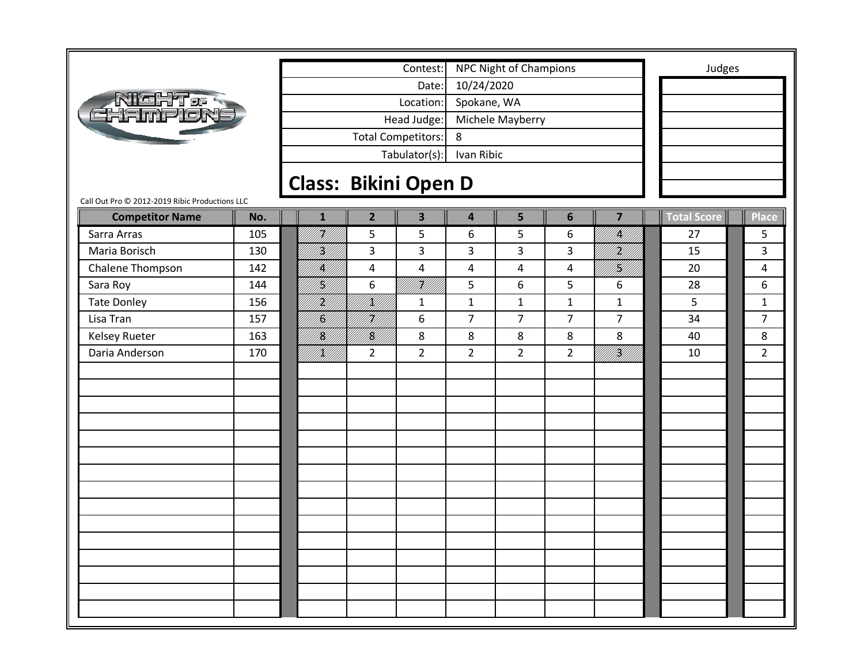|                                                |                             |                           |                | Contest:                |                         | <b>NPC Night of Champions</b> |                |                | Judges      |                |
|------------------------------------------------|-----------------------------|---------------------------|----------------|-------------------------|-------------------------|-------------------------------|----------------|----------------|-------------|----------------|
|                                                |                             | 10/24/2020                |                |                         |                         |                               |                |                |             |                |
|                                                |                             | Spokane, WA               |                |                         |                         |                               |                |                |             |                |
| <b>Alght.<br/>Thamplon</b>                     |                             | Michele Mayberry          |                |                         |                         |                               |                |                |             |                |
|                                                |                             | 8                         |                |                         |                         |                               |                |                |             |                |
|                                                |                             | <b>Total Competitors:</b> |                | Ivan Ribic              |                         |                               |                |                |             |                |
|                                                |                             |                           | Tabulator(s):  |                         |                         |                               |                |                |             |                |
|                                                | <b>Class: Bikini Open D</b> |                           |                |                         |                         |                               |                |                |             |                |
| Call Out Pro @ 2012-2019 Ribic Productions LLC |                             |                           |                |                         |                         |                               |                |                |             |                |
| <b>Competitor Name</b>                         | No.                         | $\mathbf{1}$              | $\overline{2}$ | $\overline{\mathbf{3}}$ | $\overline{\mathbf{4}}$ | 5                             | 6              | $\overline{7}$ | Total Score | <b>Place</b>   |
| Sarra Arras                                    | 105                         | iri<br>Mili               | 5              | 5                       | 6                       | 5                             | 6              | <br>  <br> }   | 27          | 5              |
| Maria Borisch                                  | 130                         | H)<br>M                   | 3              | 3                       | 3                       | 3                             | 3              | f <b>ri</b> ff | 15          | 3              |
| Chalene Thompson                               | 142                         | IĶ/                       | 4              | 4                       | 4                       | 4                             | 4              | }<br> }}       | 20          | 4              |
| Sara Roy                                       | 144                         | H]<br> W                  | 6              | iri<br>Mil              | 5                       | 6                             | 5              | 6              | 28          | 6              |
| <b>Tate Donley</b>                             | 156                         | <br> }                    | <br> }         | $\mathbf{1}$            | $\mathbf{1}$            | $\mathbf{1}$                  | $\mathbf{1}$   | $\mathbf{1}$   | 5           | $\mathbf{1}$   |
| Lisa Tran                                      | 157                         | H)                        | H)             | 6                       | $\overline{7}$          | $\overline{7}$                | $\overline{7}$ | $\overline{7}$ | 34          | $\overline{7}$ |
| <b>Kelsey Rueter</b>                           | 163                         | /K/                       | fil<br>M       | 8                       | 8                       | 8                             | 8              | 8              | 40          | 8              |
| Daria Anderson                                 | 170                         | VKU)                      | $\overline{2}$ | $\overline{2}$          | $\overline{2}$          | $\overline{2}$                | $\overline{2}$ | i Killi        | 10          | $\overline{2}$ |
|                                                |                             |                           |                |                         |                         |                               |                |                |             |                |
|                                                |                             |                           |                |                         |                         |                               |                |                |             |                |
|                                                |                             |                           |                |                         |                         |                               |                |                |             |                |
|                                                |                             |                           |                |                         |                         |                               |                |                |             |                |
|                                                |                             |                           |                |                         |                         |                               |                |                |             |                |
|                                                |                             |                           |                |                         |                         |                               |                |                |             |                |
|                                                |                             |                           |                |                         |                         |                               |                |                |             |                |
|                                                |                             |                           |                |                         |                         |                               |                |                |             |                |
|                                                |                             |                           |                |                         |                         |                               |                |                |             |                |
|                                                |                             |                           |                |                         |                         |                               |                |                |             |                |
|                                                |                             |                           |                |                         |                         |                               |                |                |             |                |
|                                                |                             |                           |                |                         |                         |                               |                |                |             |                |
|                                                |                             |                           |                |                         |                         |                               |                |                |             |                |
|                                                |                             |                           |                |                         |                         |                               |                |                |             |                |
|                                                |                             |                           |                |                         |                         |                               |                |                |             |                |
|                                                |                             |                           |                |                         |                         |                               |                |                |             |                |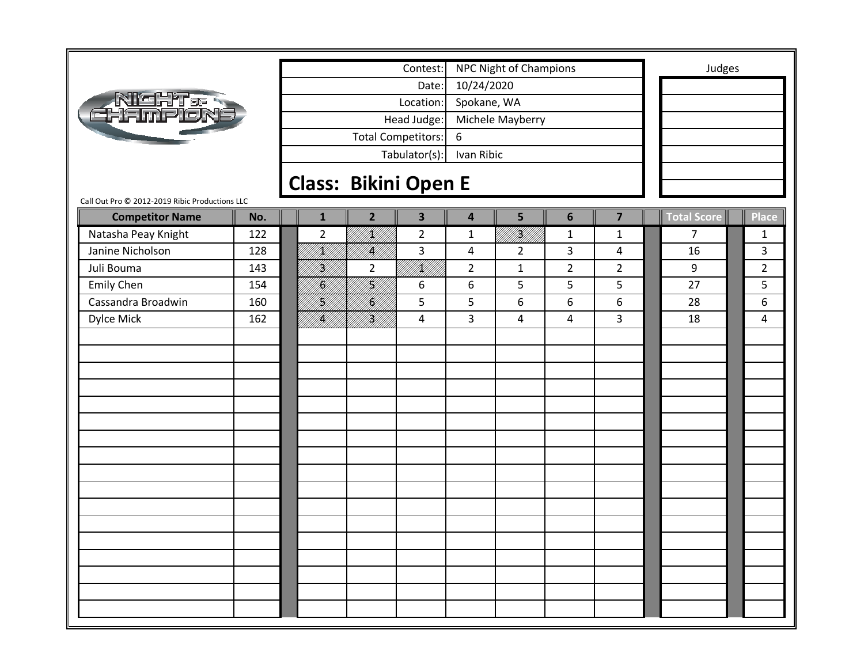|                                                |     |  |                 |                             | Contest:                |                         | NPC Night of Champions |                |                         | Judges             |                |
|------------------------------------------------|-----|--|-----------------|-----------------------------|-------------------------|-------------------------|------------------------|----------------|-------------------------|--------------------|----------------|
| Night.<br>Hampion:                             |     |  |                 |                             | Date:                   | 10/24/2020              |                        |                |                         |                    |                |
|                                                |     |  |                 |                             | Location:               | Spokane, WA             |                        |                |                         |                    |                |
|                                                |     |  |                 |                             | Head Judge:             |                         | Michele Mayberry       |                |                         |                    |                |
|                                                |     |  |                 |                             | Total Competitors:      | 6                       |                        |                |                         |                    |                |
|                                                |     |  |                 |                             | Tabulator(s):           | Ivan Ribic              |                        |                |                         |                    |                |
|                                                |     |  |                 |                             |                         |                         |                        |                |                         |                    |                |
|                                                |     |  |                 | <b>Class: Bikini Open E</b> |                         |                         |                        |                |                         |                    |                |
| Call Out Pro @ 2012-2019 Ribic Productions LLC |     |  |                 |                             |                         |                         |                        |                |                         |                    |                |
| <b>Competitor Name</b>                         | No. |  | $\mathbf{1}$    | $\overline{2}$              | $\overline{\mathbf{3}}$ | $\overline{\mathbf{4}}$ | 5                      | 6              | $\overline{\mathbf{z}}$ | <b>Total Score</b> | <b>Place</b>   |
| Natasha Peay Knight                            | 122 |  | $\overline{2}$  | UKU)<br>PHIT                | $\overline{2}$          | $\mathbf 1$             | i Killilli<br>Millilli | $\mathbf{1}$   | $\mathbf{1}$            | $\overline{7}$     | $\mathbf{1}$   |
| Janine Nicholson                               | 128 |  | /K///           | <br> }                      | 3                       | 4                       | $\overline{2}$         | 3              | $\overline{4}$          | 16                 | 3              |
| Juli Bouma                                     | 143 |  | H)<br>M         | $\overline{2}$              | IKU)<br>PHIL            | $\overline{2}$          | $\mathbf{1}$           | $\overline{2}$ | $\overline{2}$          | 9                  | $\overline{2}$ |
| <b>Emily Chen</b>                              | 154 |  | <b>  </b><br> } | }<br> }}                    | 6                       | 6                       | 5                      | 5              | 5                       | 27                 | 5              |
| Cassandra Broadwin                             | 160 |  | H<br>M          | <b> C</b><br> }             | 5                       | 5                       | 6                      | 6              | 6                       | 28                 | 6              |
| Dylce Mick                                     | 162 |  | K  <br> }}      | <br> }<br> }                | 4                       | 3                       | 4                      | 4              | 3                       | 18                 | 4              |
|                                                |     |  |                 |                             |                         |                         |                        |                |                         |                    |                |
|                                                |     |  |                 |                             |                         |                         |                        |                |                         |                    |                |
|                                                |     |  |                 |                             |                         |                         |                        |                |                         |                    |                |
|                                                |     |  |                 |                             |                         |                         |                        |                |                         |                    |                |
|                                                |     |  |                 |                             |                         |                         |                        |                |                         |                    |                |
|                                                |     |  |                 |                             |                         |                         |                        |                |                         |                    |                |
|                                                |     |  |                 |                             |                         |                         |                        |                |                         |                    |                |
|                                                |     |  |                 |                             |                         |                         |                        |                |                         |                    |                |
|                                                |     |  |                 |                             |                         |                         |                        |                |                         |                    |                |
|                                                |     |  |                 |                             |                         |                         |                        |                |                         |                    |                |
|                                                |     |  |                 |                             |                         |                         |                        |                |                         |                    |                |
|                                                |     |  |                 |                             |                         |                         |                        |                |                         |                    |                |
|                                                |     |  |                 |                             |                         |                         |                        |                |                         |                    |                |
|                                                |     |  |                 |                             |                         |                         |                        |                |                         |                    |                |
|                                                |     |  |                 |                             |                         |                         |                        |                |                         |                    |                |
|                                                |     |  |                 |                             |                         |                         |                        |                |                         |                    |                |
|                                                |     |  |                 |                             |                         |                         |                        |                |                         |                    |                |
|                                                |     |  |                 |                             |                         |                         |                        |                |                         |                    |                |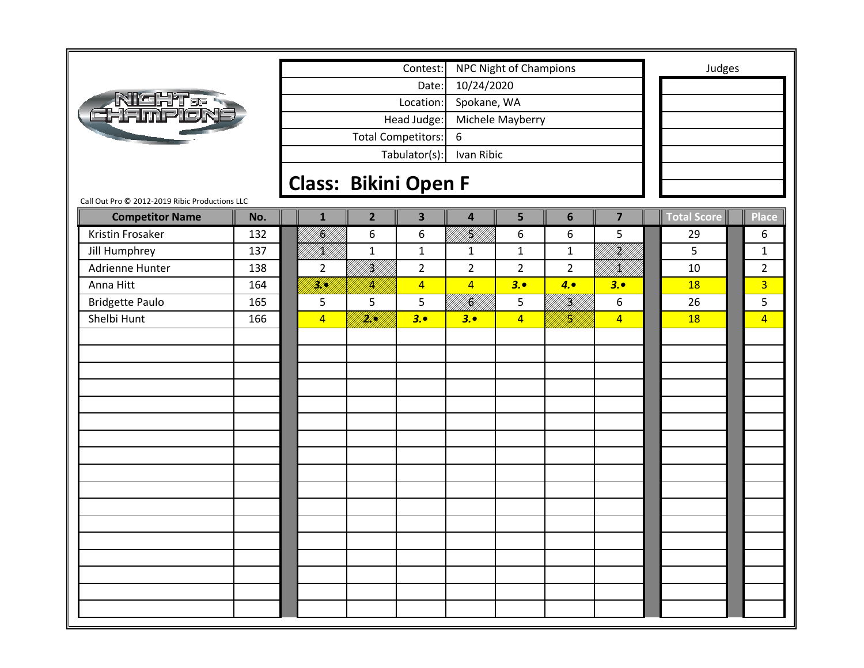|                                                                          |     |  |                             |                             | Contest:                  |                     | <b>NPC Night of Champions</b> |                                                                                                                                                                                                                                      |                                                                                                                          | Judges             |                |
|--------------------------------------------------------------------------|-----|--|-----------------------------|-----------------------------|---------------------------|---------------------|-------------------------------|--------------------------------------------------------------------------------------------------------------------------------------------------------------------------------------------------------------------------------------|--------------------------------------------------------------------------------------------------------------------------|--------------------|----------------|
| Night <i>e</i><br>Hamplon                                                |     |  |                             |                             | Date:                     | 10/24/2020          |                               |                                                                                                                                                                                                                                      |                                                                                                                          |                    |                |
|                                                                          |     |  |                             |                             | Location:                 | Spokane, WA         |                               |                                                                                                                                                                                                                                      |                                                                                                                          |                    |                |
|                                                                          |     |  |                             |                             | Head Judge:               |                     | Michele Mayberry              |                                                                                                                                                                                                                                      |                                                                                                                          |                    |                |
|                                                                          |     |  |                             |                             | <b>Total Competitors:</b> | 6                   |                               |                                                                                                                                                                                                                                      |                                                                                                                          |                    |                |
|                                                                          |     |  | Ivan Ribic<br>Tabulator(s): |                             |                           |                     |                               |                                                                                                                                                                                                                                      |                                                                                                                          |                    |                |
|                                                                          |     |  |                             |                             |                           |                     |                               |                                                                                                                                                                                                                                      |                                                                                                                          |                    |                |
|                                                                          |     |  |                             | <b>Class: Bikini Open F</b> |                           |                     |                               |                                                                                                                                                                                                                                      |                                                                                                                          |                    |                |
| Call Out Pro @ 2012-2019 Ribic Productions LLC<br><b>Competitor Name</b> | No. |  | $\mathbf{1}$                | $\overline{2}$              | $\overline{\mathbf{3}}$   | $\overline{4}$      | 5                             | 6                                                                                                                                                                                                                                    | $\overline{\mathbf{z}}$                                                                                                  | <b>Total Score</b> | <b>Place</b>   |
| Kristin Frosaker                                                         | 132 |  | U<br>  S                    | 6                           | 6                         | III<br>IMIL<br>V/// | 6                             | 6                                                                                                                                                                                                                                    | 5                                                                                                                        | 29                 | 6              |
| Jill Humphrey                                                            | 137 |  | /K//                        | $\mathbf{1}$                | $\mathbf{1}$              | $\mathbf{1}$        | $\mathbf{1}$                  | $\mathbf{1}$                                                                                                                                                                                                                         | an dheegaaliifi iyo dhaqaalka iyo dhaqaalka iyo dhaqaalka iyo dhaqaalka iyo dhaqaalka iyo dhaqaalka iyo dhaqaa<br>Markaa | 5                  | $\mathbf{1}$   |
| Adrienne Hunter                                                          | 138 |  | $\overline{2}$              | <br> }<br> }                | $\overline{2}$            | $\overline{2}$      | $\overline{2}$                | $\overline{2}$                                                                                                                                                                                                                       | VKU)                                                                                                                     | 10                 | $\overline{2}$ |
| Anna Hitt                                                                | 164 |  | <u>M</u> U                  | I.                          | $\overline{4}$            | $\overline{4}$      | 3.0                           | 4.                                                                                                                                                                                                                                   | 3.0                                                                                                                      | 18                 | $\overline{3}$ |
| <b>Bridgette Paulo</b>                                                   | 165 |  | 5                           | 5                           | 5                         | <b>  </b><br> }     | 5                             | a katika kalendari kalendari daga kalendari daga kalendari daga kalendari daga kalendari daga kalendari daga k<br>Kalendari daga kalendari daga kalendari daga kalendari daga kalendari daga kalendari daga kalendari daga kalen<br> | 6                                                                                                                        | 26                 | 5              |
| Shelbi Hunt                                                              | 166 |  | $\overline{4}$              | <u>filipin</u>              | 3.                        | 3.0                 | $\overline{4}$                | H)                                                                                                                                                                                                                                   | $\overline{4}$                                                                                                           | <b>18</b>          | $\overline{4}$ |
|                                                                          |     |  |                             |                             |                           |                     |                               |                                                                                                                                                                                                                                      |                                                                                                                          |                    |                |
|                                                                          |     |  |                             |                             |                           |                     |                               |                                                                                                                                                                                                                                      |                                                                                                                          |                    |                |
|                                                                          |     |  |                             |                             |                           |                     |                               |                                                                                                                                                                                                                                      |                                                                                                                          |                    |                |
|                                                                          |     |  |                             |                             |                           |                     |                               |                                                                                                                                                                                                                                      |                                                                                                                          |                    |                |
|                                                                          |     |  |                             |                             |                           |                     |                               |                                                                                                                                                                                                                                      |                                                                                                                          |                    |                |
|                                                                          |     |  |                             |                             |                           |                     |                               |                                                                                                                                                                                                                                      |                                                                                                                          |                    |                |
|                                                                          |     |  |                             |                             |                           |                     |                               |                                                                                                                                                                                                                                      |                                                                                                                          |                    |                |
|                                                                          |     |  |                             |                             |                           |                     |                               |                                                                                                                                                                                                                                      |                                                                                                                          |                    |                |
|                                                                          |     |  |                             |                             |                           |                     |                               |                                                                                                                                                                                                                                      |                                                                                                                          |                    |                |
|                                                                          |     |  |                             |                             |                           |                     |                               |                                                                                                                                                                                                                                      |                                                                                                                          |                    |                |
|                                                                          |     |  |                             |                             |                           |                     |                               |                                                                                                                                                                                                                                      |                                                                                                                          |                    |                |
|                                                                          |     |  |                             |                             |                           |                     |                               |                                                                                                                                                                                                                                      |                                                                                                                          |                    |                |
|                                                                          |     |  |                             |                             |                           |                     |                               |                                                                                                                                                                                                                                      |                                                                                                                          |                    |                |
|                                                                          |     |  |                             |                             |                           |                     |                               |                                                                                                                                                                                                                                      |                                                                                                                          |                    |                |
|                                                                          |     |  |                             |                             |                           |                     |                               |                                                                                                                                                                                                                                      |                                                                                                                          |                    |                |
|                                                                          |     |  |                             |                             |                           |                     |                               |                                                                                                                                                                                                                                      |                                                                                                                          |                    |                |
|                                                                          |     |  |                             |                             |                           |                     |                               |                                                                                                                                                                                                                                      |                                                                                                                          |                    |                |
|                                                                          |     |  |                             |                             |                           |                     |                               |                                                                                                                                                                                                                                      |                                                                                                                          |                    |                |